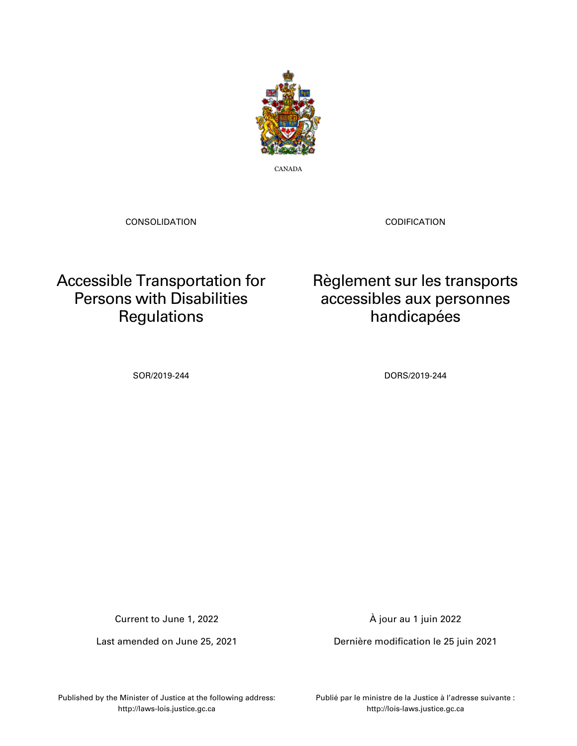

CANADA

CONSOLIDATION

CODIFICATION

## Accessible Transportation for Persons with Disabilities **Regulations**

Règlement sur les transports accessibles aux personnes handicapées

SOR/2019-244 DORS/2019-244

Current to June 1, 2022

Last amended on June 25, 2021

À jour au 1 juin 2022

Dernière modification le 25 juin 2021

Published by the Minister of Justice at the following address: http://laws-lois.justice.gc.ca

Publié par le ministre de la Justice à l'adresse suivante : http://lois-laws.justice.gc.ca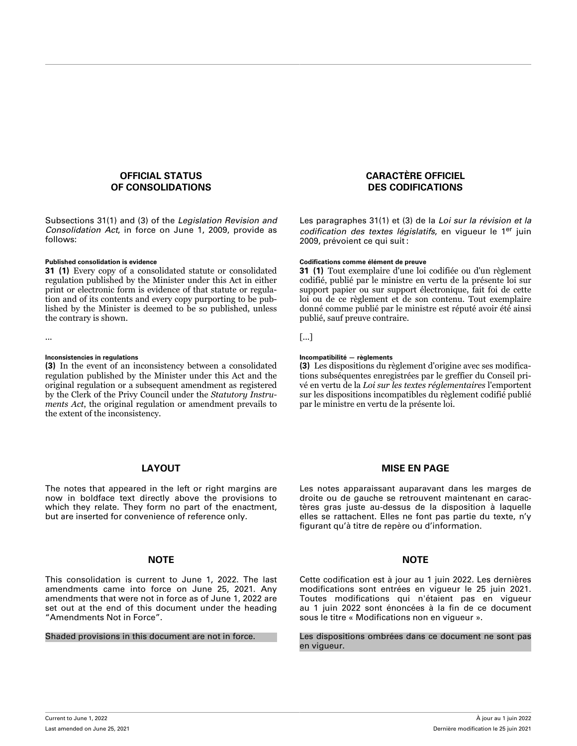## **OFFICIAL STATUS OF CONSOLIDATIONS**

Subsections 31(1) and (3) of the *Legislation Revision and Consolidation Act*, in force on June 1, 2009, provide as follows:

**31 (1)** Every copy of a consolidated statute or consolidated regulation published by the Minister under this Act in either print or electronic form is evidence of that statute or regulation and of its contents and every copy purporting to be published by the Minister is deemed to be so published, unless the contrary is shown.

**(3)** In the event of an inconsistency between a consolidated regulation published by the Minister under this Act and the original regulation or a subsequent amendment as registered by the Clerk of the Privy Council under the *Statutory Instruments Act*, the original regulation or amendment prevails to the extent of the inconsistency.

## **LAYOUT**

The notes that appeared in the left or right margins are now in boldface text directly above the provisions to which they relate. They form no part of the enactment, but are inserted for convenience of reference only.

## **NOTE NOTE**

This consolidation is current to June 1, 2022. The last amendments came into force on June 25, 2021. Any amendments that were not in force as of June 1, 2022 are set out at the end of this document under the heading "Amendments Not in Force".

## **CARACTÈRE OFFICIEL DES CODIFICATIONS**

Les paragraphes 31(1) et (3) de la *Loi sur la révision et la codification des textes législatifs*, en vigueur le 1er juin 2009, prévoient ce qui suit :

## **Published consolidation is evidence Codifications comme élément de preuve**

**31 (1)** Tout exemplaire d'une loi codifiée ou d'un règlement codifié, publié par le ministre en vertu de la présente loi sur support papier ou sur support électronique, fait foi de cette loi ou de ce règlement et de son contenu. Tout exemplaire donné comme publié par le ministre est réputé avoir été ainsi publié, sauf preuve contraire.

... [...]

## **Inconsistencies in regulations Incompatibilité — règlements**

**(3)** Les dispositions du règlement d'origine avec ses modifications subséquentes enregistrées par le greffier du Conseil privé en vertu de la *Loi sur les textes réglementaires* l'emportent sur les dispositions incompatibles du règlement codifié publié par le ministre en vertu de la présente loi.

## **MISE EN PAGE**

Les notes apparaissant auparavant dans les marges de droite ou de gauche se retrouvent maintenant en caractères gras juste au-dessus de la disposition à laquelle elles se rattachent. Elles ne font pas partie du texte, n'y figurant qu'à titre de repère ou d'information.

Cette codification est à jour au 1 juin 2022. Les dernières modifications sont entrées en vigueur le 25 juin 2021. Toutes modifications qui n'étaient pas en vigueur au 1 juin 2022 sont énoncées à la fin de ce document sous le titre « Modifications non en vigueur ».

Shaded provisions in this document are not in force. Les dispositions ombrées dans ce document ne sont pas en vigueur.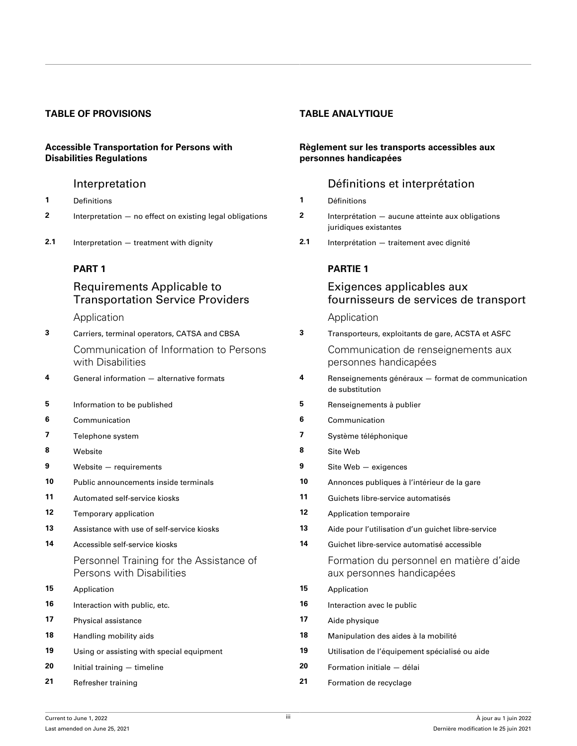## **TABLE OF PROVISIONS TABLE ANALYTIQUE**

## **Accessible Transportation for Persons with Disabilities Regulations**

- **1** [Definitions](#page-12-0) **1** [Définitions](#page-12-0)
- **2** [Interpretation no effect on existing legal obligations](#page-14-0) **2** [Interprétation aucune atteinte aux obligations](#page-14-0)
- **2.1** [Interpretation treatment with dignity](#page-14-0) **2.1** [Interprétation traitement avec dignité](#page-14-0)

## **[PART 1](#page-14-0)**

## Requirements Applicable to Transportation Service Providers

**3** [Carriers, terminal operators, CATSA and CBSA](#page-14-0) [Communication of Information to Persons](#page-15-0) [with Disabilities](#page-15-0)

- **4** [General information alternative formats](#page-15-0)
- **5** [Information to be published](#page-15-0)
- **6** [Communication](#page-16-0) **6** [Communication](#page-16-0)
- **7** [Telephone system](#page-16-0)
- 
- **9** [Website requirements](#page-17-0)
- **10** [Public announcements inside terminals](#page-17-0)
- **11** [Automated self-service kiosks](#page-17-0)
- **12** [Temporary application](#page-18-0)
- **13** [Assistance with use of self-service kiosks](#page-18-0)
- **14** [Accessible self-service kiosks](#page-18-0)
	- [Personnel Training for the Assistance of](#page-19-0) [Persons with Disabilities](#page-19-0)
- **15** [Application](#page-19-0) **15** [Application](#page-19-0)
- **16** [Interaction with public, etc.](#page-19-0)
- **17** [Physical assistance](#page-20-0)
- **18** [Handling mobility aids](#page-20-0)
- **19** [Using or assisting with special equipment](#page-21-0)
- **20** [Initial training timeline](#page-21-0)
- **21** [Refresher training](#page-22-0)

## **Règlement sur les transports accessibles aux personnes handicapées**

## [Interpretation](#page-12-0) **[Définitions et interprétation](#page-12-0)**

- 
- [juridiques existantes](#page-14-0)
- 

## **[PARTIE 1](#page-14-0)**

## Exigences applicables aux fournisseurs de services de transport

[Application](#page-14-0) **Application** 

| 3  | Carriers, terminal operators, CATSA and CBSA                          | 3. | Transporteurs, exploitants de gare, ACSTA et ASFC                     |
|----|-----------------------------------------------------------------------|----|-----------------------------------------------------------------------|
|    | Communication of Information to Persons<br>with Disabilities          |    | Communication de renseignements aux<br>personnes handicapées          |
| 4  | General information - alternative formats                             | 4  | Renseignements généraux - format de communication<br>de substitution  |
| 5  | Information to be published                                           | 5  | Renseignements à publier                                              |
| 6  | Communication                                                         | 6  | Communication                                                         |
| 7  | Telephone system                                                      | 7  | Système téléphonique                                                  |
| 8  | Website                                                               | 8  | Site Web                                                              |
| 9  | Website - requirements                                                | 9  | Site Web - exigences                                                  |
| 10 | Public announcements inside terminals                                 | 10 | Annonces publiques à l'intérieur de la gare                           |
| 11 | Automated self-service kiosks                                         | 11 | Guichets libre-service automatisés                                    |
| 12 | Temporary application                                                 | 12 | Application temporaire                                                |
| 13 | Assistance with use of self-service kiosks                            | 13 | Aide pour l'utilisation d'un quichet libre-service                    |
| 14 | Accessible self-service kiosks                                        | 14 | Guichet libre-service automatisé accessible                           |
|    | Personnel Training for the Assistance of<br>Persons with Disabilities |    | Formation du personnel en matière d'aide<br>aux personnes handicapées |
| 15 | Application                                                           | 15 | Application                                                           |
| 16 | Interaction with public, etc.                                         | 16 | Interaction avec le public                                            |
| 17 | Physical assistance                                                   | 17 | Aide physique                                                         |
| 18 | Handling mobility aids                                                | 18 | Manipulation des aides à la mobilité                                  |
| 19 | Using or assisting with special equipment                             | 19 | Utilisation de l'équipement spécialisé ou aide                        |
| 20 | Initial training $-$ timeline                                         | 20 | Formation initiale - délai                                            |
| 21 | Refresher training                                                    | 21 | Formation de recyclage                                                |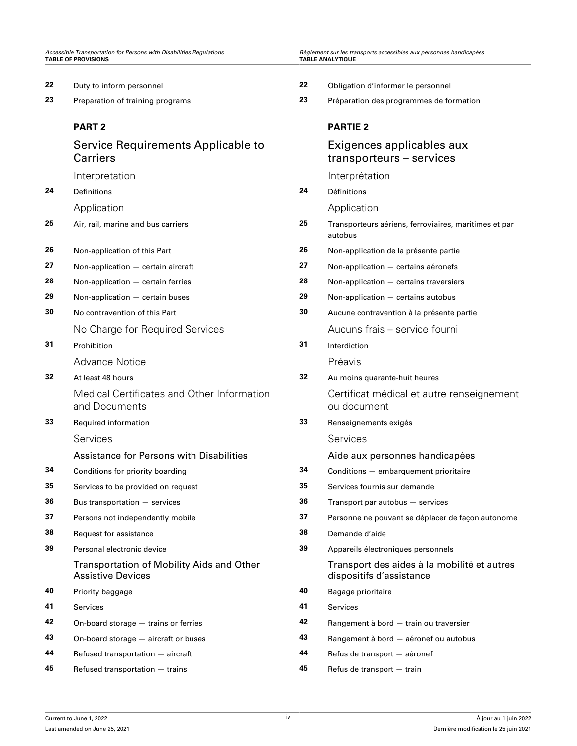| 22 | Duty to inform personnel                                              | 22 | Obligation d'informer le personnel                                      |
|----|-----------------------------------------------------------------------|----|-------------------------------------------------------------------------|
| 23 | Preparation of training programs                                      | 23 | Préparation des programmes de formation                                 |
|    | <b>PART 2</b>                                                         |    | <b>PARTIE 2</b>                                                         |
|    | Service Requirements Applicable to<br>Carriers                        |    | Exigences applicables aux<br>transporteurs - services                   |
|    | Interpretation                                                        |    | Interprétation                                                          |
| 24 | Definitions                                                           | 24 | Définitions                                                             |
|    | Application                                                           |    | Application                                                             |
| 25 | Air, rail, marine and bus carriers                                    | 25 | Transporteurs aériens, ferroviaires, maritimes et par<br>autobus        |
| 26 | Non-application of this Part                                          | 26 | Non-application de la présente partie                                   |
| 27 | Non-application - certain aircraft                                    | 27 | Non-application - certains aéronefs                                     |
| 28 | Non-application - certain ferries                                     | 28 | Non-application - certains traversiers                                  |
| 29 | Non-application - certain buses                                       | 29 | Non-application - certains autobus                                      |
| 30 | No contravention of this Part                                         | 30 | Aucune contravention à la présente partie                               |
|    | No Charge for Required Services                                       |    | Aucuns frais - service fourni                                           |
| 31 | Prohibition                                                           | 31 | Interdiction                                                            |
|    | <b>Advance Notice</b>                                                 |    | Préavis                                                                 |
| 32 | At least 48 hours                                                     | 32 | Au moins quarante-huit heures                                           |
|    | Medical Certificates and Other Information<br>and Documents           |    | Certificat médical et autre renseignement<br>ou document                |
| 33 | Required information                                                  | 33 | Renseignements exigés                                                   |
|    | Services                                                              |    | Services                                                                |
|    | Assistance for Persons with Disabilities                              |    | Aide aux personnes handicapées                                          |
| 34 | Conditions for priority boarding                                      | 34 | Conditions - embarquement prioritaire                                   |
| 35 | Services to be provided on request                                    | 35 | Services fournis sur demande                                            |
| 36 | Bus transportation - services                                         | 36 | Transport par autobus - services                                        |
| 37 | Persons not independently mobile                                      | 37 | Personne ne pouvant se déplacer de façon autonome                       |
| 38 | Request for assistance                                                | 38 | Demande d'aide                                                          |
| 39 | Personal electronic device                                            | 39 | Appareils électroniques personnels                                      |
|    | Transportation of Mobility Aids and Other<br><b>Assistive Devices</b> |    | Transport des aides à la mobilité et autres<br>dispositifs d'assistance |
| 40 | Priority baggage                                                      | 40 | Bagage prioritaire                                                      |
| 41 | Services                                                              | 41 | Services                                                                |
| 42 | On-board storage - trains or ferries                                  | 42 | Rangement à bord - train ou traversier                                  |
| 43 | On-board storage - aircraft or buses                                  | 43 | Rangement à bord - aéronef ou autobus                                   |
| 44 | Refused transportation - aircraft                                     | 44 | Refus de transport - aéronef                                            |

**45** [Refused transportation — trains](#page-32-0) **45** [Refus de transport — train](#page-32-0)

Current to June 1, 2022 Last amended on June 25, 2021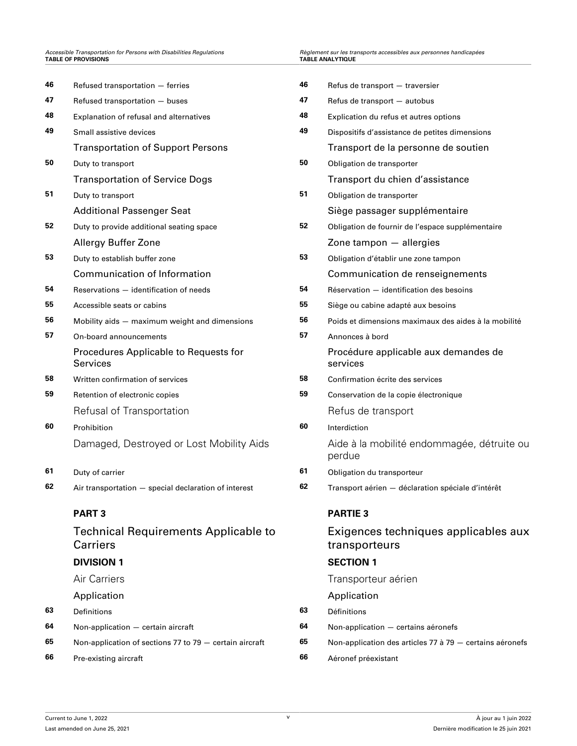## **Accessible Transportation for Persons with Disabilities Regulations TABLE OF PROVISIONS**

| 46 | Refused transportation - ferries                               | 46 | Refus de transport - traversier                          |  |  |
|----|----------------------------------------------------------------|----|----------------------------------------------------------|--|--|
| 47 | Refused transportation - buses                                 | 47 | Refus de transport - autobus                             |  |  |
| 48 | Explanation of refusal and alternatives                        | 48 | Explication du refus et autres options                   |  |  |
| 49 | Small assistive devices                                        | 49 | Dispositifs d'assistance de petites dimensions           |  |  |
|    | <b>Transportation of Support Persons</b>                       |    | Transport de la personne de soutien                      |  |  |
| 50 | Duty to transport                                              | 50 | Obligation de transporter                                |  |  |
|    | <b>Transportation of Service Dogs</b>                          |    | Transport du chien d'assistance                          |  |  |
| 51 | Duty to transport                                              | 51 | Obligation de transporter                                |  |  |
|    | <b>Additional Passenger Seat</b>                               |    | Siège passager supplémentaire                            |  |  |
| 52 | Duty to provide additional seating space                       | 52 | Obligation de fournir de l'espace supplémentaire         |  |  |
|    | Allergy Buffer Zone                                            |    | Zone tampon - allergies                                  |  |  |
| 53 | Duty to establish buffer zone                                  | 53 | Obligation d'établir une zone tampon                     |  |  |
|    | <b>Communication of Information</b>                            |    | Communication de renseignements                          |  |  |
| 54 | Reservations - identification of needs                         | 54 | Réservation - identification des besoins                 |  |  |
| 55 | Accessible seats or cabins                                     | 55 | Siège ou cabine adapté aux besoins                       |  |  |
| 56 | Mobility aids - maximum weight and dimensions                  | 56 | Poids et dimensions maximaux des aides à la mobilité     |  |  |
| 57 | On-board announcements                                         | 57 | Annonces à bord                                          |  |  |
|    | Procedures Applicable to Requests for<br><b>Services</b>       |    | Procédure applicable aux demandes de<br>services         |  |  |
| 58 | Written confirmation of services                               | 58 | Confirmation écrite des services                         |  |  |
| 59 | Retention of electronic copies                                 | 59 | Conservation de la copie électronique                    |  |  |
|    | Refusal of Transportation                                      |    | Refus de transport                                       |  |  |
| 60 | Prohibition                                                    | 60 | Interdiction                                             |  |  |
|    | Damaged, Destroyed or Lost Mobility Aids                       |    | Aide à la mobilité endommagée, détruite ou<br>perdue     |  |  |
| 61 | Duty of carrier                                                | 61 | Obligation du transporteur                               |  |  |
| 62 | Air transportation - special declaration of interest           | 62 | Transport aérien - déclaration spéciale d'intérêt        |  |  |
|    | <b>PART3</b>                                                   |    | <b>PARTIE 3</b>                                          |  |  |
|    | <b>Technical Requirements Applicable to</b><br><b>Carriers</b> |    | Exigences techniques applicables aux<br>transporteurs    |  |  |
|    | <b>DIVISION 1</b>                                              |    | <b>SECTION 1</b>                                         |  |  |
|    | Air Carriers                                                   |    | Transporteur aérien                                      |  |  |
|    | Application                                                    |    | Application                                              |  |  |
| 63 | Definitions                                                    | 63 | Définitions                                              |  |  |
| 64 | Non-application - certain aircraft                             | 64 | Non-application - certains aéronefs                      |  |  |
| 65 | Non-application of sections 77 to 79 - certain aircraft        | 65 | Non-application des articles 77 à 79 - certains aéronefs |  |  |
|    |                                                                |    |                                                          |  |  |

*Accessible Transportation for Persons with Disabilities Regulations Règlement sur les transports accessibles aux personnes handicapées*

| 46 | Refus de transport - traversier                          |
|----|----------------------------------------------------------|
| 47 | Refus de transport - autobus                             |
| 48 | Explication du refus et autres options                   |
| 49 | Dispositifs d'assistance de petites dimensions           |
|    | Transport de la personne de soutien                      |
| 50 | Obligation de transporter                                |
|    | Transport du chien d'assistance                          |
| 51 | Obligation de transporter                                |
|    | Siège passager supplémentaire                            |
| 52 | Obligation de fournir de l'espace supplémentaire         |
|    | Zone tampon - allergies                                  |
| 53 | Obligation d'établir une zone tampon                     |
|    | Communication de renseignements                          |
| 54 | Réservation - identification des besoins                 |
| 55 | Siège ou cabine adapté aux besoins                       |
| 56 | Poids et dimensions maximaux des aides à la mobilité     |
| 57 | Annonces à bord                                          |
|    | Procédure applicable aux demandes de<br>services         |
| 58 | Confirmation écrite des services                         |
| 59 | Conservation de la copie électronique                    |
|    | Refus de transport                                       |
| 60 | Interdiction                                             |
|    | Aide à la mobilité endommagée, détruite ou<br>perdue     |
| 61 | Obligation du transporteur                               |
| 62 | Transport aérien - déclaration spéciale d'intérêt        |
|    | <b>PARTIE 3</b>                                          |
|    | Exigences techniques applicables aux<br>transporteurs    |
|    | <b>SECTION 1</b>                                         |
|    | Transporteur aérien                                      |
|    | Application                                              |
| 63 | Définitions                                              |
| 64 | Non-application - certains aéronefs                      |
| 65 | Non-application des articles 77 à 79 - certains aéronefs |
|    |                                                          |

**66** [Pre-existing aircraft](#page-41-0) **66** [Aéronef préexistant](#page-41-0)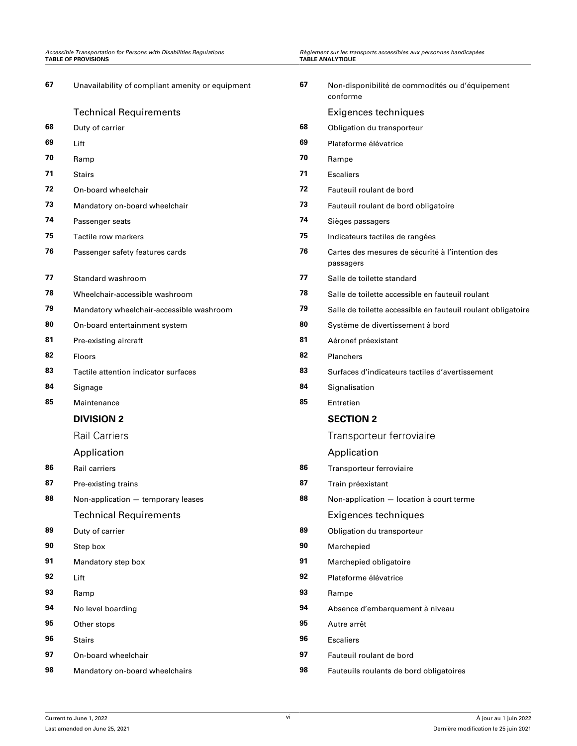| 67 | Unavailability of compliant amenity or equipment | 67 | Non-disponibilité de commodités ou d'équipement<br>conforme   |
|----|--------------------------------------------------|----|---------------------------------------------------------------|
|    | <b>Technical Requirements</b>                    |    | Exigences techniques                                          |
| 68 | Duty of carrier                                  | 68 | Obligation du transporteur                                    |
| 69 | Lift                                             | 69 | Plateforme élévatrice                                         |
| 70 | Ramp                                             | 70 | Rampe                                                         |
| 71 | <b>Stairs</b>                                    | 71 | <b>Escaliers</b>                                              |
| 72 | On-board wheelchair                              | 72 | Fauteuil roulant de bord                                      |
| 73 | Mandatory on-board wheelchair                    | 73 | Fauteuil roulant de bord obligatoire                          |
| 74 | Passenger seats                                  | 74 | Sièges passagers                                              |
| 75 | Tactile row markers                              | 75 | Indicateurs tactiles de rangées                               |
| 76 | Passenger safety features cards                  | 76 | Cartes des mesures de sécurité à l'intention des<br>passagers |
| 77 | Standard washroom                                | 77 | Salle de toilette standard                                    |
| 78 | Wheelchair-accessible washroom                   | 78 | Salle de toilette accessible en fauteuil roulant              |
| 79 | Mandatory wheelchair-accessible washroom         | 79 | Salle de toilette accessible en fauteuil roulant obligatoire  |
| 80 | On-board entertainment system                    | 80 | Système de divertissement à bord                              |
| 81 | Pre-existing aircraft                            | 81 | Aéronef préexistant                                           |
| 82 | <b>Floors</b>                                    | 82 | Planchers                                                     |
| 83 | Tactile attention indicator surfaces             | 83 | Surfaces d'indicateurs tactiles d'avertissement               |
| 84 | Signage                                          | 84 | Signalisation                                                 |
| 85 | Maintenance                                      | 85 | Entretien                                                     |
|    | <b>DIVISION 2</b>                                |    | <b>SECTION 2</b>                                              |
|    | <b>Rail Carriers</b>                             |    | Transporteur ferroviaire                                      |
|    | Application                                      |    | Application                                                   |
| 86 | <b>Rail carriers</b>                             | 86 | Transporteur ferroviaire                                      |
| 87 | Pre-existing trains                              | 87 | Train préexistant                                             |
| 88 | Non-application - temporary leases               | 88 | Non-application - location à court terme                      |
|    | <b>Technical Requirements</b>                    |    | Exigences techniques                                          |
| 89 | Duty of carrier                                  | 89 | Obligation du transporteur                                    |
| 90 | Step box                                         | 90 | Marchepied                                                    |
| 91 | Mandatory step box                               | 91 | Marchepied obligatoire                                        |
| 92 | Lift                                             | 92 | Plateforme élévatrice                                         |
| 93 | Ramp                                             | 93 | Rampe                                                         |
| 94 | No level boarding                                | 94 | Absence d'embarquement à niveau                               |
| 95 | Other stops                                      | 95 | Autre arrêt                                                   |
| 96 | <b>Stairs</b>                                    | 96 | <b>Escaliers</b>                                              |
| 97 | On-board wheelchair                              | 97 | Fauteuil roulant de bord                                      |
| 98 | Mandatory on-board wheelchairs                   | 98 | Fauteuils roulants de bord obligatoires                       |

*Accessible Transportation for Persons with Disabilities Regulations Règlement sur les transports accessibles aux personnes handicapées*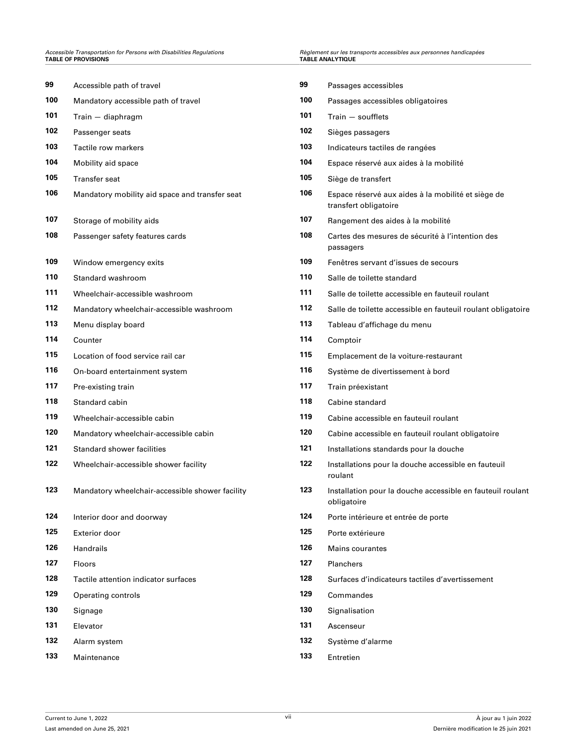# **Accessible Transportation for Persons with Disabilities Regulations TABLE OF PROVISIONS**

| 99  | Accessible path of travel                       | 99  | Passages accessibles                                                        |  |  |
|-----|-------------------------------------------------|-----|-----------------------------------------------------------------------------|--|--|
| 100 | Mandatory accessible path of travel             | 100 | Passages accessibles obligatoires                                           |  |  |
| 101 | $Train - diaphragm$                             | 101 | Train - soufflets                                                           |  |  |
| 102 | Passenger seats                                 | 102 | Sièges passagers                                                            |  |  |
| 103 | Tactile row markers                             | 103 | Indicateurs tactiles de rangées                                             |  |  |
| 104 | Mobility aid space                              | 104 | Espace réservé aux aides à la mobilité                                      |  |  |
| 105 | <b>Transfer seat</b>                            | 105 | Siège de transfert                                                          |  |  |
| 106 | Mandatory mobility aid space and transfer seat  | 106 | Espace réservé aux aides à la mobilité et siège de<br>transfert obligatoire |  |  |
| 107 | Storage of mobility aids                        | 107 | Rangement des aides à la mobilité                                           |  |  |
| 108 | Passenger safety features cards                 | 108 | Cartes des mesures de sécurité à l'intention des<br>passagers               |  |  |
| 109 | Window emergency exits                          | 109 | Fenêtres servant d'issues de secours                                        |  |  |
| 110 | Standard washroom                               | 110 | Salle de toilette standard                                                  |  |  |
| 111 | Wheelchair-accessible washroom                  | 111 | Salle de toilette accessible en fauteuil roulant                            |  |  |
| 112 | Mandatory wheelchair-accessible washroom        | 112 | Salle de toilette accessible en fauteuil roulant obligatoire                |  |  |
| 113 | Menu display board                              | 113 | Tableau d'affichage du menu                                                 |  |  |
| 114 | Counter                                         | 114 | Comptoir                                                                    |  |  |
| 115 | Location of food service rail car               | 115 | Emplacement de la voiture-restaurant                                        |  |  |
| 116 | On-board entertainment system                   | 116 | Système de divertissement à bord                                            |  |  |
| 117 | Pre-existing train                              | 117 | Train préexistant                                                           |  |  |
| 118 | Standard cabin                                  | 118 | Cabine standard                                                             |  |  |
| 119 | Wheelchair-accessible cabin                     | 119 | Cabine accessible en fauteuil roulant                                       |  |  |
| 120 | Mandatory wheelchair-accessible cabin           | 120 | Cabine accessible en fauteuil roulant obligatoire                           |  |  |
| 121 | Standard shower facilities                      | 121 | Installations standards pour la douche                                      |  |  |
| 122 | Wheelchair-accessible shower facility           | 122 | Installations pour la douche accessible en fauteuil<br>roulant              |  |  |
| 123 | Mandatory wheelchair-accessible shower facility | 123 | Installation pour la douche accessible en fauteuil roulant<br>obligatoire   |  |  |
| 124 | Interior door and doorway                       | 124 | Porte intérieure et entrée de porte                                         |  |  |
| 125 | <b>Exterior door</b>                            | 125 | Porte extérieure                                                            |  |  |
| 126 | Handrails                                       | 126 | <b>Mains courantes</b>                                                      |  |  |
| 127 | Floors                                          | 127 | Planchers                                                                   |  |  |
| 128 | Tactile attention indicator surfaces            | 128 | Surfaces d'indicateurs tactiles d'avertissement                             |  |  |
| 129 | Operating controls                              | 129 | Commandes                                                                   |  |  |
| 130 | Signage                                         | 130 | Signalisation                                                               |  |  |
| 131 | Elevator                                        | 131 | Ascenseur                                                                   |  |  |
| 132 | Alarm system                                    | 132 | Système d'alarme                                                            |  |  |
| 133 | Maintenance                                     | 133 | Entretien                                                                   |  |  |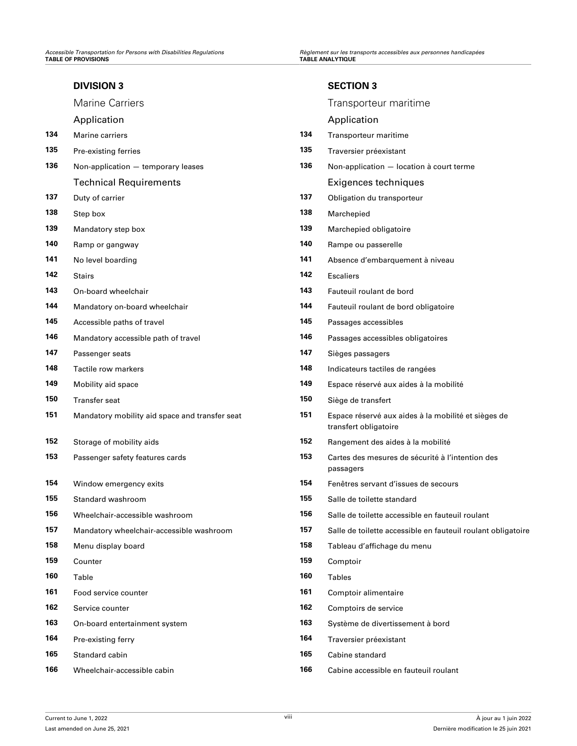## **[DIVISION 3](#page-62-0)**

## [Application](#page-62-0)

- [Pre-existing ferries](#page-63-0) **13**
- [Non-application temporary leases](#page-63-0) **13**

## **[Technical Requirements](#page-64-0)**

- [Duty of carrier](#page-64-0) **13** Obligation during the transporter **13**
- 
- [Mandatory step box](#page-64-0) **139** Mandatory step box
- [Ramp or gangway](#page-64-0) **140** Rampe of gangway
- [No level boarding](#page-64-0) **141** Absence de la niveau animal **14**
- 
- [On-board wheelchair](#page-65-0) **143 Fauteum 14**
- [Mandatory on-board wheelchair](#page-65-0) **144 Mandatory on-board wheelchair**
- [Accessible paths of travel](#page-65-0) **145** Passages accessible accessible accessible accessible accessible accessible accessible accessible accessible accessible accessible accessible accessible accessible accessible accessibl
- [Mandatory accessible path of travel](#page-66-0) **146** Passage accessible path of travel
- [Passenger seats](#page-66-0) **147** [Sièges passagers](#page-66-0) passagers passagers passagers passagers passagers passagers passagers passagers passagers passagers passagers passagers passagers passagers passagers passagers passagers passage
- [Tactile row markers](#page-66-0) **148** Intervalse de rangées de rangées de rangées de rangées de rangées de rangées de rangées de rangées de rangées de rangées de rangées de rangées de rangées de rangées de rangées de rangées de
- [Mobility aid space](#page-66-0) **149** Espace **149** Espace **14**
- [Transfer seat](#page-67-0) **150** Siège de transfer
- [Mandatory mobility aid space and transfer seat](#page-67-0) **151**
- [Storage of mobility aids](#page-67-0) **152** Rangement des aides **15**
- [Passenger safety features cards](#page-67-0) **153** Cartes **153**
- [Window emergency exits](#page-68-0) **154** Feneral de serves de serves de serves de secondo servant de secondo servant de secondo servant de servant de secondo servant de secondo servant de servant de servant de servant de secondo
- [Standard washroom](#page-68-0) **155** Standard washroom
- [Wheelchair-accessible washroom](#page-68-0) **156** Salle Museum 15
- 
- [Menu display board](#page-69-0) **158** Menu display board **15**
- [Counter](#page-69-0) **159** [Comptoir](#page-69-0)
- [Table](#page-69-0) **160** [Tables](#page-69-0)
- [Food service counter](#page-69-0) **161** Compton **16**
- [Service counter](#page-70-0) **162** Compton of the service of the service of the service  $\mathbf{16}$
- [On-board entertainment system](#page-70-0) **163** Système de divertisement à bord à bord de divertisement à bord de divertis
- [Pre-existing ferry](#page-70-0) **164** Pre-existing ferry
- [Standard cabin](#page-71-0) **165** [Cabine standard](#page-71-0) standard standard standard standard standard standard standard standard standard standard standard standard standard standard standard standard standard standard standard standard
- [Wheelchair-accessible cabin](#page-71-0) **166** [Cabine accessible en fauteuil roulant](#page-71-0)

## **[SECTION 3](#page-62-0)**

|     | <b>Marine Carriers</b>                         |     | Transporteur maritime                                                        |
|-----|------------------------------------------------|-----|------------------------------------------------------------------------------|
|     | Application                                    |     | Application                                                                  |
| 134 | Marine carriers                                | 134 | Transporteur maritime                                                        |
| 135 | Pre-existing ferries                           | 135 | Traversier préexistant                                                       |
| 136 | Non-application - temporary leases             | 136 | Non-application - location à court terme                                     |
|     | <b>Technical Requirements</b>                  |     | Exigences techniques                                                         |
| 137 | Duty of carrier                                | 137 | Obligation du transporteur                                                   |
| 138 | Step box                                       | 138 | Marchepied                                                                   |
| 139 | Mandatory step box                             | 139 | Marchepied obligatoire                                                       |
| 140 | Ramp or gangway                                | 140 | Rampe ou passerelle                                                          |
| 141 | No level boarding                              | 141 | Absence d'embarquement à niveau                                              |
| 142 | <b>Stairs</b>                                  | 142 | <b>Escaliers</b>                                                             |
| 143 | On-board wheelchair                            | 143 | Fauteuil roulant de bord                                                     |
| 144 | Mandatory on-board wheelchair                  | 144 | Fauteuil roulant de bord obligatoire                                         |
| 145 | Accessible paths of travel                     | 145 | Passages accessibles                                                         |
| 146 | Mandatory accessible path of travel            | 146 | Passages accessibles obligatoires                                            |
| 147 | Passenger seats                                | 147 | Sièges passagers                                                             |
| 148 | Tactile row markers                            | 148 | Indicateurs tactiles de rangées                                              |
| 149 | Mobility aid space                             | 149 | Espace réservé aux aides à la mobilité                                       |
| 150 | Transfer seat                                  | 150 | Siège de transfert                                                           |
| 151 | Mandatory mobility aid space and transfer seat | 151 | Espace réservé aux aides à la mobilité et sièges de<br>transfert obligatoire |
| 152 | Storage of mobility aids                       | 152 | Rangement des aides à la mobilité                                            |
| 153 | Passenger safety features cards                | 153 | Cartes des mesures de sécurité à l'intention des<br>passagers                |
| 154 | Window emergency exits                         | 154 | Fenêtres servant d'issues de secours                                         |
| 155 | Standard washroom                              | 155 | Salle de toilette standard                                                   |
| 156 | Wheelchair-accessible washroom                 | 156 | Salle de toilette accessible en fauteuil roulant                             |
| 157 | Mandatory wheelchair-accessible washroom       | 157 | Salle de toilette accessible en fauteuil roulant obligatoire                 |
| 158 | Menu display board                             | 158 | Tableau d'affichage du menu                                                  |
| 159 | Counter                                        | 159 | Comptoir                                                                     |
| 160 | Table                                          | 160 | <b>Tables</b>                                                                |
| 161 | Food service counter                           | 161 | Comptoir alimentaire                                                         |
| 162 | Service counter                                | 162 | Comptoirs de service                                                         |
| 163 | On-board entertainment system                  | 163 | Système de divertissement à bord                                             |
| 164 | Pre-existing ferry                             | 164 | Traversier préexistant                                                       |
| 165 | Standard cabin                                 | 165 | Cabine standard                                                              |
|     |                                                |     |                                                                              |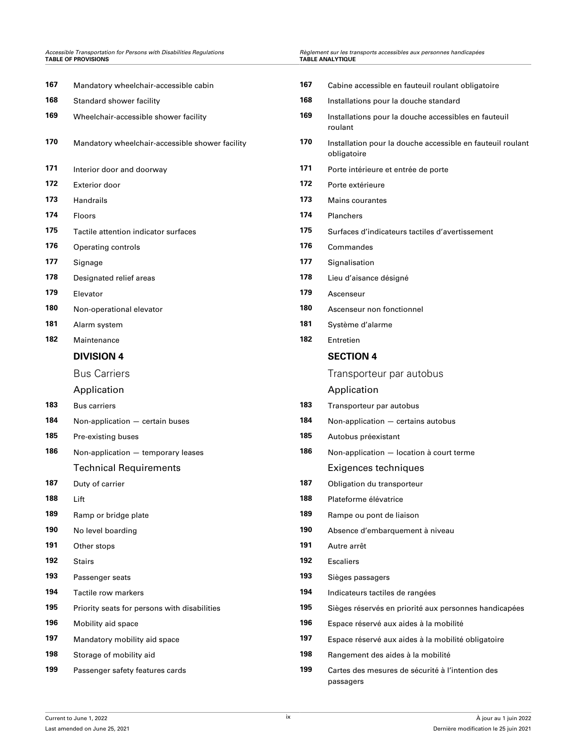## *Accessible Transportation for Persons with Disabilities Regulations Règlement sur les transports accessibles aux personnes handicapées* **TABLE OF PROVISIONS TABLE ANALYTIQUE**

| èglement sur les transports accessibles aux personnes handicapées |
|-------------------------------------------------------------------|
| ABLE ANALYTIQUE                                                   |

| 167 | Mandatory wheelchair-accessible cabin           | 167 | Cabine accessible en fauteuil roulant obligatoire                         |  |  |
|-----|-------------------------------------------------|-----|---------------------------------------------------------------------------|--|--|
| 168 | Standard shower facility                        | 168 | Installations pour la douche standard                                     |  |  |
| 169 | Wheelchair-accessible shower facility           | 169 | Installations pour la douche accessibles en fauteuil<br>roulant           |  |  |
| 170 | Mandatory wheelchair-accessible shower facility | 170 | Installation pour la douche accessible en fauteuil roulant<br>obligatoire |  |  |
| 171 | Interior door and doorway                       | 171 | Porte intérieure et entrée de porte                                       |  |  |
| 172 | Exterior door                                   | 172 | Porte extérieure                                                          |  |  |
| 173 | Handrails                                       | 173 | Mains courantes                                                           |  |  |
| 174 | Floors                                          | 174 | Planchers                                                                 |  |  |
| 175 | Tactile attention indicator surfaces            | 175 | Surfaces d'indicateurs tactiles d'avertissement                           |  |  |
| 176 | Operating controls                              | 176 | Commandes                                                                 |  |  |
| 177 | Signage                                         | 177 | Signalisation                                                             |  |  |
| 178 | Designated relief areas                         | 178 | Lieu d'aisance désigné                                                    |  |  |
| 179 | Elevator                                        | 179 | Ascenseur                                                                 |  |  |
| 180 | Non-operational elevator                        | 180 | Ascenseur non fonctionnel                                                 |  |  |
| 181 | Alarm system                                    | 181 | Système d'alarme                                                          |  |  |
| 182 | Maintenance                                     | 182 | Entretien                                                                 |  |  |
|     | <b>DIVISION 4</b>                               |     | <b>SECTION 4</b>                                                          |  |  |
|     | <b>Bus Carriers</b>                             |     | Transporteur par autobus                                                  |  |  |
|     | Application                                     |     | Application                                                               |  |  |
| 183 | <b>Bus carriers</b>                             | 183 | Transporteur par autobus                                                  |  |  |
| 184 | Non-application - certain buses                 | 184 | Non-application - certains autobus                                        |  |  |
| 185 | Pre-existing buses                              | 185 | Autobus préexistant                                                       |  |  |
| 186 | Non-application - temporary leases              | 186 | Non-application - location à court terme                                  |  |  |
|     | <b>Technical Requirements</b>                   |     | Exigences techniques                                                      |  |  |
| 187 | Duty of carrier                                 | 187 | Obligation du transporteur                                                |  |  |
| 188 | Lift                                            | 188 | Plateforme élévatrice                                                     |  |  |
| 189 | Ramp or bridge plate                            | 189 | Rampe ou pont de liaison                                                  |  |  |
| 190 | No level boarding                               | 190 | Absence d'embarquement à niveau                                           |  |  |
| 191 | Other stops                                     | 191 | Autre arrêt                                                               |  |  |
| 192 | <b>Stairs</b>                                   | 192 | <b>Escaliers</b>                                                          |  |  |
| 193 | Passenger seats                                 | 193 | Sièges passagers                                                          |  |  |
| 194 | Tactile row markers                             | 194 | Indicateurs tactiles de rangées                                           |  |  |
| 195 | Priority seats for persons with disabilities    | 195 | Sièges réservés en priorité aux personnes handicapées                     |  |  |
| 196 | Mobility aid space                              | 196 | Espace réservé aux aides à la mobilité                                    |  |  |
| 197 | Mandatory mobility aid space                    | 197 | Espace réservé aux aides à la mobilité obligatoire                        |  |  |
| 198 | Storage of mobility aid                         | 198 | Rangement des aides à la mobilité                                         |  |  |
| 199 | Passenger safety features cards                 | 199 | Cartes des mesures de sécurité à l'intention des<br>passagers             |  |  |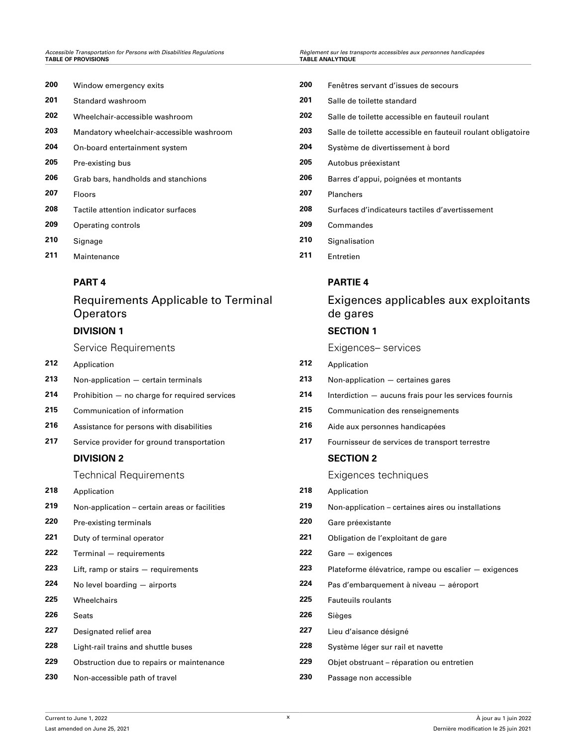| 200 | Window emergency exits                   | 200 | Fenêtres s  |
|-----|------------------------------------------|-----|-------------|
| 201 | Standard washroom                        | 201 | Salle de to |
| 202 | Wheelchair-accessible washroom           | 202 | Salle de to |
| 203 | Mandatory wheelchair-accessible washroom | 203 | Salle de to |
| 204 | On-board entertainment system            | 204 | Système     |
| 205 | Pre-existing bus                         | 205 | Autobus p   |
| 206 | Grab bars, handholds and stanchions      | 206 | Barres d'a  |
| 207 | <b>Floors</b>                            | 207 | Planchers   |
| 208 | Tactile attention indicator surfaces     | 208 | Surfaces    |
| 209 | Operating controls                       | 209 | Comman      |
| 210 | Signage                                  | 210 | Signalisat  |
| 211 | Maintenance                              | 211 | Entretien   |

## **[PART 4](#page-85-0)**

## Requirements Applicable to Terminal **Operators**

## **[DIVISION 1](#page-85-0)**

Service Requirements

- [Application](#page-85-0) **212** [Application](#page-85-0)
- [Non-application certain terminals](#page-86-0) **213** [Non-application certaines gares](#page-86-0)
- 
- 
- [Assistance for persons with disabilities](#page-86-0) **216** [Aide aux personnes handicapées](#page-86-0)
- 

## **[DIVISION 2](#page-87-0)**

Technical Requirements

- [Application](#page-87-0) **218** [Application](#page-87-0)
- 
- [Pre-existing terminals](#page-88-0) **220** [Gare préexistante](#page-88-0)
- 
- [Terminal requirements](#page-89-0) **222** [Gare exigences](#page-89-0)
- 
- 
- 
- 
- 
- 
- [Obstruction due to repairs or maintenance](#page-90-0) **229** [Objet obstruant réparation ou entretien](#page-90-0)
- [Non-accessible path of travel](#page-91-0) **230** [Passage non accessible](#page-91-0)
- [Fenêtres servant d'issues de secours](#page-80-0)
- [Salle de toilette standard](#page-80-0)
- [Salle de toilette accessible en fauteuil roulant](#page-81-0)
- [Salle de toilette accessible en fauteuil roulant obligatoire](#page-82-0)
- [Système de divertissement à bord](#page-82-0)
- [Autobus préexistant](#page-83-0)
- [Barres d'appui, poignées et montants](#page-83-0)
- 
- [Surfaces d'indicateurs tactiles d'avertissement](#page-84-0)
- [Operating controls](#page-84-0) **209** [Commandes](#page-84-0)
- [Signalisation](#page-84-0)
- 

## **[PARTIE 4](#page-85-0)**

## Exigences applicables aux exploitants de gares

## **[SECTION 1](#page-85-0)**

Exigences– services

- 
- 
- [Prohibition no charge for required services](#page-86-0) **214** [Interdiction aucuns frais pour les services fournis](#page-86-0)
- [Communication of information](#page-86-0) **215** [Communication des renseignements](#page-86-0)
	-
- [Service provider for ground transportation](#page-87-0) **217** [Fournisseur de services de transport terrestre](#page-87-0)

## **[SECTION 2](#page-87-0)**

Exigences techniques

- 
- [Non-application certain areas or facilities](#page-87-0) **219** [Non-application certaines aires ou installations](#page-87-0)
	-
- [Duty of terminal operator](#page-89-0) **221** [Obligation de l'exploitant de gare](#page-89-0)
	-
- [Lift, ramp or stairs requirements](#page-89-0) **223** [Plateforme élévatrice, rampe ou escalier exigences](#page-89-0)
- [No level boarding airports](#page-89-0) **224** [Pas d'embarquement à niveau aéroport](#page-89-0)
- [Wheelchairs](#page-89-0) **225** [Fauteuils roulants](#page-89-0)
- [Seats](#page-89-0) **226** [Sièges](#page-89-0)
- [Designated relief area](#page-90-0) **227** [Lieu d'aisance désigné](#page-90-0)
- [Light-rail trains and shuttle buses](#page-90-0) **228** [Système léger sur rail et navette](#page-90-0)
	-
	-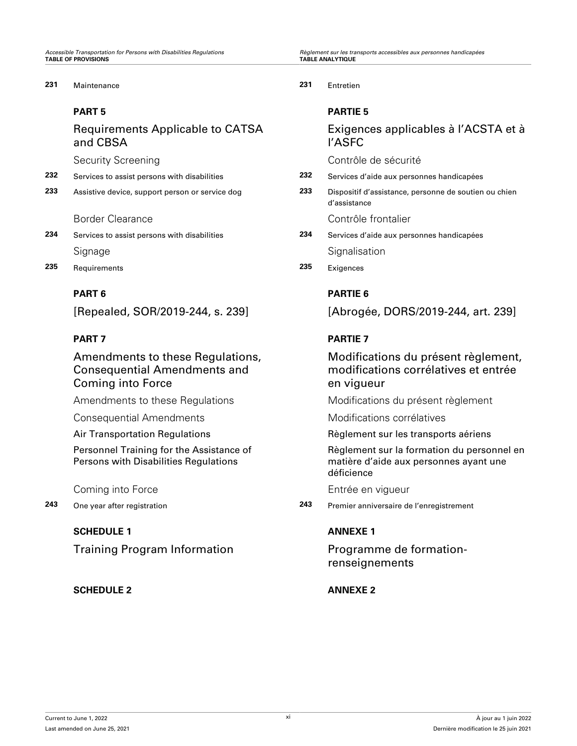*Accessible Transportation for Persons with Disabilities Regulations Règlement sur les transports accessibles aux personnes handicapées*

## **231** [Maintenance](#page-91-0) **231** [Entretien](#page-91-0)

## **[PART 5](#page-91-0)**

Requirements Applicable to CATSA and CBSA

- 
- 

- [Signage](#page-93-0) [Signalisation](#page-93-0) Signalisation
- **235** [Requirements](#page-93-0) **235** [Exigences](#page-93-0)

## **[PART 6](#page-93-0)**

[Repealed, SOR/2019-244, s. 239]

## **[PART 7](#page-94-0)**

Amendments to these Regulations, Consequential Amendments and Coming into Force

[Consequential Amendments](#page-94-0) [Modifications corrélatives](#page-94-0)

[Personnel Training for the Assistance of](#page-94-0) [Persons with Disabilities Regulations](#page-94-0)

## **[SCHEDULE 1](#page-96-0)**

Training Program Information

## **[SCHEDULE 2](#page-98-0) [ANNEXE 2](#page-98-0)**

## **[PARTIE 5](#page-91-0)**

## Exigences applicables à l'ACSTA et à l'ASFC

[Security Screening](#page-91-0) and [Contrôle de sécurité](#page-91-0)

- **232** [Services to assist persons with disabilities](#page-91-0) **232** [Services d'aide aux personnes handicapées](#page-91-0)
- **233** [Assistive device, support person or service dog](#page-92-0) **233** [Dispositif d'assistance, personne de soutien ou chien](#page-92-0) [d'assistance](#page-92-0)

[Border Clearance](#page-92-0) **[Contrôle frontalier](#page-92-0)** Contrôle frontalier

- **234** [Services to assist persons with disabilities](#page-92-0) **234** [Services d'aide aux personnes handicapées](#page-92-0)
	-

## **[PARTIE 6](#page-93-0)**

[Abrogée, DORS/2019-244, art. 239]

## **[PARTIE 7](#page-94-0)**

## Modifications du présent règlement, modifications corrélatives et entrée en vigueur

[Amendments to these Regulations](#page-94-0) [Modifications du présent règlement](#page-94-0)

[Air Transportation Regulations](#page-94-0) **Regulations** [Règlement sur les transports aériens](#page-94-0)

[Règlement sur la formation du personnel en](#page-94-0) [matière d'aide aux personnes ayant une](#page-94-0) [déficience](#page-94-0)

[Coming into Force](#page-94-0) **[Entrée en vigueur](#page-94-0)** 

**243** [One year after registration](#page-94-0) **243** [Premier anniversaire de l'enregistrement](#page-94-0)

## **[ANNEXE 1](#page-96-0)**

Programme de formationrenseignements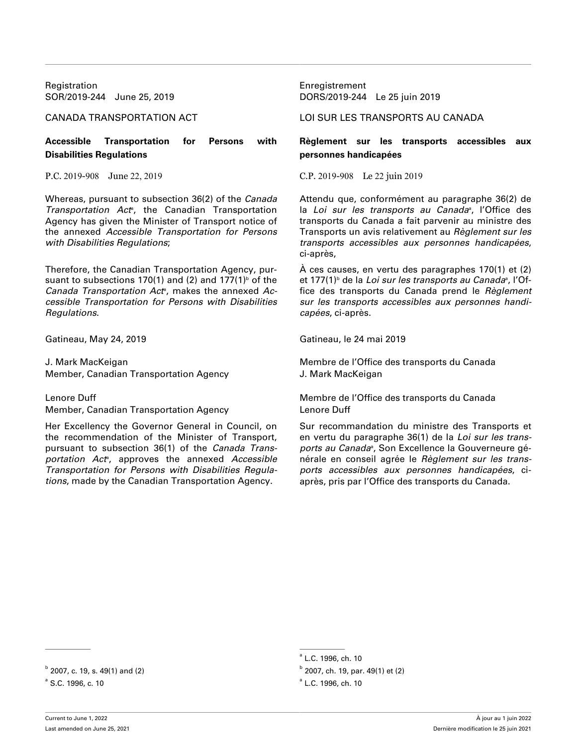Registration **Enregistrement** Enregistrement

**Accessible Transportation for Persons with Disabilities Regulations**

Whereas, pursuant to subsection 36(2) of the *Canada* Transportation Act<sup>®</sup>, the Canadian Transportation Agency has given the Minister of Transport notice of the annexed *Accessible Transportation for Persons with Disabilities Regulations*;

Therefore, the Canadian Transportation Agency, pursuant to subsections 170(1) and (2) and 177(1)<sup>b</sup> of the Canada Transportation Act<sup>a</sup>, makes the annexed Ac*cessible Transportation for Persons with Disabilities Regulations*.

Gatineau, May 24, 2019

J. Mark MacKeigan Member, Canadian Transportation Agency

Lenore Duff

Member, Canadian Transportation Agency

Her Excellency the Governor General in Council, on the recommendation of the Minister of Transport, pursuant to subsection 36(1) of the *Canada Trans*portation Act<sup>e</sup>, approves the annexed Accessible *Transportation for Persons with Disabilities Regulations*, made by the Canadian Transportation Agency.

SOR/2019-244 June 25, 2019 DORS/2019-244 Le 25 juin 2019

CANADA TRANSPORTATION ACT LOI SUR LES TRANSPORTS AU CANADA

## **Règlement sur les transports accessibles aux personnes handicapées**

P.C. 2019-908 June 22, 2019 C.P. 2019-908 Le 22 juin 2019

Attendu que, conformément au paragraphe 36(2) de la *Loi sur les transports au Canada*ª, l'Office des transports du Canada a fait parvenir au ministre des Transports un avis relativement au *Règlement sur les transports accessibles aux personnes handicapées*, ci-après,

À ces causes, en vertu des paragraphes 170(1) et (2) et 177(1)<sup>ь</sup> de la *Loi sur les transports au Canada*ª, l'Office des transports du Canada prend le *Règlement sur les transports accessibles aux personnes handicapées*, ci-après.

Gatineau, le 24 mai 2019

Membre de l'Office des transports du Canada J. Mark MacKeigan

Membre de l'Office des transports du Canada Lenore Duff

Sur recommandation du ministre des Transports et en vertu du paragraphe 36(1) de la *Loi sur les trans*ports au Canada<sup>a</sup>, Son Excellence la Gouverneure générale en conseil agrée le *Règlement sur les transports accessibles aux personnes handicapées*, ciaprès, pris par l'Office des transports du Canada.

a L.C. 1996, ch. 10

 $b$  2007, ch. 19, par. 49(1) et (2)

 $b^{b}$  2007, c. 19, s. 49(1) and (2) b

 $a^a$  S.C. 1996, c. 10 and the set of the set of the set of the set of the set of the set of the set of the set of the set of the set of the set of the set of the set of the set of the set of the set of the set of the set

L.C. 1996, ch. 10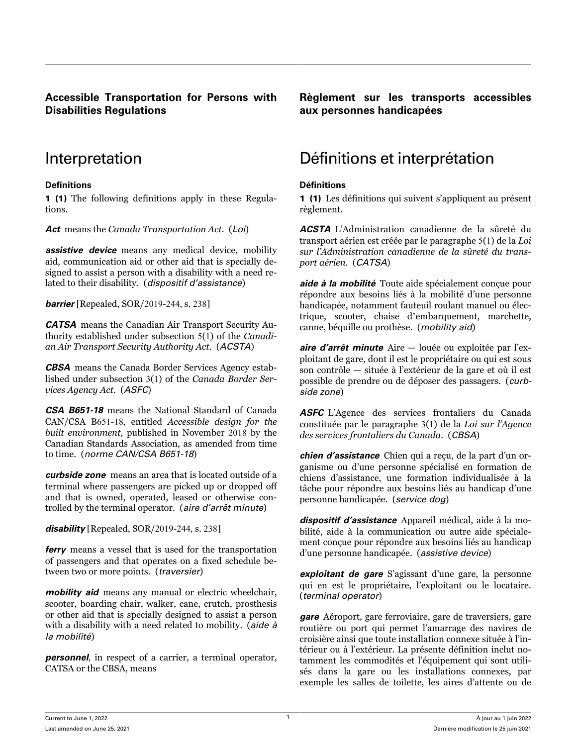## <span id="page-12-0"></span>**Accessible Transportation for Persons with Disabilities Regulations**

## **Definitions Définitions**

1 (1) The following definitions apply in these Regulations.

*Act* means the *Canada Transportation Act*. (*Loi*)

*assistive device* means any medical device, mobility aid, communication aid or other aid that is specially designed to assist a person with a disability with a need related to their disability. (*dispositif d'assistance*)

*barrier* [Repealed, SOR/2019-244, s. 238]

*CATSA* means the Canadian Air Transport Security Authority established under subsection 5(1) of the *Canadian Air Transport Security Authority Act*. (*ACSTA*)

*CBSA* means the Canada Border Services Agency established under subsection 3(1) of the *Canada Border Services Agency Act*. (*ASFC*)

*CSA B651-18* means the National Standard of Canada CAN/CSA B651-18, entitled *Accessible design for the built environment*, published in November 2018 by the Canadian Standards Association, as amended from time to time. (*norme CAN/CSA B651-18*)

*curbside zone* means an area that is located outside of a terminal where passengers are picked up or dropped off and that is owned, operated, leased or otherwise controlled by the terminal operator. (*aire d'arrêt minute*)

*disability* [Repealed, SOR/2019-244, s. 238]

*ferry* means a vessel that is used for the transportation of passengers and that operates on a fixed schedule between two or more points. (*traversier*)

*mobility aid* means any manual or electric wheelchair. scooter, boarding chair, walker, cane, crutch, prosthesis or other aid that is specially designed to assist a person with a disability with a need related to mobility. (*aide à la mobilité*)

*personnel*, in respect of a carrier, a terminal operator, CATSA or the CBSA, means

**Règlement sur les transports accessibles aux personnes handicapées**

## Interpretation Définitions et interprétation

1 (1) Les définitions qui suivent s'appliquent au présent règlement.

*ACSTA* L'Administration canadienne de la sûreté du transport aérien est créée par le paragraphe 5(1) de la *Loi sur l'Administration canadienne de la sûreté du transport aérien*. (*CATSA*)

*aide à la mobilité* Toute aide spécialement conçue pour répondre aux besoins liés à la mobilité d'une personne handicapée, notamment fauteuil roulant manuel ou électrique, scooter, chaise d'embarquement, marchette, canne, béquille ou prothèse. (*mobility aid*)

*aire d'arrêt minute* Aire — louée ou exploitée par l'exploitant de gare, dont il est le propriétaire ou qui est sous son contrôle — située à l'extérieur de la gare et où il est possible de prendre ou de déposer des passagers. (*curbside zone*)

**ASFC** L'Agence des services frontaliers du Canada constituée par le paragraphe 3(1) de la *Loi sur l'Agence des services frontaliers du Canada*. (*CBSA*)

*chien d'assistance* Chien qui a reçu, de la part d'un organisme ou d'une personne spécialisé en formation de chiens d'assistance, une formation individualisée à la tâche pour répondre aux besoins liés au handicap d'une personne handicapée. (*service dog*)

*dispositif d'assistance* Appareil médical, aide à la mobilité, aide à la communication ou autre aide spécialement conçue pour répondre aux besoins liés au handicap d'une personne handicapée. (*assistive device*)

*exploitant de gare* S'agissant d'une gare, la personne qui en est le propriétaire, l'exploitant ou le locataire. (*terminal operator*)

*gare* Aéroport, gare ferroviaire, gare de traversiers, gare routière ou port qui permet l'amarrage des navires de croisière ainsi que toute installation connexe située à l'intérieur ou à l'extérieur. La présente définition inclut notamment les commodités et l'équipement qui sont utilisés dans la gare ou les installations connexes, par exemple les salles de toilette, les aires d'attente ou de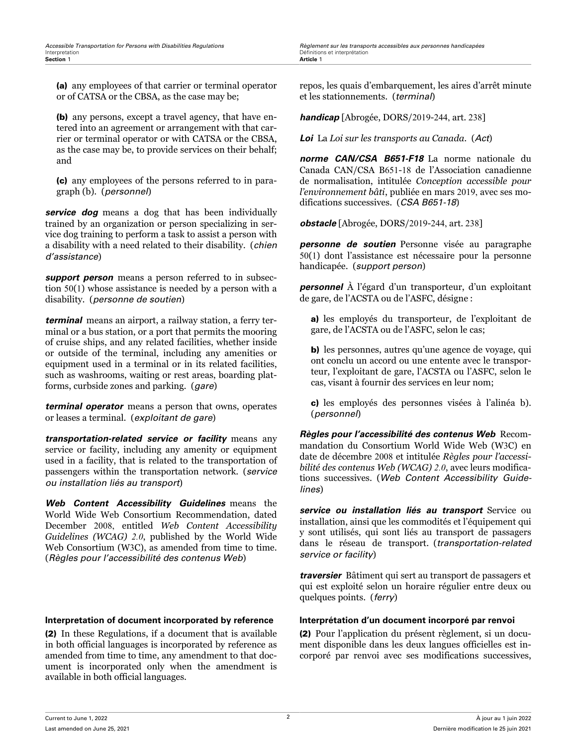(a) any employees of that carrier or terminal operator or of CATSA or the CBSA, as the case may be;

(b) any persons, except a travel agency, that have entered into an agreement or arrangement with that carrier or terminal operator or with CATSA or the CBSA, as the case may be, to provide services on their behalf; and

(c) any employees of the persons referred to in paragraph (b). (*personnel*)

*service dog* means a dog that has been individually trained by an organization or person specializing in service dog training to perform a task to assist a person with a disability with a need related to their disability. (*chien d'assistance*)

*support person* means a person referred to in subsection 50(1) whose assistance is needed by a person with a disability. (*personne de soutien*)

*terminal* means an airport, a railway station, a ferry terminal or a bus station, or a port that permits the mooring of cruise ships, and any related facilities, whether inside or outside of the terminal, including any amenities or equipment used in a terminal or in its related facilities, such as washrooms, waiting or rest areas, boarding platforms, curbside zones and parking. (*gare*)

*terminal operator* means a person that owns, operates or leases a terminal. (*exploitant de gare*)

*transportation-related service or facility* means any service or facility, including any amenity or equipment used in a facility, that is related to the transportation of passengers within the transportation network. (*service ou installation liés au transport*)

*Web Content Accessibility Guidelines* means the World Wide Web Consortium Recommendation, dated December 2008, entitled *Web Content Accessibility Guidelines (WCAG) 2.0*, published by the World Wide Web Consortium (W3C), as amended from time to time. (*Règles pour l'accessibilité des contenus Web*)

## **Interpretation of document incorporated by reference Interprétation d'un document incorporé par renvoi**

(2) In these Regulations, if a document that is available in both official languages is incorporated by reference as amended from time to time, any amendment to that document is incorporated only when the amendment is available in both official languages.

repos, les quais d'embarquement, les aires d'arrêt minute et les stationnements. (*terminal*)

*handicap* [Abrogée, DORS/2019-244, art. 238]

*Loi* La *Loi sur les transports au Canada*. (*Act*)

*norme CAN/CSA B651-F18* La norme nationale du Canada CAN/CSA B651-18 de l'Association canadienne de normalisation, intitulée *Conception accessible pour l'environnement bâti*, publiée en mars 2019, avec ses modifications successives. (*CSA B651-18*)

*obstacle* [Abrogée, DORS/2019-244, art. 238]

*personne de soutien* Personne visée au paragraphe 50(1) dont l'assistance est nécessaire pour la personne handicapée. (*support person*)

*personnel* À l'égard d'un transporteur, d'un exploitant de gare, de l'ACSTA ou de l'ASFC, désigne :

a) les employés du transporteur, de l'exploitant de gare, de l'ACSTA ou de l'ASFC, selon le cas;

b) les personnes, autres qu'une agence de voyage, qui ont conclu un accord ou une entente avec le transporteur, l'exploitant de gare, l'ACSTA ou l'ASFC, selon le cas, visant à fournir des services en leur nom;

c) les employés des personnes visées à l'alinéa b). (*personnel*)

*Règles pour l'accessibilité des contenus Web* Recommandation du Consortium World Wide Web (W3C) en date de décembre 2008 et intitulée *Règles pour l'accessibilité des contenus Web (WCAG) 2.0*, avec leurs modifications successives. (*Web Content Accessibility Guidelines*)

*service ou installation liés au transport* Service ou installation, ainsi que les commodités et l'équipement qui y sont utilisés, qui sont liés au transport de passagers dans le réseau de transport. (*transportation-related service or facility*)

*traversier* Bâtiment qui sert au transport de passagers et qui est exploité selon un horaire régulier entre deux ou quelques points. (*ferry*)

(2) Pour l'application du présent règlement, si un document disponible dans les deux langues officielles est incorporé par renvoi avec ses modifications successives,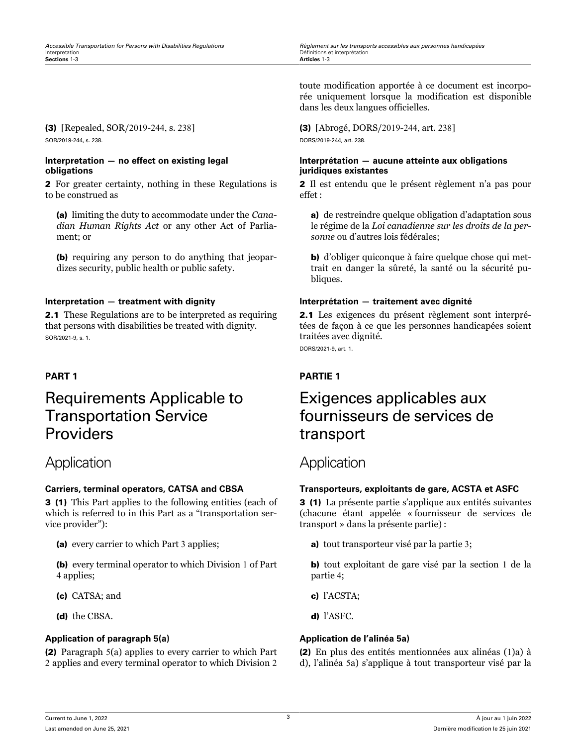<span id="page-14-0"></span>*Accessible Transportation for Persons with Disabilities Regulations Règlement sur les transports accessibles aux personnes handicapées* Définitions et interprétation<br>Articles 1-3

## (3) [Repealed, SOR/2019-244, s. 238] SOR/2019-244, s. 238.

## **Interpretation — no effect on existing legal obligations**

2 For greater certainty, nothing in these Regulations is to be construed as

(a) limiting the duty to accommodate under the *Canadian Human Rights Act* or any other Act of Parliament; or

(b) requiring any person to do anything that jeopardizes security, public health or public safety.

2.1 These Regulations are to be interpreted as requiring that persons with disabilities be treated with dignity. SOR/2021-9, s. 1.

## Requirements Applicable to Transportation Service Providers

## Application **Application**

3 (1) This Part applies to the following entities (each of which is referred to in this Part as a "transportation service provider"):

(a) every carrier to which Part 3 applies;

(b) every terminal operator to which Division 1 of Part 4 applies;

- (c) CATSA; and
- (d) the CBSA.

## **Application of paragraph 5(a) Application de l'alinéa 5a)**

(2) Paragraph 5(a) applies to every carrier to which Part 2 applies and every terminal operator to which Division 2

toute modification apportée à ce document est incorporée uniquement lorsque la modification est disponible dans les deux langues officielles.

(3) [Abrogé, DORS/2019-244, art. 238] DORS/2019-244, art. 238.

## **Interprétation — aucune atteinte aux obligations juridiques existantes**

2 Il est entendu que le présent règlement n'a pas pour effet :

a) de restreindre quelque obligation d'adaptation sous le régime de la *Loi canadienne sur les droits de la personne* ou d'autres lois fédérales;

b) d'obliger quiconque à faire quelque chose qui mettrait en danger la sûreté, la santé ou la sécurité publiques.

## **Interpretation — treatment with dignity Interprétation — traitement avec dignité**

2.1 Les exigences du présent règlement sont interprétées de façon à ce que les personnes handicapées soient traitées avec dignité.

DORS/2021-9, art. 1.

## **PART 1 PARTIE 1**

## Exigences applicables aux fournisseurs de services de transport

## **Carriers, terminal operators, CATSA and CBSA Transporteurs, exploitants de gare, ACSTA et ASFC**

3 (1) La présente partie s'applique aux entités suivantes (chacune étant appelée « fournisseur de services de transport » dans la présente partie) :

a) tout transporteur visé par la partie 3;

b) tout exploitant de gare visé par la section 1 de la partie 4;

- c) l'ACSTA;
- d) l'ASFC.

(2) En plus des entités mentionnées aux alinéas (1)a) à d), l'alinéa 5a) s'applique à tout transporteur visé par la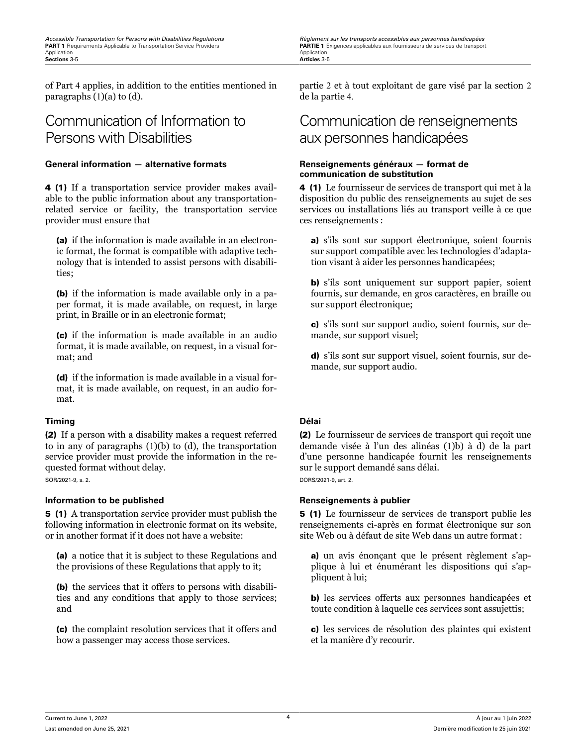of Part 4 applies, in addition to the entities mentioned in paragraphs (1)(a) to (d).

## Communication of Information to Persons with Disabilities

## **General information — alternative formats Renseignements généraux — format de**

4 (1) If a transportation service provider makes available to the public information about any transportationrelated service or facility, the transportation service provider must ensure that

(a) if the information is made available in an electronic format, the format is compatible with adaptive technology that is intended to assist persons with disabilities;

(b) if the information is made available only in a paper format, it is made available, on request, in large print, in Braille or in an electronic format;

(c) if the information is made available in an audio format, it is made available, on request, in a visual format; and

(d) if the information is made available in a visual format, it is made available, on request, in an audio format.

## **Timing Délai**

(2) If a person with a disability makes a request referred to in any of paragraphs (1)(b) to (d), the transportation service provider must provide the information in the requested format without delay.

SOR/2021-9, s. 2.

## **Information to be published <b>Renseignements** à publier

5 (1) A transportation service provider must publish the following information in electronic format on its website, or in another format if it does not have a website:

(a) a notice that it is subject to these Regulations and the provisions of these Regulations that apply to it;

(b) the services that it offers to persons with disabilities and any conditions that apply to those services; and

(c) the complaint resolution services that it offers and how a passenger may access those services.

<span id="page-15-0"></span>*Accessible Transportation for Persons with Disabilities Regulations Règlement sur les transports accessibles aux personnes handicapées*

partie 2 et à tout exploitant de gare visé par la section 2 de la partie 4.

## Communication de renseignements aux personnes handicapées

# **communication de substitution**

4 (1) Le fournisseur de services de transport qui met à la disposition du public des renseignements au sujet de ses services ou installations liés au transport veille à ce que ces renseignements :

a) s'ils sont sur support électronique, soient fournis sur support compatible avec les technologies d'adaptation visant à aider les personnes handicapées;

b) s'ils sont uniquement sur support papier, soient fournis, sur demande, en gros caractères, en braille ou sur support électronique;

c) s'ils sont sur support audio, soient fournis, sur demande, sur support visuel;

d) s'ils sont sur support visuel, soient fournis, sur demande, sur support audio.

(2) Le fournisseur de services de transport qui reçoit une demande visée à l'un des alinéas (1)b) à d) de la part d'une personne handicapée fournit les renseignements sur le support demandé sans délai. DORS/2021-9, art. 2.

5 (1) Le fournisseur de services de transport publie les renseignements ci-après en format électronique sur son site Web ou à défaut de site Web dans un autre format :

a) un avis énonçant que le présent règlement s'applique à lui et énumérant les dispositions qui s'appliquent à lui;

b) les services offerts aux personnes handicapées et toute condition à laquelle ces services sont assujettis;

c) les services de résolution des plaintes qui existent et la manière d'y recourir.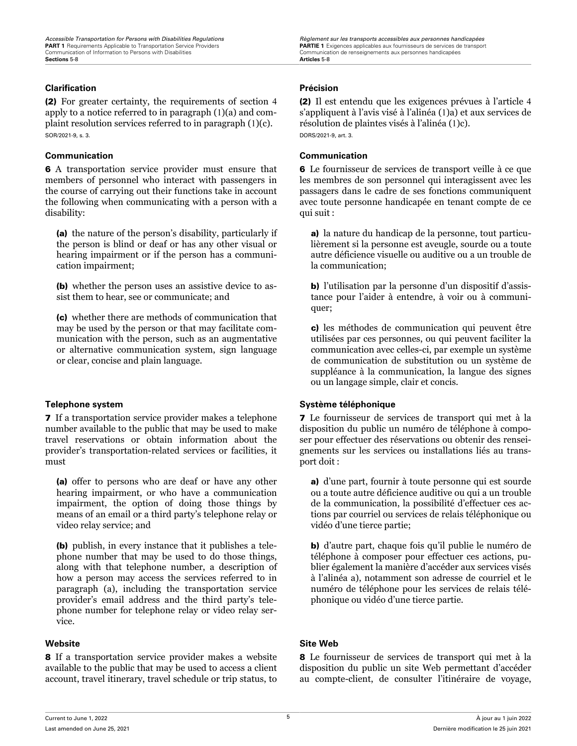## <span id="page-16-0"></span>**Clarification Précision**

(2) For greater certainty, the requirements of section 4 apply to a notice referred to in paragraph (1)(a) and complaint resolution services referred to in paragraph (1)(c). SOR/2021-9, s. 3.

## **Communication Communication**

6 A transportation service provider must ensure that members of personnel who interact with passengers in the course of carrying out their functions take in account the following when communicating with a person with a disability:

(a) the nature of the person's disability, particularly if the person is blind or deaf or has any other visual or hearing impairment or if the person has a communication impairment;

(b) whether the person uses an assistive device to assist them to hear, see or communicate; and

(c) whether there are methods of communication that may be used by the person or that may facilitate communication with the person, such as an augmentative or alternative communication system, sign language or clear, concise and plain language.

7 If a transportation service provider makes a telephone number available to the public that may be used to make travel reservations or obtain information about the provider's transportation-related services or facilities, it must

(a) offer to persons who are deaf or have any other hearing impairment, or who have a communication impairment, the option of doing those things by means of an email or a third party's telephone relay or video relay service; and

(b) publish, in every instance that it publishes a telephone number that may be used to do those things, along with that telephone number, a description of how a person may access the services referred to in paragraph (a), including the transportation service provider's email address and the third party's telephone number for telephone relay or video relay service.

8 If a transportation service provider makes a website available to the public that may be used to access a client account, travel itinerary, travel schedule or trip status, to

(2) Il est entendu que les exigences prévues à l'article 4 s'appliquent à l'avis visé à l'alinéa (1)a) et aux services de résolution de plaintes visés à l'alinéa (1)c). DORS/2021-9, art. 3.

6 Le fournisseur de services de transport veille à ce que les membres de son personnel qui interagissent avec les passagers dans le cadre de ses fonctions communiquent avec toute personne handicapée en tenant compte de ce qui suit :

a) la nature du handicap de la personne, tout particulièrement si la personne est aveugle, sourde ou a toute autre déficience visuelle ou auditive ou a un trouble de la communication;

b) l'utilisation par la personne d'un dispositif d'assistance pour l'aider à entendre, à voir ou à communiquer;

c) les méthodes de communication qui peuvent être utilisées par ces personnes, ou qui peuvent faciliter la communication avec celles-ci, par exemple un système de communication de substitution ou un système de suppléance à la communication, la langue des signes ou un langage simple, clair et concis.

## **Telephone system Système téléphonique**

7 Le fournisseur de services de transport qui met à la disposition du public un numéro de téléphone à composer pour effectuer des réservations ou obtenir des renseignements sur les services ou installations liés au transport doit :

a) d'une part, fournir à toute personne qui est sourde ou a toute autre déficience auditive ou qui a un trouble de la communication, la possibilité d'effectuer ces actions par courriel ou services de relais téléphonique ou vidéo d'une tierce partie;

b) d'autre part, chaque fois qu'il publie le numéro de téléphone à composer pour effectuer ces actions, publier également la manière d'accéder aux services visés à l'alinéa a), notamment son adresse de courriel et le numéro de téléphone pour les services de relais téléphonique ou vidéo d'une tierce partie.

## **Website Site Web**

8 Le fournisseur de services de transport qui met à la disposition du public un site Web permettant d'accéder au compte-client, de consulter l'itinéraire de voyage,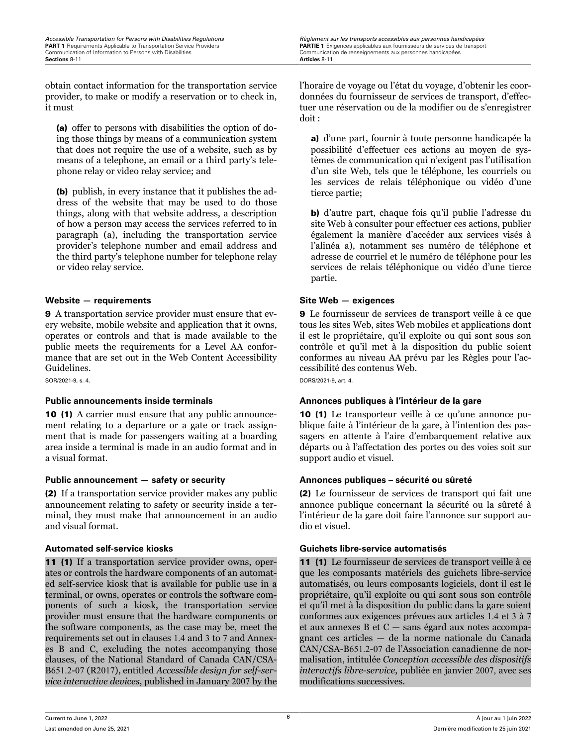<span id="page-17-0"></span>*Accessible Transportation for Persons with Disabilities Regulations Regulations Règlement sur les transports accessibles aux personnes handicapées*<br> **PART 1** Requirements Applicable to Transportation Service Provide **PART 1** Requirements Applicable to Transportation Service Providers **PARTIE 1** Exigences applicables aux fournisseurs de services de transport<br>
Communication of Information to Persons with Disabilities **Communication de r Sections** 8-11 **Articles** 8-11

obtain contact information for the transportation service provider, to make or modify a reservation or to check in, it must

(a) offer to persons with disabilities the option of doing those things by means of a communication system that does not require the use of a website, such as by means of a telephone, an email or a third party's telephone relay or video relay service; and

(b) publish, in every instance that it publishes the address of the website that may be used to do those things, along with that website address, a description of how a person may access the services referred to in paragraph (a), including the transportation service provider's telephone number and email address and the third party's telephone number for telephone relay or video relay service.

## **Website — requirements Site Web — exigences**

9 A transportation service provider must ensure that every website, mobile website and application that it owns, operates or controls and that is made available to the public meets the requirements for a Level AA conformance that are set out in the Web Content Accessibility Guidelines.

SOR/2021-9, s. 4.

10 (1) A carrier must ensure that any public announcement relating to a departure or a gate or track assignment that is made for passengers waiting at a boarding area inside a terminal is made in an audio format and in a visual format.

## **Public announcement — safety or security Annonces publiques – sécurité ou sûreté**

(2) If a transportation service provider makes any public announcement relating to safety or security inside a terminal, they must make that announcement in an audio and visual format.

11 (1) If a transportation service provider owns, operates or controls the hardware components of an automated self-service kiosk that is available for public use in a terminal, or owns, operates or controls the software components of such a kiosk, the transportation service provider must ensure that the hardware components or the software components, as the case may be, meet the requirements set out in clauses 1.4 and 3 to 7 and Annexes B and C, excluding the notes accompanying those clauses, of the National Standard of Canada CAN/CSA-B651.2-07 (R2017), entitled *Accessible design for self-service interactive devices*, published in January 2007 by the l'horaire de voyage ou l'état du voyage, d'obtenir les coordonnées du fournisseur de services de transport, d'effectuer une réservation ou de la modifier ou de s'enregistrer doit :

a) d'une part, fournir à toute personne handicapée la possibilité d'effectuer ces actions au moyen de systèmes de communication qui n'exigent pas l'utilisation d'un site Web, tels que le téléphone, les courriels ou les services de relais téléphonique ou vidéo d'une tierce partie;

b) d'autre part, chaque fois qu'il publie l'adresse du site Web à consulter pour effectuer ces actions, publier également la manière d'accéder aux services visés à l'alinéa a), notamment ses numéro de téléphone et adresse de courriel et le numéro de téléphone pour les services de relais téléphonique ou vidéo d'une tierce partie.

9 Le fournisseur de services de transport veille à ce que tous les sites Web, sites Web mobiles et applications dont il est le propriétaire, qu'il exploite ou qui sont sous son contrôle et qu'il met à la disposition du public soient conformes au niveau AA prévu par les Règles pour l'accessibilité des contenus Web.

DORS/2021-9, art. 4.

## **Public announcements inside terminals Annonces publiques à l'intérieur de la gare**

10 (1) Le transporteur veille à ce qu'une annonce publique faite à l'intérieur de la gare, à l'intention des passagers en attente à l'aire d'embarquement relative aux départs ou à l'affectation des portes ou des voies soit sur support audio et visuel.

(2) Le fournisseur de services de transport qui fait une annonce publique concernant la sécurité ou la sûreté à l'intérieur de la gare doit faire l'annonce sur support audio et visuel.

## **Automated self-service kiosks Guichets libre-service automatisés**

11 (1) Le fournisseur de services de transport veille à ce que les composants matériels des guichets libre-service automatisés, ou leurs composants logiciels, dont il est le propriétaire, qu'il exploite ou qui sont sous son contrôle et qu'il met à la disposition du public dans la gare soient conformes aux exigences prévues aux articles 1.4 et 3 à 7 et aux annexes B et C — sans égard aux notes accompagnant ces articles — de la norme nationale du Canada CAN/CSA-B651.2-07 de l'Association canadienne de normalisation, intitulée *Conception accessible des dispositifs interactifs libre-service*, publiée en janvier 2007, avec ses modifications successives.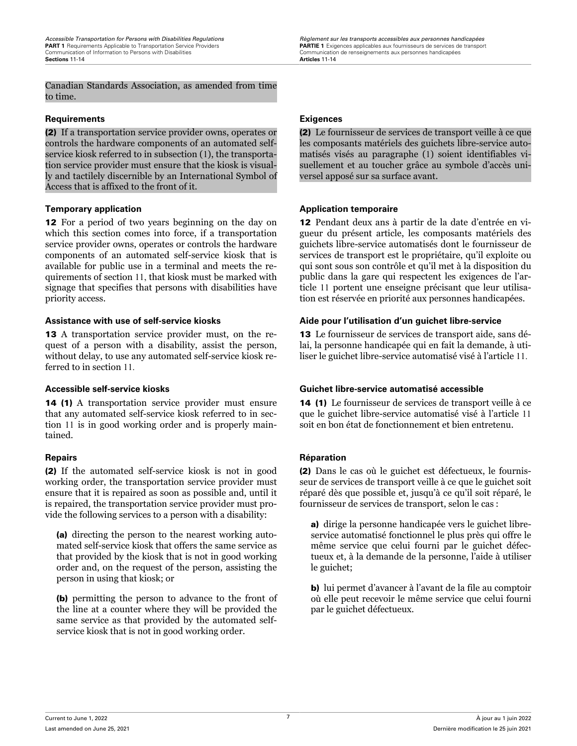<span id="page-18-0"></span>*Accessible Transportation for Persons with Disabilities Regulations Règlement sur les transports accessibles aux personnes handicapées* PART 1 Requirements Applicable to Transportation Service Providers (and the state of the Same Communication de renseignements aux fournisseurs de services de transport Communication de renseignements aux personnes handicap

Canadian Standards Association, as amended from time to time.

## **Requirements Exigences**

(2) If a transportation service provider owns, operates or controls the hardware components of an automated selfservice kiosk referred to in subsection (1), the transportation service provider must ensure that the kiosk is visually and tactilely discernible by an International Symbol of Access that is affixed to the front of it.

12 For a period of two years beginning on the day on which this section comes into force, if a transportation service provider owns, operates or controls the hardware components of an automated self-service kiosk that is available for public use in a terminal and meets the requirements of section 11, that kiosk must be marked with signage that specifies that persons with disabilities have priority access.

13 A transportation service provider must, on the request of a person with a disability, assist the person, without delay, to use any automated self-service kiosk referred to in section 11.

14 (1) A transportation service provider must ensure that any automated self-service kiosk referred to in section 11 is in good working order and is properly maintained.

(2) If the automated self-service kiosk is not in good working order, the transportation service provider must ensure that it is repaired as soon as possible and, until it is repaired, the transportation service provider must provide the following services to a person with a disability:

(a) directing the person to the nearest working automated self-service kiosk that offers the same service as that provided by the kiosk that is not in good working order and, on the request of the person, assisting the person in using that kiosk; or

(b) permitting the person to advance to the front of the line at a counter where they will be provided the same service as that provided by the automated selfservice kiosk that is not in good working order.

(2) Le fournisseur de services de transport veille à ce que les composants matériels des guichets libre-service automatisés visés au paragraphe (1) soient identifiables visuellement et au toucher grâce au symbole d'accès universel apposé sur sa surface avant.

## **Temporary application Application temporaire**

12 Pendant deux ans à partir de la date d'entrée en vigueur du présent article, les composants matériels des guichets libre-service automatisés dont le fournisseur de services de transport est le propriétaire, qu'il exploite ou qui sont sous son contrôle et qu'il met à la disposition du public dans la gare qui respectent les exigences de l'article 11 portent une enseigne précisant que leur utilisation est réservée en priorité aux personnes handicapées.

## **Assistance with use of self-service kiosks Aide pour l'utilisation d'un guichet libre-service**

13 Le fournisseur de services de transport aide, sans délai, la personne handicapée qui en fait la demande, à utiliser le guichet libre-service automatisé visé à l'article 11.

## **Accessible self-service kiosks Guichet libre-service automatisé accessible**

14 (1) Le fournisseur de services de transport veille à ce que le guichet libre-service automatisé visé à l'article 11 soit en bon état de fonctionnement et bien entretenu.

## **Repairs Réparation**

(2) Dans le cas où le guichet est défectueux, le fournisseur de services de transport veille à ce que le guichet soit réparé dès que possible et, jusqu'à ce qu'il soit réparé, le fournisseur de services de transport, selon le cas :

a) dirige la personne handicapée vers le guichet libreservice automatisé fonctionnel le plus près qui offre le même service que celui fourni par le guichet défectueux et, à la demande de la personne, l'aide à utiliser le guichet;

b) lui permet d'avancer à l'avant de la file au comptoir où elle peut recevoir le même service que celui fourni par le guichet défectueux.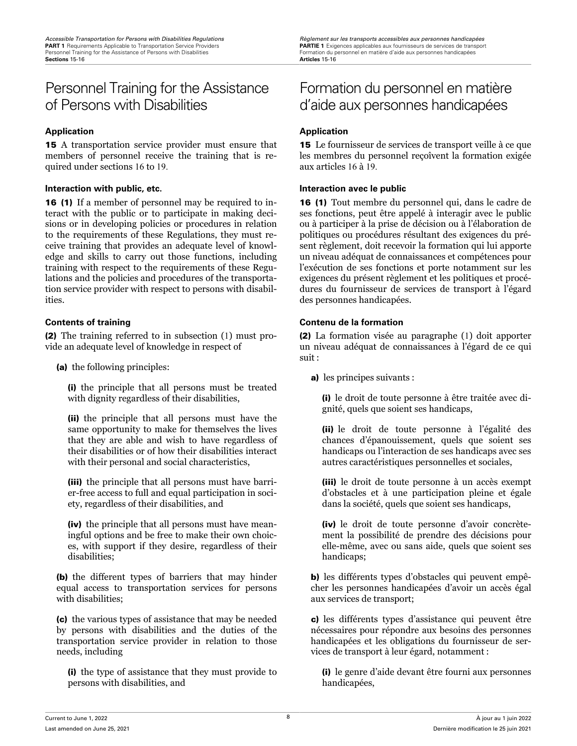## <span id="page-19-0"></span>Personnel Training for the Assistance of Persons with Disabilities

## **Application Application**

15 A transportation service provider must ensure that members of personnel receive the training that is required under sections 16 to 19.

## **Interaction with public, etc. Interaction avec le public**

16 (1) If a member of personnel may be required to interact with the public or to participate in making decisions or in developing policies or procedures in relation to the requirements of these Regulations, they must receive training that provides an adequate level of knowledge and skills to carry out those functions, including training with respect to the requirements of these Regulations and the policies and procedures of the transportation service provider with respect to persons with disabilities.

(2) The training referred to in subsection (1) must provide an adequate level of knowledge in respect of

(a) the following principles:

(i) the principle that all persons must be treated with dignity regardless of their disabilities,

(ii) the principle that all persons must have the same opportunity to make for themselves the lives that they are able and wish to have regardless of their disabilities or of how their disabilities interact with their personal and social characteristics,

(iii) the principle that all persons must have barrier-free access to full and equal participation in society, regardless of their disabilities, and

(iv) the principle that all persons must have meaningful options and be free to make their own choices, with support if they desire, regardless of their disabilities;

(b) the different types of barriers that may hinder equal access to transportation services for persons with disabilities;

(c) the various types of assistance that may be needed by persons with disabilities and the duties of the transportation service provider in relation to those needs, including

(i) the type of assistance that they must provide to persons with disabilities, and

## Formation du personnel en matière d'aide aux personnes handicapées

15 Le fournisseur de services de transport veille à ce que les membres du personnel reçoîvent la formation exigée aux articles 16 à 19.

16 (1) Tout membre du personnel qui, dans le cadre de ses fonctions, peut être appelé à interagir avec le public ou à participer à la prise de décision ou à l'élaboration de politiques ou procédures résultant des exigences du présent règlement, doit recevoir la formation qui lui apporte un niveau adéquat de connaissances et compétences pour l'exécution de ses fonctions et porte notamment sur les exigences du présent règlement et les politiques et procédures du fournisseur de services de transport à l'égard des personnes handicapées.

## **Contents of training Contenu de la formation**

(2) La formation visée au paragraphe (1) doit apporter un niveau adéquat de connaissances à l'égard de ce qui suit :

a) les principes suivants :

(i) le droit de toute personne à être traitée avec dignité, quels que soient ses handicaps,

(ii) le droit de toute personne à l'égalité des chances d'épanouissement, quels que soient ses handicaps ou l'interaction de ses handicaps avec ses autres caractéristiques personnelles et sociales,

(iii) le droit de toute personne à un accès exempt d'obstacles et à une participation pleine et égale dans la société, quels que soient ses handicaps,

(iv) le droit de toute personne d'avoir concrètement la possibilité de prendre des décisions pour elle-même, avec ou sans aide, quels que soient ses handicaps;

b) les différents types d'obstacles qui peuvent empêcher les personnes handicapées d'avoir un accès égal aux services de transport;

c) les différents types d'assistance qui peuvent être nécessaires pour répondre aux besoins des personnes handicapées et les obligations du fournisseur de services de transport à leur égard, notamment :

(i) le genre d'aide devant être fourni aux personnes handicapées,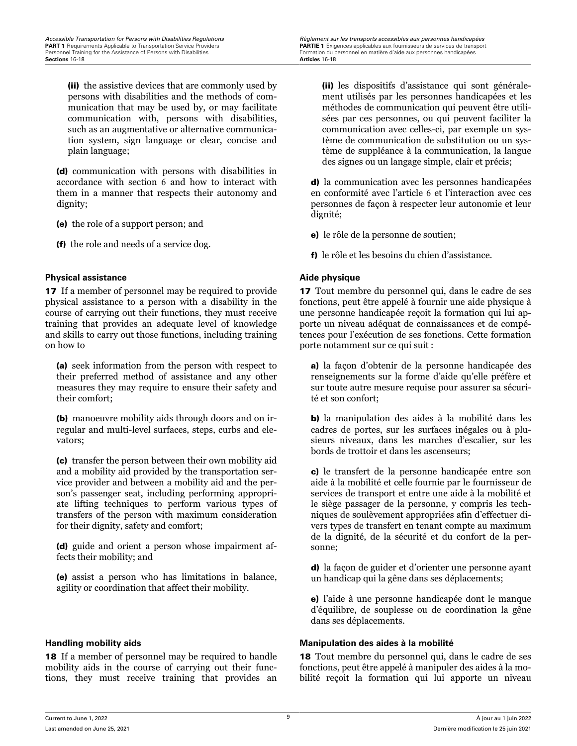<span id="page-20-0"></span>*Accessible Transportation for Persons with Disabilities Regulations Règlement sur les transports accessibles aux personnes handicapées* PART 1 Requirements Applicable to Transportation Service Providers and the state of the Same PARTIE 1 Exigences applicables aux fournisseurs de services de transport Personnel Training for the Assistance of Persons with Di

(ii) the assistive devices that are commonly used by persons with disabilities and the methods of communication that may be used by, or may facilitate communication with, persons with disabilities, such as an augmentative or alternative communication system, sign language or clear, concise and plain language;

(d) communication with persons with disabilities in accordance with section 6 and how to interact with them in a manner that respects their autonomy and dignity;

(e) the role of a support person; and

(f) the role and needs of a service dog.

## **Physical assistance the contract of the contract of the physique Aide physique**

17 If a member of personnel may be required to provide physical assistance to a person with a disability in the course of carrying out their functions, they must receive training that provides an adequate level of knowledge and skills to carry out those functions, including training on how to

(a) seek information from the person with respect to their preferred method of assistance and any other measures they may require to ensure their safety and their comfort;

(b) manoeuvre mobility aids through doors and on irregular and multi-level surfaces, steps, curbs and elevators;

(c) transfer the person between their own mobility aid and a mobility aid provided by the transportation service provider and between a mobility aid and the person's passenger seat, including performing appropriate lifting techniques to perform various types of transfers of the person with maximum consideration for their dignity, safety and comfort;

(d) guide and orient a person whose impairment affects their mobility; and

(e) assist a person who has limitations in balance, agility or coordination that affect their mobility.

18 If a member of personnel may be required to handle mobility aids in the course of carrying out their functions, they must receive training that provides an

(ii) les dispositifs d'assistance qui sont généralement utilisés par les personnes handicapées et les méthodes de communication qui peuvent être utilisées par ces personnes, ou qui peuvent faciliter la communication avec celles-ci, par exemple un système de communication de substitution ou un système de suppléance à la communication, la langue des signes ou un langage simple, clair et précis;

d) la communication avec les personnes handicapées en conformité avec l'article 6 et l'interaction avec ces personnes de façon à respecter leur autonomie et leur dignité;

e) le rôle de la personne de soutien;

f) le rôle et les besoins du chien d'assistance.

17 Tout membre du personnel qui, dans le cadre de ses fonctions, peut être appelé à fournir une aide physique à une personne handicapée reçoit la formation qui lui apporte un niveau adéquat de connaissances et de compétences pour l'exécution de ses fonctions. Cette formation porte notamment sur ce qui suit :

a) la façon d'obtenir de la personne handicapée des renseignements sur la forme d'aide qu'elle préfère et sur toute autre mesure requise pour assurer sa sécurité et son confort;

b) la manipulation des aides à la mobilité dans les cadres de portes, sur les surfaces inégales ou à plusieurs niveaux, dans les marches d'escalier, sur les bords de trottoir et dans les ascenseurs;

c) le transfert de la personne handicapée entre son aide à la mobilité et celle fournie par le fournisseur de services de transport et entre une aide à la mobilité et le siège passager de la personne, y compris les techniques de soulèvement appropriées afin d'effectuer divers types de transfert en tenant compte au maximum de la dignité, de la sécurité et du confort de la personne;

d) la façon de guider et d'orienter une personne ayant un handicap qui la gêne dans ses déplacements;

e) l'aide à une personne handicapée dont le manque d'équilibre, de souplesse ou de coordination la gêne dans ses déplacements.

## **Handling mobility aids Manipulation des aides à la mobilité**

18 Tout membre du personnel qui, dans le cadre de ses fonctions, peut être appelé à manipuler des aides à la mobilité reçoit la formation qui lui apporte un niveau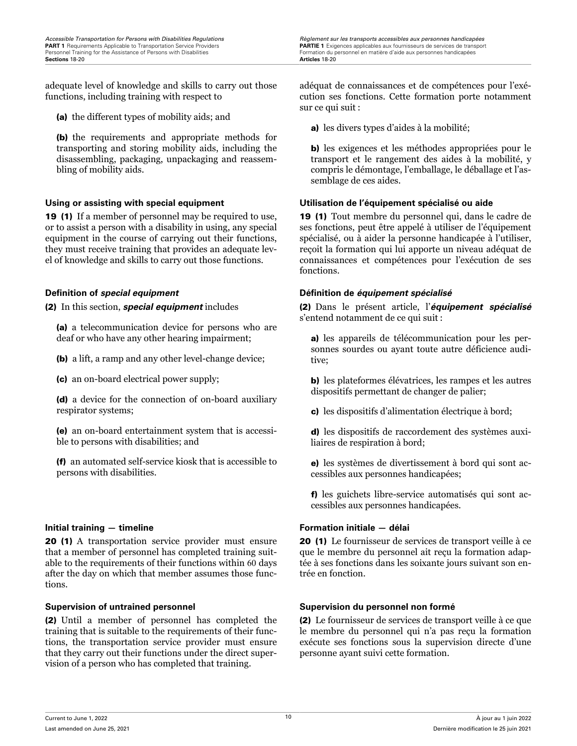adequate level of knowledge and skills to carry out those functions, including training with respect to

(a) the different types of mobility aids; and

(b) the requirements and appropriate methods for transporting and storing mobility aids, including the disassembling, packaging, unpackaging and reassembling of mobility aids.

19 (1) If a member of personnel may be required to use, or to assist a person with a disability in using, any special equipment in the course of carrying out their functions, they must receive training that provides an adequate level of knowledge and skills to carry out those functions.

(2) In this section, *special equipment* includes

(a) a telecommunication device for persons who are deaf or who have any other hearing impairment;

(b) a lift, a ramp and any other level-change device;

(c) an on-board electrical power supply;

(d) a device for the connection of on-board auxiliary respirator systems;

(e) an on-board entertainment system that is accessible to persons with disabilities; and

(f) an automated self-service kiosk that is accessible to persons with disabilities.

## **Initial training — timeline Formation initiale — délai**

20 (1) A transportation service provider must ensure that a member of personnel has completed training suitable to the requirements of their functions within 60 days after the day on which that member assumes those functions.

(2) Until a member of personnel has completed the training that is suitable to the requirements of their functions, the transportation service provider must ensure that they carry out their functions under the direct supervision of a person who has completed that training.

<span id="page-21-0"></span>*Accessible Transportation for Persons with Disabilities Regulations Règlement sur les transports accessibles aux personnes handicapées* Personnel Transponse of Personnel en matière d'aide aux personnes handicapées<br>Formation du personnel en matière d'aide aux personnes handicapées

> adéquat de connaissances et de compétences pour l'exécution ses fonctions. Cette formation porte notamment sur ce qui suit :

a) les divers types d'aides à la mobilité;

b) les exigences et les méthodes appropriées pour le transport et le rangement des aides à la mobilité, y compris le démontage, l'emballage, le déballage et l'assemblage de ces aides.

## **Using or assisting with special equipment Utilisation de l'équipement spécialisé ou aide**

19 (1) Tout membre du personnel qui, dans le cadre de ses fonctions, peut être appelé à utiliser de l'équipement spécialisé, ou à aider la personne handicapée à l'utiliser, reçoit la formation qui lui apporte un niveau adéquat de connaissances et compétences pour l'exécution de ses fonctions.

## **Definition of** *special equipment* **Définition de** *équipement spécialisé*

(2) Dans le présent article, l'*équipement spécialisé* s'entend notamment de ce qui suit :

a) les appareils de télécommunication pour les personnes sourdes ou ayant toute autre déficience auditive;

b) les plateformes élévatrices, les rampes et les autres dispositifs permettant de changer de palier;

c) les dispositifs d'alimentation électrique à bord;

d) les dispositifs de raccordement des systèmes auxiliaires de respiration à bord;

e) les systèmes de divertissement à bord qui sont accessibles aux personnes handicapées;

f) les guichets libre-service automatisés qui sont accessibles aux personnes handicapées.

20 (1) Le fournisseur de services de transport veille à ce que le membre du personnel ait reçu la formation adaptée à ses fonctions dans les soixante jours suivant son entrée en fonction.

## **Supervision of untrained personnel Supervision du personnel non formé**

(2) Le fournisseur de services de transport veille à ce que le membre du personnel qui n'a pas reçu la formation exécute ses fonctions sous la supervision directe d'une personne ayant suivi cette formation.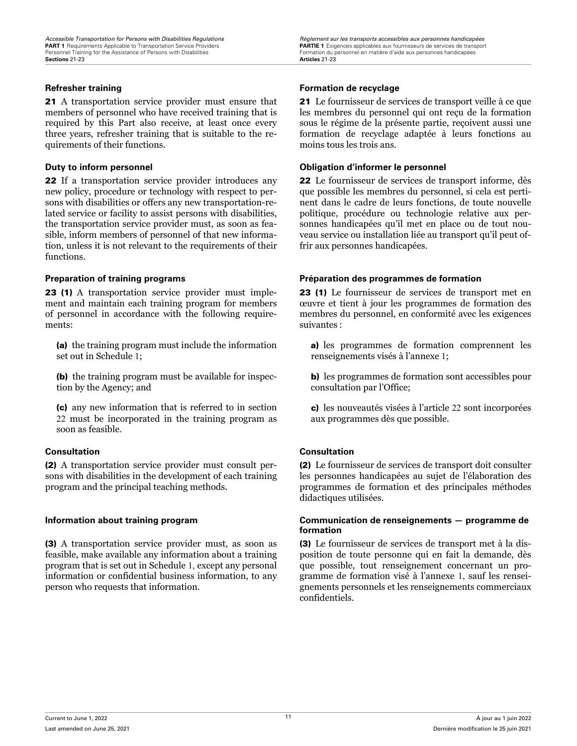21 A transportation service provider must ensure that members of personnel who have received training that is required by this Part also receive, at least once every three years, refresher training that is suitable to the requirements of their functions.

22 If a transportation service provider introduces any new policy, procedure or technology with respect to persons with disabilities or offers any new transportation-related service or facility to assist persons with disabilities, the transportation service provider must, as soon as feasible, inform members of personnel of that new information, unless it is not relevant to the requirements of their functions.

23 (1) A transportation service provider must implement and maintain each training program for members of personnel in accordance with the following requirements:

(a) the training program must include the information set out in Schedule 1;

(b) the training program must be available for inspection by the Agency; and

(c) any new information that is referred to in section 22 must be incorporated in the training program as soon as feasible.

## **Consultation Consultation**

(2) A transportation service provider must consult persons with disabilities in the development of each training program and the principal teaching methods.

(3) A transportation service provider must, as soon as feasible, make available any information about a training program that is set out in Schedule 1, except any personal information or confidential business information, to any person who requests that information.

## <span id="page-22-0"></span>**Refresher training Formation de recyclage**

21 Le fournisseur de services de transport veille à ce que les membres du personnel qui ont reçu de la formation sous le régime de la présente partie, reçoivent aussi une formation de recyclage adaptée à leurs fonctions au moins tous les trois ans.

## **Duty to inform personnel Obligation d'informer le personnel**

22 Le fournisseur de services de transport informe, dès que possible les membres du personnel, si cela est pertinent dans le cadre de leurs fonctions, de toute nouvelle politique, procédure ou technologie relative aux personnes handicapées qu'il met en place ou de tout nouveau service ou installation liée au transport qu'il peut offrir aux personnes handicapées.

## **Preparation of training programs Préparation des programmes de formation**

23 (1) Le fournisseur de services de transport met en œuvre et tient à jour les programmes de formation des membres du personnel, en conformité avec les exigences suivantes :

a) les programmes de formation comprennent les renseignements visés à l'annexe 1;

b) les programmes de formation sont accessibles pour consultation par l'Office;

c) les nouveautés visées à l'article 22 sont incorporées aux programmes dès que possible.

(2) Le fournisseur de services de transport doit consulter les personnes handicapées au sujet de l'élaboration des programmes de formation et des principales méthodes didactiques utilisées.

## **Information about training program Communication de renseignements — programme de formation**

(3) Le fournisseur de services de transport met à la disposition de toute personne qui en fait la demande, dès que possible, tout renseignement concernant un programme de formation visé à l'annexe 1, sauf les renseignements personnels et les renseignements commerciaux confidentiels.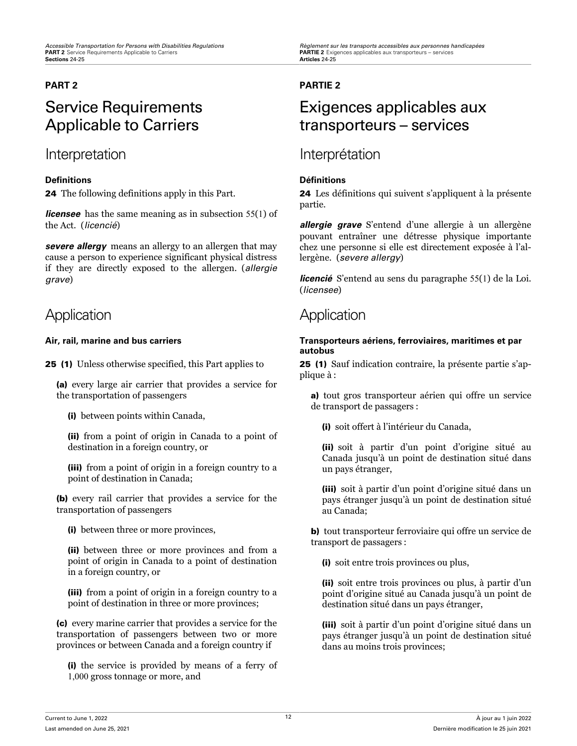# Service Requirements Applicable to Carriers

## Interpretation and Interprétation

## **Definitions Définitions**

24 The following definitions apply in this Part.

*licensee* has the same meaning as in subsection 55(1) of the Act. (*licencié*)

*severe allergy* means an allergy to an allergen that may cause a person to experience significant physical distress if they are directly exposed to the allergen. (*allergie grave*)

## Application Application

25 (1) Unless otherwise specified, this Part applies to

(a) every large air carrier that provides a service for the transportation of passengers

(i) between points within Canada,

(ii) from a point of origin in Canada to a point of destination in a foreign country, or

(iii) from a point of origin in a foreign country to a point of destination in Canada;

(b) every rail carrier that provides a service for the transportation of passengers

(i) between three or more provinces,

(ii) between three or more provinces and from a point of origin in Canada to a point of destination in a foreign country, or

(iii) from a point of origin in a foreign country to a point of destination in three or more provinces;

(c) every marine carrier that provides a service for the transportation of passengers between two or more provinces or between Canada and a foreign country if

(i) the service is provided by means of a ferry of 1,000 gross tonnage or more, and

<span id="page-23-0"></span>*Accessible Transportation for Persons with Disabilities Regulations Règlement sur les transports accessibles aux personnes handicapées* **PARTIE 2** Exigences applicables aux transporteurs – services<br>Articles 24-25

## **PART 2 PARTIE 2**

## Exigences applicables aux transporteurs – services

24 Les définitions qui suivent s'appliquent à la présente partie.

*allergie grave* S'entend d'une allergie à un allergène pouvant entraîner une détresse physique importante chez une personne si elle est directement exposée à l'allergène. (*severe allergy*)

*licencié* S'entend au sens du paragraphe 55(1) de la Loi. (*licensee*)

## **Air, rail, marine and bus carriers Transporteurs aériens, ferroviaires, maritimes et par autobus**

25 (1) Sauf indication contraire, la présente partie s'applique à :

a) tout gros transporteur aérien qui offre un service de transport de passagers :

(i) soit offert à l'intérieur du Canada,

(ii) soit à partir d'un point d'origine situé au Canada jusqu'à un point de destination situé dans un pays étranger,

(iii) soit à partir d'un point d'origine situé dans un pays étranger jusqu'à un point de destination situé au Canada;

b) tout transporteur ferroviaire qui offre un service de transport de passagers :

(i) soit entre trois provinces ou plus,

(ii) soit entre trois provinces ou plus, à partir d'un point d'origine situé au Canada jusqu'à un point de destination situé dans un pays étranger,

(iii) soit à partir d'un point d'origine situé dans un pays étranger jusqu'à un point de destination situé dans au moins trois provinces;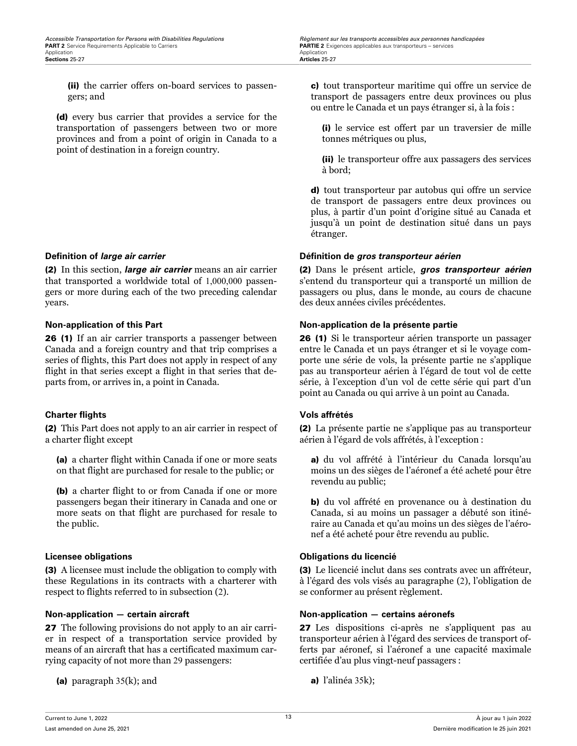<span id="page-24-0"></span>**Accessible Transportation for Persons with Disabilities Regulations** *Règlement sur les transports accessibles aux personnes handicapées***<br>
<b>PART 2** Service Requirements Applicable to Carriers **and Exercice Services PAR** 

(ii) the carrier offers on-board services to passengers; and

(d) every bus carrier that provides a service for the transportation of passengers between two or more provinces and from a point of origin in Canada to a point of destination in a foreign country.

(2) In this section, *large air carrier* means an air carrier that transported a worldwide total of 1,000,000 passengers or more during each of the two preceding calendar years.

26 (1) If an air carrier transports a passenger between Canada and a foreign country and that trip comprises a series of flights, this Part does not apply in respect of any flight in that series except a flight in that series that departs from, or arrives in, a point in Canada.

## **Charter flights Vols affrétés**

(2) This Part does not apply to an air carrier in respect of a charter flight except

(a) a charter flight within Canada if one or more seats on that flight are purchased for resale to the public; or

(b) a charter flight to or from Canada if one or more passengers began their itinerary in Canada and one or more seats on that flight are purchased for resale to the public.

(3) A licensee must include the obligation to comply with these Regulations in its contracts with a charterer with respect to flights referred to in subsection (2).

27 The following provisions do not apply to an air carrier in respect of a transportation service provided by means of an aircraft that has a certificated maximum carrying capacity of not more than 29 passengers:

(a) paragraph  $35(k)$ ; and

c) tout transporteur maritime qui offre un service de transport de passagers entre deux provinces ou plus ou entre le Canada et un pays étranger si, à la fois :

(i) le service est offert par un traversier de mille tonnes métriques ou plus,

(ii) le transporteur offre aux passagers des services à bord;

d) tout transporteur par autobus qui offre un service de transport de passagers entre deux provinces ou plus, à partir d'un point d'origine situé au Canada et jusqu'à un point de destination situé dans un pays étranger.

## **Definition of** *large air carrier* **Définition de** *gros transporteur aérien*

(2) Dans le présent article, *gros transporteur aérien* s'entend du transporteur qui a transporté un million de passagers ou plus, dans le monde, au cours de chacune des deux années civiles précédentes.

## **Non-application of this Part Non-application de la présente partie**

26 (1) Si le transporteur aérien transporte un passager entre le Canada et un pays étranger et si le voyage comporte une série de vols, la présente partie ne s'applique pas au transporteur aérien à l'égard de tout vol de cette série, à l'exception d'un vol de cette série qui part d'un point au Canada ou qui arrive à un point au Canada.

(2) La présente partie ne s'applique pas au transporteur aérien à l'égard de vols affrétés, à l'exception :

a) du vol affrété à l'intérieur du Canada lorsqu'au moins un des sièges de l'aéronef a été acheté pour être revendu au public;

b) du vol affrété en provenance ou à destination du Canada, si au moins un passager a débuté son itinéraire au Canada et qu'au moins un des sièges de l'aéronef a été acheté pour être revendu au public.

## **Licensee obligations Obligations du licencié**

(3) Le licencié inclut dans ses contrats avec un affréteur, à l'égard des vols visés au paragraphe (2), l'obligation de se conformer au présent règlement.

## **Non-application — certain aircraft Non-application — certains aéronefs**

27 Les dispositions ci-après ne s'appliquent pas au transporteur aérien à l'égard des services de transport offerts par aéronef, si l'aéronef a une capacité maximale certifiée d'au plus vingt-neuf passagers :

a) l'alinéa 35k);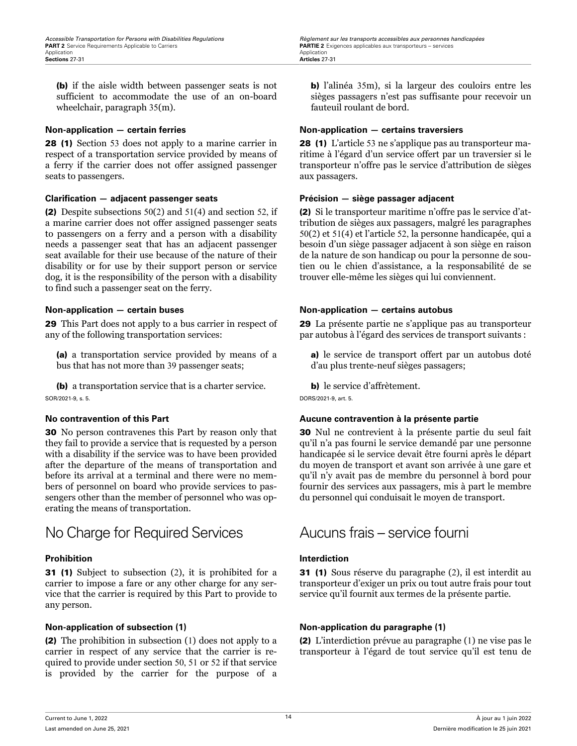<span id="page-25-0"></span>(b) if the aisle width between passenger seats is not sufficient to accommodate the use of an on-board wheelchair, paragraph 35(m).

28 (1) Section 53 does not apply to a marine carrier in respect of a transportation service provided by means of a ferry if the carrier does not offer assigned passenger seats to passengers.

## **Clarification — adjacent passenger seats Précision — siège passager adjacent**

(2) Despite subsections 50(2) and 51(4) and section 52, if a marine carrier does not offer assigned passenger seats to passengers on a ferry and a person with a disability needs a passenger seat that has an adjacent passenger seat available for their use because of the nature of their disability or for use by their support person or service dog, it is the responsibility of the person with a disability to find such a passenger seat on the ferry.

29 This Part does not apply to a bus carrier in respect of any of the following transportation services:

(a) a transportation service provided by means of a bus that has not more than 39 passenger seats;

(b) a transportation service that is a charter service. SOR/2021-9, s. 5.

30 No person contravenes this Part by reason only that they fail to provide a service that is requested by a person with a disability if the service was to have been provided after the departure of the means of transportation and before its arrival at a terminal and there were no members of personnel on board who provide services to passengers other than the member of personnel who was operating the means of transportation.

## No Charge for Required Services Aucuns frais – service fourni

31 (1) Subject to subsection (2), it is prohibited for a carrier to impose a fare or any other charge for any service that the carrier is required by this Part to provide to any person.

(2) The prohibition in subsection (1) does not apply to a carrier in respect of any service that the carrier is required to provide under section 50, 51 or 52 if that service is provided by the carrier for the purpose of a b) l'alinéa 35m), si la largeur des couloirs entre les sièges passagers n'est pas suffisante pour recevoir un fauteuil roulant de bord.

## **Non-application — certain ferries Non-application — certains traversiers**

28 (1) L'article 53 ne s'applique pas au transporteur maritime à l'égard d'un service offert par un traversier si le transporteur n'offre pas le service d'attribution de sièges aux passagers.

(2) Si le transporteur maritime n'offre pas le service d'attribution de sièges aux passagers, malgré les paragraphes 50(2) et 51(4) et l'article 52, la personne handicapée, qui a besoin d'un siège passager adjacent à son siège en raison de la nature de son handicap ou pour la personne de soutien ou le chien d'assistance, a la responsabilité de se trouver elle-même les sièges qui lui conviennent.

## **Non-application — certain buses Non-application — certains autobus**

29 La présente partie ne s'applique pas au transporteur par autobus à l'égard des services de transport suivants :

a) le service de transport offert par un autobus doté d'au plus trente-neuf sièges passagers;

b) le service d'affrètement.

DORS/2021-9, art. 5.

## **No contravention of this Part Aucune contravention à la présente partie**

30 Nul ne contrevient à la présente partie du seul fait qu'il n'a pas fourni le service demandé par une personne handicapée si le service devait être fourni après le départ du moyen de transport et avant son arrivée à une gare et qu'il n'y avait pas de membre du personnel à bord pour fournir des services aux passagers, mis à part le membre du personnel qui conduisait le moyen de transport.

## **Prohibition Interdiction**

31 (1) Sous réserve du paragraphe (2), il est interdit au transporteur d'exiger un prix ou tout autre frais pour tout service qu'il fournit aux termes de la présente partie.

## **Non-application of subsection (1) Non-application du paragraphe (1)**

(2) L'interdiction prévue au paragraphe (1) ne vise pas le transporteur à l'égard de tout service qu'il est tenu de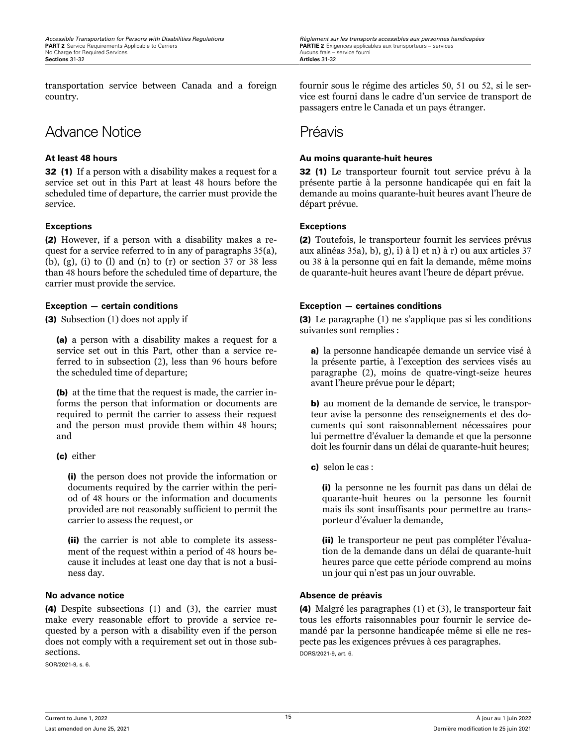transportation service between Canada and a foreign country.

## Advance Notice **Préavis**

32 (1) If a person with a disability makes a request for a service set out in this Part at least 48 hours before the scheduled time of departure, the carrier must provide the service.

## **Exceptions Exceptions**

(2) However, if a person with a disability makes a request for a service referred to in any of paragraphs 35(a), (b), (g), (i) to (l) and (n) to (r) or section  $37$  or  $38$  less than 48 hours before the scheduled time of departure, the carrier must provide the service.

(3) Subsection (1) does not apply if

(a) a person with a disability makes a request for a service set out in this Part, other than a service referred to in subsection (2), less than 96 hours before the scheduled time of departure;

(b) at the time that the request is made, the carrier informs the person that information or documents are required to permit the carrier to assess their request and the person must provide them within 48 hours; and

(c) either

(i) the person does not provide the information or documents required by the carrier within the period of 48 hours or the information and documents provided are not reasonably sufficient to permit the carrier to assess the request, or

(ii) the carrier is not able to complete its assessment of the request within a period of 48 hours because it includes at least one day that is not a business day.

(4) Despite subsections (1) and (3), the carrier must make every reasonable effort to provide a service requested by a person with a disability even if the person does not comply with a requirement set out in those subsections.

SOR/2021-9, s. 6.

<span id="page-26-0"></span>*Accessible Transportation for Persons with Disabilities Regulations Règlement sur les transports accessibles aux personnes handicapées* **PARTIE 2** Exigences applicables aux transporteurs – services Aucuns frais – service fourni

> fournir sous le régime des articles 50, 51 ou 52, si le service est fourni dans le cadre d'un service de transport de passagers entre le Canada et un pays étranger.

## **At least 48 hours Au moins quarante-huit heures**

32 (1) Le transporteur fournit tout service prévu à la présente partie à la personne handicapée qui en fait la demande au moins quarante-huit heures avant l'heure de départ prévue.

(2) Toutefois, le transporteur fournit les services prévus aux alinéas 35a), b), g), i) à l) et n) à r) ou aux articles 37 ou 38 à la personne qui en fait la demande, même moins de quarante-huit heures avant l'heure de départ prévue.

## **Exception — certain conditions Exception — certaines conditions**

(3) Le paragraphe (1) ne s'applique pas si les conditions suivantes sont remplies :

a) la personne handicapée demande un service visé à la présente partie, à l'exception des services visés au paragraphe (2), moins de quatre-vingt-seize heures avant l'heure prévue pour le départ;

b) au moment de la demande de service, le transporteur avise la personne des renseignements et des documents qui sont raisonnablement nécessaires pour lui permettre d'évaluer la demande et que la personne doit les fournir dans un délai de quarante-huit heures;

c) selon le cas :

(i) la personne ne les fournit pas dans un délai de quarante-huit heures ou la personne les fournit mais ils sont insuffisants pour permettre au transporteur d'évaluer la demande,

(ii) le transporteur ne peut pas compléter l'évaluation de la demande dans un délai de quarante-huit heures parce que cette période comprend au moins un jour qui n'est pas un jour ouvrable.

## **No advance notice**  $\qquad$  $\qquad$  $\qquad$  $\qquad$  $\qquad$  $\qquad$  $\qquad$  $\qquad$  $\qquad$  $\qquad$  $\qquad$  $\qquad$  $\qquad$  $\qquad$  $\qquad$  $\qquad$  $\qquad$  $\qquad$  $\qquad$  $\qquad$  $\qquad$  $\qquad$  $\qquad$  $\qquad$  $\qquad$  $\qquad$  $\qquad$  $\qquad$  $\qquad$  $\qquad$  $\qquad$  $\qquad$  $\qquad$  $\qquad$

(4) Malgré les paragraphes (1) et (3), le transporteur fait tous les efforts raisonnables pour fournir le service demandé par la personne handicapée même si elle ne respecte pas les exigences prévues à ces paragraphes. DORS/2021-9, art. 6.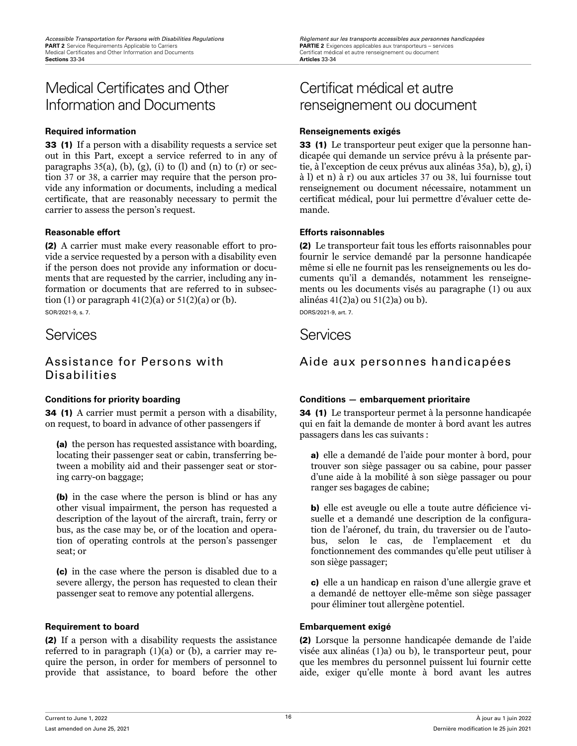## <span id="page-27-0"></span>Medical Certificates and Other Information and Documents

33 (1) If a person with a disability requests a service set out in this Part, except a service referred to in any of paragraphs  $35(a)$ , (b), (g), (i) to (l) and (n) to (r) or section 37 or 38, a carrier may require that the person provide any information or documents, including a medical certificate, that are reasonably necessary to permit the carrier to assess the person's request.

(2) A carrier must make every reasonable effort to provide a service requested by a person with a disability even if the person does not provide any information or documents that are requested by the carrier, including any information or documents that are referred to in subsection (1) or paragraph  $41(2)(a)$  or  $51(2)(a)$  or (b). SOR/2021-9, s. 7.

## Assistance for Persons with Disabilities

34 (1) A carrier must permit a person with a disability, on request, to board in advance of other passengers if

(a) the person has requested assistance with boarding, locating their passenger seat or cabin, transferring between a mobility aid and their passenger seat or storing carry-on baggage;

(b) in the case where the person is blind or has any other visual impairment, the person has requested a description of the layout of the aircraft, train, ferry or bus, as the case may be, or of the location and operation of operating controls at the person's passenger seat; or

(c) in the case where the person is disabled due to a severe allergy, the person has requested to clean their passenger seat to remove any potential allergens.

## **Requirement to board Embarquement exigé**

(2) If a person with a disability requests the assistance referred to in paragraph (1)(a) or (b), a carrier may require the person, in order for members of personnel to provide that assistance, to board before the other

## Certificat médical et autre renseignement ou document

## **Required information Renseignements exigés**

33 (1) Le transporteur peut exiger que la personne handicapée qui demande un service prévu à la présente partie, à l'exception de ceux prévus aux alinéas 35a), b), g), i) à l) et n) à r) ou aux articles 37 ou 38, lui fournisse tout renseignement ou document nécessaire, notamment un certificat médical, pour lui permettre d'évaluer cette demande.

## **Reasonable effort Efforts raisonnables**

(2) Le transporteur fait tous les efforts raisonnables pour fournir le service demandé par la personne handicapée même si elle ne fournit pas les renseignements ou les documents qu'il a demandés, notamment les renseignements ou les documents visés au paragraphe (1) ou aux alinéas 41(2)a) ou 51(2)a) ou b). DORS/2021-9, art. 7.

## Services **Services** Services

## Aide aux personnes handicapées

## **Conditions for priority boarding Conditions — embarquement prioritaire**

34 (1) Le transporteur permet à la personne handicapée qui en fait la demande de monter à bord avant les autres passagers dans les cas suivants :

a) elle a demandé de l'aide pour monter à bord, pour trouver son siège passager ou sa cabine, pour passer d'une aide à la mobilité à son siège passager ou pour ranger ses bagages de cabine;

b) elle est aveugle ou elle a toute autre déficience visuelle et a demandé une description de la configuration de l'aéronef, du train, du traversier ou de l'autobus, selon le cas, de l'emplacement et du fonctionnement des commandes qu'elle peut utiliser à son siège passager;

c) elle a un handicap en raison d'une allergie grave et a demandé de nettoyer elle-même son siège passager pour éliminer tout allergène potentiel.

(2) Lorsque la personne handicapée demande de l'aide visée aux alinéas (1)a) ou b), le transporteur peut, pour que les membres du personnel puissent lui fournir cette aide, exiger qu'elle monte à bord avant les autres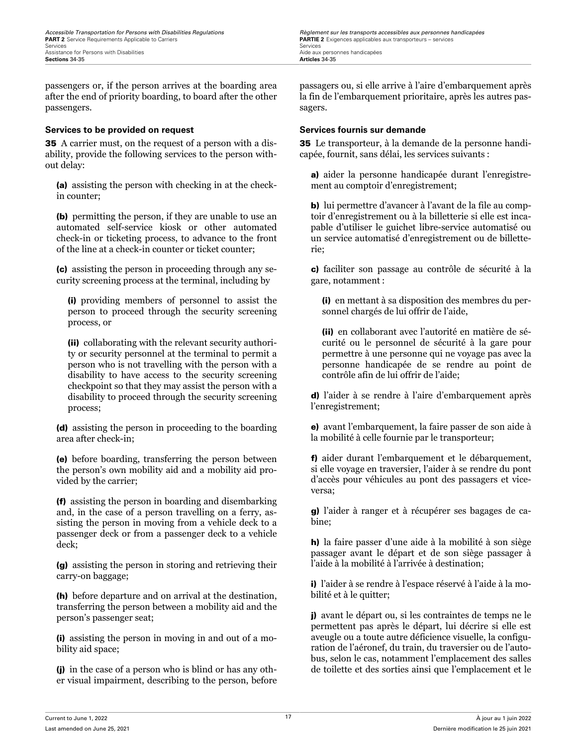passengers or, if the person arrives at the boarding area after the end of priority boarding, to board after the other passengers.

## **Services to be provided on request Services fournis sur demande**

35 A carrier must, on the request of a person with a disability, provide the following services to the person without delay:

(a) assisting the person with checking in at the checkin counter;

(b) permitting the person, if they are unable to use an automated self-service kiosk or other automated check-in or ticketing process, to advance to the front of the line at a check-in counter or ticket counter;

(c) assisting the person in proceeding through any security screening process at the terminal, including by

(i) providing members of personnel to assist the person to proceed through the security screening process, or

(ii) collaborating with the relevant security authority or security personnel at the terminal to permit a person who is not travelling with the person with a disability to have access to the security screening checkpoint so that they may assist the person with a disability to proceed through the security screening process;

(d) assisting the person in proceeding to the boarding area after check-in;

(e) before boarding, transferring the person between the person's own mobility aid and a mobility aid provided by the carrier;

(f) assisting the person in boarding and disembarking and, in the case of a person travelling on a ferry, assisting the person in moving from a vehicle deck to a passenger deck or from a passenger deck to a vehicle deck;

(g) assisting the person in storing and retrieving their carry-on baggage;

(h) before departure and on arrival at the destination, transferring the person between a mobility aid and the person's passenger seat;

(i) assisting the person in moving in and out of a mobility aid space;

(j) in the case of a person who is blind or has any other visual impairment, describing to the person, before

<span id="page-28-0"></span>*Accessible Transportation for Persons with Disabilities Regulations Regulations Règlement sur les transports accessibles aux personnes handicapées*<br> **PART 2** Service Requirements Applicable to Carriers *Carriers* **PARTIE 2** Exigences applicables aux transporteurs – services

> passagers ou, si elle arrive à l'aire d'embarquement après la fin de l'embarquement prioritaire, après les autres passagers.

35 Le transporteur, à la demande de la personne handicapée, fournit, sans délai, les services suivants :

a) aider la personne handicapée durant l'enregistrement au comptoir d'enregistrement;

b) lui permettre d'avancer à l'avant de la file au comptoir d'enregistrement ou à la billetterie si elle est incapable d'utiliser le guichet libre-service automatisé ou un service automatisé d'enregistrement ou de billetterie;

c) faciliter son passage au contrôle de sécurité à la gare, notamment :

(i) en mettant à sa disposition des membres du personnel chargés de lui offrir de l'aide,

(ii) en collaborant avec l'autorité en matière de sécurité ou le personnel de sécurité à la gare pour permettre à une personne qui ne voyage pas avec la personne handicapée de se rendre au point de contrôle afin de lui offrir de l'aide;

d) l'aider à se rendre à l'aire d'embarquement après l'enregistrement;

e) avant l'embarquement, la faire passer de son aide à la mobilité à celle fournie par le transporteur;

f) aider durant l'embarquement et le débarquement, si elle voyage en traversier, l'aider à se rendre du pont d'accès pour véhicules au pont des passagers et viceversa;

g) l'aider à ranger et à récupérer ses bagages de cabine;

h) la faire passer d'une aide à la mobilité à son siège passager avant le départ et de son siège passager à l'aide à la mobilité à l'arrivée à destination;

i) l'aider à se rendre à l'espace réservé à l'aide à la mobilité et à le quitter;

j) avant le départ ou, si les contraintes de temps ne le permettent pas après le départ, lui décrire si elle est aveugle ou a toute autre déficience visuelle, la configuration de l'aéronef, du train, du traversier ou de l'autobus, selon le cas, notamment l'emplacement des salles de toilette et des sorties ainsi que l'emplacement et le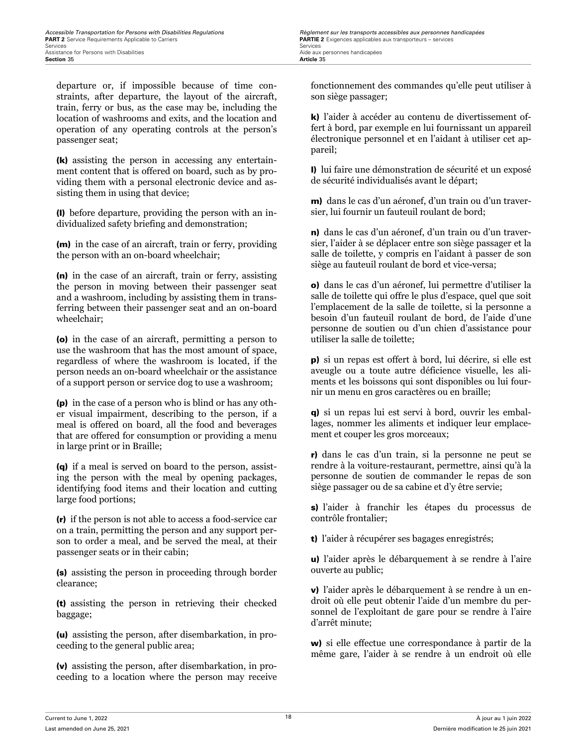departure or, if impossible because of time constraints, after departure, the layout of the aircraft, train, ferry or bus, as the case may be, including the location of washrooms and exits, and the location and operation of any operating controls at the person's passenger seat;

(k) assisting the person in accessing any entertainment content that is offered on board, such as by providing them with a personal electronic device and assisting them in using that device;

(l) before departure, providing the person with an individualized safety briefing and demonstration;

(m) in the case of an aircraft, train or ferry, providing the person with an on-board wheelchair;

(n) in the case of an aircraft, train or ferry, assisting the person in moving between their passenger seat and a washroom, including by assisting them in transferring between their passenger seat and an on-board wheelchair;

(o) in the case of an aircraft, permitting a person to use the washroom that has the most amount of space, regardless of where the washroom is located, if the person needs an on-board wheelchair or the assistance of a support person or service dog to use a washroom;

(p) in the case of a person who is blind or has any other visual impairment, describing to the person, if a meal is offered on board, all the food and beverages that are offered for consumption or providing a menu in large print or in Braille;

(q) if a meal is served on board to the person, assisting the person with the meal by opening packages, identifying food items and their location and cutting large food portions;

(r) if the person is not able to access a food-service car on a train, permitting the person and any support person to order a meal, and be served the meal, at their passenger seats or in their cabin;

(s) assisting the person in proceeding through border clearance;

(t) assisting the person in retrieving their checked baggage;

(u) assisting the person, after disembarkation, in proceeding to the general public area;

(v) assisting the person, after disembarkation, in proceeding to a location where the person may receive fonctionnement des commandes qu'elle peut utiliser à son siège passager;

k) l'aider à accéder au contenu de divertissement offert à bord, par exemple en lui fournissant un appareil électronique personnel et en l'aidant à utiliser cet appareil;

l) lui faire une démonstration de sécurité et un exposé de sécurité individualisés avant le départ;

m) dans le cas d'un aéronef, d'un train ou d'un traversier, lui fournir un fauteuil roulant de bord;

n) dans le cas d'un aéronef, d'un train ou d'un traversier, l'aider à se déplacer entre son siège passager et la salle de toilette, y compris en l'aidant à passer de son siège au fauteuil roulant de bord et vice-versa;

o) dans le cas d'un aéronef, lui permettre d'utiliser la salle de toilette qui offre le plus d'espace, quel que soit l'emplacement de la salle de toilette, si la personne a besoin d'un fauteuil roulant de bord, de l'aide d'une personne de soutien ou d'un chien d'assistance pour utiliser la salle de toilette;

p) si un repas est offert à bord, lui décrire, si elle est aveugle ou a toute autre déficience visuelle, les aliments et les boissons qui sont disponibles ou lui fournir un menu en gros caractères ou en braille;

q) si un repas lui est servi à bord, ouvrir les emballages, nommer les aliments et indiquer leur emplacement et couper les gros morceaux;

r) dans le cas d'un train, si la personne ne peut se rendre à la voiture-restaurant, permettre, ainsi qu'à la personne de soutien de commander le repas de son siège passager ou de sa cabine et d'y être servie;

s) l'aider à franchir les étapes du processus de contrôle frontalier;

t) l'aider à récupérer ses bagages enregistrés;

u) l'aider après le débarquement à se rendre à l'aire ouverte au public;

v) l'aider après le débarquement à se rendre à un endroit où elle peut obtenir l'aide d'un membre du personnel de l'exploitant de gare pour se rendre à l'aire d'arrêt minute;

w) si elle effectue une correspondance à partir de la même gare, l'aider à se rendre à un endroit où elle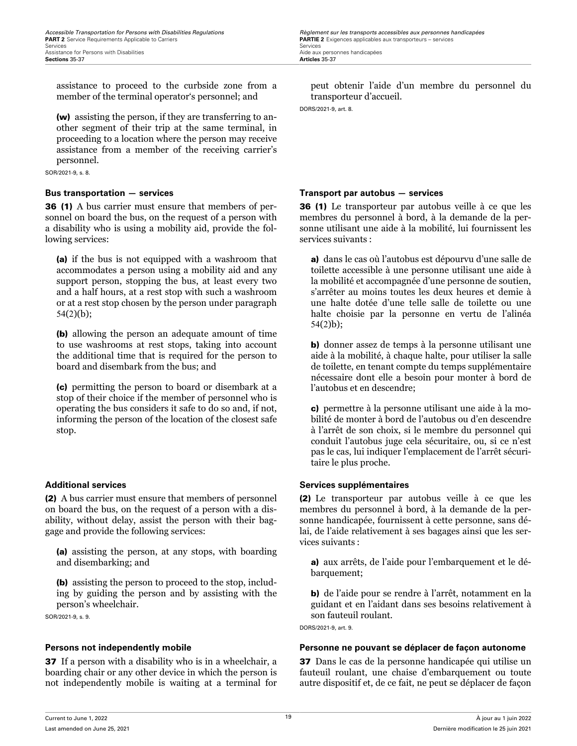<span id="page-30-0"></span>assistance to proceed to the curbside zone from a member of the terminal operator's personnel; and

(w) assisting the person, if they are transferring to another segment of their trip at the same terminal, in proceeding to a location where the person may receive assistance from a member of the receiving carrier's personnel.

SOR/2021-9, s. 8.

36 (1) A bus carrier must ensure that members of personnel on board the bus, on the request of a person with a disability who is using a mobility aid, provide the following services:

(a) if the bus is not equipped with a washroom that accommodates a person using a mobility aid and any support person, stopping the bus, at least every two and a half hours, at a rest stop with such a washroom or at a rest stop chosen by the person under paragraph 54(2)(b);

(b) allowing the person an adequate amount of time to use washrooms at rest stops, taking into account the additional time that is required for the person to board and disembark from the bus; and

(c) permitting the person to board or disembark at a stop of their choice if the member of personnel who is operating the bus considers it safe to do so and, if not, informing the person of the location of the closest safe stop.

(2) A bus carrier must ensure that members of personnel on board the bus, on the request of a person with a disability, without delay, assist the person with their baggage and provide the following services:

(a) assisting the person, at any stops, with boarding and disembarking; and

(b) assisting the person to proceed to the stop, including by guiding the person and by assisting with the person's wheelchair.

SOR/2021-9, s. 9.

37 If a person with a disability who is in a wheelchair, a boarding chair or any other device in which the person is not independently mobile is waiting at a terminal for

peut obtenir l'aide d'un membre du personnel du transporteur d'accueil.

DORS/2021-9, art. 8.

## **Bus transportation — services Transport par autobus — services**

36 (1) Le transporteur par autobus veille à ce que les membres du personnel à bord, à la demande de la personne utilisant une aide à la mobilité, lui fournissent les services suivants :

a) dans le cas où l'autobus est dépourvu d'une salle de toilette accessible à une personne utilisant une aide à la mobilité et accompagnée d'une personne de soutien, s'arrêter au moins toutes les deux heures et demie à une halte dotée d'une telle salle de toilette ou une halte choisie par la personne en vertu de l'alinéa 54(2)b);

b) donner assez de temps à la personne utilisant une aide à la mobilité, à chaque halte, pour utiliser la salle de toilette, en tenant compte du temps supplémentaire nécessaire dont elle a besoin pour monter à bord de l'autobus et en descendre;

c) permettre à la personne utilisant une aide à la mobilité de monter à bord de l'autobus ou d'en descendre à l'arrêt de son choix, si le membre du personnel qui conduit l'autobus juge cela sécuritaire, ou, si ce n'est pas le cas, lui indiquer l'emplacement de l'arrêt sécuritaire le plus proche.

## **Additional services Services supplémentaires**

(2) Le transporteur par autobus veille à ce que les membres du personnel à bord, à la demande de la personne handicapée, fournissent à cette personne, sans délai, de l'aide relativement à ses bagages ainsi que les services suivants :

a) aux arrêts, de l'aide pour l'embarquement et le débarquement;

b) de l'aide pour se rendre à l'arrêt, notamment en la guidant et en l'aidant dans ses besoins relativement à son fauteuil roulant.

DORS/2021-9, art. 9.

## **Persons not independently mobile Personne ne pouvant se déplacer de façon autonome**

37 Dans le cas de la personne handicapée qui utilise un fauteuil roulant, une chaise d'embarquement ou toute autre dispositif et, de ce fait, ne peut se déplacer de façon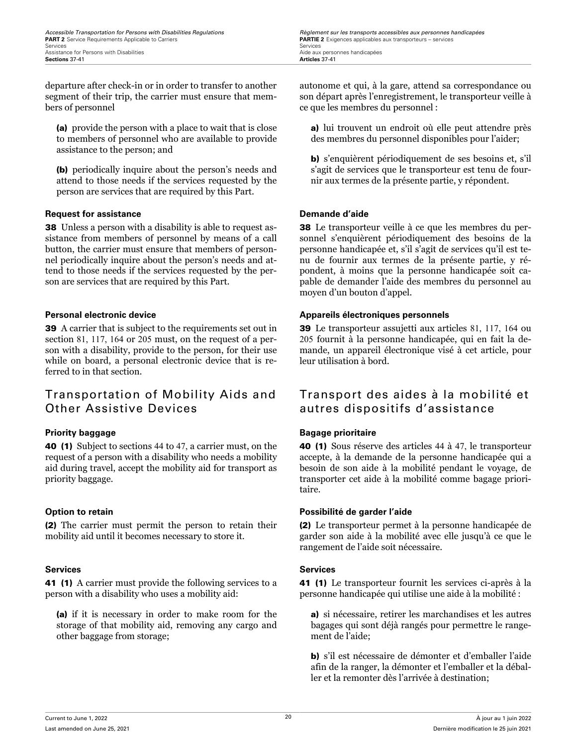<span id="page-31-0"></span>departure after check-in or in order to transfer to another segment of their trip, the carrier must ensure that members of personnel

(a) provide the person with a place to wait that is close to members of personnel who are available to provide assistance to the person; and

(b) periodically inquire about the person's needs and attend to those needs if the services requested by the person are services that are required by this Part.

## **Request for assistance and all and are set of the Demande d'aide Demande d'aide**

38 Unless a person with a disability is able to request assistance from members of personnel by means of a call button, the carrier must ensure that members of personnel periodically inquire about the person's needs and attend to those needs if the services requested by the person are services that are required by this Part.

39 A carrier that is subject to the requirements set out in section 81, 117, 164 or 205 must, on the request of a person with a disability, provide to the person, for their use while on board, a personal electronic device that is referred to in that section.

## Transportation of Mobility Aids and Other Assistive Devices

40 (1) Subject to sections 44 to 47, a carrier must, on the request of a person with a disability who needs a mobility aid during travel, accept the mobility aid for transport as priority baggage.

(2) The carrier must permit the person to retain their mobility aid until it becomes necessary to store it.

## **Services Services**

41 (1) A carrier must provide the following services to a person with a disability who uses a mobility aid:

(a) if it is necessary in order to make room for the storage of that mobility aid, removing any cargo and other baggage from storage;

autonome et qui, à la gare, attend sa correspondance ou son départ après l'enregistrement, le transporteur veille à ce que les membres du personnel :

a) lui trouvent un endroit où elle peut attendre près des membres du personnel disponibles pour l'aider;

b) s'enquièrent périodiquement de ses besoins et, s'il s'agit de services que le transporteur est tenu de fournir aux termes de la présente partie, y répondent.

38 Le transporteur veille à ce que les membres du personnel s'enquièrent périodiquement des besoins de la personne handicapée et, s'il s'agit de services qu'il est tenu de fournir aux termes de la présente partie, y répondent, à moins que la personne handicapée soit capable de demander l'aide des membres du personnel au moyen d'un bouton d'appel.

## **Personal electronic device Appareils électroniques personnels**

39 Le transporteur assujetti aux articles 81, 117, 164 ou 205 fournit à la personne handicapée, qui en fait la demande, un appareil électronique visé à cet article, pour leur utilisation à bord.

## Transport des aides à la mobilité et autres dispositifs d'assistance

## **Priority baggage Bagage prioritaire**

40 (1) Sous réserve des articles 44 à 47, le transporteur accepte, à la demande de la personne handicapée qui a besoin de son aide à la mobilité pendant le voyage, de transporter cet aide à la mobilité comme bagage prioritaire.

## **Option to retain Possibilité de garder l'aide**

(2) Le transporteur permet à la personne handicapée de garder son aide à la mobilité avec elle jusqu'à ce que le rangement de l'aide soit nécessaire.

41 (1) Le transporteur fournit les services ci-après à la personne handicapée qui utilise une aide à la mobilité :

a) si nécessaire, retirer les marchandises et les autres bagages qui sont déjà rangés pour permettre le rangement de l'aide;

b) s'il est nécessaire de démonter et d'emballer l'aide afin de la ranger, la démonter et l'emballer et la déballer et la remonter dès l'arrivée à destination;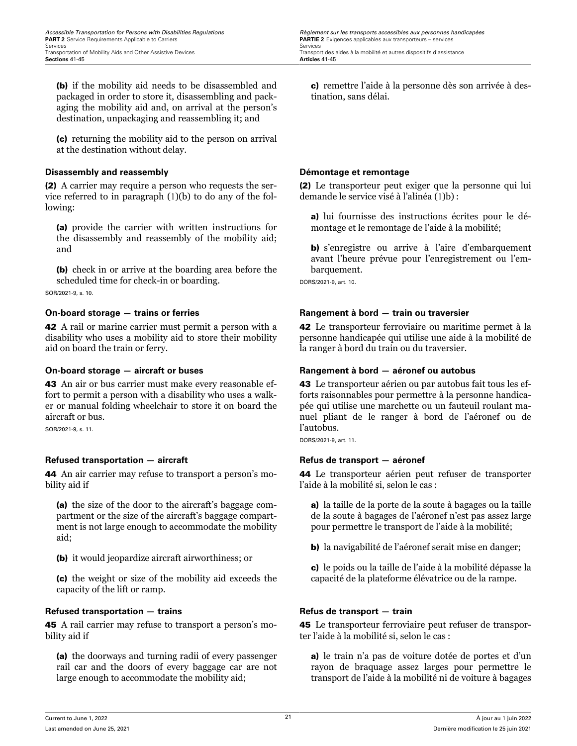<span id="page-32-0"></span>(b) if the mobility aid needs to be disassembled and packaged in order to store it, disassembling and packaging the mobility aid and, on arrival at the person's destination, unpackaging and reassembling it; and

(c) returning the mobility aid to the person on arrival at the destination without delay.

## **Disassembly and reassembly Démontage et remontage**

(2) A carrier may require a person who requests the service referred to in paragraph (1)(b) to do any of the following:

(a) provide the carrier with written instructions for the disassembly and reassembly of the mobility aid; and

(b) check in or arrive at the boarding area before the scheduled time for check-in or boarding.

SOR/2021-9, s. 10.

42 A rail or marine carrier must permit a person with a disability who uses a mobility aid to store their mobility aid on board the train or ferry.

43 An air or bus carrier must make every reasonable effort to permit a person with a disability who uses a walker or manual folding wheelchair to store it on board the aircraft or bus.

SOR/2021-9, s. 11.

## **Refused transportation — aircraft Refus de transport — aéronef**

44 An air carrier may refuse to transport a person's mobility aid if

(a) the size of the door to the aircraft's baggage compartment or the size of the aircraft's baggage compartment is not large enough to accommodate the mobility aid;

(b) it would jeopardize aircraft airworthiness; or

(c) the weight or size of the mobility aid exceeds the capacity of the lift or ramp.

## **Refused transportation — trains Refus de transport — train**

45 A rail carrier may refuse to transport a person's mobility aid if

(a) the doorways and turning radii of every passenger rail car and the doors of every baggage car are not large enough to accommodate the mobility aid;

c) remettre l'aide à la personne dès son arrivée à destination, sans délai.

(2) Le transporteur peut exiger que la personne qui lui demande le service visé à l'alinéa (1)b) :

a) lui fournisse des instructions écrites pour le démontage et le remontage de l'aide à la mobilité;

b) s'enregistre ou arrive à l'aire d'embarquement avant l'heure prévue pour l'enregistrement ou l'embarquement.

DORS/2021-9, art. 10.

## **On-board storage — trains or ferries Rangement à bord — train ou traversier**

42 Le transporteur ferroviaire ou maritime permet à la personne handicapée qui utilise une aide à la mobilité de la ranger à bord du train ou du traversier.

## **On-board storage — aircraft or buses Rangement à bord — aéronef ou autobus**

43 Le transporteur aérien ou par autobus fait tous les efforts raisonnables pour permettre à la personne handicapée qui utilise une marchette ou un fauteuil roulant manuel pliant de le ranger à bord de l'aéronef ou de l'autobus.

DORS/2021-9, art. 11.

44 Le transporteur aérien peut refuser de transporter l'aide à la mobilité si, selon le cas :

a) la taille de la porte de la soute à bagages ou la taille de la soute à bagages de l'aéronef n'est pas assez large pour permettre le transport de l'aide à la mobilité;

b) la navigabilité de l'aéronef serait mise en danger;

c) le poids ou la taille de l'aide à la mobilité dépasse la capacité de la plateforme élévatrice ou de la rampe.

45 Le transporteur ferroviaire peut refuser de transporter l'aide à la mobilité si, selon le cas :

a) le train n'a pas de voiture dotée de portes et d'un rayon de braquage assez larges pour permettre le transport de l'aide à la mobilité ni de voiture à bagages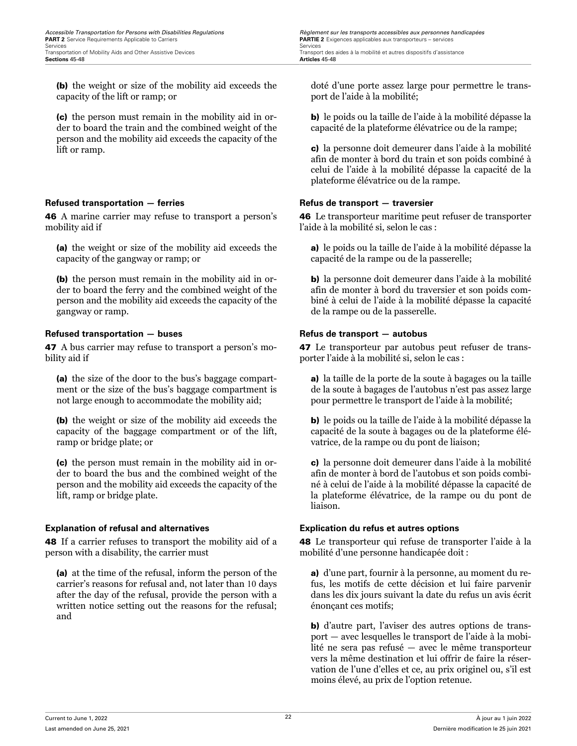<span id="page-33-0"></span>(b) the weight or size of the mobility aid exceeds the capacity of the lift or ramp; or

(c) the person must remain in the mobility aid in order to board the train and the combined weight of the person and the mobility aid exceeds the capacity of the lift or ramp.

## **Refused transportation — ferries Refus de transport — traversier**

46 A marine carrier may refuse to transport a person's mobility aid if

(a) the weight or size of the mobility aid exceeds the capacity of the gangway or ramp; or

(b) the person must remain in the mobility aid in order to board the ferry and the combined weight of the person and the mobility aid exceeds the capacity of the gangway or ramp.

## **Refused transportation — buses Refus de transport — autobus**

47 A bus carrier may refuse to transport a person's mobility aid if

(a) the size of the door to the bus's baggage compartment or the size of the bus's baggage compartment is not large enough to accommodate the mobility aid;

(b) the weight or size of the mobility aid exceeds the capacity of the baggage compartment or of the lift, ramp or bridge plate; or

(c) the person must remain in the mobility aid in order to board the bus and the combined weight of the person and the mobility aid exceeds the capacity of the lift, ramp or bridge plate.

## **Explanation of refusal and alternatives Explication du refus et autres options**

48 If a carrier refuses to transport the mobility aid of a person with a disability, the carrier must

(a) at the time of the refusal, inform the person of the carrier's reasons for refusal and, not later than 10 days after the day of the refusal, provide the person with a written notice setting out the reasons for the refusal; and

doté d'une porte assez large pour permettre le transport de l'aide à la mobilité;

b) le poids ou la taille de l'aide à la mobilité dépasse la capacité de la plateforme élévatrice ou de la rampe;

c) la personne doit demeurer dans l'aide à la mobilité afin de monter à bord du train et son poids combiné à celui de l'aide à la mobilité dépasse la capacité de la plateforme élévatrice ou de la rampe.

46 Le transporteur maritime peut refuser de transporter l'aide à la mobilité si, selon le cas :

a) le poids ou la taille de l'aide à la mobilité dépasse la capacité de la rampe ou de la passerelle;

b) la personne doit demeurer dans l'aide à la mobilité afin de monter à bord du traversier et son poids combiné à celui de l'aide à la mobilité dépasse la capacité de la rampe ou de la passerelle.

47 Le transporteur par autobus peut refuser de transporter l'aide à la mobilité si, selon le cas :

a) la taille de la porte de la soute à bagages ou la taille de la soute à bagages de l'autobus n'est pas assez large pour permettre le transport de l'aide à la mobilité;

b) le poids ou la taille de l'aide à la mobilité dépasse la capacité de la soute à bagages ou de la plateforme élévatrice, de la rampe ou du pont de liaison;

c) la personne doit demeurer dans l'aide à la mobilité afin de monter à bord de l'autobus et son poids combiné à celui de l'aide à la mobilité dépasse la capacité de la plateforme élévatrice, de la rampe ou du pont de liaison.

48 Le transporteur qui refuse de transporter l'aide à la mobilité d'une personne handicapée doit :

a) d'une part, fournir à la personne, au moment du refus, les motifs de cette décision et lui faire parvenir dans les dix jours suivant la date du refus un avis écrit énonçant ces motifs;

b) d'autre part, l'aviser des autres options de transport — avec lesquelles le transport de l'aide à la mobilité ne sera pas refusé — avec le même transporteur vers la même destination et lui offrir de faire la réservation de l'une d'elles et ce, au prix originel ou, s'il est moins élevé, au prix de l'option retenue.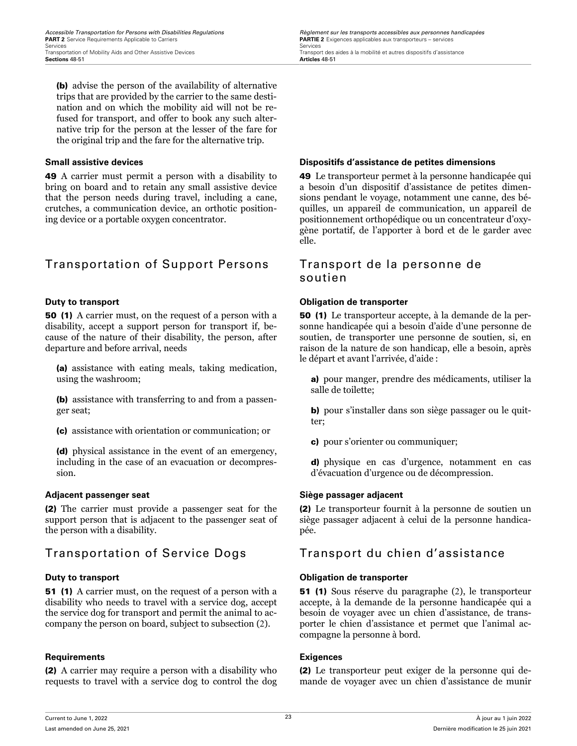<span id="page-34-0"></span>(b) advise the person of the availability of alternative trips that are provided by the carrier to the same destination and on which the mobility aid will not be refused for transport, and offer to book any such alternative trip for the person at the lesser of the fare for the original trip and the fare for the alternative trip.

49 A carrier must permit a person with a disability to bring on board and to retain any small assistive device that the person needs during travel, including a cane, crutches, a communication device, an orthotic positioning device or a portable oxygen concentrator.

## Transportation of Support Persons Transport de la personne de

50 (1) A carrier must, on the request of a person with a disability, accept a support person for transport if, because of the nature of their disability, the person, after departure and before arrival, needs

(a) assistance with eating meals, taking medication, using the washroom;

(b) assistance with transferring to and from a passenger seat;

(c) assistance with orientation or communication; or

(d) physical assistance in the event of an emergency, including in the case of an evacuation or decompression.

## **Adjacent passenger seat Siège passager adjacent**

(2) The carrier must provide a passenger seat for the support person that is adjacent to the passenger seat of the person with a disability.

51 (1) A carrier must, on the request of a person with a disability who needs to travel with a service dog, accept the service dog for transport and permit the animal to accompany the person on board, subject to subsection (2).

## **Requirements Exigences**

(2) A carrier may require a person with a disability who requests to travel with a service dog to control the dog

## **Small assistive devices Dispositifs d'assistance de petites dimensions**

49 Le transporteur permet à la personne handicapée qui a besoin d'un dispositif d'assistance de petites dimensions pendant le voyage, notamment une canne, des béquilles, un appareil de communication, un appareil de positionnement orthopédique ou un concentrateur d'oxygène portatif, de l'apporter à bord et de le garder avec elle.

# soutien

## **Duty to transport Obligation de transporter**

50 (1) Le transporteur accepte, à la demande de la personne handicapée qui a besoin d'aide d'une personne de soutien, de transporter une personne de soutien, si, en raison de la nature de son handicap, elle a besoin, après le départ et avant l'arrivée, d'aide :

a) pour manger, prendre des médicaments, utiliser la salle de toilette;

b) pour s'installer dans son siège passager ou le quitter;

c) pour s'orienter ou communiquer;

d) physique en cas d'urgence, notamment en cas d'évacuation d'urgence ou de décompression.

(2) Le transporteur fournit à la personne de soutien un siège passager adjacent à celui de la personne handicapée.

## Transportation of Service Dogs Transport du chien d'assistance

## **Duty to transport Obligation de transporter**

51 (1) Sous réserve du paragraphe (2), le transporteur accepte, à la demande de la personne handicapée qui a besoin de voyager avec un chien d'assistance, de transporter le chien d'assistance et permet que l'animal accompagne la personne à bord.

(2) Le transporteur peut exiger de la personne qui demande de voyager avec un chien d'assistance de munir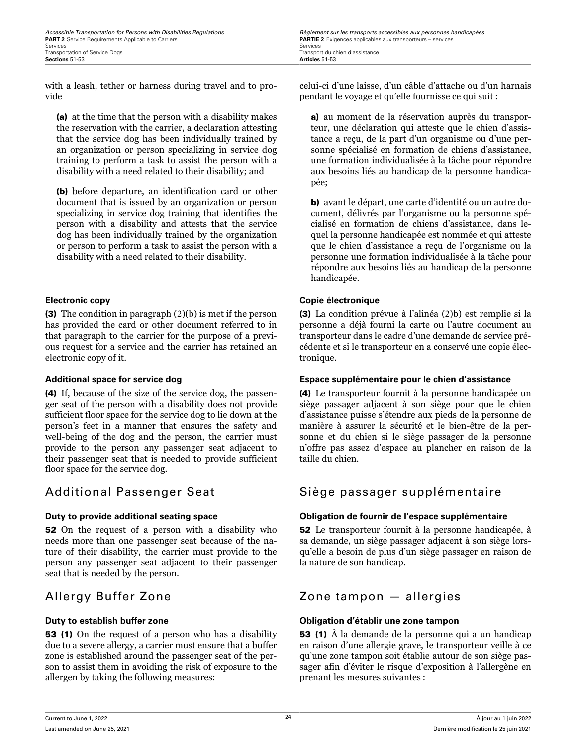<span id="page-35-0"></span>with a leash, tether or harness during travel and to provide

(a) at the time that the person with a disability makes the reservation with the carrier, a declaration attesting that the service dog has been individually trained by an organization or person specializing in service dog training to perform a task to assist the person with a disability with a need related to their disability; and

(b) before departure, an identification card or other document that is issued by an organization or person specializing in service dog training that identifies the person with a disability and attests that the service dog has been individually trained by the organization or person to perform a task to assist the person with a disability with a need related to their disability.

(3) The condition in paragraph (2)(b) is met if the person has provided the card or other document referred to in that paragraph to the carrier for the purpose of a previous request for a service and the carrier has retained an electronic copy of it.

(4) If, because of the size of the service dog, the passenger seat of the person with a disability does not provide sufficient floor space for the service dog to lie down at the person's feet in a manner that ensures the safety and well-being of the dog and the person, the carrier must provide to the person any passenger seat adjacent to their passenger seat that is needed to provide sufficient floor space for the service dog.

52 On the request of a person with a disability who needs more than one passenger seat because of the nature of their disability, the carrier must provide to the person any passenger seat adjacent to their passenger seat that is needed by the person.

53 (1) On the request of a person who has a disability due to a severe allergy, a carrier must ensure that a buffer zone is established around the passenger seat of the person to assist them in avoiding the risk of exposure to the allergen by taking the following measures:

celui-ci d'une laisse, d'un câble d'attache ou d'un harnais pendant le voyage et qu'elle fournisse ce qui suit :

a) au moment de la réservation auprès du transporteur, une déclaration qui atteste que le chien d'assistance a reçu, de la part d'un organisme ou d'une personne spécialisé en formation de chiens d'assistance, une formation individualisée à la tâche pour répondre aux besoins liés au handicap de la personne handicapée;

b) avant le départ, une carte d'identité ou un autre document, délivrés par l'organisme ou la personne spécialisé en formation de chiens d'assistance, dans lequel la personne handicapée est nommée et qui atteste que le chien d'assistance a reçu de l'organisme ou la personne une formation individualisée à la tâche pour répondre aux besoins liés au handicap de la personne handicapée.

## **Electronic copy Copie électronique**

(3) La condition prévue à l'alinéa (2)b) est remplie si la personne a déjà fourni la carte ou l'autre document au transporteur dans le cadre d'une demande de service précédente et si le transporteur en a conservé une copie électronique.

## **Additional space for service dog Espace supplémentaire pour le chien d'assistance**

(4) Le transporteur fournit à la personne handicapée un siège passager adjacent à son siège pour que le chien d'assistance puisse s'étendre aux pieds de la personne de manière à assurer la sécurité et le bien-être de la personne et du chien si le siège passager de la personne n'offre pas assez d'espace au plancher en raison de la taille du chien.

## Additional Passenger Seat Siège passager supplémentaire

## **Duty to provide additional seating space Obligation de fournir de l'espace supplémentaire**

52 Le transporteur fournit à la personne handicapée, à sa demande, un siège passager adjacent à son siège lorsqu'elle a besoin de plus d'un siège passager en raison de la nature de son handicap.

## Allergy Buffer Zone Zone tampon — allergies

## **Duty to establish buffer zone Obligation d'établir une zone tampon**

53 (1) À la demande de la personne qui a un handicap en raison d'une allergie grave, le transporteur veille à ce qu'une zone tampon soit établie autour de son siège passager afin d'éviter le risque d'exposition à l'allergène en prenant les mesures suivantes :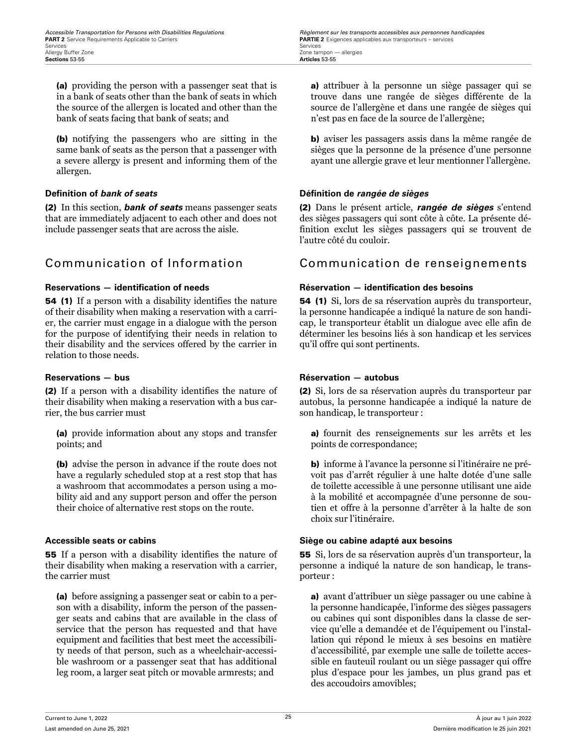(a) providing the person with a passenger seat that is in a bank of seats other than the bank of seats in which the source of the allergen is located and other than the bank of seats facing that bank of seats; and

(b) notifying the passengers who are sitting in the same bank of seats as the person that a passenger with a severe allergy is present and informing them of the allergen.

(2) In this section, *bank of seats* means passenger seats that are immediately adjacent to each other and does not include passenger seats that are across the aisle.

54 (1) If a person with a disability identifies the nature of their disability when making a reservation with a carrier, the carrier must engage in a dialogue with the person for the purpose of identifying their needs in relation to their disability and the services offered by the carrier in relation to those needs.

(2) If a person with a disability identifies the nature of their disability when making a reservation with a bus carrier, the bus carrier must

(a) provide information about any stops and transfer points; and

(b) advise the person in advance if the route does not have a regularly scheduled stop at a rest stop that has a washroom that accommodates a person using a mobility aid and any support person and offer the person their choice of alternative rest stops on the route.

55 If a person with a disability identifies the nature of their disability when making a reservation with a carrier, the carrier must

(a) before assigning a passenger seat or cabin to a person with a disability, inform the person of the passenger seats and cabins that are available in the class of service that the person has requested and that have equipment and facilities that best meet the accessibility needs of that person, such as a wheelchair-accessible washroom or a passenger seat that has additional leg room, a larger seat pitch or movable armrests; and

a) attribuer à la personne un siège passager qui se trouve dans une rangée de sièges différente de la source de l'allergène et dans une rangée de sièges qui n'est pas en face de la source de l'allergène;

b) aviser les passagers assis dans la même rangée de sièges que la personne de la présence d'une personne ayant une allergie grave et leur mentionner l'allergène.

### **Definition of** *bank of seats* **Définition de** *rangée de sièges*

(2) Dans le présent article, *rangée de sièges* s'entend des sièges passagers qui sont côte à côte. La présente définition exclut les sièges passagers qui se trouvent de l'autre côté du couloir.

# Communication of Information Communication de renseignements

### **Reservations — identification of needs Réservation — identification des besoins**

54 (1) Si, lors de sa réservation auprès du transporteur, la personne handicapée a indiqué la nature de son handicap, le transporteur établit un dialogue avec elle afin de déterminer les besoins liés à son handicap et les services qu'il offre qui sont pertinents.

### **Reservations — bus Réservation — autobus**

(2) Si, lors de sa réservation auprès du transporteur par autobus, la personne handicapée a indiqué la nature de son handicap, le transporteur :

a) fournit des renseignements sur les arrêts et les points de correspondance;

b) informe à l'avance la personne si l'itinéraire ne prévoit pas d'arrêt régulier à une halte dotée d'une salle de toilette accessible à une personne utilisant une aide à la mobilité et accompagnée d'une personne de soutien et offre à la personne d'arrêter à la halte de son choix sur l'itinéraire.

### **Accessible seats or cabins Siège ou cabine adapté aux besoins**

55 Si, lors de sa réservation auprès d'un transporteur, la personne a indiqué la nature de son handicap, le transporteur :

a) avant d'attribuer un siège passager ou une cabine à la personne handicapée, l'informe des sièges passagers ou cabines qui sont disponibles dans la classe de service qu'elle a demandée et de l'équipement ou l'installation qui répond le mieux à ses besoins en matière d'accessibilité, par exemple une salle de toilette accessible en fauteuil roulant ou un siège passager qui offre plus d'espace pour les jambes, un plus grand pas et des accoudoirs amovibles;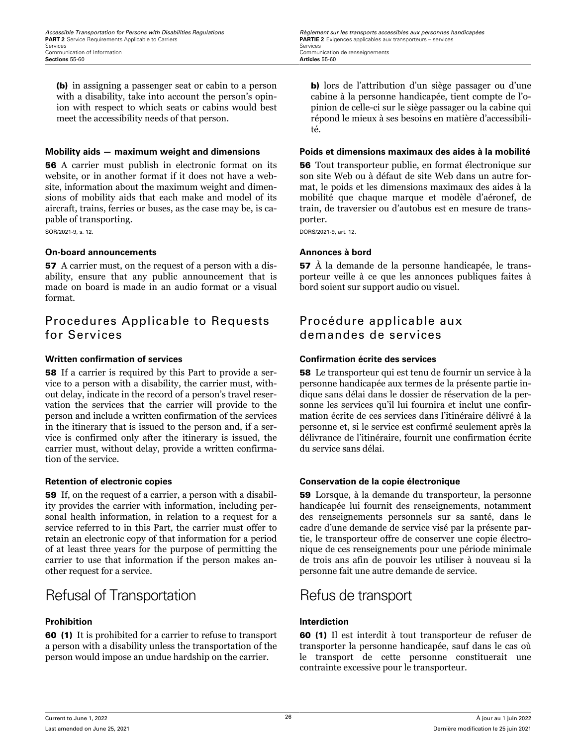(b) in assigning a passenger seat or cabin to a person with a disability, take into account the person's opinion with respect to which seats or cabins would best meet the accessibility needs of that person.

56 A carrier must publish in electronic format on its website, or in another format if it does not have a website, information about the maximum weight and dimensions of mobility aids that each make and model of its aircraft, trains, ferries or buses, as the case may be, is capable of transporting.

SOR/2021-9, s. 12.

### **On-board announcements Annonces à bord**

57 A carrier must, on the request of a person with a disability, ensure that any public announcement that is made on board is made in an audio format or a visual format.

# Procedures Applicable to Requests for Services

### **Written confirmation of services Confirmation écrite des services**

58 If a carrier is required by this Part to provide a service to a person with a disability, the carrier must, without delay, indicate in the record of a person's travel reservation the services that the carrier will provide to the person and include a written confirmation of the services in the itinerary that is issued to the person and, if a service is confirmed only after the itinerary is issued, the carrier must, without delay, provide a written confirmation of the service.

59 If, on the request of a carrier, a person with a disability provides the carrier with information, including personal health information, in relation to a request for a service referred to in this Part, the carrier must offer to retain an electronic copy of that information for a period of at least three years for the purpose of permitting the carrier to use that information if the person makes another request for a service.

# Refusal of Transportation Refus de transport

### **Prohibition Interdiction**

60 (1) It is prohibited for a carrier to refuse to transport a person with a disability unless the transportation of the person would impose an undue hardship on the carrier.

b) lors de l'attribution d'un siège passager ou d'une cabine à la personne handicapée, tient compte de l'opinion de celle-ci sur le siège passager ou la cabine qui répond le mieux à ses besoins en matière d'accessibilité.

### **Mobility aids — maximum weight and dimensions Poids et dimensions maximaux des aides à la mobilité**

56 Tout transporteur publie, en format électronique sur son site Web ou à défaut de site Web dans un autre format, le poids et les dimensions maximaux des aides à la mobilité que chaque marque et modèle d'aéronef, de train, de traversier ou d'autobus est en mesure de transporter.

DORS/2021-9, art. 12.

57 À la demande de la personne handicapée, le transporteur veille à ce que les annonces publiques faites à bord soient sur support audio ou visuel.

# Procédure applicable aux demandes de services

58 Le transporteur qui est tenu de fournir un service à la personne handicapée aux termes de la présente partie indique sans délai dans le dossier de réservation de la personne les services qu'il lui fournira et inclut une confirmation écrite de ces services dans l'itinéraire délivré à la personne et, si le service est confirmé seulement après la délivrance de l'itinéraire, fournit une confirmation écrite du service sans délai.

### **Retention of electronic copies Conservation de la copie électronique**

59 Lorsque, à la demande du transporteur, la personne handicapée lui fournit des renseignements, notamment des renseignements personnels sur sa santé, dans le cadre d'une demande de service visé par la présente partie, le transporteur offre de conserver une copie électronique de ces renseignements pour une période minimale de trois ans afin de pouvoir les utiliser à nouveau si la personne fait une autre demande de service.

60 (1) Il est interdit à tout transporteur de refuser de transporter la personne handicapée, sauf dans le cas où le transport de cette personne constituerait une contrainte excessive pour le transporteur.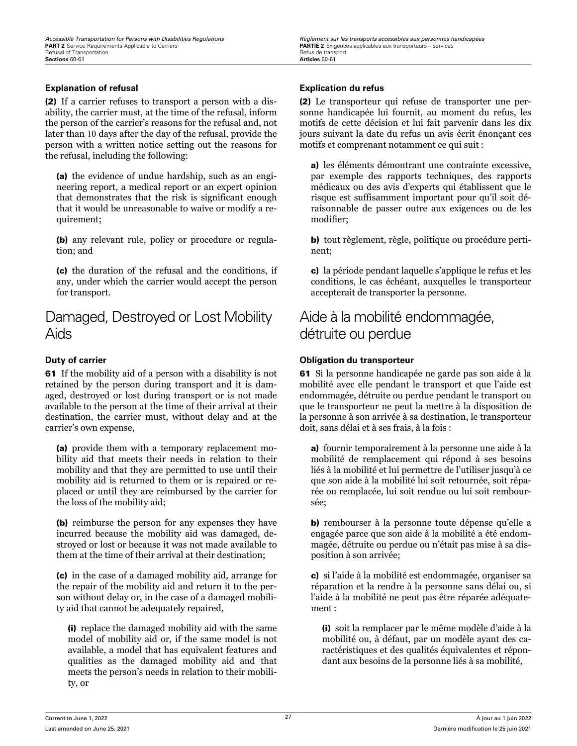### **Explanation of refusal Explication du refus**

(2) If a carrier refuses to transport a person with a disability, the carrier must, at the time of the refusal, inform the person of the carrier's reasons for the refusal and, not later than 10 days after the day of the refusal, provide the person with a written notice setting out the reasons for the refusal, including the following:

(a) the evidence of undue hardship, such as an engineering report, a medical report or an expert opinion that demonstrates that the risk is significant enough that it would be unreasonable to waive or modify a requirement;

(b) any relevant rule, policy or procedure or regulation; and

(c) the duration of the refusal and the conditions, if any, under which the carrier would accept the person for transport.

# Damaged, Destroyed or Lost Mobility Aids

61 If the mobility aid of a person with a disability is not retained by the person during transport and it is damaged, destroyed or lost during transport or is not made available to the person at the time of their arrival at their destination, the carrier must, without delay and at the carrier's own expense,

(a) provide them with a temporary replacement mobility aid that meets their needs in relation to their mobility and that they are permitted to use until their mobility aid is returned to them or is repaired or replaced or until they are reimbursed by the carrier for the loss of the mobility aid;

(b) reimburse the person for any expenses they have incurred because the mobility aid was damaged, destroyed or lost or because it was not made available to them at the time of their arrival at their destination;

(c) in the case of a damaged mobility aid, arrange for the repair of the mobility aid and return it to the person without delay or, in the case of a damaged mobility aid that cannot be adequately repaired,

(i) replace the damaged mobility aid with the same model of mobility aid or, if the same model is not available, a model that has equivalent features and qualities as the damaged mobility aid and that meets the person's needs in relation to their mobility, or

(2) Le transporteur qui refuse de transporter une personne handicapée lui fournit, au moment du refus, les motifs de cette décision et lui fait parvenir dans les dix jours suivant la date du refus un avis écrit énonçant ces motifs et comprenant notamment ce qui suit :

a) les éléments démontrant une contrainte excessive, par exemple des rapports techniques, des rapports médicaux ou des avis d'experts qui établissent que le risque est suffisamment important pour qu'il soit déraisonnable de passer outre aux exigences ou de les modifier;

b) tout règlement, règle, politique ou procédure pertinent;

c) la période pendant laquelle s'applique le refus et les conditions, le cas échéant, auxquelles le transporteur accepterait de transporter la personne.

# Aide à la mobilité endommagée, détruite ou perdue

### **Duty of carrier Obligation du transporteur**

61 Si la personne handicapée ne garde pas son aide à la mobilité avec elle pendant le transport et que l'aide est endommagée, détruite ou perdue pendant le transport ou que le transporteur ne peut la mettre à la disposition de la personne à son arrivée à sa destination, le transporteur doit, sans délai et à ses frais, à la fois :

a) fournir temporairement à la personne une aide à la mobilité de remplacement qui répond à ses besoins liés à la mobilité et lui permettre de l'utiliser jusqu'à ce que son aide à la mobilité lui soit retournée, soit réparée ou remplacée, lui soit rendue ou lui soit remboursée;

b) rembourser à la personne toute dépense qu'elle a engagée parce que son aide à la mobilité a été endommagée, détruite ou perdue ou n'était pas mise à sa disposition à son arrivée;

c) si l'aide à la mobilité est endommagée, organiser sa réparation et la rendre à la personne sans délai ou, si l'aide à la mobilité ne peut pas être réparée adéquatement :

(i) soit la remplacer par le même modèle d'aide à la mobilité ou, à défaut, par un modèle ayant des caractéristiques et des qualités équivalentes et répondant aux besoins de la personne liés à sa mobilité,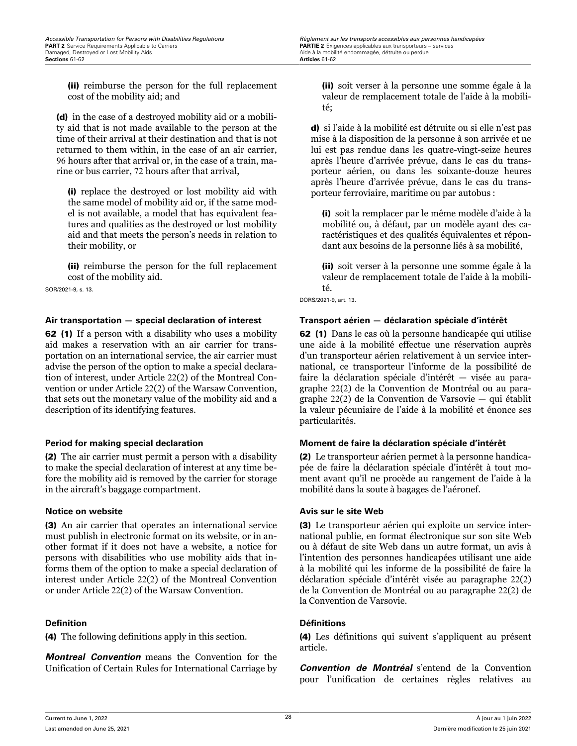*Accessible Transportation for Persons with Disabilities Regulations Regulations Règlement sur les transports accessibles aux personnes handicapées*<br> **PART 2** Service Requirements Applicable to Carriers *Carriers*

(ii) reimburse the person for the full replacement cost of the mobility aid; and

(d) in the case of a destroyed mobility aid or a mobility aid that is not made available to the person at the time of their arrival at their destination and that is not returned to them within, in the case of an air carrier, 96 hours after that arrival or, in the case of a train, marine or bus carrier, 72 hours after that arrival,

(i) replace the destroyed or lost mobility aid with the same model of mobility aid or, if the same model is not available, a model that has equivalent features and qualities as the destroyed or lost mobility aid and that meets the person's needs in relation to their mobility, or

(ii) reimburse the person for the full replacement cost of the mobility aid.

SOR/2021-9, s. 13.

### **Air transportation — special declaration of interest Transport aérien — déclaration spéciale d'intérêt**

62 (1) If a person with a disability who uses a mobility aid makes a reservation with an air carrier for transportation on an international service, the air carrier must advise the person of the option to make a special declaration of interest, under Article 22(2) of the Montreal Convention or under Article 22(2) of the Warsaw Convention, that sets out the monetary value of the mobility aid and a description of its identifying features.

(2) The air carrier must permit a person with a disability to make the special declaration of interest at any time before the mobility aid is removed by the carrier for storage in the aircraft's baggage compartment.

(3) An air carrier that operates an international service must publish in electronic format on its website, or in another format if it does not have a website, a notice for persons with disabilities who use mobility aids that informs them of the option to make a special declaration of interest under Article 22(2) of the Montreal Convention or under Article 22(2) of the Warsaw Convention.

(4) The following definitions apply in this section.

*Montreal Convention* means the Convention for the Unification of Certain Rules for International Carriage by

(ii) soit verser à la personne une somme égale à la valeur de remplacement totale de l'aide à la mobilité;

d) si l'aide à la mobilité est détruite ou si elle n'est pas mise à la disposition de la personne à son arrivée et ne lui est pas rendue dans les quatre-vingt-seize heures après l'heure d'arrivée prévue, dans le cas du transporteur aérien, ou dans les soixante-douze heures après l'heure d'arrivée prévue, dans le cas du transporteur ferroviaire, maritime ou par autobus :

(i) soit la remplacer par le même modèle d'aide à la mobilité ou, à défaut, par un modèle ayant des caractéristiques et des qualités équivalentes et répondant aux besoins de la personne liés à sa mobilité,

(ii) soit verser à la personne une somme égale à la valeur de remplacement totale de l'aide à la mobilité.

DORS/2021-9, art. 13.

62 (1) Dans le cas où la personne handicapée qui utilise une aide à la mobilité effectue une réservation auprès d'un transporteur aérien relativement à un service international, ce transporteur l'informe de la possibilité de faire la déclaration spéciale d'intérêt — visée au paragraphe 22(2) de la Convention de Montréal ou au paragraphe 22(2) de la Convention de Varsovie — qui établit la valeur pécuniaire de l'aide à la mobilité et énonce ses particularités.

### **Period for making special declaration Moment de faire la déclaration spéciale d'intérêt**

(2) Le transporteur aérien permet à la personne handicapée de faire la déclaration spéciale d'intérêt à tout moment avant qu'il ne procède au rangement de l'aide à la mobilité dans la soute à bagages de l'aéronef.

### **Notice on website Avis sur le site Web**

(3) Le transporteur aérien qui exploite un service international publie, en format électronique sur son site Web ou à défaut de site Web dans un autre format, un avis à l'intention des personnes handicapées utilisant une aide à la mobilité qui les informe de la possibilité de faire la déclaration spéciale d'intérêt visée au paragraphe 22(2) de la Convention de Montréal ou au paragraphe 22(2) de la Convention de Varsovie.

### **Definition Définitions**

(4) Les définitions qui suivent s'appliquent au présent article.

*Convention de Montréal* s'entend de la Convention pour l'unification de certaines règles relatives au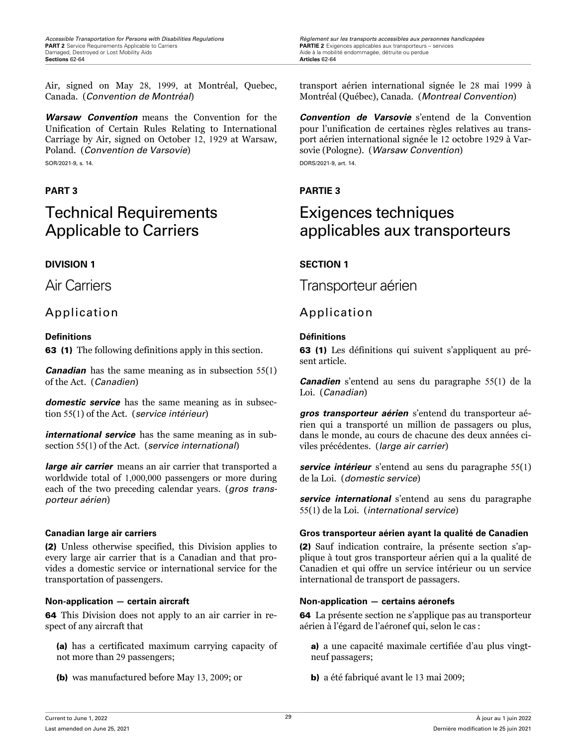Air, signed on May 28, 1999, at Montréal, Quebec, Canada. (*Convention de Montréal*)

*Warsaw Convention* means the Convention for the Unification of Certain Rules Relating to International Carriage by Air, signed on October 12, 1929 at Warsaw, Poland. (*Convention de Varsovie*)

SOR/2021-9, s. 14.

# Technical Requirements Applicable to Carriers

### **DIVISION 1 SECTION 1**

# Application Application

### **Definitions Définitions**

63 (1) The following definitions apply in this section.

*Canadian* has the same meaning as in subsection 55(1) of the Act. (*Canadien*)

*domestic service* has the same meaning as in subsection 55(1) of the Act. (*service intérieur*)

*international service* has the same meaning as in subsection 55(1) of the Act. (*service international*)

*large air carrier* means an air carrier that transported a worldwide total of 1,000,000 passengers or more during each of the two preceding calendar years. (*gros transporteur aérien*)

(2) Unless otherwise specified, this Division applies to every large air carrier that is a Canadian and that provides a domestic service or international service for the transportation of passengers.

64 This Division does not apply to an air carrier in respect of any aircraft that

(a) has a certificated maximum carrying capacity of not more than 29 passengers;

(b) was manufactured before May 13, 2009; or

*Accessible Transportation for Persons with Disabilities Regulations Règlement sur les transports accessibles aux personnes handicapées***<br><b>PART 2** Service Requirements Applicable to Carriers **by a conserver conserverse i** 

transport aérien international signée le 28 mai 1999 à Montréal (Québec), Canada. (*Montreal Convention*)

*Convention de Varsovie* s'entend de la Convention pour l'unification de certaines règles relatives au transport aérien international signée le 12 octobre 1929 à Varsovie (Pologne). (*Warsaw Convention*) DORS/2021-9, art. 14.

# **PART 3 PARTIE 3**

# Exigences techniques applicables aux transporteurs

Air Carriers Transporteur aérien

63 (1) Les définitions qui suivent s'appliquent au présent article.

*Canadien* s'entend au sens du paragraphe 55(1) de la Loi. (*Canadian*)

*gros transporteur aérien* s'entend du transporteur aérien qui a transporté un million de passagers ou plus, dans le monde, au cours de chacune des deux années civiles précédentes. (*large air carrier*)

*service intérieur* s'entend au sens du paragraphe 55(1) de la Loi. (*domestic service*)

*service international* s'entend au sens du paragraphe 55(1) de la Loi. (*international service*)

### **Canadian large air carriers Gros transporteur aérien ayant la qualité de Canadien**

(2) Sauf indication contraire, la présente section s'applique à tout gros transporteur aérien qui a la qualité de Canadien et qui offre un service intérieur ou un service international de transport de passagers.

### **Non-application — certain aircraft Non-application — certains aéronefs**

64 La présente section ne s'applique pas au transporteur aérien à l'égard de l'aéronef qui, selon le cas :

a) a une capacité maximale certifiée d'au plus vingtneuf passagers;

b) a été fabriqué avant le 13 mai 2009;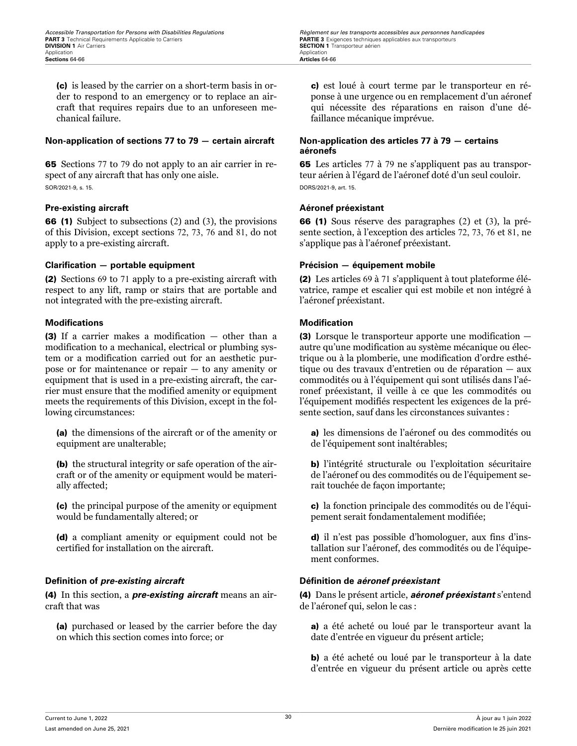(c) is leased by the carrier on a short-term basis in order to respond to an emergency or to replace an aircraft that requires repairs due to an unforeseen mechanical failure.

### **Non-application of sections 77 to 79 — certain aircraft Non-application des articles 77 à 79 — certains**

65 Sections 77 to 79 do not apply to an air carrier in respect of any aircraft that has only one aisle. SOR/2021-9, s. 15.

### **Pre-existing aircraft Aéronef préexistant**

66 (1) Subject to subsections (2) and (3), the provisions of this Division, except sections 72, 73, 76 and 81, do not apply to a pre-existing aircraft.

### **Clarification — portable equipment Précision — équipement mobile**

(2) Sections 69 to 71 apply to a pre-existing aircraft with respect to any lift, ramp or stairs that are portable and not integrated with the pre-existing aircraft.

### **Modifications Modification**

(3) If a carrier makes a modification — other than a modification to a mechanical, electrical or plumbing system or a modification carried out for an aesthetic purpose or for maintenance or repair — to any amenity or equipment that is used in a pre-existing aircraft, the carrier must ensure that the modified amenity or equipment meets the requirements of this Division, except in the following circumstances:

(a) the dimensions of the aircraft or of the amenity or equipment are unalterable;

(b) the structural integrity or safe operation of the aircraft or of the amenity or equipment would be materially affected;

(c) the principal purpose of the amenity or equipment would be fundamentally altered; or

(d) a compliant amenity or equipment could not be certified for installation on the aircraft.

### **Definition of** *pre-existing aircraft* **Définition de** *aéronef préexistant*

(4) In this section, a *pre-existing aircraft* means an aircraft that was

(a) purchased or leased by the carrier before the day on which this section comes into force; or

*Accessible Transportation for Persons with Disabilities Regulations Regulations Règlement sur les transports accessibles aux personnes handicapées*<br>**PART 3** Technical Requirements Applicable to Carriers **Carriers SECTION 1** Transporteur aérien<br>Application

> c) est loué à court terme par le transporteur en réponse à une urgence ou en remplacement d'un aéronef qui nécessite des réparations en raison d'une défaillance mécanique imprévue.

# **aéronefs**

65 Les articles 77 à 79 ne s'appliquent pas au transporteur aérien à l'égard de l'aéronef doté d'un seul couloir. DORS/2021-9, art. 15.

66 (1) Sous réserve des paragraphes (2) et (3), la présente section, à l'exception des articles 72, 73, 76 et 81, ne s'applique pas à l'aéronef préexistant.

(2) Les articles 69 à 71 s'appliquent à tout plateforme élévatrice, rampe et escalier qui est mobile et non intégré à l'aéronef préexistant.

(3) Lorsque le transporteur apporte une modification autre qu'une modification au système mécanique ou électrique ou à la plomberie, une modification d'ordre esthétique ou des travaux d'entretien ou de réparation — aux commodités ou à l'équipement qui sont utilisés dans l'aéronef préexistant, il veille à ce que les commodités ou l'équipement modifiés respectent les exigences de la présente section, sauf dans les circonstances suivantes :

a) les dimensions de l'aéronef ou des commodités ou de l'équipement sont inaltérables;

b) l'intégrité structurale ou l'exploitation sécuritaire de l'aéronef ou des commodités ou de l'équipement serait touchée de façon importante;

c) la fonction principale des commodités ou de l'équipement serait fondamentalement modifiée;

d) il n'est pas possible d'homologuer, aux fins d'installation sur l'aéronef, des commodités ou de l'équipement conformes.

(4) Dans le présent article, *aéronef préexistant* s'entend de l'aéronef qui, selon le cas :

a) a été acheté ou loué par le transporteur avant la date d'entrée en vigueur du présent article;

b) a été acheté ou loué par le transporteur à la date d'entrée en vigueur du présent article ou après cette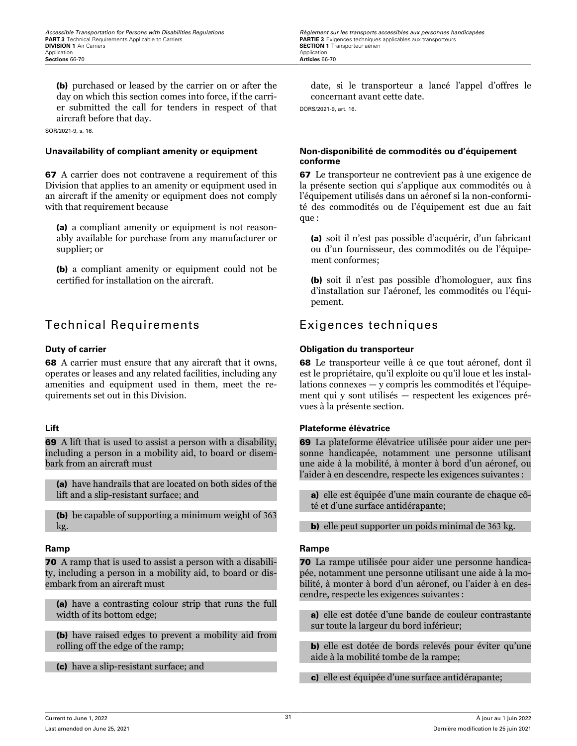*Accessible Transportation for Persons with Disabilities Regulations Regulations Règlement sur les transports accessibles aux personnes handicapées*<br>**PART 3** Technical Requirements Applicable to Carriers **Carriers**

(b) purchased or leased by the carrier on or after the day on which this section comes into force, if the carrier submitted the call for tenders in respect of that aircraft before that day.

SOR/2021-9, s. 16.

67 A carrier does not contravene a requirement of this Division that applies to an amenity or equipment used in an aircraft if the amenity or equipment does not comply with that requirement because

(a) a compliant amenity or equipment is not reasonably available for purchase from any manufacturer or supplier; or

(b) a compliant amenity or equipment could not be certified for installation on the aircraft.

# Technical Requirements Exigences techniques

68 A carrier must ensure that any aircraft that it owns, operates or leases and any related facilities, including any amenities and equipment used in them, meet the requirements set out in this Division.

69 A lift that is used to assist a person with a disability, including a person in a mobility aid, to board or disembark from an aircraft must

(a) have handrails that are located on both sides of the lift and a slip-resistant surface; and

(b) be capable of supporting a minimum weight of 363 kg.

**70** A ramp that is used to assist a person with a disability, including a person in a mobility aid, to board or disembark from an aircraft must

(a) have a contrasting colour strip that runs the full width of its bottom edge;

(b) have raised edges to prevent a mobility aid from rolling off the edge of the ramp;

(c) have a slip-resistant surface; and

date, si le transporteur a lancé l'appel d'offres le concernant avant cette date.

DORS/2021-9, art. 16.

### **Unavailability of compliant amenity or equipment Non-disponibilité de commodités ou d'équipement conforme**

67 Le transporteur ne contrevient pas à une exigence de la présente section qui s'applique aux commodités ou à l'équipement utilisés dans un aéronef si la non-conformité des commodités ou de l'équipement est due au fait que :

(a) soit il n'est pas possible d'acquérir, d'un fabricant ou d'un fournisseur, des commodités ou de l'équipement conformes;

(b) soit il n'est pas possible d'homologuer, aux fins d'installation sur l'aéronef, les commodités ou l'équipement.

### **Duty of carrier Obligation du transporteur**

68 Le transporteur veille à ce que tout aéronef, dont il est le propriétaire, qu'il exploite ou qu'il loue et les installations connexes — y compris les commodités et l'équipement qui y sont utilisés — respectent les exigences prévues à la présente section.

### **Lift Plateforme élévatrice**

69 La plateforme élévatrice utilisée pour aider une personne handicapée, notamment une personne utilisant une aide à la mobilité, à monter à bord d'un aéronef, ou l'aider à en descendre, respecte les exigences suivantes :

a) elle est équipée d'une main courante de chaque côté et d'une surface antidérapante;

b) elle peut supporter un poids minimal de 363 kg.

### **Ramp Rampe**

70 La rampe utilisée pour aider une personne handicapée, notamment une personne utilisant une aide à la mobilité, à monter à bord d'un aéronef, ou l'aider à en descendre, respecte les exigences suivantes :

a) elle est dotée d'une bande de couleur contrastante sur toute la largeur du bord inférieur;

b) elle est dotée de bords relevés pour éviter qu'une aide à la mobilité tombe de la rampe;

c) elle est équipée d'une surface antidérapante;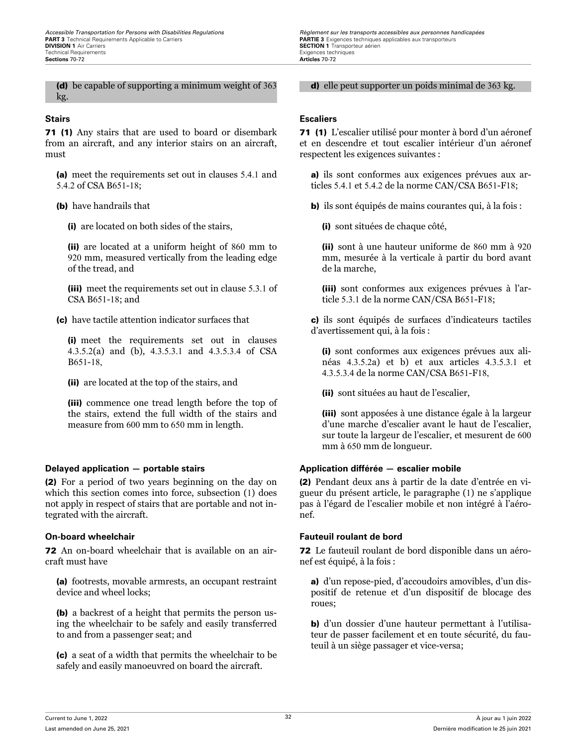(d) be capable of supporting a minimum weight of 363 kg.

71 (1) Any stairs that are used to board or disembark from an aircraft, and any interior stairs on an aircraft, must

(a) meet the requirements set out in clauses 5.4.1 and 5.4.2 of CSA B651-18;

(b) have handrails that

(i) are located on both sides of the stairs,

(ii) are located at a uniform height of 860 mm to 920 mm, measured vertically from the leading edge of the tread, and

(iii) meet the requirements set out in clause 5.3.1 of CSA B651-18; and

(c) have tactile attention indicator surfaces that

(i) meet the requirements set out in clauses 4.3.5.2(a) and (b), 4.3.5.3.1 and 4.3.5.3.4 of CSA B651-18,

(ii) are located at the top of the stairs, and

(iii) commence one tread length before the top of the stairs, extend the full width of the stairs and measure from 600 mm to 650 mm in length.

(2) For a period of two years beginning on the day on which this section comes into force, subsection (1) does not apply in respect of stairs that are portable and not integrated with the aircraft.

72 An on-board wheelchair that is available on an aircraft must have

(a) footrests, movable armrests, an occupant restraint device and wheel locks;

(b) a backrest of a height that permits the person using the wheelchair to be safely and easily transferred to and from a passenger seat; and

(c) a seat of a width that permits the wheelchair to be safely and easily manoeuvred on board the aircraft.

*Accessible Transportation for Persons with Disabilities Regulations Regulations Règlement sur les transports accessibles aux personnes handicapées*<br>**PART 3** Technical Requirements Applicable to Carriers **Carriers SECTION 1** Transporteur aérien<br>Exigences techniques

d) elle peut supporter un poids minimal de 363 kg.

### **Stairs Escaliers**

71 (1) L'escalier utilisé pour monter à bord d'un aéronef et en descendre et tout escalier intérieur d'un aéronef respectent les exigences suivantes :

a) ils sont conformes aux exigences prévues aux articles 5.4.1 et 5.4.2 de la norme CAN/CSA B651-F18;

b) ils sont équipés de mains courantes qui, à la fois :

(i) sont situées de chaque côté,

(ii) sont à une hauteur uniforme de 860 mm à 920 mm, mesurée à la verticale à partir du bord avant de la marche,

(iii) sont conformes aux exigences prévues à l'article 5.3.1 de la norme CAN/CSA B651-F18;

c) ils sont équipés de surfaces d'indicateurs tactiles d'avertissement qui, à la fois :

(i) sont conformes aux exigences prévues aux alinéas 4.3.5.2a) et b) et aux articles 4.3.5.3.1 et 4.3.5.3.4 de la norme CAN/CSA B651-F18,

(ii) sont situées au haut de l'escalier,

(iii) sont apposées à une distance égale à la largeur d'une marche d'escalier avant le haut de l'escalier, sur toute la largeur de l'escalier, et mesurent de 600 mm à 650 mm de longueur.

### **Delayed application — portable stairs Application différée — escalier mobile**

(2) Pendant deux ans à partir de la date d'entrée en vigueur du présent article, le paragraphe (1) ne s'applique pas à l'égard de l'escalier mobile et non intégré à l'aéronef.

### **On-board wheelchair Fauteuil roulant de bord**

72 Le fauteuil roulant de bord disponible dans un aéronef est équipé, à la fois :

a) d'un repose-pied, d'accoudoirs amovibles, d'un dispositif de retenue et d'un dispositif de blocage des roues;

b) d'un dossier d'une hauteur permettant à l'utilisateur de passer facilement et en toute sécurité, du fauteuil à un siège passager et vice-versa;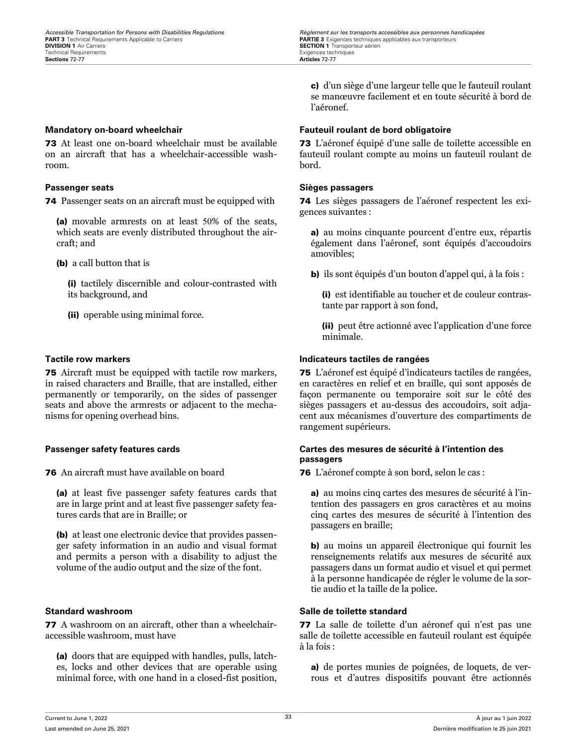73 At least one on-board wheelchair must be available on an aircraft that has a wheelchair-accessible washroom.

74 Passenger seats on an aircraft must be equipped with

(a) movable armrests on at least 50% of the seats, which seats are evenly distributed throughout the aircraft; and

(b) a call button that is

(i) tactilely discernible and colour-contrasted with its background, and

(ii) operable using minimal force.

75 Aircraft must be equipped with tactile row markers, in raised characters and Braille, that are installed, either permanently or temporarily, on the sides of passenger seats and above the armrests or adjacent to the mechanisms for opening overhead bins.

76 An aircraft must have available on board

(a) at least five passenger safety features cards that are in large print and at least five passenger safety features cards that are in Braille; or

(b) at least one electronic device that provides passenger safety information in an audio and visual format and permits a person with a disability to adjust the volume of the audio output and the size of the font.

77 A washroom on an aircraft, other than a wheelchairaccessible washroom, must have

(a) doors that are equipped with handles, pulls, latches, locks and other devices that are operable using minimal force, with one hand in a closed-fist position,

c) d'un siège d'une largeur telle que le fauteuil roulant se manœuvre facilement et en toute sécurité à bord de l'aéronef.

## **Mandatory on-board wheelchair Fauteuil roulant de bord obligatoire**

73 L'aéronef équipé d'une salle de toilette accessible en fauteuil roulant compte au moins un fauteuil roulant de bord.

### **Passenger seats Sièges passagers**

74 Les sièges passagers de l'aéronef respectent les exigences suivantes :

a) au moins cinquante pourcent d'entre eux, répartis également dans l'aéronef, sont équipés d'accoudoirs amovibles;

b) ils sont équipés d'un bouton d'appel qui, à la fois :

(i) est identifiable au toucher et de couleur contrastante par rapport à son fond,

(ii) peut être actionné avec l'application d'une force minimale.

## **Tactile row markers Indicateurs tactiles de rangées**

75 L'aéronef est équipé d'indicateurs tactiles de rangées, en caractères en relief et en braille, qui sont apposés de façon permanente ou temporaire soit sur le côté des sièges passagers et au-dessus des accoudoirs, soit adjacent aux mécanismes d'ouverture des compartiments de rangement supérieurs.

### **Passenger safety features cards Cartes des mesures de sécurité à l'intention des passagers**

76 L'aéronef compte à son bord, selon le cas :

a) au moins cinq cartes des mesures de sécurité à l'intention des passagers en gros caractères et au moins cinq cartes des mesures de sécurité à l'intention des passagers en braille;

b) au moins un appareil électronique qui fournit les renseignements relatifs aux mesures de sécurité aux passagers dans un format audio et visuel et qui permet à la personne handicapée de régler le volume de la sortie audio et la taille de la police.

# **Standard washroom Salle de toilette standard**

77 La salle de toilette d'un aéronef qui n'est pas une salle de toilette accessible en fauteuil roulant est équipée à la fois :

a) de portes munies de poignées, de loquets, de verrous et d'autres dispositifs pouvant être actionnés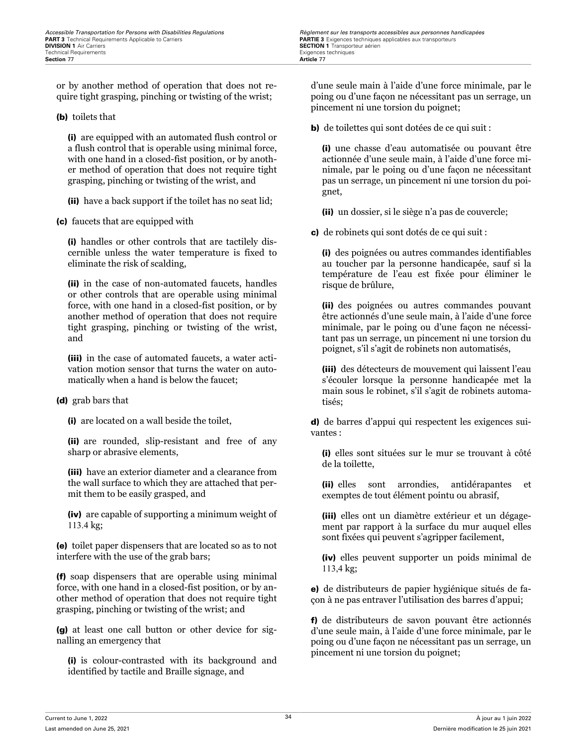or by another method of operation that does not require tight grasping, pinching or twisting of the wrist;

### (b) toilets that

(i) are equipped with an automated flush control or a flush control that is operable using minimal force, with one hand in a closed-fist position, or by another method of operation that does not require tight grasping, pinching or twisting of the wrist, and

(ii) have a back support if the toilet has no seat lid;

(c) faucets that are equipped with

(i) handles or other controls that are tactilely discernible unless the water temperature is fixed to eliminate the risk of scalding,

(ii) in the case of non-automated faucets, handles or other controls that are operable using minimal force, with one hand in a closed-fist position, or by another method of operation that does not require tight grasping, pinching or twisting of the wrist, and

(iii) in the case of automated faucets, a water activation motion sensor that turns the water on automatically when a hand is below the faucet;

### (d) grab bars that

(i) are located on a wall beside the toilet,

(ii) are rounded, slip-resistant and free of any sharp or abrasive elements,

(iii) have an exterior diameter and a clearance from the wall surface to which they are attached that permit them to be easily grasped, and

(iv) are capable of supporting a minimum weight of 113.4 kg;

(e) toilet paper dispensers that are located so as to not interfere with the use of the grab bars;

(f) soap dispensers that are operable using minimal force, with one hand in a closed-fist position, or by another method of operation that does not require tight grasping, pinching or twisting of the wrist; and

(g) at least one call button or other device for signalling an emergency that

(i) is colour-contrasted with its background and identified by tactile and Braille signage, and

d'une seule main à l'aide d'une force minimale, par le poing ou d'une façon ne nécessitant pas un serrage, un pincement ni une torsion du poignet;

b) de toilettes qui sont dotées de ce qui suit :

(i) une chasse d'eau automatisée ou pouvant être actionnée d'une seule main, à l'aide d'une force minimale, par le poing ou d'une façon ne nécessitant pas un serrage, un pincement ni une torsion du poignet,

(ii) un dossier, si le siège n'a pas de couvercle;

c) de robinets qui sont dotés de ce qui suit :

(i) des poignées ou autres commandes identifiables au toucher par la personne handicapée, sauf si la température de l'eau est fixée pour éliminer le risque de brûlure,

(ii) des poignées ou autres commandes pouvant être actionnés d'une seule main, à l'aide d'une force minimale, par le poing ou d'une façon ne nécessitant pas un serrage, un pincement ni une torsion du poignet, s'il s'agit de robinets non automatisés,

(iii) des détecteurs de mouvement qui laissent l'eau s'écouler lorsque la personne handicapée met la main sous le robinet, s'il s'agit de robinets automatisés;

d) de barres d'appui qui respectent les exigences suivantes :

(i) elles sont situées sur le mur se trouvant à côté de la toilette,

(ii) elles sont arrondies, antidérapantes et exemptes de tout élément pointu ou abrasif,

(iii) elles ont un diamètre extérieur et un dégagement par rapport à la surface du mur auquel elles sont fixées qui peuvent s'agripper facilement,

(iv) elles peuvent supporter un poids minimal de 113,4 kg;

e) de distributeurs de papier hygiénique situés de façon à ne pas entraver l'utilisation des barres d'appui;

f) de distributeurs de savon pouvant être actionnés d'une seule main, à l'aide d'une force minimale, par le poing ou d'une façon ne nécessitant pas un serrage, un pincement ni une torsion du poignet;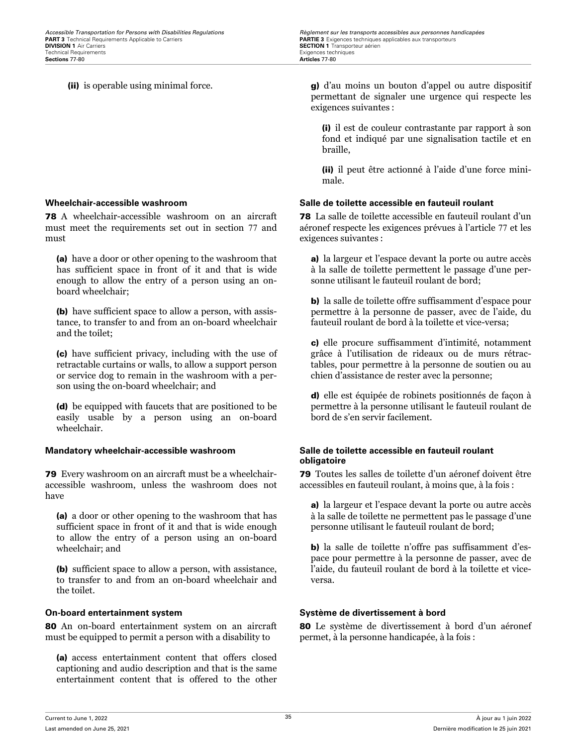78 A wheelchair-accessible washroom on an aircraft must meet the requirements set out in section 77 and must

(a) have a door or other opening to the washroom that has sufficient space in front of it and that is wide enough to allow the entry of a person using an onboard wheelchair;

(b) have sufficient space to allow a person, with assistance, to transfer to and from an on-board wheelchair and the toilet;

(c) have sufficient privacy, including with the use of retractable curtains or walls, to allow a support person or service dog to remain in the washroom with a person using the on-board wheelchair; and

(d) be equipped with faucets that are positioned to be easily usable by a person using an on-board wheelchair.

79 Every washroom on an aircraft must be a wheelchairaccessible washroom, unless the washroom does not have

(a) a door or other opening to the washroom that has sufficient space in front of it and that is wide enough to allow the entry of a person using an on-board wheelchair; and

(b) sufficient space to allow a person, with assistance, to transfer to and from an on-board wheelchair and the toilet.

80 An on-board entertainment system on an aircraft must be equipped to permit a person with a disability to

(a) access entertainment content that offers closed captioning and audio description and that is the same entertainment content that is offered to the other

(ii) is operable using minimal force. g) d'au moins un bouton d'appel ou autre dispositif permettant de signaler une urgence qui respecte les exigences suivantes :

> (i) il est de couleur contrastante par rapport à son fond et indiqué par une signalisation tactile et en braille,

> (ii) il peut être actionné à l'aide d'une force minimale.

### **Wheelchair-accessible washroom Salle de toilette accessible en fauteuil roulant**

78 La salle de toilette accessible en fauteuil roulant d'un aéronef respecte les exigences prévues à l'article 77 et les exigences suivantes :

a) la largeur et l'espace devant la porte ou autre accès à la salle de toilette permettent le passage d'une personne utilisant le fauteuil roulant de bord;

b) la salle de toilette offre suffisamment d'espace pour permettre à la personne de passer, avec de l'aide, du fauteuil roulant de bord à la toilette et vice-versa;

c) elle procure suffisamment d'intimité, notamment grâce à l'utilisation de rideaux ou de murs rétractables, pour permettre à la personne de soutien ou au chien d'assistance de rester avec la personne;

d) elle est équipée de robinets positionnés de façon à permettre à la personne utilisant le fauteuil roulant de bord de s'en servir facilement.

### **Mandatory wheelchair-accessible washroom Salle de toilette accessible en fauteuil roulant obligatoire**

79 Toutes les salles de toilette d'un aéronef doivent être accessibles en fauteuil roulant, à moins que, à la fois :

a) la largeur et l'espace devant la porte ou autre accès à la salle de toilette ne permettent pas le passage d'une personne utilisant le fauteuil roulant de bord;

b) la salle de toilette n'offre pas suffisamment d'espace pour permettre à la personne de passer, avec de l'aide, du fauteuil roulant de bord à la toilette et viceversa.

### **On-board entertainment system Système de divertissement à bord**

80 Le système de divertissement à bord d'un aéronef permet, à la personne handicapée, à la fois :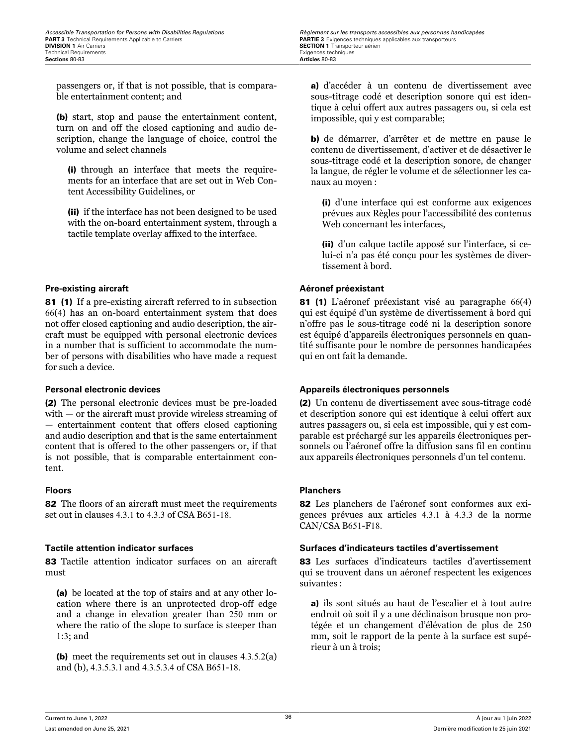passengers or, if that is not possible, that is comparable entertainment content; and

(b) start, stop and pause the entertainment content, turn on and off the closed captioning and audio description, change the language of choice, control the volume and select channels

(i) through an interface that meets the requirements for an interface that are set out in Web Content Accessibility Guidelines, or

(ii) if the interface has not been designed to be used with the on-board entertainment system, through a tactile template overlay affixed to the interface.

### **Pre-existing aircraft Aéronef préexistant**

81 (1) If a pre-existing aircraft referred to in subsection 66(4) has an on-board entertainment system that does not offer closed captioning and audio description, the aircraft must be equipped with personal electronic devices in a number that is sufficient to accommodate the number of persons with disabilities who have made a request for such a device.

(2) The personal electronic devices must be pre-loaded with — or the aircraft must provide wireless streaming of — entertainment content that offers closed captioning and audio description and that is the same entertainment content that is offered to the other passengers or, if that is not possible, that is comparable entertainment content.

82 The floors of an aircraft must meet the requirements set out in clauses 4.3.1 to 4.3.3 of CSA B651-18.

83 Tactile attention indicator surfaces on an aircraft must

(a) be located at the top of stairs and at any other location where there is an unprotected drop-off edge and a change in elevation greater than 250 mm or where the ratio of the slope to surface is steeper than 1:3; and

(b) meet the requirements set out in clauses 4.3.5.2(a) and (b), 4.3.5.3.1 and 4.3.5.3.4 of CSA B651-18.

a) d'accéder à un contenu de divertissement avec sous-titrage codé et description sonore qui est identique à celui offert aux autres passagers ou, si cela est impossible, qui y est comparable;

b) de démarrer, d'arrêter et de mettre en pause le contenu de divertissement, d'activer et de désactiver le sous-titrage codé et la description sonore, de changer la langue, de régler le volume et de sélectionner les canaux au moyen :

(i) d'une interface qui est conforme aux exigences prévues aux Règles pour l'accessibilité des contenus Web concernant les interfaces,

(ii) d'un calque tactile apposé sur l'interface, si celui-ci n'a pas été conçu pour les systèmes de divertissement à bord.

81 (1) L'aéronef préexistant visé au paragraphe 66(4) qui est équipé d'un système de divertissement à bord qui n'offre pas le sous-titrage codé ni la description sonore est équipé d'appareils électroniques personnels en quantité suffisante pour le nombre de personnes handicapées qui en ont fait la demande.

### **Personal electronic devices Appareils électroniques personnels**

(2) Un contenu de divertissement avec sous-titrage codé et description sonore qui est identique à celui offert aux autres passagers ou, si cela est impossible, qui y est comparable est préchargé sur les appareils électroniques personnels ou l'aéronef offre la diffusion sans fil en continu aux appareils électroniques personnels d'un tel contenu.

### **Floors Planchers**

82 Les planchers de l'aéronef sont conformes aux exigences prévues aux articles 4.3.1 à 4.3.3 de la norme CAN/CSA B651-F18.

### **Tactile attention indicator surfaces Surfaces d'indicateurs tactiles d'avertissement**

83 Les surfaces d'indicateurs tactiles d'avertissement qui se trouvent dans un aéronef respectent les exigences suivantes :

a) ils sont situés au haut de l'escalier et à tout autre endroit où soit il y a une déclinaison brusque non protégée et un changement d'élévation de plus de 250 mm, soit le rapport de la pente à la surface est supérieur à un à trois;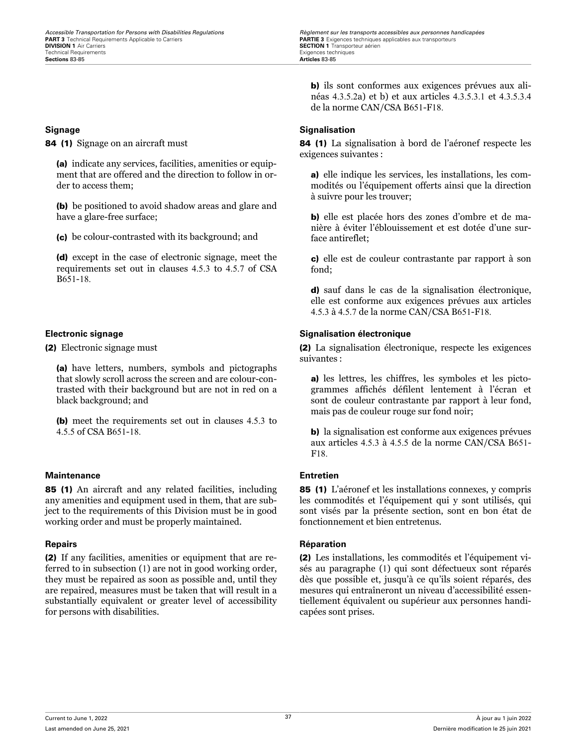84 (1) Signage on an aircraft must

(a) indicate any services, facilities, amenities or equipment that are offered and the direction to follow in order to access them;

(b) be positioned to avoid shadow areas and glare and have a glare-free surface;

(c) be colour-contrasted with its background; and

(d) except in the case of electronic signage, meet the requirements set out in clauses 4.5.3 to 4.5.7 of CSA B651-18.

(2) Electronic signage must

(a) have letters, numbers, symbols and pictographs that slowly scroll across the screen and are colour-contrasted with their background but are not in red on a black background; and

(b) meet the requirements set out in clauses 4.5.3 to 4.5.5 of CSA B651-18.

### **Maintenance Entretien**

85 (1) An aircraft and any related facilities, including any amenities and equipment used in them, that are subject to the requirements of this Division must be in good working order and must be properly maintained.

(2) If any facilities, amenities or equipment that are referred to in subsection (1) are not in good working order, they must be repaired as soon as possible and, until they are repaired, measures must be taken that will result in a substantially equivalent or greater level of accessibility for persons with disabilities.

b) ils sont conformes aux exigences prévues aux alinéas 4.3.5.2a) et b) et aux articles 4.3.5.3.1 et 4.3.5.3.4 de la norme CAN/CSA B651-F18.

### **Signage Signalisation**

84 (1) La signalisation à bord de l'aéronef respecte les exigences suivantes :

a) elle indique les services, les installations, les commodités ou l'équipement offerts ainsi que la direction à suivre pour les trouver;

b) elle est placée hors des zones d'ombre et de manière à éviter l'éblouissement et est dotée d'une surface antireflet;

c) elle est de couleur contrastante par rapport à son fond;

d) sauf dans le cas de la signalisation électronique, elle est conforme aux exigences prévues aux articles 4.5.3 à 4.5.7 de la norme CAN/CSA B651-F18.

### **Electronic signage Signalisation électronique**

(2) La signalisation électronique, respecte les exigences suivantes :

a) les lettres, les chiffres, les symboles et les pictogrammes affichés défilent lentement à l'écran et sont de couleur contrastante par rapport à leur fond, mais pas de couleur rouge sur fond noir;

b) la signalisation est conforme aux exigences prévues aux articles 4.5.3 à 4.5.5 de la norme CAN/CSA B651- F18.

85 (1) L'aéronef et les installations connexes, y compris les commodités et l'équipement qui y sont utilisés, qui sont visés par la présente section, sont en bon état de fonctionnement et bien entretenus.

### **Repairs Réparation**

(2) Les installations, les commodités et l'équipement visés au paragraphe (1) qui sont défectueux sont réparés dès que possible et, jusqu'à ce qu'ils soient réparés, des mesures qui entraîneront un niveau d'accessibilité essentiellement équivalent ou supérieur aux personnes handicapées sont prises.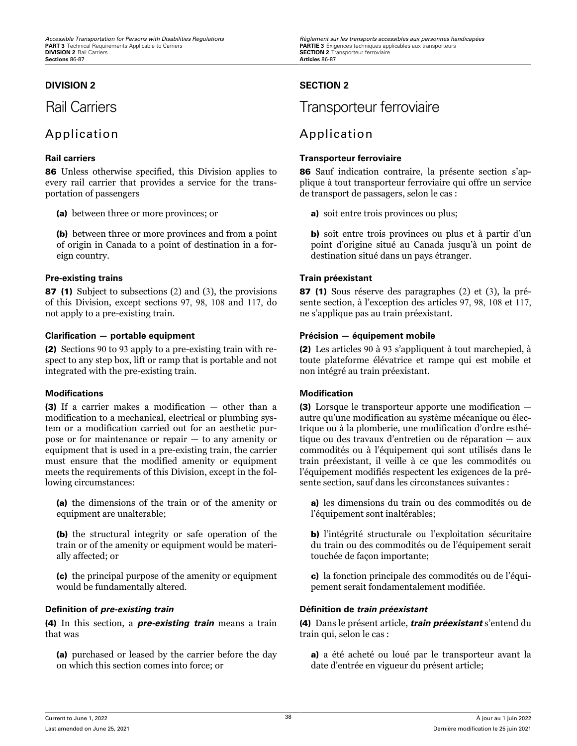### **DIVISION 2 SECTION 2**

# Application Application

86 Unless otherwise specified, this Division applies to every rail carrier that provides a service for the transportation of passengers

(a) between three or more provinces; or

(b) between three or more provinces and from a point of origin in Canada to a point of destination in a foreign country.

### **Pre-existing trains Train préexistant**

87 (1) Subject to subsections (2) and (3), the provisions of this Division, except sections 97, 98, 108 and 117, do not apply to a pre-existing train.

### **Clarification — portable equipment Précision — équipement mobile**

(2) Sections 90 to 93 apply to a pre-existing train with respect to any step box, lift or ramp that is portable and not integrated with the pre-existing train.

### **Modifications Modification**

(3) If a carrier makes a modification — other than a modification to a mechanical, electrical or plumbing system or a modification carried out for an aesthetic purpose or for maintenance or repair — to any amenity or equipment that is used in a pre-existing train, the carrier must ensure that the modified amenity or equipment meets the requirements of this Division, except in the following circumstances:

(a) the dimensions of the train or of the amenity or equipment are unalterable;

(b) the structural integrity or safe operation of the train or of the amenity or equipment would be materially affected; or

(c) the principal purpose of the amenity or equipment would be fundamentally altered.

### **Definition of** *pre-existing train* **Définition de** *train préexistant*

(4) In this section, a *pre-existing train* means a train that was

(a) purchased or leased by the carrier before the day on which this section comes into force; or

# Rail Carriers **Transporteur ferroviaire**

### **Rail carriers Transporteur ferroviaire**

86 Sauf indication contraire, la présente section s'applique à tout transporteur ferroviaire qui offre un service de transport de passagers, selon le cas :

a) soit entre trois provinces ou plus;

b) soit entre trois provinces ou plus et à partir d'un point d'origine situé au Canada jusqu'à un point de destination situé dans un pays étranger.

87 (1) Sous réserve des paragraphes (2) et (3), la présente section, à l'exception des articles 97, 98, 108 et 117, ne s'applique pas au train préexistant.

(2) Les articles 90 à 93 s'appliquent à tout marchepied, à toute plateforme élévatrice et rampe qui est mobile et non intégré au train préexistant.

(3) Lorsque le transporteur apporte une modification autre qu'une modification au système mécanique ou électrique ou à la plomberie, une modification d'ordre esthétique ou des travaux d'entretien ou de réparation — aux commodités ou à l'équipement qui sont utilisés dans le train préexistant, il veille à ce que les commodités ou l'équipement modifiés respectent les exigences de la présente section, sauf dans les circonstances suivantes :

a) les dimensions du train ou des commodités ou de l'équipement sont inaltérables;

b) l'intégrité structurale ou l'exploitation sécuritaire du train ou des commodités ou de l'équipement serait touchée de façon importante;

c) la fonction principale des commodités ou de l'équipement serait fondamentalement modifiée.

(4) Dans le présent article, *train préexistant* s'entend du train qui, selon le cas :

a) a été acheté ou loué par le transporteur avant la date d'entrée en vigueur du présent article;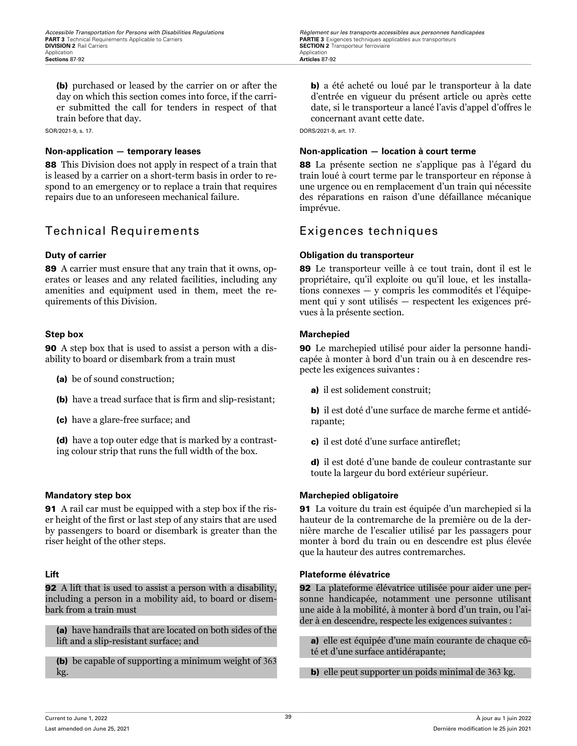(b) purchased or leased by the carrier on or after the day on which this section comes into force, if the carrier submitted the call for tenders in respect of that train before that day.

SOR/2021-9, s. 17.

88 This Division does not apply in respect of a train that is leased by a carrier on a short-term basis in order to respond to an emergency or to replace a train that requires repairs due to an unforeseen mechanical failure.

# Technical Requirements Exigences techniques

89 A carrier must ensure that any train that it owns, operates or leases and any related facilities, including any amenities and equipment used in them, meet the requirements of this Division.

90 A step box that is used to assist a person with a disability to board or disembark from a train must

- (a) be of sound construction;
- (b) have a tread surface that is firm and slip-resistant;
- (c) have a glare-free surface; and

(d) have a top outer edge that is marked by a contrasting colour strip that runs the full width of the box.

91 A rail car must be equipped with a step box if the riser height of the first or last step of any stairs that are used by passengers to board or disembark is greater than the riser height of the other steps.

**92** A lift that is used to assist a person with a disability, including a person in a mobility aid, to board or disembark from a train must

(a) have handrails that are located on both sides of the lift and a slip-resistant surface; and

(b) be capable of supporting a minimum weight of 363 kg.

b) a été acheté ou loué par le transporteur à la date d'entrée en vigueur du présent article ou après cette date, si le transporteur a lancé l'avis d'appel d'offres le concernant avant cette date.

DORS/2021-9, art. 17.

### **Non-application — temporary leases Non-application — location à court terme**

88 La présente section ne s'applique pas à l'égard du train loué à court terme par le transporteur en réponse à une urgence ou en remplacement d'un train qui nécessite des réparations en raison d'une défaillance mécanique imprévue.

### **Duty of carrier Obligation du transporteur**

89 Le transporteur veille à ce tout train, dont il est le propriétaire, qu'il exploite ou qu'il loue, et les installations connexes — y compris les commodités et l'équipement qui y sont utilisés — respectent les exigences prévues à la présente section.

### **Step box Marchepied**

90 Le marchepied utilisé pour aider la personne handicapée à monter à bord d'un train ou à en descendre respecte les exigences suivantes :

a) il est solidement construit;

b) il est doté d'une surface de marche ferme et antidérapante;

c) il est doté d'une surface antireflet;

d) il est doté d'une bande de couleur contrastante sur toute la largeur du bord extérieur supérieur.

### **Mandatory step box Marchepied obligatoire**

91 La voiture du train est équipée d'un marchepied si la hauteur de la contremarche de la première ou de la dernière marche de l'escalier utilisé par les passagers pour monter à bord du train ou en descendre est plus élevée que la hauteur des autres contremarches.

### **Lift Plateforme élévatrice**

92 La plateforme élévatrice utilisée pour aider une personne handicapée, notamment une personne utilisant une aide à la mobilité, à monter à bord d'un train, ou l'aider à en descendre, respecte les exigences suivantes :

a) elle est équipée d'une main courante de chaque côté et d'une surface antidérapante;

b) elle peut supporter un poids minimal de 363 kg.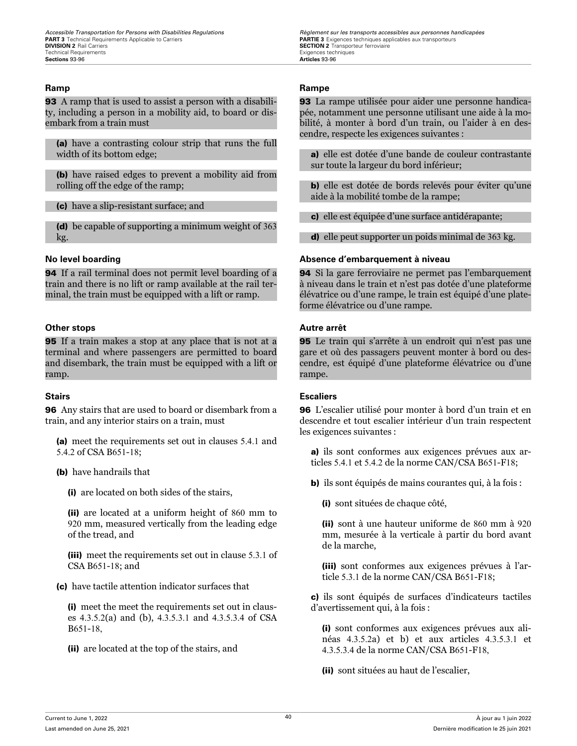**93** A ramp that is used to assist a person with a disability, including a person in a mobility aid, to board or disembark from a train must

(a) have a contrasting colour strip that runs the full width of its bottom edge;

(b) have raised edges to prevent a mobility aid from rolling off the edge of the ramp;

(c) have a slip-resistant surface; and

(d) be capable of supporting a minimum weight of 363 kg.

94 If a rail terminal does not permit level boarding of a train and there is no lift or ramp available at the rail terminal, the train must be equipped with a lift or ramp.

### **Other stops Autre arrêt**

95 If a train makes a stop at any place that is not at a terminal and where passengers are permitted to board and disembark, the train must be equipped with a lift or ramp.

96 Any stairs that are used to board or disembark from a train, and any interior stairs on a train, must

(a) meet the requirements set out in clauses 5.4.1 and 5.4.2 of CSA B651-18;

(b) have handrails that

(i) are located on both sides of the stairs,

(ii) are located at a uniform height of 860 mm to 920 mm, measured vertically from the leading edge of the tread, and

(iii) meet the requirements set out in clause 5.3.1 of CSA B651-18; and

(c) have tactile attention indicator surfaces that

(i) meet the meet the requirements set out in clauses 4.3.5.2(a) and (b), 4.3.5.3.1 and 4.3.5.3.4 of CSA B651-18,

(ii) are located at the top of the stairs, and

*Accessible Transportation for Persons with Disabilities Regulations Regulations Règlement sur les transports accessibles aux personnes handicapées*<br>**PART 3** Technical Requirements Applicable to Carriers **Carriers SECTION 2** Transporteur ferroviaire<br>Exigences techniques

### **Ramp Rampe**

93 La rampe utilisée pour aider une personne handicapée, notamment une personne utilisant une aide à la mobilité, à monter à bord d'un train, ou l'aider à en descendre, respecte les exigences suivantes :

a) elle est dotée d'une bande de couleur contrastante sur toute la largeur du bord inférieur;

b) elle est dotée de bords relevés pour éviter qu'une aide à la mobilité tombe de la rampe;

c) elle est équipée d'une surface antidérapante;

d) elle peut supporter un poids minimal de 363 kg.

### **No level boarding Absence d'embarquement à niveau**

94 Si la gare ferroviaire ne permet pas l'embarquement à niveau dans le train et n'est pas dotée d'une plateforme élévatrice ou d'une rampe, le train est équipé d'une plateforme élévatrice ou d'une rampe.

95 Le train qui s'arrête à un endroit qui n'est pas une gare et où des passagers peuvent monter à bord ou descendre, est équipé d'une plateforme élévatrice ou d'une rampe.

### **Stairs Escaliers**

96 L'escalier utilisé pour monter à bord d'un train et en descendre et tout escalier intérieur d'un train respectent les exigences suivantes :

a) ils sont conformes aux exigences prévues aux articles 5.4.1 et 5.4.2 de la norme CAN/CSA B651-F18;

b) ils sont équipés de mains courantes qui, à la fois :

(i) sont situées de chaque côté,

(ii) sont à une hauteur uniforme de 860 mm à 920 mm, mesurée à la verticale à partir du bord avant de la marche,

(iii) sont conformes aux exigences prévues à l'article 5.3.1 de la norme CAN/CSA B651-F18;

c) ils sont équipés de surfaces d'indicateurs tactiles d'avertissement qui, à la fois :

(i) sont conformes aux exigences prévues aux alinéas 4.3.5.2a) et b) et aux articles 4.3.5.3.1 et 4.3.5.3.4 de la norme CAN/CSA B651-F18,

(ii) sont situées au haut de l'escalier,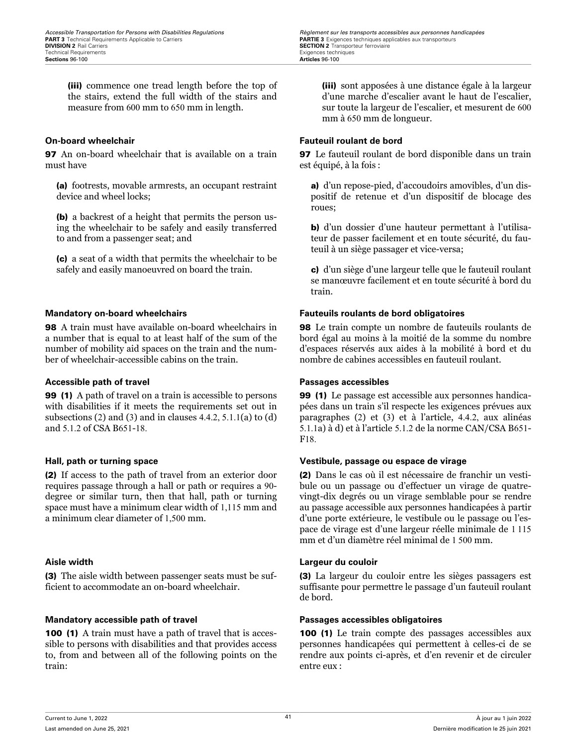(iii) commence one tread length before the top of the stairs, extend the full width of the stairs and measure from 600 mm to 650 mm in length.

97 An on-board wheelchair that is available on a train must have

(a) footrests, movable armrests, an occupant restraint device and wheel locks;

(b) a backrest of a height that permits the person using the wheelchair to be safely and easily transferred to and from a passenger seat; and

(c) a seat of a width that permits the wheelchair to be safely and easily manoeuvred on board the train.

98 A train must have available on-board wheelchairs in a number that is equal to at least half of the sum of the number of mobility aid spaces on the train and the number of wheelchair-accessible cabins on the train.

### **Accessible path of travel Passages accessibles**

99 (1) A path of travel on a train is accessible to persons with disabilities if it meets the requirements set out in subsections (2) and (3) and in clauses  $4.4.2$ ,  $5.1.1(a)$  to (d) and 5.1.2 of CSA B651-18.

(2) If access to the path of travel from an exterior door requires passage through a hall or path or requires a 90 degree or similar turn, then that hall, path or turning space must have a minimum clear width of 1,115 mm and a minimum clear diameter of 1,500 mm.

(3) The aisle width between passenger seats must be sufficient to accommodate an on-board wheelchair.

### **Mandatory accessible path of travel Passages accessibles obligatoires**

100 (1) A train must have a path of travel that is accessible to persons with disabilities and that provides access to, from and between all of the following points on the train:

*Accessible Transportation for Persons with Disabilities Regulations Regulations Règlement sur les transports accessibles aux personnes handicapées*<br>**PART 3** Technical Requirements Applicable to Carriers **Carriers SECTION 2** Transporteur ferroviaire<br>Exigences techniques

> (iii) sont apposées à une distance égale à la largeur d'une marche d'escalier avant le haut de l'escalier, sur toute la largeur de l'escalier, et mesurent de 600 mm à 650 mm de longueur.

### **On-board wheelchair Fauteuil roulant de bord**

97 Le fauteuil roulant de bord disponible dans un train est équipé, à la fois :

a) d'un repose-pied, d'accoudoirs amovibles, d'un dispositif de retenue et d'un dispositif de blocage des roues;

b) d'un dossier d'une hauteur permettant à l'utilisateur de passer facilement et en toute sécurité, du fauteuil à un siège passager et vice-versa;

c) d'un siège d'une largeur telle que le fauteuil roulant se manœuvre facilement et en toute sécurité à bord du train.

### **Mandatory on-board wheelchairs Fauteuils roulants de bord obligatoires**

98 Le train compte un nombre de fauteuils roulants de bord égal au moins à la moitié de la somme du nombre d'espaces réservés aux aides à la mobilité à bord et du nombre de cabines accessibles en fauteuil roulant.

99 (1) Le passage est accessible aux personnes handicapées dans un train s'il respecte les exigences prévues aux paragraphes (2) et (3) et à l'article, 4.4.2, aux alinéas 5.1.1a) à d) et à l'article 5.1.2 de la norme CAN/CSA B651- F18.

### **Hall, path or turning space Vestibule, passage ou espace de virage**

(2) Dans le cas où il est nécessaire de franchir un vestibule ou un passage ou d'effectuer un virage de quatrevingt-dix degrés ou un virage semblable pour se rendre au passage accessible aux personnes handicapées à partir d'une porte extérieure, le vestibule ou le passage ou l'espace de virage est d'une largeur réelle minimale de 1 115 mm et d'un diamètre réel minimal de 1 500 mm.

### **Aisle width Largeur du couloir**

(3) La largeur du couloir entre les sièges passagers est suffisante pour permettre le passage d'un fauteuil roulant de bord.

100 (1) Le train compte des passages accessibles aux personnes handicapées qui permettent à celles-ci de se rendre aux points ci-après, et d'en revenir et de circuler entre eux :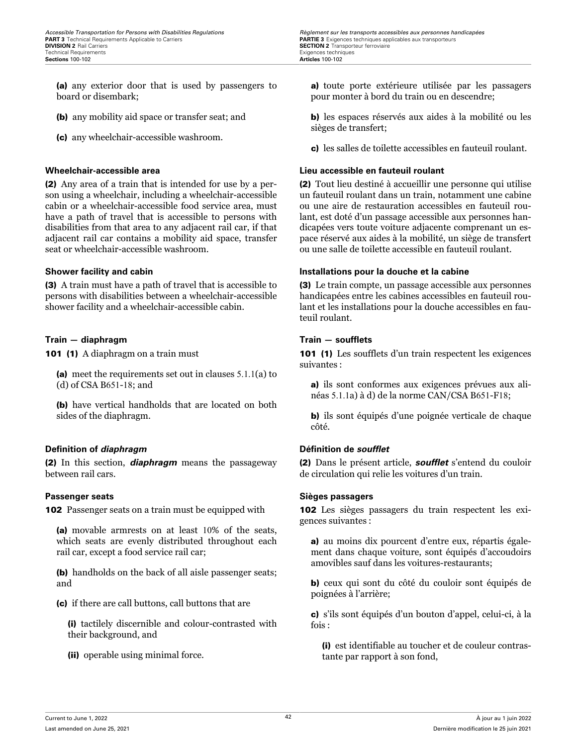(a) any exterior door that is used by passengers to board or disembark;

- (b) any mobility aid space or transfer seat; and
- (c) any wheelchair-accessible washroom.

(2) Any area of a train that is intended for use by a person using a wheelchair, including a wheelchair-accessible cabin or a wheelchair-accessible food service area, must have a path of travel that is accessible to persons with disabilities from that area to any adjacent rail car, if that adjacent rail car contains a mobility aid space, transfer seat or wheelchair-accessible washroom.

(3) A train must have a path of travel that is accessible to persons with disabilities between a wheelchair-accessible shower facility and a wheelchair-accessible cabin.

### **Train — diaphragm Train — soufflets**

101 (1) A diaphragm on a train must

(a) meet the requirements set out in clauses 5.1.1(a) to (d) of CSA B651-18; and

(b) have vertical handholds that are located on both sides of the diaphragm.

### **Definition of** *diaphragm* **Définition de** *soufflet*

(2) In this section, *diaphragm* means the passageway between rail cars.

**102** Passenger seats on a train must be equipped with

(a) movable armrests on at least 10% of the seats, which seats are evenly distributed throughout each rail car, except a food service rail car;

(b) handholds on the back of all aisle passenger seats; and

(c) if there are call buttons, call buttons that are

(i) tactilely discernible and colour-contrasted with their background, and

(ii) operable using minimal force.

*Accessible Transportation for Persons with Disabilities Regulations Regulations Règlement sur les transports accessibles aux personnes handicapées*<br>**PART 3** Technical Requirements Applicable to Carriers **Carriers SECTION 2** Transporteur ferroviaire<br>Exigences techniques

> a) toute porte extérieure utilisée par les passagers pour monter à bord du train ou en descendre;

> b) les espaces réservés aux aides à la mobilité ou les sièges de transfert;

c) les salles de toilette accessibles en fauteuil roulant.

### **Wheelchair-accessible area Lieu accessible en fauteuil roulant**

(2) Tout lieu destiné à accueillir une personne qui utilise un fauteuil roulant dans un train, notamment une cabine ou une aire de restauration accessibles en fauteuil roulant, est doté d'un passage accessible aux personnes handicapées vers toute voiture adjacente comprenant un espace réservé aux aides à la mobilité, un siège de transfert ou une salle de toilette accessible en fauteuil roulant.

### **Shower facility and cabin Installations pour la douche et la cabine**

(3) Le train compte, un passage accessible aux personnes handicapées entre les cabines accessibles en fauteuil roulant et les installations pour la douche accessibles en fauteuil roulant.

101 (1) Les soufflets d'un train respectent les exigences suivantes :

a) ils sont conformes aux exigences prévues aux alinéas 5.1.1a) à d) de la norme CAN/CSA B651-F18;

b) ils sont équipés d'une poignée verticale de chaque côté.

(2) Dans le présent article, *soufflet* s'entend du couloir de circulation qui relie les voitures d'un train.

### **Passenger seats Sièges passagers**

102 Les sièges passagers du train respectent les exigences suivantes :

a) au moins dix pourcent d'entre eux, répartis également dans chaque voiture, sont équipés d'accoudoirs amovibles sauf dans les voitures-restaurants;

b) ceux qui sont du côté du couloir sont équipés de poignées à l'arrière;

c) s'ils sont équipés d'un bouton d'appel, celui-ci, à la fois :

(i) est identifiable au toucher et de couleur contrastante par rapport à son fond,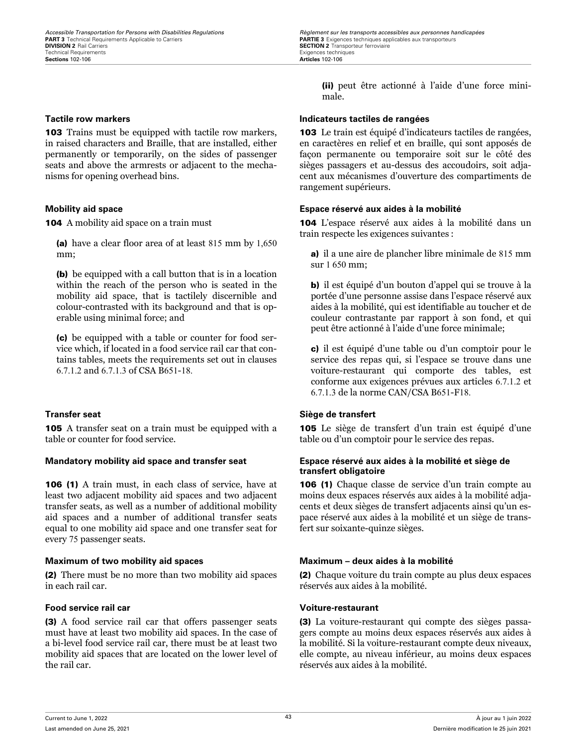**103** Trains must be equipped with tactile row markers, in raised characters and Braille, that are installed, either permanently or temporarily, on the sides of passenger seats and above the armrests or adjacent to the mechanisms for opening overhead bins.

104 A mobility aid space on a train must

(a) have a clear floor area of at least 815 mm by 1,650 mm;

(b) be equipped with a call button that is in a location within the reach of the person who is seated in the mobility aid space, that is tactilely discernible and colour-contrasted with its background and that is operable using minimal force; and

(c) be equipped with a table or counter for food service which, if located in a food service rail car that contains tables, meets the requirements set out in clauses 6.7.1.2 and 6.7.1.3 of CSA B651-18.

105 A transfer seat on a train must be equipped with a table or counter for food service.

106 (1) A train must, in each class of service, have at least two adjacent mobility aid spaces and two adjacent transfer seats, as well as a number of additional mobility aid spaces and a number of additional transfer seats equal to one mobility aid space and one transfer seat for every 75 passenger seats.

### **Maximum of two mobility aid spaces Maximum – deux aides à la mobilité**

(2) There must be no more than two mobility aid spaces in each rail car.

### **Food service rail car Voiture-restaurant**

(3) A food service rail car that offers passenger seats must have at least two mobility aid spaces. In the case of a bi-level food service rail car, there must be at least two mobility aid spaces that are located on the lower level of the rail car.

(ii) peut être actionné à l'aide d'une force minimale.

### **Tactile row markers Indicateurs tactiles de rangées**

103 Le train est équipé d'indicateurs tactiles de rangées, en caractères en relief et en braille, qui sont apposés de façon permanente ou temporaire soit sur le côté des sièges passagers et au-dessus des accoudoirs, soit adjacent aux mécanismes d'ouverture des compartiments de rangement supérieurs.

### **Mobility aid space Espace réservé aux aides à la mobilité**

104 L'espace réservé aux aides à la mobilité dans un train respecte les exigences suivantes :

a) il a une aire de plancher libre minimale de 815 mm sur 1 650 mm;

b) il est équipé d'un bouton d'appel qui se trouve à la portée d'une personne assise dans l'espace réservé aux aides à la mobilité, qui est identifiable au toucher et de couleur contrastante par rapport à son fond, et qui peut être actionné à l'aide d'une force minimale;

c) il est équipé d'une table ou d'un comptoir pour le service des repas qui, si l'espace se trouve dans une voiture-restaurant qui comporte des tables, est conforme aux exigences prévues aux articles 6.7.1.2 et 6.7.1.3 de la norme CAN/CSA B651-F18.

### **Transfer seat Siège de transfert**

105 Le siège de transfert d'un train est équipé d'une table ou d'un comptoir pour le service des repas.

### **Mandatory mobility aid space and transfer seat Espace réservé aux aides à la mobilité et siège de transfert obligatoire**

106 (1) Chaque classe de service d'un train compte au moins deux espaces réservés aux aides à la mobilité adjacents et deux sièges de transfert adjacents ainsi qu'un espace réservé aux aides à la mobilité et un siège de transfert sur soixante-quinze sièges.

(2) Chaque voiture du train compte au plus deux espaces réservés aux aides à la mobilité.

(3) La voiture-restaurant qui compte des sièges passagers compte au moins deux espaces réservés aux aides à la mobilité. Si la voiture-restaurant compte deux niveaux, elle compte, au niveau inférieur, au moins deux espaces réservés aux aides à la mobilité.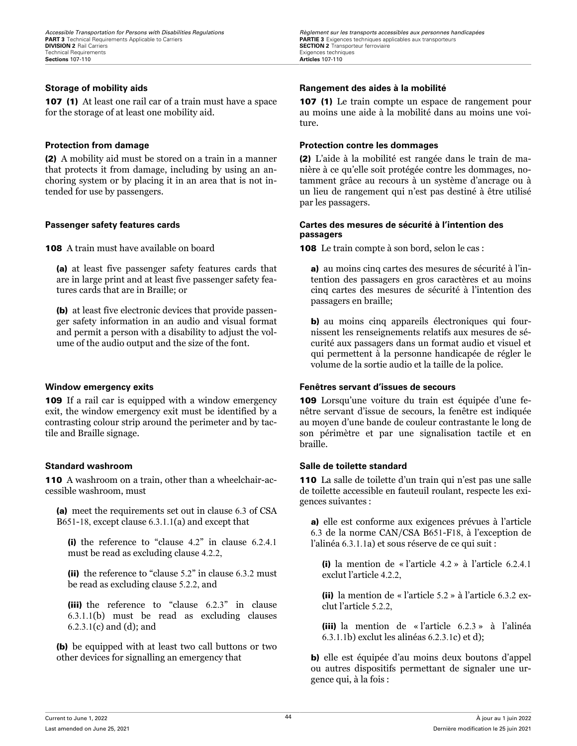107 (1) At least one rail car of a train must have a space for the storage of at least one mobility aid.

(2) A mobility aid must be stored on a train in a manner that protects it from damage, including by using an anchoring system or by placing it in an area that is not intended for use by passengers.

108 A train must have available on board

(a) at least five passenger safety features cards that are in large print and at least five passenger safety features cards that are in Braille; or

(b) at least five electronic devices that provide passenger safety information in an audio and visual format and permit a person with a disability to adjust the volume of the audio output and the size of the font.

109 If a rail car is equipped with a window emergency exit, the window emergency exit must be identified by a contrasting colour strip around the perimeter and by tactile and Braille signage.

110 A washroom on a train, other than a wheelchair-accessible washroom, must

(a) meet the requirements set out in clause 6.3 of CSA B651-18, except clause 6.3.1.1(a) and except that

(i) the reference to "clause 4.2" in clause 6.2.4.1 must be read as excluding clause 4.2.2,

(ii) the reference to "clause 5.2" in clause 6.3.2 must be read as excluding clause 5.2.2, and

(iii) the reference to "clause 6.2.3" in clause 6.3.1.1(b) must be read as excluding clauses 6.2.3.1(c) and (d); and

(b) be equipped with at least two call buttons or two other devices for signalling an emergency that

*Accessible Transportation for Persons with Disabilities Regulations Regulations Règlement sur les transports accessibles aux personnes handicapées*<br>**PART 3** Technical Requirements Applicable to Carriers **Carriers SECTION 2** Transporteur ferroviaire<br>Exigences techniques

### **Storage of mobility aids Rangement des aides à la mobilité**

107 (1) Le train compte un espace de rangement pour au moins une aide à la mobilité dans au moins une voiture.

### **Protection from damage Protection contre les dommages**

(2) L'aide à la mobilité est rangée dans le train de manière à ce qu'elle soit protégée contre les dommages, notamment grâce au recours à un système d'ancrage ou à un lieu de rangement qui n'est pas destiné à être utilisé par les passagers.

### **Passenger safety features cards Cartes des mesures de sécurité à l'intention des passagers**

108 Le train compte à son bord, selon le cas :

a) au moins cinq cartes des mesures de sécurité à l'intention des passagers en gros caractères et au moins cinq cartes des mesures de sécurité à l'intention des passagers en braille;

b) au moins cinq appareils électroniques qui fournissent les renseignements relatifs aux mesures de sécurité aux passagers dans un format audio et visuel et qui permettent à la personne handicapée de régler le volume de la sortie audio et la taille de la police.

### **Window emergency exits Fenêtres servant d'issues de secours**

109 Lorsqu'une voiture du train est équipée d'une fenêtre servant d'issue de secours, la fenêtre est indiquée au moyen d'une bande de couleur contrastante le long de son périmètre et par une signalisation tactile et en braille.

### **Standard washroom Salle de toilette standard**

110 La salle de toilette d'un train qui n'est pas une salle de toilette accessible en fauteuil roulant, respecte les exigences suivantes :

a) elle est conforme aux exigences prévues à l'article 6.3 de la norme CAN/CSA B651-F18, à l'exception de l'alinéa 6.3.1.1a) et sous réserve de ce qui suit :

(i) la mention de « l'article 4.2 » à l'article 6.2.4.1 exclut l'article 4.2.2,

(ii) la mention de « l'article 5.2 » à l'article 6.3.2 exclut l'article 5.2.2,

(iii) la mention de « l'article 6.2.3 » à l'alinéa 6.3.1.1b) exclut les alinéas 6.2.3.1c) et d);

b) elle est équipée d'au moins deux boutons d'appel ou autres dispositifs permettant de signaler une urgence qui, à la fois :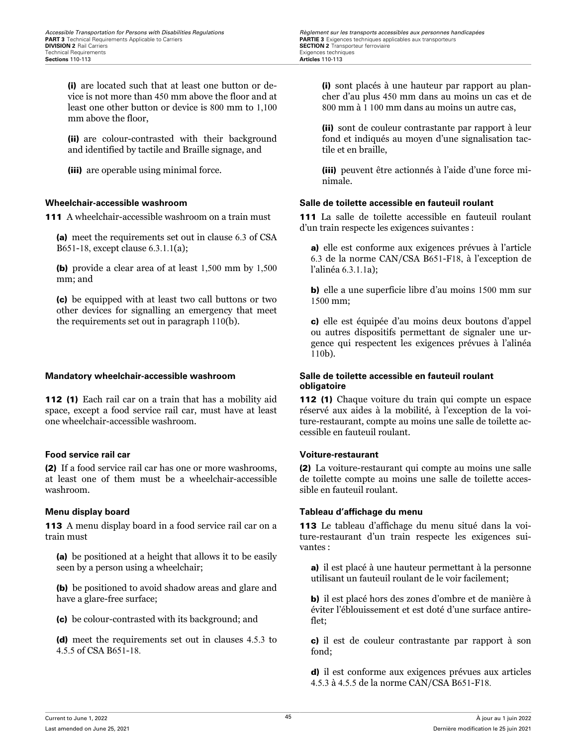(i) are located such that at least one button or device is not more than 450 mm above the floor and at least one other button or device is 800 mm to 1,100 mm above the floor,

(ii) are colour-contrasted with their background and identified by tactile and Braille signage, and

(iii) are operable using minimal force.

111 A wheelchair-accessible washroom on a train must

(a) meet the requirements set out in clause 6.3 of CSA B651-18, except clause 6.3.1.1(a);

(b) provide a clear area of at least 1,500 mm by 1,500 mm; and

(c) be equipped with at least two call buttons or two other devices for signalling an emergency that meet the requirements set out in paragraph 110(b).

112 (1) Each rail car on a train that has a mobility aid space, except a food service rail car, must have at least one wheelchair-accessible washroom.

### **Food service rail car Voiture-restaurant**

(2) If a food service rail car has one or more washrooms, at least one of them must be a wheelchair-accessible washroom.

113 A menu display board in a food service rail car on a train must

(a) be positioned at a height that allows it to be easily seen by a person using a wheelchair;

(b) be positioned to avoid shadow areas and glare and have a glare-free surface;

(c) be colour-contrasted with its background; and

(d) meet the requirements set out in clauses 4.5.3 to 4.5.5 of CSA B651-18.

*Accessible Transportation for Persons with Disabilities Regulations Regulations Règlement sur les transports accessibles aux personnes handicapées*<br>**PART 3** Technical Requirements Applicable to Carriers **Carriers SECTION 2** Transporteur ferroviaire<br>Exigences techniques

> (i) sont placés à une hauteur par rapport au plancher d'au plus 450 mm dans au moins un cas et de 800 mm à 1 100 mm dans au moins un autre cas,

> (ii) sont de couleur contrastante par rapport à leur fond et indiqués au moyen d'une signalisation tactile et en braille,

> (iii) peuvent être actionnés à l'aide d'une force minimale.

### **Wheelchair-accessible washroom Salle de toilette accessible en fauteuil roulant**

111 La salle de toilette accessible en fauteuil roulant d'un train respecte les exigences suivantes :

a) elle est conforme aux exigences prévues à l'article 6.3 de la norme CAN/CSA B651-F18, à l'exception de l'alinéa 6.3.1.1a);

b) elle a une superficie libre d'au moins 1500 mm sur 1500 mm;

c) elle est équipée d'au moins deux boutons d'appel ou autres dispositifs permettant de signaler une urgence qui respectent les exigences prévues à l'alinéa 110b).

### **Mandatory wheelchair-accessible washroom Salle de toilette accessible en fauteuil roulant obligatoire**

112 (1) Chaque voiture du train qui compte un espace réservé aux aides à la mobilité, à l'exception de la voiture-restaurant, compte au moins une salle de toilette accessible en fauteuil roulant.

(2) La voiture-restaurant qui compte au moins une salle de toilette compte au moins une salle de toilette accessible en fauteuil roulant.

### **Menu display board Tableau d'affichage du menu**

113 Le tableau d'affichage du menu situé dans la voiture-restaurant d'un train respecte les exigences suivantes :

a) il est placé à une hauteur permettant à la personne utilisant un fauteuil roulant de le voir facilement;

b) il est placé hors des zones d'ombre et de manière à éviter l'éblouissement et est doté d'une surface antireflet;

c) il est de couleur contrastante par rapport à son fond;

d) il est conforme aux exigences prévues aux articles 4.5.3 à 4.5.5 de la norme CAN/CSA B651-F18.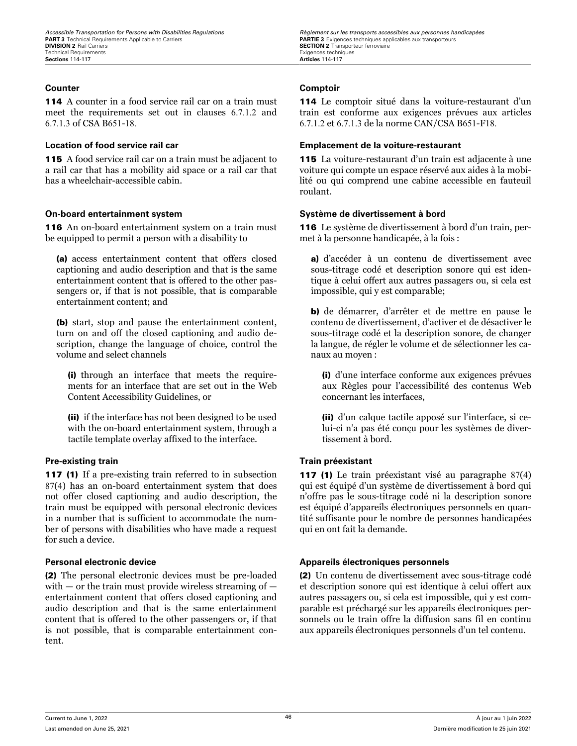114 A counter in a food service rail car on a train must meet the requirements set out in clauses 6.7.1.2 and 6.7.1.3 of CSA B651-18.

115 A food service rail car on a train must be adjacent to a rail car that has a mobility aid space or a rail car that has a wheelchair-accessible cabin.

116 An on-board entertainment system on a train must be equipped to permit a person with a disability to

(a) access entertainment content that offers closed captioning and audio description and that is the same entertainment content that is offered to the other passengers or, if that is not possible, that is comparable entertainment content; and

(b) start, stop and pause the entertainment content, turn on and off the closed captioning and audio description, change the language of choice, control the volume and select channels

(i) through an interface that meets the requirements for an interface that are set out in the Web Content Accessibility Guidelines, or

(ii) if the interface has not been designed to be used with the on-board entertainment system, through a tactile template overlay affixed to the interface.

### **Pre-existing train Train préexistant**

117 (1) If a pre-existing train referred to in subsection 87(4) has an on-board entertainment system that does not offer closed captioning and audio description, the train must be equipped with personal electronic devices in a number that is sufficient to accommodate the number of persons with disabilities who have made a request for such a device.

(2) The personal electronic devices must be pre-loaded with  $-$  or the train must provide wireless streaming of  $$ entertainment content that offers closed captioning and audio description and that is the same entertainment content that is offered to the other passengers or, if that is not possible, that is comparable entertainment content.

### **Counter Comptoir**

114 Le comptoir situé dans la voiture-restaurant d'un train est conforme aux exigences prévues aux articles 6.7.1.2 et 6.7.1.3 de la norme CAN/CSA B651-F18.

### **Location of food service rail car Emplacement de la voiture-restaurant**

115 La voiture-restaurant d'un train est adjacente à une voiture qui compte un espace réservé aux aides à la mobilité ou qui comprend une cabine accessible en fauteuil roulant.

### **On-board entertainment system Système de divertissement à bord**

116 Le système de divertissement à bord d'un train, permet à la personne handicapée, à la fois :

a) d'accéder à un contenu de divertissement avec sous-titrage codé et description sonore qui est identique à celui offert aux autres passagers ou, si cela est impossible, qui y est comparable;

b) de démarrer, d'arrêter et de mettre en pause le contenu de divertissement, d'activer et de désactiver le sous-titrage codé et la description sonore, de changer la langue, de régler le volume et de sélectionner les canaux au moyen :

(i) d'une interface conforme aux exigences prévues aux Règles pour l'accessibilité des contenus Web concernant les interfaces,

(ii) d'un calque tactile apposé sur l'interface, si celui-ci n'a pas été conçu pour les systèmes de divertissement à bord.

117 (1) Le train préexistant visé au paragraphe 87(4) qui est équipé d'un système de divertissement à bord qui n'offre pas le sous-titrage codé ni la description sonore est équipé d'appareils électroniques personnels en quantité suffisante pour le nombre de personnes handicapées qui en ont fait la demande.

### **Personal electronic device Appareils électroniques personnels**

(2) Un contenu de divertissement avec sous-titrage codé et description sonore qui est identique à celui offert aux autres passagers ou, si cela est impossible, qui y est comparable est préchargé sur les appareils électroniques personnels ou le train offre la diffusion sans fil en continu aux appareils électroniques personnels d'un tel contenu.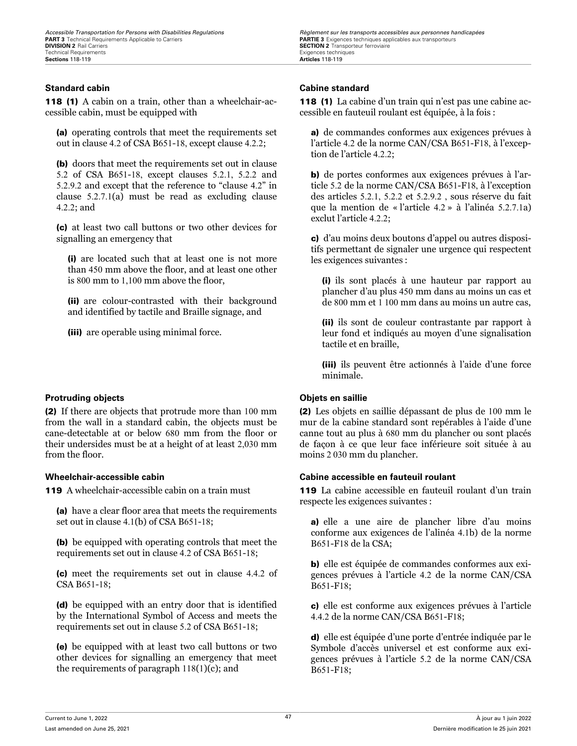### **Standard cabin Cabine standard**

118 (1) A cabin on a train, other than a wheelchair-accessible cabin, must be equipped with

(a) operating controls that meet the requirements set out in clause 4.2 of CSA B651-18, except clause 4.2.2;

(b) doors that meet the requirements set out in clause 5.2 of CSA B651-18, except clauses 5.2.1, 5.2.2 and 5.2.9.2 and except that the reference to "clause 4.2" in clause 5.2.7.1(a) must be read as excluding clause 4.2.2; and

(c) at least two call buttons or two other devices for signalling an emergency that

(i) are located such that at least one is not more than 450 mm above the floor, and at least one other is 800 mm to 1,100 mm above the floor,

(ii) are colour-contrasted with their background and identified by tactile and Braille signage, and

(iii) are operable using minimal force.

### **Protruding objects Objets en saillie**

(2) If there are objects that protrude more than 100 mm from the wall in a standard cabin, the objects must be cane-detectable at or below 680 mm from the floor or their undersides must be at a height of at least 2,030 mm from the floor.

119 A wheelchair-accessible cabin on a train must

(a) have a clear floor area that meets the requirements set out in clause 4.1(b) of CSA B651-18;

(b) be equipped with operating controls that meet the requirements set out in clause 4.2 of CSA B651-18;

(c) meet the requirements set out in clause 4.4.2 of CSA B651-18;

(d) be equipped with an entry door that is identified by the International Symbol of Access and meets the requirements set out in clause 5.2 of CSA B651-18;

(e) be equipped with at least two call buttons or two other devices for signalling an emergency that meet the requirements of paragraph 118(1)(c); and

*Accessible Transportation for Persons with Disabilities Regulations Regulations Règlement sur les transports accessibles aux personnes handicapées*<br>**PART 3** Technical Requirements Applicable to Carriers **Carriers SECTION 2** Transporteur ferroviaire<br>Exigences techniques

118 (1) La cabine d'un train qui n'est pas une cabine accessible en fauteuil roulant est équipée, à la fois :

a) de commandes conformes aux exigences prévues à l'article 4.2 de la norme CAN/CSA B651-F18, à l'exception de l'article 4.2.2;

b) de portes conformes aux exigences prévues à l'article 5.2 de la norme CAN/CSA B651-F18, à l'exception des articles 5.2.1, 5.2.2 et 5.2.9.2 , sous réserve du fait que la mention de « l'article 4.2 » à l'alinéa 5.2.7.1a) exclut l'article 4.2.2;

c) d'au moins deux boutons d'appel ou autres dispositifs permettant de signaler une urgence qui respectent les exigences suivantes :

(i) ils sont placés à une hauteur par rapport au plancher d'au plus 450 mm dans au moins un cas et de 800 mm et 1 100 mm dans au moins un autre cas,

(ii) ils sont de couleur contrastante par rapport à leur fond et indiqués au moyen d'une signalisation tactile et en braille,

(iii) ils peuvent être actionnés à l'aide d'une force minimale.

(2) Les objets en saillie dépassant de plus de 100 mm le mur de la cabine standard sont repérables à l'aide d'une canne tout au plus à 680 mm du plancher ou sont placés de façon à ce que leur face inférieure soit située à au moins 2 030 mm du plancher.

### **Wheelchair-accessible cabin Cabine accessible en fauteuil roulant**

119 La cabine accessible en fauteuil roulant d'un train respecte les exigences suivantes :

a) elle a une aire de plancher libre d'au moins conforme aux exigences de l'alinéa 4.1b) de la norme B651-F18 de la CSA;

b) elle est équipée de commandes conformes aux exigences prévues à l'article 4.2 de la norme CAN/CSA B651-F18;

c) elle est conforme aux exigences prévues à l'article 4.4.2 de la norme CAN/CSA B651-F18;

d) elle est équipée d'une porte d'entrée indiquée par le Symbole d'accès universel et est conforme aux exigences prévues à l'article 5.2 de la norme CAN/CSA B651-F18;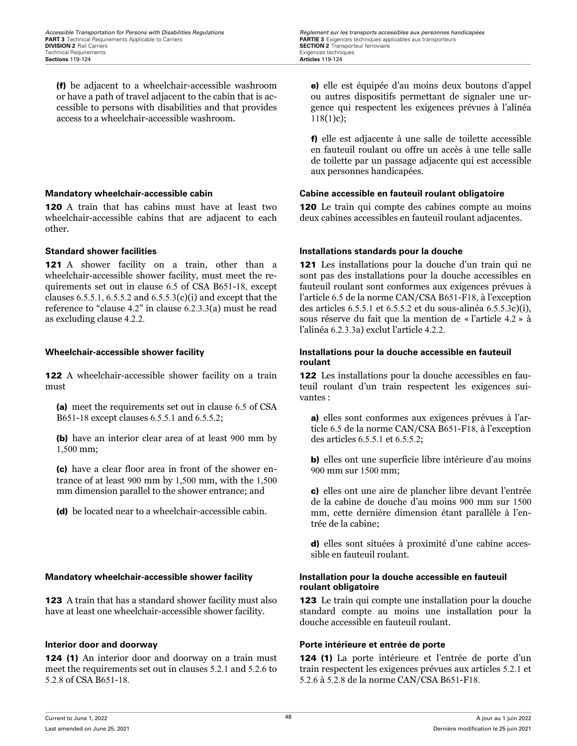(f) be adjacent to a wheelchair-accessible washroom or have a path of travel adjacent to the cabin that is accessible to persons with disabilities and that provides access to a wheelchair-accessible washroom.

120 A train that has cabins must have at least two wheelchair-accessible cabins that are adjacent to each other.

121 A shower facility on a train, other than a wheelchair-accessible shower facility, must meet the requirements set out in clause 6.5 of CSA B651-18, except clauses  $6.5.5.1$ ,  $6.5.5.2$  and  $6.5.5.3(c)(i)$  and except that the reference to "clause 4.2" in clause 6.2.3.3(a) must be read as excluding clause 4.2.2.

122 A wheelchair-accessible shower facility on a train must

(a) meet the requirements set out in clause 6.5 of CSA B651-18 except clauses 6.5.5.1 and 6.5.5.2;

(b) have an interior clear area of at least 900 mm by 1,500 mm;

(c) have a clear floor area in front of the shower entrance of at least 900 mm by 1,500 mm, with the 1,500 mm dimension parallel to the shower entrance; and

(d) be located near to a wheelchair-accessible cabin.

### **Mandatory wheelchair-accessible shower facility Installation pour la douche accessible en fauteuil**

123 A train that has a standard shower facility must also have at least one wheelchair-accessible shower facility.

124 (1) An interior door and doorway on a train must meet the requirements set out in clauses 5.2.1 and 5.2.6 to 5.2.8 of CSA B651-18.

e) elle est équipée d'au moins deux boutons d'appel ou autres dispositifs permettant de signaler une urgence qui respectent les exigences prévues à l'alinéa  $118(1)c);$ 

f) elle est adjacente à une salle de toilette accessible en fauteuil roulant ou offre un accès à une telle salle de toilette par un passage adjacente qui est accessible aux personnes handicapées.

### **Mandatory wheelchair-accessible cabin Cabine accessible en fauteuil roulant obligatoire**

120 Le train qui compte des cabines compte au moins deux cabines accessibles en fauteuil roulant adjacentes.

### **Standard shower facilities Installations standards pour la douche**

121 Les installations pour la douche d'un train qui ne sont pas des installations pour la douche accessibles en fauteuil roulant sont conformes aux exigences prévues à l'article 6.5 de la norme CAN/CSA B651-F18, à l'exception des articles 6.5.5.1 et 6.5.5.2 et du sous-alinéa 6.5.5.3c)(i), sous réserve du fait que la mention de « l'article 4.2 » à l'alinéa 6.2.3.3a) exclut l'article 4.2.2.

### **Wheelchair-accessible shower facility Installations pour la douche accessible en fauteuil roulant**

122 Les installations pour la douche accessibles en fauteuil roulant d'un train respectent les exigences suivantes :

a) elles sont conformes aux exigences prévues à l'article 6.5 de la norme CAN/CSA B651-F18, à l'exception des articles 6.5.5.1 et 6.5.5.2;

b) elles ont une superficie libre intérieure d'au moins 900 mm sur 1500 mm;

c) elles ont une aire de plancher libre devant l'entrée de la cabine de douche d'au moins 900 mm sur 1500 mm, cette dernière dimension étant parallèle à l'entrée de la cabine;

d) elles sont situées à proximité d'une cabine accessible en fauteuil roulant.

# **roulant obligatoire**

123 Le train qui compte une installation pour la douche standard compte au moins une installation pour la douche accessible en fauteuil roulant.

### **Interior door and doorway Porte intérieure et entrée de porte**

124 (1) La porte intérieure et l'entrée de porte d'un train respectent les exigences prévues aux articles 5.2.1 et 5.2.6 à 5.2.8 de la norme CAN/CSA B651-F18.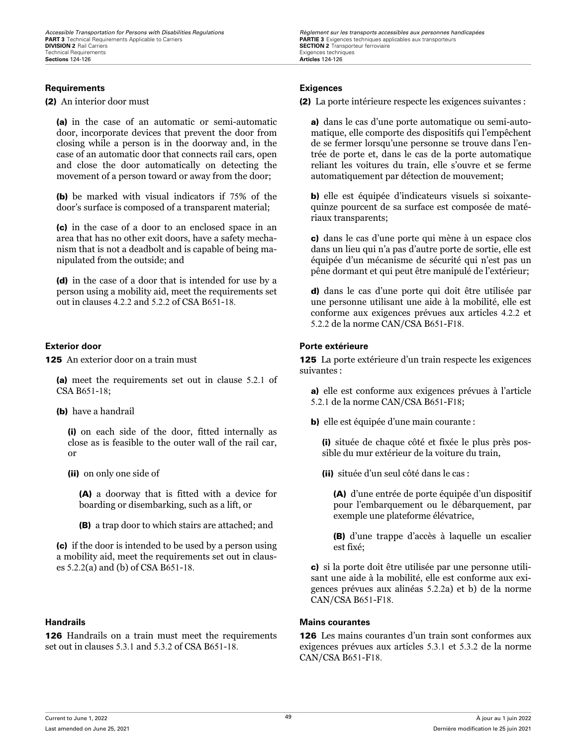### **Requirements Exigences**

(2) An interior door must

(a) in the case of an automatic or semi-automatic door, incorporate devices that prevent the door from closing while a person is in the doorway and, in the case of an automatic door that connects rail cars, open and close the door automatically on detecting the movement of a person toward or away from the door;

(b) be marked with visual indicators if 75% of the door's surface is composed of a transparent material;

(c) in the case of a door to an enclosed space in an area that has no other exit doors, have a safety mechanism that is not a deadbolt and is capable of being manipulated from the outside; and

(d) in the case of a door that is intended for use by a person using a mobility aid, meet the requirements set out in clauses 4.2.2 and 5.2.2 of CSA B651-18.

**125** An exterior door on a train must

(a) meet the requirements set out in clause 5.2.1 of CSA B651-18;

(b) have a handrail

(i) on each side of the door, fitted internally as close as is feasible to the outer wall of the rail car, or

(ii) on only one side of

(A) a doorway that is fitted with a device for boarding or disembarking, such as a lift, or

(B) a trap door to which stairs are attached; and

(c) if the door is intended to be used by a person using a mobility aid, meet the requirements set out in clauses 5.2.2(a) and (b) of CSA B651-18.

126 Handrails on a train must meet the requirements set out in clauses 5.3.1 and 5.3.2 of CSA B651-18.

*Accessible Transportation for Persons with Disabilities Regulations Regulations Règlement sur les transports accessibles aux personnes handicapées*<br>**PART 3** Technical Requirements Applicable to Carriers **Carriers SECTION 2** Transporteur ferroviaire<br>Exigences techniques

(2) La porte intérieure respecte les exigences suivantes :

a) dans le cas d'une porte automatique ou semi-automatique, elle comporte des dispositifs qui l'empêchent de se fermer lorsqu'une personne se trouve dans l'entrée de porte et, dans le cas de la porte automatique reliant les voitures du train, elle s'ouvre et se ferme automatiquement par détection de mouvement;

b) elle est équipée d'indicateurs visuels si soixantequinze pourcent de sa surface est composée de matériaux transparents;

c) dans le cas d'une porte qui mène à un espace clos dans un lieu qui n'a pas d'autre porte de sortie, elle est équipée d'un mécanisme de sécurité qui n'est pas un pêne dormant et qui peut être manipulé de l'extérieur;

d) dans le cas d'une porte qui doit être utilisée par une personne utilisant une aide à la mobilité, elle est conforme aux exigences prévues aux articles 4.2.2 et 5.2.2 de la norme CAN/CSA B651-F18.

### **Exterior door Porte extérieure**

125 La porte extérieure d'un train respecte les exigences suivantes :

a) elle est conforme aux exigences prévues à l'article 5.2.1 de la norme CAN/CSA B651-F18;

b) elle est équipée d'une main courante :

(i) située de chaque côté et fixée le plus près possible du mur extérieur de la voiture du train,

(ii) située d'un seul côté dans le cas :

(A) d'une entrée de porte équipée d'un dispositif pour l'embarquement ou le débarquement, par exemple une plateforme élévatrice,

(B) d'une trappe d'accès à laquelle un escalier est fixé;

c) si la porte doit être utilisée par une personne utilisant une aide à la mobilité, elle est conforme aux exigences prévues aux alinéas 5.2.2a) et b) de la norme CAN/CSA B651-F18.

### **Handrails Mains courantes**

126 Les mains courantes d'un train sont conformes aux exigences prévues aux articles 5.3.1 et 5.3.2 de la norme CAN/CSA B651-F18.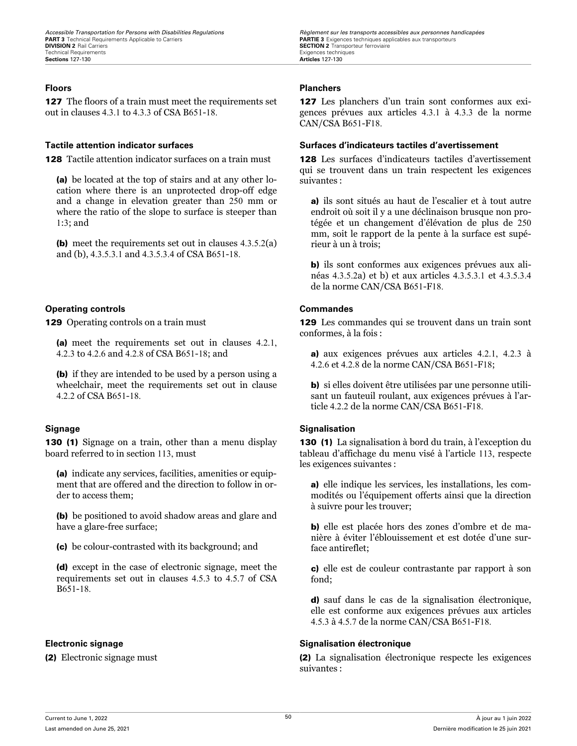127 The floors of a train must meet the requirements set out in clauses 4.3.1 to 4.3.3 of CSA B651-18.

**128** Tactile attention indicator surfaces on a train must

(a) be located at the top of stairs and at any other location where there is an unprotected drop-off edge and a change in elevation greater than 250 mm or where the ratio of the slope to surface is steeper than 1:3; and

(b) meet the requirements set out in clauses 4.3.5.2(a) and (b), 4.3.5.3.1 and 4.3.5.3.4 of CSA B651-18.

### **Operating controls Commandes**

129 Operating controls on a train must

(a) meet the requirements set out in clauses 4.2.1, 4.2.3 to 4.2.6 and 4.2.8 of CSA B651-18; and

(b) if they are intended to be used by a person using a wheelchair, meet the requirements set out in clause 4.2.2 of CSA B651-18.

130 (1) Signage on a train, other than a menu display board referred to in section 113, must

(a) indicate any services, facilities, amenities or equipment that are offered and the direction to follow in order to access them;

(b) be positioned to avoid shadow areas and glare and have a glare-free surface;

(c) be colour-contrasted with its background; and

(d) except in the case of electronic signage, meet the requirements set out in clauses 4.5.3 to 4.5.7 of CSA B651-18.

*Accessible Transportation for Persons with Disabilities Regulations Regulations Règlement sur les transports accessibles aux personnes handicapées*<br>**PART 3** Technical Requirements Applicable to Carriers **Carriers SECTION 2** Transporteur ferroviaire<br>Exigences techniques

### **Floors Planchers**

127 Les planchers d'un train sont conformes aux exigences prévues aux articles 4.3.1 à 4.3.3 de la norme CAN/CSA B651-F18.

### **Tactile attention indicator surfaces Surfaces d'indicateurs tactiles d'avertissement**

128 Les surfaces d'indicateurs tactiles d'avertissement qui se trouvent dans un train respectent les exigences suivantes :

a) ils sont situés au haut de l'escalier et à tout autre endroit où soit il y a une déclinaison brusque non protégée et un changement d'élévation de plus de 250 mm, soit le rapport de la pente à la surface est supérieur à un à trois;

b) ils sont conformes aux exigences prévues aux alinéas 4.3.5.2a) et b) et aux articles 4.3.5.3.1 et 4.3.5.3.4 de la norme CAN/CSA B651-F18.

129 Les commandes qui se trouvent dans un train sont conformes, à la fois :

a) aux exigences prévues aux articles 4.2.1, 4.2.3 à 4.2.6 et 4.2.8 de la norme CAN/CSA B651-F18;

b) si elles doivent être utilisées par une personne utilisant un fauteuil roulant, aux exigences prévues à l'article 4.2.2 de la norme CAN/CSA B651-F18.

### **Signage Signalisation**

130 (1) La signalisation à bord du train, à l'exception du tableau d'affichage du menu visé à l'article 113, respecte les exigences suivantes :

a) elle indique les services, les installations, les commodités ou l'équipement offerts ainsi que la direction à suivre pour les trouver;

b) elle est placée hors des zones d'ombre et de manière à éviter l'éblouissement et est dotée d'une surface antireflet;

c) elle est de couleur contrastante par rapport à son fond;

d) sauf dans le cas de la signalisation électronique, elle est conforme aux exigences prévues aux articles 4.5.3 à 4.5.7 de la norme CAN/CSA B651-F18.

### **Electronic signage Signalisation électronique**

(2) Electronic signage must (2) La signalisation électronique respecte les exigences suivantes :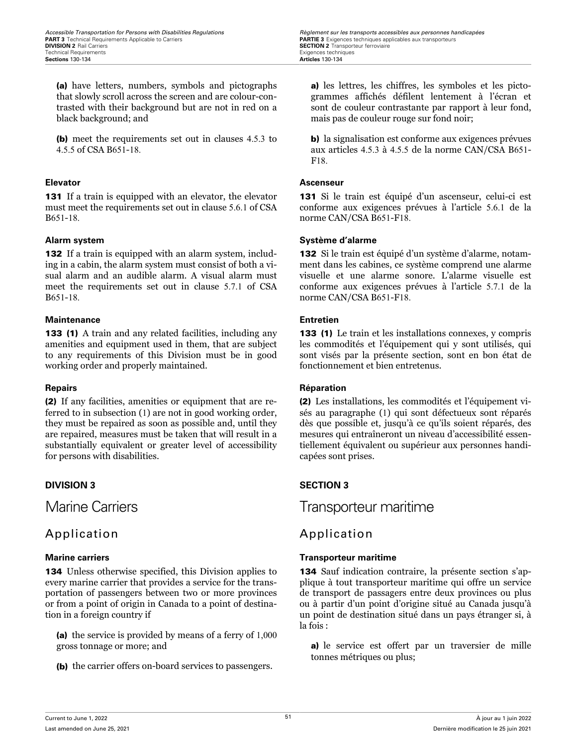*Accessible Transportation for Persons with Disabilities Regulations Regulations Règlement sur les transports accessibles aux personnes handicapées*<br>**PART 3** Technical Requirements Applicable to Carriers **Carriers SECTION 2** Transporteur ferroviaire<br>Exigences techniques

(a) have letters, numbers, symbols and pictographs that slowly scroll across the screen and are colour-contrasted with their background but are not in red on a black background; and

(b) meet the requirements set out in clauses 4.5.3 to 4.5.5 of CSA B651-18.

131 If a train is equipped with an elevator, the elevator must meet the requirements set out in clause 5.6.1 of CSA B651-18.

132 If a train is equipped with an alarm system, including in a cabin, the alarm system must consist of both a visual alarm and an audible alarm. A visual alarm must meet the requirements set out in clause 5.7.1 of CSA B651-18.

### **Maintenance Entretien**

133 (1) A train and any related facilities, including any amenities and equipment used in them, that are subject to any requirements of this Division must be in good working order and properly maintained.

(2) If any facilities, amenities or equipment that are referred to in subsection (1) are not in good working order, they must be repaired as soon as possible and, until they are repaired, measures must be taken that will result in a substantially equivalent or greater level of accessibility for persons with disabilities.

# Application **Application**

134 Unless otherwise specified, this Division applies to every marine carrier that provides a service for the transportation of passengers between two or more provinces or from a point of origin in Canada to a point of destination in a foreign country if

(a) the service is provided by means of a ferry of 1,000 gross tonnage or more; and

(b) the carrier offers on-board services to passengers.

a) les lettres, les chiffres, les symboles et les pictogrammes affichés défilent lentement à l'écran et sont de couleur contrastante par rapport à leur fond, mais pas de couleur rouge sur fond noir;

b) la signalisation est conforme aux exigences prévues aux articles 4.5.3 à 4.5.5 de la norme CAN/CSA B651- F18.

### **Elevator Ascenseur**

131 Si le train est équipé d'un ascenseur, celui-ci est conforme aux exigences prévues à l'article 5.6.1 de la norme CAN/CSA B651-F18.

### **Alarm system Système d'alarme**

132 Si le train est équipé d'un système d'alarme, notamment dans les cabines, ce système comprend une alarme visuelle et une alarme sonore. L'alarme visuelle est conforme aux exigences prévues à l'article 5.7.1 de la norme CAN/CSA B651-F18.

133 (1) Le train et les installations connexes, y compris les commodités et l'équipement qui y sont utilisés, qui sont visés par la présente section, sont en bon état de fonctionnement et bien entretenus.

### **Repairs Réparation**

(2) Les installations, les commodités et l'équipement visés au paragraphe (1) qui sont défectueux sont réparés dès que possible et, jusqu'à ce qu'ils soient réparés, des mesures qui entraîneront un niveau d'accessibilité essentiellement équivalent ou supérieur aux personnes handicapées sont prises.

### **DIVISION 3 SECTION 3**

Marine Carriers Transporteur maritime

### **Marine carriers Transporteur maritime**

134 Sauf indication contraire, la présente section s'applique à tout transporteur maritime qui offre un service de transport de passagers entre deux provinces ou plus ou à partir d'un point d'origine situé au Canada jusqu'à un point de destination situé dans un pays étranger si, à la fois :

a) le service est offert par un traversier de mille tonnes métriques ou plus;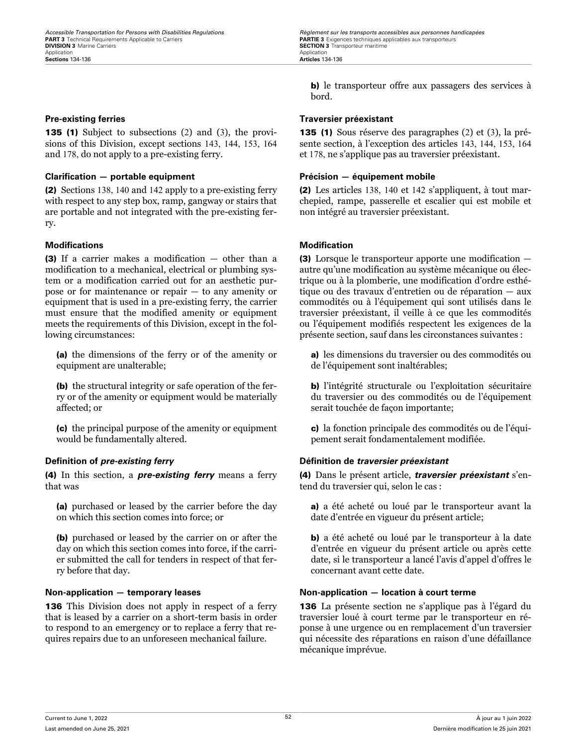135 (1) Subject to subsections (2) and (3), the provisions of this Division, except sections 143, 144, 153, 164 and 178, do not apply to a pre-existing ferry.

### **Clarification — portable equipment Précision — équipement mobile**

(2) Sections 138, 140 and 142 apply to a pre-existing ferry with respect to any step box, ramp, gangway or stairs that are portable and not integrated with the pre-existing ferry.

### **Modifications Modification**

(3) If a carrier makes a modification — other than a modification to a mechanical, electrical or plumbing system or a modification carried out for an aesthetic purpose or for maintenance or repair — to any amenity or equipment that is used in a pre-existing ferry, the carrier must ensure that the modified amenity or equipment meets the requirements of this Division, except in the following circumstances:

(a) the dimensions of the ferry or of the amenity or equipment are unalterable;

(b) the structural integrity or safe operation of the ferry or of the amenity or equipment would be materially affected; or

(c) the principal purpose of the amenity or equipment would be fundamentally altered.

(4) In this section, a *pre-existing ferry* means a ferry that was

(a) purchased or leased by the carrier before the day on which this section comes into force; or

(b) purchased or leased by the carrier on or after the day on which this section comes into force, if the carrier submitted the call for tenders in respect of that ferry before that day.

136 This Division does not apply in respect of a ferry that is leased by a carrier on a short-term basis in order to respond to an emergency or to replace a ferry that requires repairs due to an unforeseen mechanical failure.

b) le transporteur offre aux passagers des services à bord.

### **Pre-existing ferries Traversier préexistant**

135 (1) Sous réserve des paragraphes (2) et (3), la présente section, à l'exception des articles 143, 144, 153, 164 et 178, ne s'applique pas au traversier préexistant.

(2) Les articles 138, 140 et 142 s'appliquent, à tout marchepied, rampe, passerelle et escalier qui est mobile et non intégré au traversier préexistant.

(3) Lorsque le transporteur apporte une modification autre qu'une modification au système mécanique ou électrique ou à la plomberie, une modification d'ordre esthétique ou des travaux d'entretien ou de réparation — aux commodités ou à l'équipement qui sont utilisés dans le traversier préexistant, il veille à ce que les commodités ou l'équipement modifiés respectent les exigences de la présente section, sauf dans les circonstances suivantes :

a) les dimensions du traversier ou des commodités ou de l'équipement sont inaltérables;

b) l'intégrité structurale ou l'exploitation sécuritaire du traversier ou des commodités ou de l'équipement serait touchée de façon importante;

c) la fonction principale des commodités ou de l'équipement serait fondamentalement modifiée.

### **Definition of** *pre-existing ferry* **Définition de** *traversier préexistant*

(4) Dans le présent article, *traversier préexistant* s'entend du traversier qui, selon le cas :

a) a été acheté ou loué par le transporteur avant la date d'entrée en vigueur du présent article;

b) a été acheté ou loué par le transporteur à la date d'entrée en vigueur du présent article ou après cette date, si le transporteur a lancé l'avis d'appel d'offres le concernant avant cette date.

### **Non-application — temporary leases Non-application — location à court terme**

136 La présente section ne s'applique pas à l'égard du traversier loué à court terme par le transporteur en réponse à une urgence ou en remplacement d'un traversier qui nécessite des réparations en raison d'une défaillance mécanique imprévue.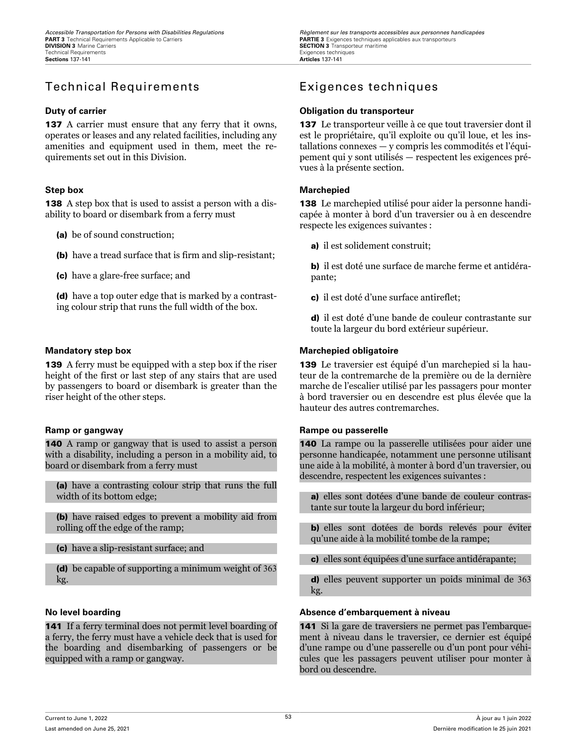# Technical Requirements Exigences techniques

137 A carrier must ensure that any ferry that it owns, operates or leases and any related facilities, including any amenities and equipment used in them, meet the requirements set out in this Division.

**138** A step box that is used to assist a person with a disability to board or disembark from a ferry must

(a) be of sound construction;

(b) have a tread surface that is firm and slip-resistant;

(c) have a glare-free surface; and

(d) have a top outer edge that is marked by a contrasting colour strip that runs the full width of the box.

139 A ferry must be equipped with a step box if the riser height of the first or last step of any stairs that are used by passengers to board or disembark is greater than the riser height of the other steps.

140 A ramp or gangway that is used to assist a person with a disability, including a person in a mobility aid, to board or disembark from a ferry must

(a) have a contrasting colour strip that runs the full width of its bottom edge;

(b) have raised edges to prevent a mobility aid from rolling off the edge of the ramp;

(c) have a slip-resistant surface; and

(d) be capable of supporting a minimum weight of 363 kg.

141 If a ferry terminal does not permit level boarding of a ferry, the ferry must have a vehicle deck that is used for the boarding and disembarking of passengers or be equipped with a ramp or gangway.

### **Duty of carrier Obligation du transporteur**

137 Le transporteur veille à ce que tout traversier dont il est le propriétaire, qu'il exploite ou qu'il loue, et les installations connexes — y compris les commodités et l'équipement qui y sont utilisés — respectent les exigences prévues à la présente section.

### **Step box Marchepied**

138 Le marchepied utilisé pour aider la personne handicapée à monter à bord d'un traversier ou à en descendre respecte les exigences suivantes :

a) il est solidement construit:

b) il est doté une surface de marche ferme et antidérapante;

c) il est doté d'une surface antireflet;

d) il est doté d'une bande de couleur contrastante sur toute la largeur du bord extérieur supérieur.

### **Mandatory step box Marchepied obligatoire**

139 Le traversier est équipé d'un marchepied si la hauteur de la contremarche de la première ou de la dernière marche de l'escalier utilisé par les passagers pour monter à bord traversier ou en descendre est plus élevée que la hauteur des autres contremarches.

### **Ramp or gangway Rampe ou passerelle**

140 La rampe ou la passerelle utilisées pour aider une personne handicapée, notamment une personne utilisant une aide à la mobilité, à monter à bord d'un traversier, ou descendre, respectent les exigences suivantes :

a) elles sont dotées d'une bande de couleur contrastante sur toute la largeur du bord inférieur;

b) elles sont dotées de bords relevés pour éviter qu'une aide à la mobilité tombe de la rampe;

c) elles sont équipées d'une surface antidérapante;

d) elles peuvent supporter un poids minimal de 363 kg.

### **No level boarding Absence d'embarquement à niveau**

141 Si la gare de traversiers ne permet pas l'embarquement à niveau dans le traversier, ce dernier est équipé d'une rampe ou d'une passerelle ou d'un pont pour véhicules que les passagers peuvent utiliser pour monter à bord ou descendre.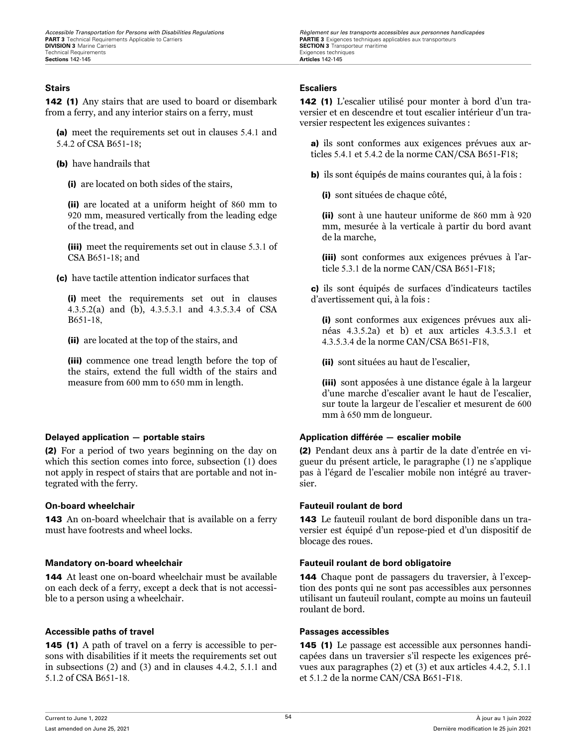142 (1) Any stairs that are used to board or disembark from a ferry, and any interior stairs on a ferry, must

(a) meet the requirements set out in clauses 5.4.1 and 5.4.2 of CSA B651-18;

(b) have handrails that

(i) are located on both sides of the stairs,

(ii) are located at a uniform height of 860 mm to 920 mm, measured vertically from the leading edge of the tread, and

(iii) meet the requirements set out in clause 5.3.1 of CSA B651-18; and

(c) have tactile attention indicator surfaces that

(i) meet the requirements set out in clauses 4.3.5.2(a) and (b), 4.3.5.3.1 and 4.3.5.3.4 of CSA B651-18,

(ii) are located at the top of the stairs, and

(iii) commence one tread length before the top of the stairs, extend the full width of the stairs and measure from 600 mm to 650 mm in length.

(2) For a period of two years beginning on the day on which this section comes into force, subsection (1) does not apply in respect of stairs that are portable and not integrated with the ferry.

143 An on-board wheelchair that is available on a ferry must have footrests and wheel locks.

144 At least one on-board wheelchair must be available on each deck of a ferry, except a deck that is not accessible to a person using a wheelchair.

### **Accessible paths of travel Passages accessibles**

145 (1) A path of travel on a ferry is accessible to persons with disabilities if it meets the requirements set out in subsections (2) and (3) and in clauses 4.4.2, 5.1.1 and 5.1.2 of CSA B651-18.

*Accessible Transportation for Persons with Disabilities Regulations Regulations Règlement sur les transports accessibles aux personnes handicapées*<br>**PART 3** Technical Requirements Applicable to Carriers **Carriers SECTION 3** Transporteur maritime Exigences techniques

### **Stairs Escaliers**

142 (1) L'escalier utilisé pour monter à bord d'un traversier et en descendre et tout escalier intérieur d'un traversier respectent les exigences suivantes :

a) ils sont conformes aux exigences prévues aux articles 5.4.1 et 5.4.2 de la norme CAN/CSA B651-F18;

b) ils sont équipés de mains courantes qui, à la fois :

(i) sont situées de chaque côté,

(ii) sont à une hauteur uniforme de 860 mm à 920 mm, mesurée à la verticale à partir du bord avant de la marche,

(iii) sont conformes aux exigences prévues à l'article 5.3.1 de la norme CAN/CSA B651-F18;

c) ils sont équipés de surfaces d'indicateurs tactiles d'avertissement qui, à la fois :

(i) sont conformes aux exigences prévues aux alinéas 4.3.5.2a) et b) et aux articles 4.3.5.3.1 et 4.3.5.3.4 de la norme CAN/CSA B651-F18,

(ii) sont situées au haut de l'escalier,

(iii) sont apposées à une distance égale à la largeur d'une marche d'escalier avant le haut de l'escalier, sur toute la largeur de l'escalier et mesurent de 600 mm à 650 mm de longueur.

### **Delayed application — portable stairs Application différée — escalier mobile**

(2) Pendant deux ans à partir de la date d'entrée en vigueur du présent article, le paragraphe (1) ne s'applique pas à l'égard de l'escalier mobile non intégré au traversier.

### **On-board wheelchair Fauteuil roulant de bord**

143 Le fauteuil roulant de bord disponible dans un traversier est équipé d'un repose-pied et d'un dispositif de blocage des roues.

### **Mandatory on-board wheelchair Fauteuil roulant de bord obligatoire**

144 Chaque pont de passagers du traversier, à l'exception des ponts qui ne sont pas accessibles aux personnes utilisant un fauteuil roulant, compte au moins un fauteuil roulant de bord.

145 (1) Le passage est accessible aux personnes handicapées dans un traversier s'il respecte les exigences prévues aux paragraphes (2) et (3) et aux articles 4.4.2, 5.1.1 et 5.1.2 de la norme CAN/CSA B651-F18.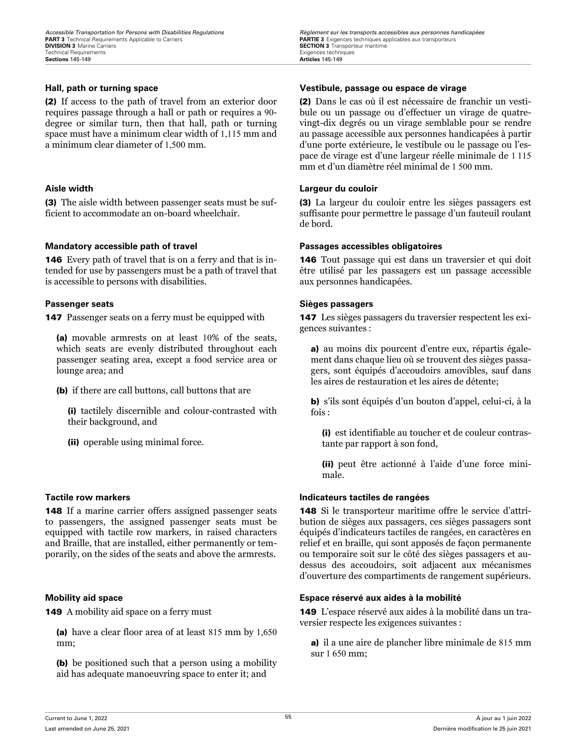(2) If access to the path of travel from an exterior door requires passage through a hall or path or requires a 90 degree or similar turn, then that hall, path or turning space must have a minimum clear width of 1,115 mm and a minimum clear diameter of 1,500 mm.

(3) The aisle width between passenger seats must be sufficient to accommodate an on-board wheelchair.

### **Mandatory accessible path of travel Passages accessibles obligatoires**

146 Every path of travel that is on a ferry and that is intended for use by passengers must be a path of travel that is accessible to persons with disabilities.

**147** Passenger seats on a ferry must be equipped with

(a) movable armrests on at least 10% of the seats, which seats are evenly distributed throughout each passenger seating area, except a food service area or lounge area; and

(b) if there are call buttons, call buttons that are

(i) tactilely discernible and colour-contrasted with their background, and

(ii) operable using minimal force.

148 If a marine carrier offers assigned passenger seats to passengers, the assigned passenger seats must be equipped with tactile row markers, in raised characters and Braille, that are installed, either permanently or temporarily, on the sides of the seats and above the armrests.

149 A mobility aid space on a ferry must

(a) have a clear floor area of at least 815 mm by 1,650 mm;

(b) be positioned such that a person using a mobility aid has adequate manoeuvring space to enter it; and

*Accessible Transportation for Persons with Disabilities Regulations Regulations Règlement sur les transports accessibles aux personnes handicapées*<br>**PART 3** Technical Requirements Applicable to Carriers **Carriers SECTION 3** Transporteur maritime<br>Exigences techniques

### **Hall, path or turning space Vestibule, passage ou espace de virage**

(2) Dans le cas où il est nécessaire de franchir un vestibule ou un passage ou d'effectuer un virage de quatrevingt-dix degrés ou un virage semblable pour se rendre au passage accessible aux personnes handicapées à partir d'une porte extérieure, le vestibule ou le passage ou l'espace de virage est d'une largeur réelle minimale de 1 115 mm et d'un diamètre réel minimal de 1 500 mm.

### **Aisle width Largeur du couloir**

(3) La largeur du couloir entre les sièges passagers est suffisante pour permettre le passage d'un fauteuil roulant de bord.

146 Tout passage qui est dans un traversier et qui doit être utilisé par les passagers est un passage accessible aux personnes handicapées.

### **Passenger seats Sièges passagers**

147 Les sièges passagers du traversier respectent les exigences suivantes :

a) au moins dix pourcent d'entre eux, répartis également dans chaque lieu où se trouvent des sièges passagers, sont équipés d'accoudoirs amovibles, sauf dans les aires de restauration et les aires de détente;

b) s'ils sont équipés d'un bouton d'appel, celui-ci, à la fois  $\cdot$ 

(i) est identifiable au toucher et de couleur contrastante par rapport à son fond,

(ii) peut être actionné à l'aide d'une force minimale.

### **Tactile row markers Indicateurs tactiles de rangées**

148 Si le transporteur maritime offre le service d'attribution de sièges aux passagers, ces sièges passagers sont équipés d'indicateurs tactiles de rangées, en caractères en relief et en braille, qui sont apposés de façon permanente ou temporaire soit sur le côté des sièges passagers et audessus des accoudoirs, soit adjacent aux mécanismes d'ouverture des compartiments de rangement supérieurs.

### **Mobility aid space Espace réservé aux aides à la mobilité**

149 L'espace réservé aux aides à la mobilité dans un traversier respecte les exigences suivantes :

a) il a une aire de plancher libre minimale de 815 mm sur 1 650 mm;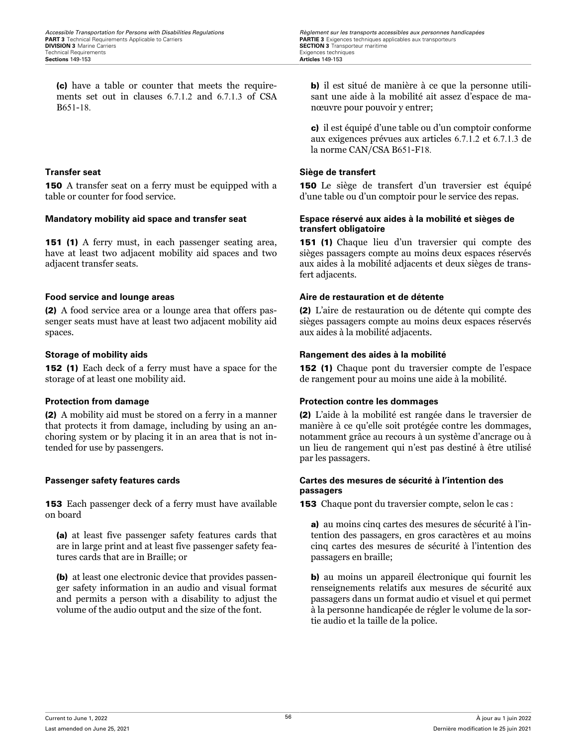(c) have a table or counter that meets the requirements set out in clauses 6.7.1.2 and 6.7.1.3 of CSA B651-18.

150 A transfer seat on a ferry must be equipped with a table or counter for food service.

151 (1) A ferry must, in each passenger seating area, have at least two adjacent mobility aid spaces and two adjacent transfer seats.

(2) A food service area or a lounge area that offers passenger seats must have at least two adjacent mobility aid spaces.

152 (1) Each deck of a ferry must have a space for the storage of at least one mobility aid.

(2) A mobility aid must be stored on a ferry in a manner that protects it from damage, including by using an anchoring system or by placing it in an area that is not intended for use by passengers.

153 Each passenger deck of a ferry must have available on board

(a) at least five passenger safety features cards that are in large print and at least five passenger safety features cards that are in Braille; or

(b) at least one electronic device that provides passenger safety information in an audio and visual format and permits a person with a disability to adjust the volume of the audio output and the size of the font.

b) il est situé de manière à ce que la personne utilisant une aide à la mobilité ait assez d'espace de manœuvre pour pouvoir y entrer;

c) il est équipé d'une table ou d'un comptoir conforme aux exigences prévues aux articles 6.7.1.2 et 6.7.1.3 de la norme CAN/CSA B651-F18.

### **Transfer seat Siège de transfert**

150 Le siège de transfert d'un traversier est équipé d'une table ou d'un comptoir pour le service des repas.

### **Mandatory mobility aid space and transfer seat Espace réservé aux aides à la mobilité et sièges de transfert obligatoire**

151 (1) Chaque lieu d'un traversier qui compte des sièges passagers compte au moins deux espaces réservés aux aides à la mobilité adjacents et deux sièges de transfert adjacents.

### **Food service and lounge areas Aire de restauration et de détente**

(2) L'aire de restauration ou de détente qui compte des sièges passagers compte au moins deux espaces réservés aux aides à la mobilité adjacents.

### **Storage of mobility aids Rangement des aides à la mobilité**

152 (1) Chaque pont du traversier compte de l'espace de rangement pour au moins une aide à la mobilité.

### **Protection from damage Protection contre les dommages**

(2) L'aide à la mobilité est rangée dans le traversier de manière à ce qu'elle soit protégée contre les dommages, notamment grâce au recours à un système d'ancrage ou à un lieu de rangement qui n'est pas destiné à être utilisé par les passagers.

### **Passenger safety features cards Cartes des mesures de sécurité à l'intention des passagers**

153 Chaque pont du traversier compte, selon le cas :

a) au moins cinq cartes des mesures de sécurité à l'intention des passagers, en gros caractères et au moins cinq cartes des mesures de sécurité à l'intention des passagers en braille;

b) au moins un appareil électronique qui fournit les renseignements relatifs aux mesures de sécurité aux passagers dans un format audio et visuel et qui permet à la personne handicapée de régler le volume de la sortie audio et la taille de la police.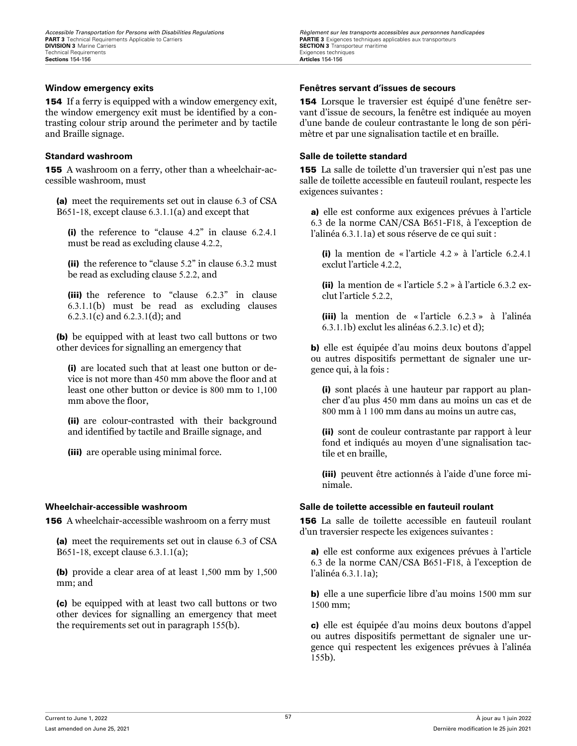154 If a ferry is equipped with a window emergency exit, the window emergency exit must be identified by a contrasting colour strip around the perimeter and by tactile and Braille signage.

155 A washroom on a ferry, other than a wheelchair-accessible washroom, must

(a) meet the requirements set out in clause 6.3 of CSA B651-18, except clause 6.3.1.1(a) and except that

(i) the reference to "clause 4.2" in clause 6.2.4.1 must be read as excluding clause 4.2.2,

(ii) the reference to "clause 5.2" in clause 6.3.2 must be read as excluding clause 5.2.2, and

(iii) the reference to "clause 6.2.3" in clause 6.3.1.1(b) must be read as excluding clauses 6.2.3.1(c) and 6.2.3.1(d); and

(b) be equipped with at least two call buttons or two other devices for signalling an emergency that

(i) are located such that at least one button or device is not more than 450 mm above the floor and at least one other button or device is 800 mm to 1,100 mm above the floor,

(ii) are colour-contrasted with their background and identified by tactile and Braille signage, and

(iii) are operable using minimal force.

156 A wheelchair-accessible washroom on a ferry must

(a) meet the requirements set out in clause 6.3 of CSA B651-18, except clause 6.3.1.1(a);

(b) provide a clear area of at least 1,500 mm by 1,500 mm; and

(c) be equipped with at least two call buttons or two other devices for signalling an emergency that meet the requirements set out in paragraph 155(b).

*Accessible Transportation for Persons with Disabilities Regulations Regulations Règlement sur les transports accessibles aux personnes handicapées*<br>**PART 3** Technical Requirements Applicable to Carriers **Carriers SECTION 3** Transporteur maritime<br>Exigences techniques

### **Window emergency exits Fenêtres servant d'issues de secours**

154 Lorsque le traversier est équipé d'une fenêtre servant d'issue de secours, la fenêtre est indiquée au moyen d'une bande de couleur contrastante le long de son périmètre et par une signalisation tactile et en braille.

### **Standard washroom Salle de toilette standard**

155 La salle de toilette d'un traversier qui n'est pas une salle de toilette accessible en fauteuil roulant, respecte les exigences suivantes :

a) elle est conforme aux exigences prévues à l'article 6.3 de la norme CAN/CSA B651-F18, à l'exception de l'alinéa 6.3.1.1a) et sous réserve de ce qui suit :

(i) la mention de « l'article 4.2 » à l'article 6.2.4.1 exclut l'article 422

(ii) la mention de « l'article 5.2 » à l'article 6.3.2 exclut l'article 5.2.2,

(iii) la mention de « l'article 6.2.3 » à l'alinéa 6.3.1.1b) exclut les alinéas 6.2.3.1c) et d);

b) elle est équipée d'au moins deux boutons d'appel ou autres dispositifs permettant de signaler une urgence qui, à la fois :

(i) sont placés à une hauteur par rapport au plancher d'au plus 450 mm dans au moins un cas et de 800 mm à 1 100 mm dans au moins un autre cas,

(ii) sont de couleur contrastante par rapport à leur fond et indiqués au moyen d'une signalisation tactile et en braille,

(iii) peuvent être actionnés à l'aide d'une force minimale.

### **Wheelchair-accessible washroom Salle de toilette accessible en fauteuil roulant**

156 La salle de toilette accessible en fauteuil roulant d'un traversier respecte les exigences suivantes :

a) elle est conforme aux exigences prévues à l'article 6.3 de la norme CAN/CSA B651-F18, à l'exception de l'alinéa 6.3.1.1a);

b) elle a une superficie libre d'au moins 1500 mm sur 1500 mm;

c) elle est équipée d'au moins deux boutons d'appel ou autres dispositifs permettant de signaler une urgence qui respectent les exigences prévues à l'alinéa 155b).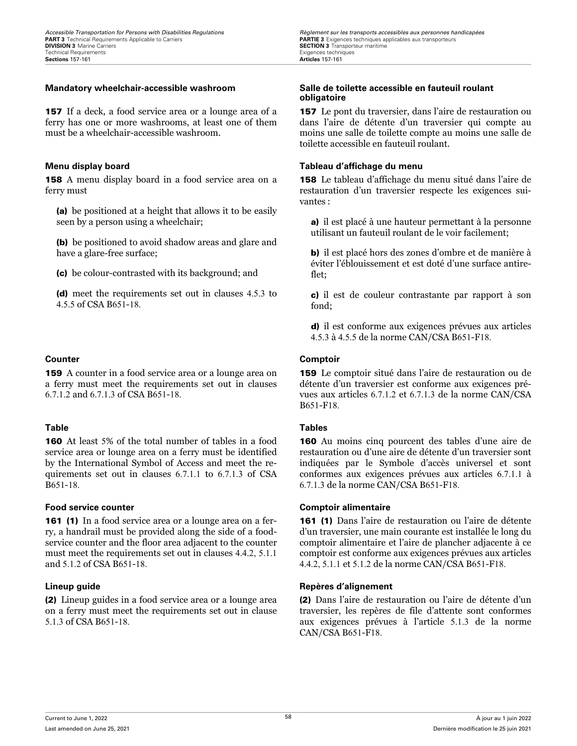157 If a deck, a food service area or a lounge area of a ferry has one or more washrooms, at least one of them must be a wheelchair-accessible washroom.

158 A menu display board in a food service area on a ferry must

(a) be positioned at a height that allows it to be easily seen by a person using a wheelchair;

(b) be positioned to avoid shadow areas and glare and have a glare-free surface;

(c) be colour-contrasted with its background; and

(d) meet the requirements set out in clauses 4.5.3 to 4.5.5 of CSA B651-18.

159 A counter in a food service area or a lounge area on a ferry must meet the requirements set out in clauses 6.7.1.2 and 6.7.1.3 of CSA B651-18.

160 At least 5% of the total number of tables in a food service area or lounge area on a ferry must be identified by the International Symbol of Access and meet the requirements set out in clauses 6.7.1.1 to 6.7.1.3 of CSA B651-18.

### **Food service counter Comptoir alimentaire**

161 (1) In a food service area or a lounge area on a ferry, a handrail must be provided along the side of a foodservice counter and the floor area adjacent to the counter must meet the requirements set out in clauses 4.4.2, 5.1.1 and 5.1.2 of CSA B651-18.

(2) Lineup guides in a food service area or a lounge area on a ferry must meet the requirements set out in clause 5.1.3 of CSA B651-18.

### **Mandatory wheelchair-accessible washroom Salle de toilette accessible en fauteuil roulant obligatoire**

157 Le pont du traversier, dans l'aire de restauration ou dans l'aire de détente d'un traversier qui compte au moins une salle de toilette compte au moins une salle de toilette accessible en fauteuil roulant.

### **Menu display board Tableau d'affichage du menu**

158 Le tableau d'affichage du menu situé dans l'aire de restauration d'un traversier respecte les exigences suivantes :

a) il est placé à une hauteur permettant à la personne utilisant un fauteuil roulant de le voir facilement;

b) il est placé hors des zones d'ombre et de manière à éviter l'éblouissement et est doté d'une surface antireflet;

c) il est de couleur contrastante par rapport à son fond;

d) il est conforme aux exigences prévues aux articles 4.5.3 à 4.5.5 de la norme CAN/CSA B651-F18.

### **Counter Comptoir**

159 Le comptoir situé dans l'aire de restauration ou de détente d'un traversier est conforme aux exigences prévues aux articles 6.7.1.2 et 6.7.1.3 de la norme CAN/CSA B651-F18.

### **Table Tables**

160 Au moins cinq pourcent des tables d'une aire de restauration ou d'une aire de détente d'un traversier sont indiquées par le Symbole d'accès universel et sont conformes aux exigences prévues aux articles 6.7.1.1 à 6.7.1.3 de la norme CAN/CSA B651-F18.

161 (1) Dans l'aire de restauration ou l'aire de détente d'un traversier, une main courante est installée le long du comptoir alimentaire et l'aire de plancher adjacente à ce comptoir est conforme aux exigences prévues aux articles 4.4.2, 5.1.1 et 5.1.2 de la norme CAN/CSA B651-F18.

### **Lineup guide Repères d'alignement**

(2) Dans l'aire de restauration ou l'aire de détente d'un traversier, les repères de file d'attente sont conformes aux exigences prévues à l'article 5.1.3 de la norme CAN/CSA B651-F18.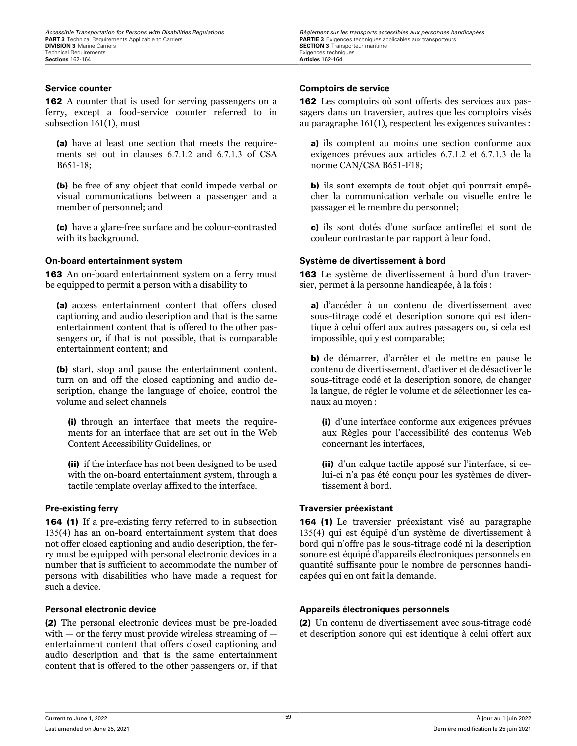162 A counter that is used for serving passengers on a ferry, except a food-service counter referred to in subsection 161(1), must

(a) have at least one section that meets the requirements set out in clauses 6.7.1.2 and 6.7.1.3 of CSA B651-18;

(b) be free of any object that could impede verbal or visual communications between a passenger and a member of personnel; and

(c) have a glare-free surface and be colour-contrasted with its background.

163 An on-board entertainment system on a ferry must be equipped to permit a person with a disability to

(a) access entertainment content that offers closed captioning and audio description and that is the same entertainment content that is offered to the other passengers or, if that is not possible, that is comparable entertainment content; and

(b) start, stop and pause the entertainment content, turn on and off the closed captioning and audio description, change the language of choice, control the volume and select channels

(i) through an interface that meets the requirements for an interface that are set out in the Web Content Accessibility Guidelines, or

(ii) if the interface has not been designed to be used with the on-board entertainment system, through a tactile template overlay affixed to the interface.

164 (1) If a pre-existing ferry referred to in subsection 135(4) has an on-board entertainment system that does not offer closed captioning and audio description, the ferry must be equipped with personal electronic devices in a number that is sufficient to accommodate the number of persons with disabilities who have made a request for such a device.

(2) The personal electronic devices must be pre-loaded with  $-$  or the ferry must provide wireless streaming of  $$ entertainment content that offers closed captioning and audio description and that is the same entertainment content that is offered to the other passengers or, if that

*Accessible Transportation for Persons with Disabilities Regulations Regulations Règlement sur les transports accessibles aux personnes handicapées*<br>**PART 3** Technical Requirements Applicable to Carriers **Carriers SECTION 3** Transporteur maritime<br>Exigences techniques

### **Service counter Comptoirs de service**

162 Les comptoirs où sont offerts des services aux passagers dans un traversier, autres que les comptoirs visés au paragraphe 161(1), respectent les exigences suivantes :

a) ils comptent au moins une section conforme aux exigences prévues aux articles 6.7.1.2 et 6.7.1.3 de la norme CAN/CSA B651-F18;

b) ils sont exempts de tout objet qui pourrait empêcher la communication verbale ou visuelle entre le passager et le membre du personnel;

c) ils sont dotés d'une surface antireflet et sont de couleur contrastante par rapport à leur fond.

### **On-board entertainment system Système de divertissement à bord**

163 Le système de divertissement à bord d'un traversier, permet à la personne handicapée, à la fois :

a) d'accéder à un contenu de divertissement avec sous-titrage codé et description sonore qui est identique à celui offert aux autres passagers ou, si cela est impossible, qui y est comparable;

b) de démarrer, d'arrêter et de mettre en pause le contenu de divertissement, d'activer et de désactiver le sous-titrage codé et la description sonore, de changer la langue, de régler le volume et de sélectionner les canaux au moyen :

(i) d'une interface conforme aux exigences prévues aux Règles pour l'accessibilité des contenus Web concernant les interfaces,

(ii) d'un calque tactile apposé sur l'interface, si celui-ci n'a pas été conçu pour les systèmes de divertissement à bord.

### **Pre-existing ferry Traversier préexistant**

164 (1) Le traversier préexistant visé au paragraphe 135(4) qui est équipé d'un système de divertissement à bord qui n'offre pas le sous-titrage codé ni la description sonore est équipé d'appareils électroniques personnels en quantité suffisante pour le nombre de personnes handicapées qui en ont fait la demande.

### **Personal electronic device Appareils électroniques personnels**

(2) Un contenu de divertissement avec sous-titrage codé et description sonore qui est identique à celui offert aux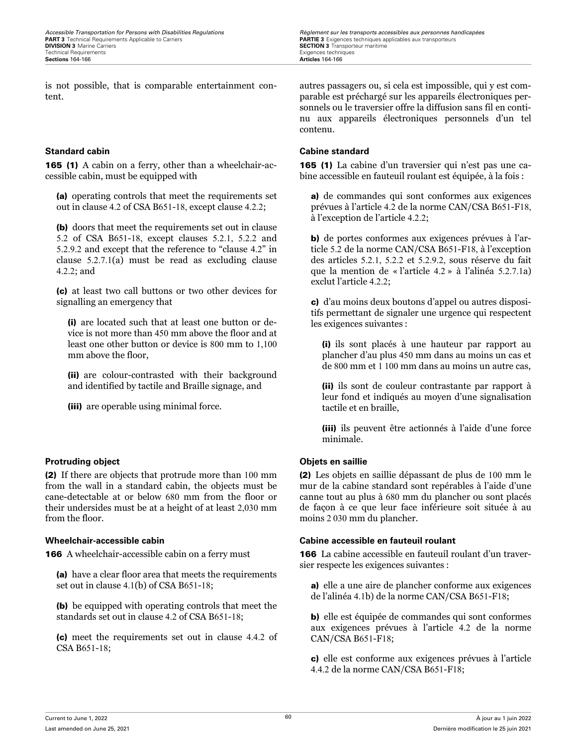is not possible, that is comparable entertainment content.

165 (1) A cabin on a ferry, other than a wheelchair-accessible cabin, must be equipped with

(a) operating controls that meet the requirements set out in clause 4.2 of CSA B651-18, except clause 4.2.2;

(b) doors that meet the requirements set out in clause 5.2 of CSA B651-18, except clauses 5.2.1, 5.2.2 and 5.2.9.2 and except that the reference to "clause 4.2" in clause 5.2.7.1(a) must be read as excluding clause 4.2.2; and

(c) at least two call buttons or two other devices for signalling an emergency that

(i) are located such that at least one button or device is not more than 450 mm above the floor and at least one other button or device is 800 mm to 1,100 mm above the floor,

(ii) are colour-contrasted with their background and identified by tactile and Braille signage, and

(iii) are operable using minimal force.

### **Protruding object Objets en saillie**

(2) If there are objects that protrude more than 100 mm from the wall in a standard cabin, the objects must be cane-detectable at or below 680 mm from the floor or their undersides must be at a height of at least 2,030 mm from the floor.

**166** A wheelchair-accessible cabin on a ferry must

(a) have a clear floor area that meets the requirements set out in clause 4.1(b) of CSA B651-18;

(b) be equipped with operating controls that meet the standards set out in clause 4.2 of CSA B651-18;

(c) meet the requirements set out in clause 4.4.2 of CSA B651-18;

*Accessible Transportation for Persons with Disabilities Regulations Regulations Règlement sur les transports accessibles aux personnes handicapées*<br>**PART 3** Technical Requirements Applicable to Carriers **Carriers SECTION 3** Transporteur maritime<br>Exigences techniques

> autres passagers ou, si cela est impossible, qui y est comparable est préchargé sur les appareils électroniques personnels ou le traversier offre la diffusion sans fil en continu aux appareils électroniques personnels d'un tel contenu.

### **Standard cabin Cabine standard**

165 (1) La cabine d'un traversier qui n'est pas une cabine accessible en fauteuil roulant est équipée, à la fois :

a) de commandes qui sont conformes aux exigences prévues à l'article 4.2 de la norme CAN/CSA B651-F18, à l'exception de l'article 4.2.2;

b) de portes conformes aux exigences prévues à l'article 5.2 de la norme CAN/CSA B651-F18, à l'exception des articles 5.2.1, 5.2.2 et 5.2.9.2, sous réserve du fait que la mention de « l'article 4.2 » à l'alinéa 5.2.7.1a) exclut l'article 4.2.2;

c) d'au moins deux boutons d'appel ou autres dispositifs permettant de signaler une urgence qui respectent les exigences suivantes :

(i) ils sont placés à une hauteur par rapport au plancher d'au plus 450 mm dans au moins un cas et de 800 mm et 1 100 mm dans au moins un autre cas,

(ii) ils sont de couleur contrastante par rapport à leur fond et indiqués au moyen d'une signalisation tactile et en braille,

(iii) ils peuvent être actionnés à l'aide d'une force minimale.

(2) Les objets en saillie dépassant de plus de 100 mm le mur de la cabine standard sont repérables à l'aide d'une canne tout au plus à 680 mm du plancher ou sont placés de façon à ce que leur face inférieure soit située à au moins 2 030 mm du plancher.

### **Wheelchair-accessible cabin Cabine accessible en fauteuil roulant**

166 La cabine accessible en fauteuil roulant d'un traversier respecte les exigences suivantes :

a) elle a une aire de plancher conforme aux exigences de l'alinéa 4.1b) de la norme CAN/CSA B651-F18;

b) elle est équipée de commandes qui sont conformes aux exigences prévues à l'article 4.2 de la norme CAN/CSA B651-F18;

c) elle est conforme aux exigences prévues à l'article 4.4.2 de la norme CAN/CSA B651-F18;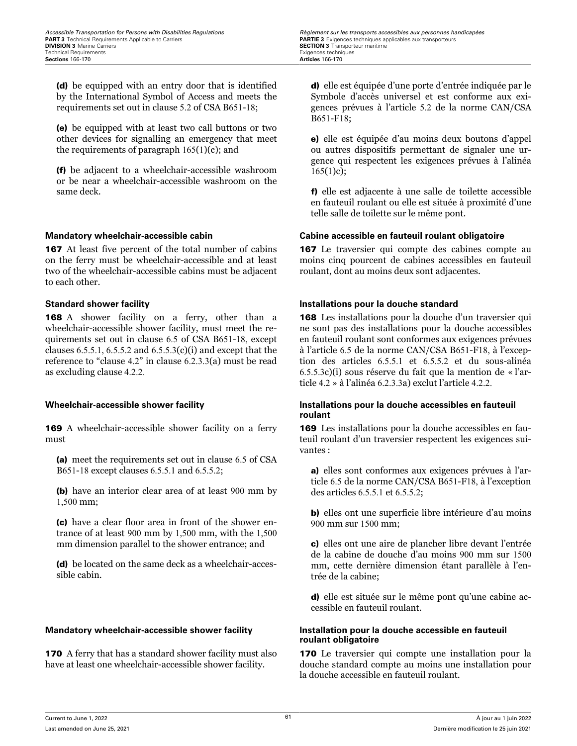(d) be equipped with an entry door that is identified by the International Symbol of Access and meets the requirements set out in clause 5.2 of CSA B651-18;

(e) be equipped with at least two call buttons or two other devices for signalling an emergency that meet the requirements of paragraph  $165(1)(c)$ ; and

(f) be adjacent to a wheelchair-accessible washroom or be near a wheelchair-accessible washroom on the same deck.

167 At least five percent of the total number of cabins on the ferry must be wheelchair-accessible and at least two of the wheelchair-accessible cabins must be adjacent to each other.

168 A shower facility on a ferry, other than a wheelchair-accessible shower facility, must meet the requirements set out in clause 6.5 of CSA B651-18, except clauses  $6.5.5.1$ ,  $6.5.5.2$  and  $6.5.5.3(c)(i)$  and except that the reference to "clause 4.2" in clause 6.2.3.3(a) must be read as excluding clause 4.2.2.

169 A wheelchair-accessible shower facility on a ferry must

(a) meet the requirements set out in clause 6.5 of CSA B651-18 except clauses 6.5.5.1 and 6.5.5.2;

(b) have an interior clear area of at least 900 mm by 1,500 mm;

(c) have a clear floor area in front of the shower entrance of at least 900 mm by 1,500 mm, with the 1,500 mm dimension parallel to the shower entrance; and

(d) be located on the same deck as a wheelchair-accessible cabin.

### **Mandatory wheelchair-accessible shower facility Installation pour la douche accessible en fauteuil**

170 A ferry that has a standard shower facility must also have at least one wheelchair-accessible shower facility.

d) elle est équipée d'une porte d'entrée indiquée par le Symbole d'accès universel et est conforme aux exigences prévues à l'article 5.2 de la norme CAN/CSA B651-F18;

e) elle est équipée d'au moins deux boutons d'appel ou autres dispositifs permettant de signaler une urgence qui respectent les exigences prévues à l'alinéa  $165(1)c$ ;

f) elle est adjacente à une salle de toilette accessible en fauteuil roulant ou elle est située à proximité d'une telle salle de toilette sur le même pont.

### **Mandatory wheelchair-accessible cabin Cabine accessible en fauteuil roulant obligatoire**

167 Le traversier qui compte des cabines compte au moins cinq pourcent de cabines accessibles en fauteuil roulant, dont au moins deux sont adjacentes.

### **Standard shower facility Installations pour la douche standard**

168 Les installations pour la douche d'un traversier qui ne sont pas des installations pour la douche accessibles en fauteuil roulant sont conformes aux exigences prévues à l'article 6.5 de la norme CAN/CSA B651-F18, à l'exception des articles 6.5.5.1 et 6.5.5.2 et du sous-alinéa 6.5.5.3c)(i) sous réserve du fait que la mention de « l'article 4.2 » à l'alinéa 6.2.3.3a) exclut l'article 4.2.2.

### **Wheelchair-accessible shower facility Installations pour la douche accessibles en fauteuil roulant**

169 Les installations pour la douche accessibles en fauteuil roulant d'un traversier respectent les exigences suivantes :

a) elles sont conformes aux exigences prévues à l'article 6.5 de la norme CAN/CSA B651-F18, à l'exception des articles 6.5.5.1 et 6.5.5.2;

b) elles ont une superficie libre intérieure d'au moins 900 mm sur 1500 mm;

c) elles ont une aire de plancher libre devant l'entrée de la cabine de douche d'au moins 900 mm sur 1500 mm, cette dernière dimension étant parallèle à l'entrée de la cabine;

d) elle est située sur le même pont qu'une cabine accessible en fauteuil roulant.

## **roulant obligatoire**

170 Le traversier qui compte une installation pour la douche standard compte au moins une installation pour la douche accessible en fauteuil roulant.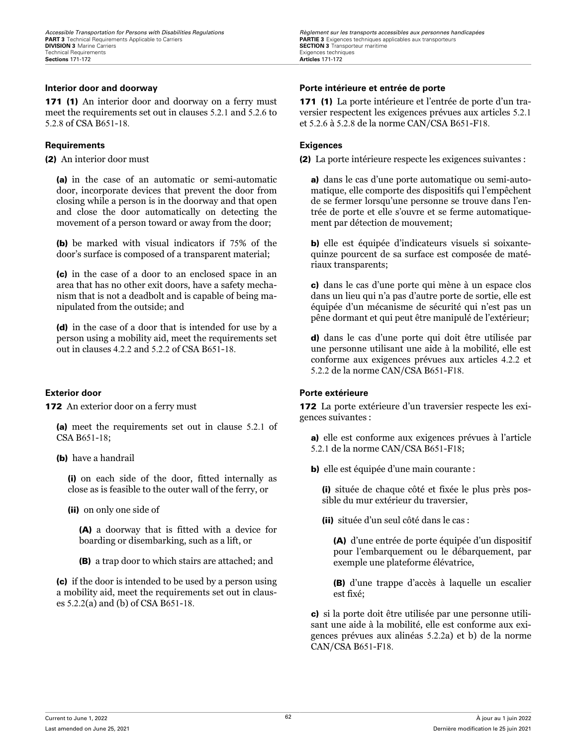171 (1) An interior door and doorway on a ferry must meet the requirements set out in clauses 5.2.1 and 5.2.6 to 5.2.8 of CSA B651-18.

### **Requirements Exigences**

(2) An interior door must

(a) in the case of an automatic or semi-automatic door, incorporate devices that prevent the door from closing while a person is in the doorway and that open and close the door automatically on detecting the movement of a person toward or away from the door;

(b) be marked with visual indicators if 75% of the door's surface is composed of a transparent material;

(c) in the case of a door to an enclosed space in an area that has no other exit doors, have a safety mechanism that is not a deadbolt and is capable of being manipulated from the outside; and

(d) in the case of a door that is intended for use by a person using a mobility aid, meet the requirements set out in clauses 4.2.2 and 5.2.2 of CSA B651-18.

172 An exterior door on a ferry must

(a) meet the requirements set out in clause 5.2.1 of CSA B651-18;

(b) have a handrail

(i) on each side of the door, fitted internally as close as is feasible to the outer wall of the ferry, or

(ii) on only one side of

(A) a doorway that is fitted with a device for boarding or disembarking, such as a lift, or

(B) a trap door to which stairs are attached; and

(c) if the door is intended to be used by a person using a mobility aid, meet the requirements set out in clauses 5.2.2(a) and (b) of CSA B651-18.

### **Interior door and doorway Porte intérieure et entrée de porte**

171 (1) La porte intérieure et l'entrée de porte d'un traversier respectent les exigences prévues aux articles 5.2.1 et 5.2.6 à 5.2.8 de la norme CAN/CSA B651-F18.

(2) La porte intérieure respecte les exigences suivantes :

a) dans le cas d'une porte automatique ou semi-automatique, elle comporte des dispositifs qui l'empêchent de se fermer lorsqu'une personne se trouve dans l'entrée de porte et elle s'ouvre et se ferme automatiquement par détection de mouvement;

b) elle est équipée d'indicateurs visuels si soixantequinze pourcent de sa surface est composée de matériaux transparents;

c) dans le cas d'une porte qui mène à un espace clos dans un lieu qui n'a pas d'autre porte de sortie, elle est équipée d'un mécanisme de sécurité qui n'est pas un pêne dormant et qui peut être manipulé de l'extérieur;

d) dans le cas d'une porte qui doit être utilisée par une personne utilisant une aide à la mobilité, elle est conforme aux exigences prévues aux articles 4.2.2 et 5.2.2 de la norme CAN/CSA B651-F18.

### **Exterior door Porte extérieure**

172 La porte extérieure d'un traversier respecte les exigences suivantes :

a) elle est conforme aux exigences prévues à l'article 5.2.1 de la norme CAN/CSA B651-F18;

b) elle est équipée d'une main courante :

(i) située de chaque côté et fixée le plus près possible du mur extérieur du traversier,

(ii) située d'un seul côté dans le cas :

(A) d'une entrée de porte équipée d'un dispositif pour l'embarquement ou le débarquement, par exemple une plateforme élévatrice,

(B) d'une trappe d'accès à laquelle un escalier est fixé;

c) si la porte doit être utilisée par une personne utilisant une aide à la mobilité, elle est conforme aux exigences prévues aux alinéas 5.2.2a) et b) de la norme CAN/CSA B651-F18.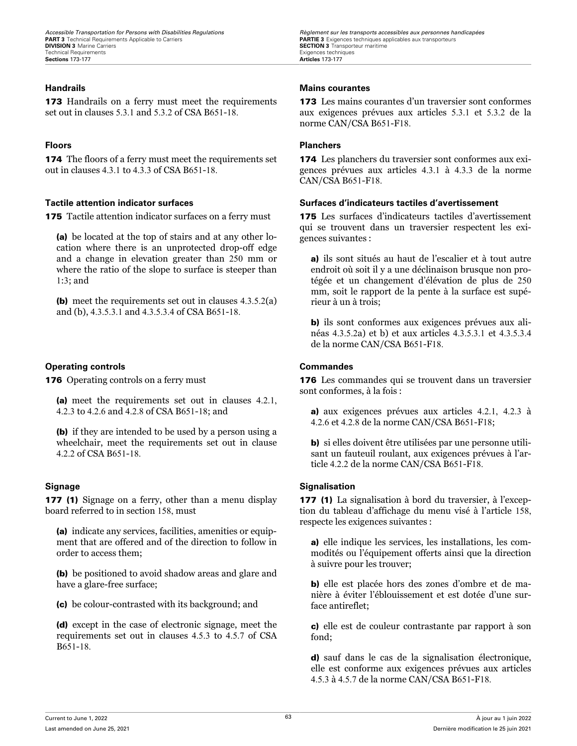173 Handrails on a ferry must meet the requirements set out in clauses 5.3.1 and 5.3.2 of CSA B651-18.

**174** The floors of a ferry must meet the requirements set out in clauses 4.3.1 to 4.3.3 of CSA B651-18.

175 Tactile attention indicator surfaces on a ferry must

(a) be located at the top of stairs and at any other location where there is an unprotected drop-off edge and a change in elevation greater than 250 mm or where the ratio of the slope to surface is steeper than 1:3; and

(b) meet the requirements set out in clauses 4.3.5.2(a) and (b), 4.3.5.3.1 and 4.3.5.3.4 of CSA B651-18.

### **Operating controls Commandes**

176 Operating controls on a ferry must

(a) meet the requirements set out in clauses 4.2.1, 4.2.3 to 4.2.6 and 4.2.8 of CSA B651-18; and

(b) if they are intended to be used by a person using a wheelchair, meet the requirements set out in clause 4.2.2 of CSA B651-18.

177 (1) Signage on a ferry, other than a menu display board referred to in section 158, must

(a) indicate any services, facilities, amenities or equipment that are offered and of the direction to follow in order to access them;

(b) be positioned to avoid shadow areas and glare and have a glare-free surface;

(c) be colour-contrasted with its background; and

(d) except in the case of electronic signage, meet the requirements set out in clauses 4.5.3 to 4.5.7 of CSA B651-18.

*Accessible Transportation for Persons with Disabilities Regulations Regulations Règlement sur les transports accessibles aux personnes handicapées*<br>**PART 3** Technical Requirements Applicable to Carriers **Carriers SECTION 3** Transporteur maritime<br>Exigences techniques

### **Handrails Mains courantes**

173 Les mains courantes d'un traversier sont conformes aux exigences prévues aux articles 5.3.1 et 5.3.2 de la norme CAN/CSA B651-F18.

### **Floors Planchers**

174 Les planchers du traversier sont conformes aux exigences prévues aux articles 4.3.1 à 4.3.3 de la norme CAN/CSA B651-F18.

### **Tactile attention indicator surfaces Surfaces d'indicateurs tactiles d'avertissement**

175 Les surfaces d'indicateurs tactiles d'avertissement qui se trouvent dans un traversier respectent les exigences suivantes :

a) ils sont situés au haut de l'escalier et à tout autre endroit où soit il y a une déclinaison brusque non protégée et un changement d'élévation de plus de 250 mm, soit le rapport de la pente à la surface est supérieur à un à trois;

b) ils sont conformes aux exigences prévues aux alinéas 4.3.5.2a) et b) et aux articles 4.3.5.3.1 et 4.3.5.3.4 de la norme CAN/CSA B651-F18.

176 Les commandes qui se trouvent dans un traversier sont conformes, à la fois :

a) aux exigences prévues aux articles 4.2.1, 4.2.3 à 4.2.6 et 4.2.8 de la norme CAN/CSA B651-F18;

b) si elles doivent être utilisées par une personne utilisant un fauteuil roulant, aux exigences prévues à l'article 4.2.2 de la norme CAN/CSA B651-F18.

### **Signage Signalisation**

177 (1) La signalisation à bord du traversier, à l'exception du tableau d'affichage du menu visé à l'article 158, respecte les exigences suivantes :

a) elle indique les services, les installations, les commodités ou l'équipement offerts ainsi que la direction à suivre pour les trouver;

b) elle est placée hors des zones d'ombre et de manière à éviter l'éblouissement et est dotée d'une surface antireflet;

c) elle est de couleur contrastante par rapport à son fond;

d) sauf dans le cas de la signalisation électronique, elle est conforme aux exigences prévues aux articles 4.5.3 à 4.5.7 de la norme CAN/CSA B651-F18.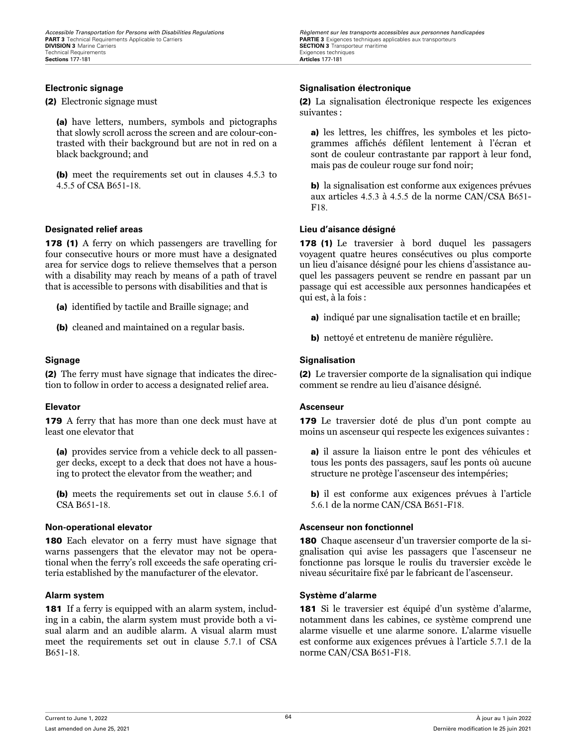(2) Electronic signage must

(a) have letters, numbers, symbols and pictographs that slowly scroll across the screen and are colour-contrasted with their background but are not in red on a black background; and

(b) meet the requirements set out in clauses 4.5.3 to 4.5.5 of CSA B651-18.

### **Designated relief areas Lieu d'aisance désigné**

178 (1) A ferry on which passengers are travelling for four consecutive hours or more must have a designated area for service dogs to relieve themselves that a person with a disability may reach by means of a path of travel that is accessible to persons with disabilities and that is

(a) identified by tactile and Braille signage; and

(b) cleaned and maintained on a regular basis.

(2) The ferry must have signage that indicates the direction to follow in order to access a designated relief area.

179 A ferry that has more than one deck must have at least one elevator that

(a) provides service from a vehicle deck to all passenger decks, except to a deck that does not have a housing to protect the elevator from the weather; and

(b) meets the requirements set out in clause 5.6.1 of CSA B651-18.

180 Each elevator on a ferry must have signage that warns passengers that the elevator may not be operational when the ferry's roll exceeds the safe operating criteria established by the manufacturer of the elevator.

**181** If a ferry is equipped with an alarm system, including in a cabin, the alarm system must provide both a visual alarm and an audible alarm. A visual alarm must meet the requirements set out in clause 5.7.1 of CSA B651-18.

*Accessible Transportation for Persons with Disabilities Regulations Regulations Règlement sur les transports accessibles aux personnes handicapées*<br>**PART 3** Technical Requirements Applicable to Carriers **Carriers SECTION 3** Transporteur maritime Exigences techniques

### **Electronic signage Signalisation électronique**

(2) La signalisation électronique respecte les exigences suivantes :

a) les lettres, les chiffres, les symboles et les pictogrammes affichés défilent lentement à l'écran et sont de couleur contrastante par rapport à leur fond, mais pas de couleur rouge sur fond noir;

b) la signalisation est conforme aux exigences prévues aux articles 4.5.3 à 4.5.5 de la norme CAN/CSA B651- F18.

178 (1) Le traversier à bord duquel les passagers voyagent quatre heures consécutives ou plus comporte un lieu d'aisance désigné pour les chiens d'assistance auquel les passagers peuvent se rendre en passant par un passage qui est accessible aux personnes handicapées et qui est, à la fois :

- a) indiqué par une signalisation tactile et en braille;
- b) nettoyé et entretenu de manière régulière.

### **Signage Signalisation**

(2) Le traversier comporte de la signalisation qui indique comment se rendre au lieu d'aisance désigné.

### **Elevator Ascenseur**

179 Le traversier doté de plus d'un pont compte au moins un ascenseur qui respecte les exigences suivantes :

a) il assure la liaison entre le pont des véhicules et tous les ponts des passagers, sauf les ponts où aucune structure ne protège l'ascenseur des intempéries;

b) il est conforme aux exigences prévues à l'article 5.6.1 de la norme CAN/CSA B651-F18.

### **Non-operational elevator Ascenseur non fonctionnel**

180 Chaque ascenseur d'un traversier comporte de la signalisation qui avise les passagers que l'ascenseur ne fonctionne pas lorsque le roulis du traversier excède le niveau sécuritaire fixé par le fabricant de l'ascenseur.

### **Alarm system Système d'alarme**

181 Si le traversier est équipé d'un système d'alarme, notamment dans les cabines, ce système comprend une alarme visuelle et une alarme sonore. L'alarme visuelle est conforme aux exigences prévues à l'article 5.7.1 de la norme CAN/CSA B651-F18.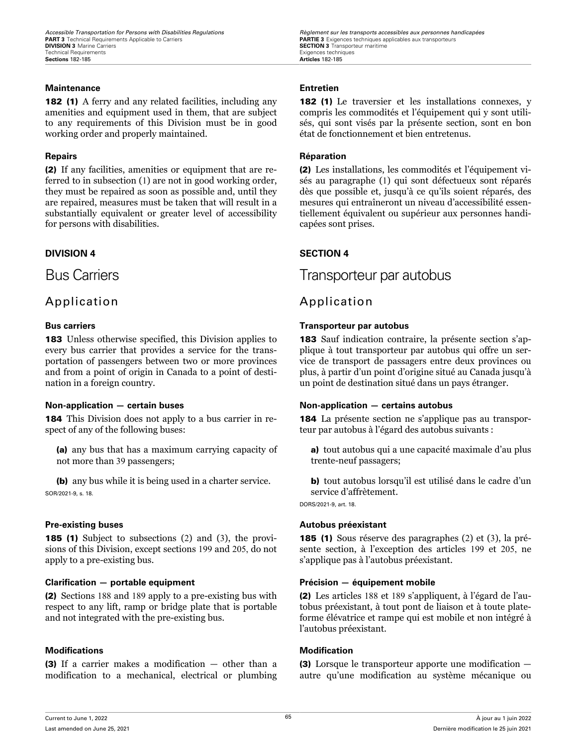### **Maintenance Entretien**

182 (1) A ferry and any related facilities, including any amenities and equipment used in them, that are subject to any requirements of this Division must be in good working order and properly maintained.

(2) If any facilities, amenities or equipment that are referred to in subsection (1) are not in good working order, they must be repaired as soon as possible and, until they are repaired, measures must be taken that will result in a substantially equivalent or greater level of accessibility for persons with disabilities.

### **DIVISION 4 SECTION 4**

### Application Application

183 Unless otherwise specified, this Division applies to every bus carrier that provides a service for the transportation of passengers between two or more provinces and from a point of origin in Canada to a point of destination in a foreign country.

184 This Division does not apply to a bus carrier in respect of any of the following buses:

(a) any bus that has a maximum carrying capacity of not more than 39 passengers;

(b) any bus while it is being used in a charter service. SOR/2021-9, s. 18.

185 (1) Subject to subsections (2) and (3), the provisions of this Division, except sections 199 and 205, do not apply to a pre-existing bus.

### **Clarification — portable equipment Précision — équipement mobile**

(2) Sections 188 and 189 apply to a pre-existing bus with respect to any lift, ramp or bridge plate that is portable and not integrated with the pre-existing bus.

### **Modifications Modification**

(3) If a carrier makes a modification — other than a modification to a mechanical, electrical or plumbing

*Accessible Transportation for Persons with Disabilities Regulations Regulations Règlement sur les transports accessibles aux personnes handicapées*<br>**PART 3** Technical Requirements Applicable to Carriers **Carriers SECTION 3** Transporteur maritime Exigences techniques

182 (1) Le traversier et les installations connexes, y compris les commodités et l'équipement qui y sont utilisés, qui sont visés par la présente section, sont en bon état de fonctionnement et bien entretenus.

### **Repairs Réparation**

(2) Les installations, les commodités et l'équipement visés au paragraphe (1) qui sont défectueux sont réparés dès que possible et, jusqu'à ce qu'ils soient réparés, des mesures qui entraîneront un niveau d'accessibilité essentiellement équivalent ou supérieur aux personnes handicapées sont prises.

### Bus Carriers Transporteur par autobus

### **Bus carriers Transporteur par autobus**

183 Sauf indication contraire, la présente section s'applique à tout transporteur par autobus qui offre un service de transport de passagers entre deux provinces ou plus, à partir d'un point d'origine situé au Canada jusqu'à un point de destination situé dans un pays étranger.

### **Non-application — certain buses Non-application — certains autobus**

184 La présente section ne s'applique pas au transporteur par autobus à l'égard des autobus suivants :

a) tout autobus qui a une capacité maximale d'au plus trente-neuf passagers;

b) tout autobus lorsqu'il est utilisé dans le cadre d'un service d'affrètement.

DORS/2021-9, art. 18.

### **Pre-existing buses Autobus préexistant**

185 (1) Sous réserve des paragraphes (2) et (3), la présente section, à l'exception des articles 199 et 205, ne s'applique pas à l'autobus préexistant.

(2) Les articles 188 et 189 s'appliquent, à l'égard de l'autobus préexistant, à tout pont de liaison et à toute plateforme élévatrice et rampe qui est mobile et non intégré à l'autobus préexistant.

(3) Lorsque le transporteur apporte une modification autre qu'une modification au système mécanique ou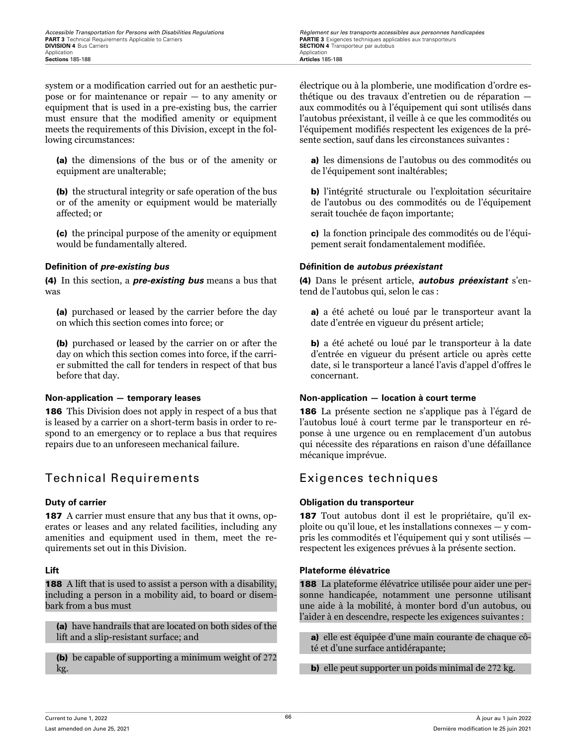*Accessible Transportation for Persons with Disabilities Regulations Regulations Règlement sur les transports accessibles aux personnes handicapées*<br>**PART 3** Technical Requirements Applicable to Carriers **Carriers**

system or a modification carried out for an aesthetic purpose or for maintenance or repair — to any amenity or equipment that is used in a pre-existing bus, the carrier must ensure that the modified amenity or equipment meets the requirements of this Division, except in the following circumstances:

(a) the dimensions of the bus or of the amenity or equipment are unalterable;

(b) the structural integrity or safe operation of the bus or of the amenity or equipment would be materially affected; or

(c) the principal purpose of the amenity or equipment would be fundamentally altered.

(4) In this section, a *pre-existing bus* means a bus that was

(a) purchased or leased by the carrier before the day on which this section comes into force; or

(b) purchased or leased by the carrier on or after the day on which this section comes into force, if the carrier submitted the call for tenders in respect of that bus before that day.

186 This Division does not apply in respect of a bus that is leased by a carrier on a short-term basis in order to respond to an emergency or to replace a bus that requires repairs due to an unforeseen mechanical failure.

### Technical Requirements Exigences techniques

187 A carrier must ensure that any bus that it owns, operates or leases and any related facilities, including any amenities and equipment used in them, meet the requirements set out in this Division.

**188** A lift that is used to assist a person with a disability, including a person in a mobility aid, to board or disembark from a bus must

(a) have handrails that are located on both sides of the lift and a slip-resistant surface; and

(b) be capable of supporting a minimum weight of 272 kg.

électrique ou à la plomberie, une modification d'ordre esthétique ou des travaux d'entretien ou de réparation aux commodités ou à l'équipement qui sont utilisés dans l'autobus préexistant, il veille à ce que les commodités ou l'équipement modifiés respectent les exigences de la présente section, sauf dans les circonstances suivantes :

a) les dimensions de l'autobus ou des commodités ou de l'équipement sont inaltérables;

b) l'intégrité structurale ou l'exploitation sécuritaire de l'autobus ou des commodités ou de l'équipement serait touchée de façon importante;

c) la fonction principale des commodités ou de l'équipement serait fondamentalement modifiée.

### **Definition of** *pre-existing bus* **Définition de** *autobus préexistant*

(4) Dans le présent article, *autobus préexistant* s'entend de l'autobus qui, selon le cas :

a) a été acheté ou loué par le transporteur avant la date d'entrée en vigueur du présent article;

b) a été acheté ou loué par le transporteur à la date d'entrée en vigueur du présent article ou après cette date, si le transporteur a lancé l'avis d'appel d'offres le concernant.

### **Non-application — temporary leases Non-application — location à court terme**

186 La présente section ne s'applique pas à l'égard de l'autobus loué à court terme par le transporteur en réponse à une urgence ou en remplacement d'un autobus qui nécessite des réparations en raison d'une défaillance mécanique imprévue.

### **Duty of carrier Obligation du transporteur**

187 Tout autobus dont il est le propriétaire, qu'il exploite ou qu'il loue, et les installations connexes — y compris les commodités et l'équipement qui y sont utilisés respectent les exigences prévues à la présente section.

### **Lift Plateforme élévatrice**

188 La plateforme élévatrice utilisée pour aider une personne handicapée, notamment une personne utilisant une aide à la mobilité, à monter bord d'un autobus, ou l'aider à en descendre, respecte les exigences suivantes :

a) elle est équipée d'une main courante de chaque côté et d'une surface antidérapante;

b) elle peut supporter un poids minimal de 272 kg.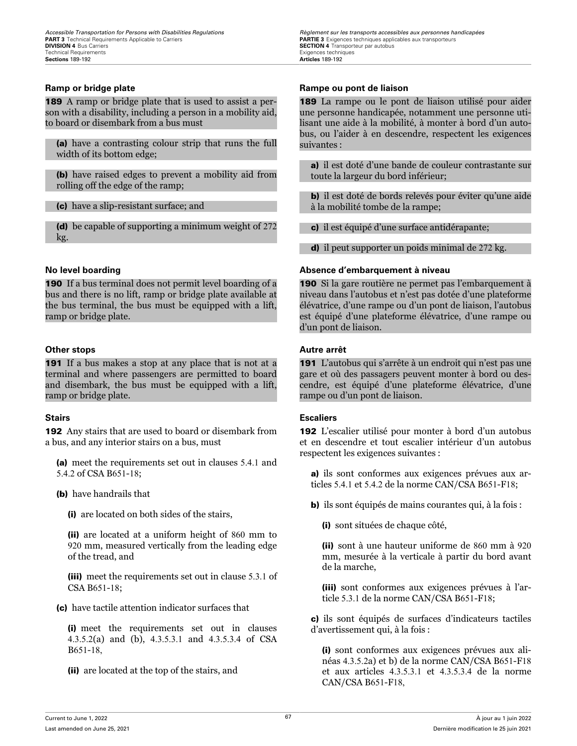189 A ramp or bridge plate that is used to assist a person with a disability, including a person in a mobility aid, to board or disembark from a bus must

(a) have a contrasting colour strip that runs the full width of its bottom edge;

(b) have raised edges to prevent a mobility aid from rolling off the edge of the ramp;

(c) have a slip-resistant surface; and

(d) be capable of supporting a minimum weight of 272 kg.

190 If a bus terminal does not permit level boarding of a bus and there is no lift, ramp or bridge plate available at the bus terminal, the bus must be equipped with a lift, ramp or bridge plate.

### **Other stops Autre arrêt**

191 If a bus makes a stop at any place that is not at a terminal and where passengers are permitted to board and disembark, the bus must be equipped with a lift, ramp or bridge plate.

192 Any stairs that are used to board or disembark from a bus, and any interior stairs on a bus, must

(a) meet the requirements set out in clauses 5.4.1 and 5.4.2 of CSA B651-18;

(b) have handrails that

(i) are located on both sides of the stairs,

(ii) are located at a uniform height of 860 mm to 920 mm, measured vertically from the leading edge of the tread, and

(iii) meet the requirements set out in clause 5.3.1 of CSA B651-18;

(c) have tactile attention indicator surfaces that

(i) meet the requirements set out in clauses 4.3.5.2(a) and (b), 4.3.5.3.1 and 4.3.5.3.4 of CSA B651-18,

(ii) are located at the top of the stairs, and

*Accessible Transportation for Persons with Disabilities Regulations Regulations Règlement sur les transports accessibles aux personnes handicapées*<br>**PART 3** Technical Requirements Applicable to Carriers **Carriers SECTION 4** Transporteur par autobus<br>Exigences techniques

### **Ramp or bridge plate Rampige plate Rampe ou pont de liaison**

189 La rampe ou le pont de liaison utilisé pour aider une personne handicapée, notamment une personne utilisant une aide à la mobilité, à monter à bord d'un autobus, ou l'aider à en descendre, respectent les exigences suivantes :

a) il est doté d'une bande de couleur contrastante sur toute la largeur du bord inférieur;

b) il est doté de bords relevés pour éviter qu'une aide à la mobilité tombe de la rampe;

c) il est équipé d'une surface antidérapante;

d) il peut supporter un poids minimal de 272 kg.

### **No level boarding Absence d'embarquement à niveau**

190 Si la gare routière ne permet pas l'embarquement à niveau dans l'autobus et n'est pas dotée d'une plateforme élévatrice, d'une rampe ou d'un pont de liaison, l'autobus est équipé d'une plateforme élévatrice, d'une rampe ou d'un pont de liaison.

191 L'autobus qui s'arrête à un endroit qui n'est pas une gare et où des passagers peuvent monter à bord ou descendre, est équipé d'une plateforme élévatrice, d'une rampe ou d'un pont de liaison.

### **Stairs Escaliers**

192 L'escalier utilisé pour monter à bord d'un autobus et en descendre et tout escalier intérieur d'un autobus respectent les exigences suivantes :

a) ils sont conformes aux exigences prévues aux articles 5.4.1 et 5.4.2 de la norme CAN/CSA B651-F18;

b) ils sont équipés de mains courantes qui, à la fois :

(i) sont situées de chaque côté,

(ii) sont à une hauteur uniforme de 860 mm à 920 mm, mesurée à la verticale à partir du bord avant de la marche,

(iii) sont conformes aux exigences prévues à l'article 5.3.1 de la norme CAN/CSA B651-F18;

c) ils sont équipés de surfaces d'indicateurs tactiles d'avertissement qui, à la fois :

(i) sont conformes aux exigences prévues aux alinéas 4.3.5.2a) et b) de la norme CAN/CSA B651-F18 et aux articles 4.3.5.3.1 et 4.3.5.3.4 de la norme CAN/CSA B651-F18,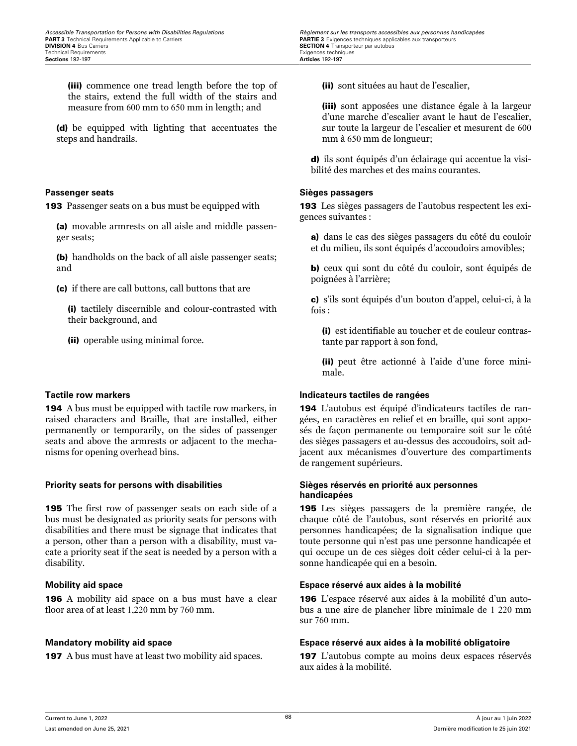(iii) commence one tread length before the top of the stairs, extend the full width of the stairs and measure from 600 mm to 650 mm in length; and

(d) be equipped with lighting that accentuates the steps and handrails.

**193** Passenger seats on a bus must be equipped with

(a) movable armrests on all aisle and middle passenger seats;

(b) handholds on the back of all aisle passenger seats; and

(c) if there are call buttons, call buttons that are

(i) tactilely discernible and colour-contrasted with their background, and

(ii) operable using minimal force.

194 A bus must be equipped with tactile row markers, in raised characters and Braille, that are installed, either permanently or temporarily, on the sides of passenger seats and above the armrests or adjacent to the mechanisms for opening overhead bins.

195 The first row of passenger seats on each side of a bus must be designated as priority seats for persons with disabilities and there must be signage that indicates that a person, other than a person with a disability, must vacate a priority seat if the seat is needed by a person with a disability.

196 A mobility aid space on a bus must have a clear floor area of at least 1,220 mm by 760 mm.

*Accessible Transportation for Persons with Disabilities Regulations Regulations Règlement sur les transports accessibles aux personnes handicapées*<br>**PART 3** Technical Requirements Applicable to Carriers **Carriers SECTION 4** Transporteur par autobus<br>Exigences techniques

(ii) sont situées au haut de l'escalier,

(iii) sont apposées une distance égale à la largeur d'une marche d'escalier avant le haut de l'escalier, sur toute la largeur de l'escalier et mesurent de 600 mm à 650 mm de longueur;

d) ils sont équipés d'un éclairage qui accentue la visibilité des marches et des mains courantes.

### **Passenger seats Sièges passagers**

193 Les sièges passagers de l'autobus respectent les exigences suivantes :

a) dans le cas des sièges passagers du côté du couloir et du milieu, ils sont équipés d'accoudoirs amovibles;

b) ceux qui sont du côté du couloir, sont équipés de poignées à l'arrière;

c) s'ils sont équipés d'un bouton d'appel, celui-ci, à la fois :

(i) est identifiable au toucher et de couleur contrastante par rapport à son fond,

(ii) peut être actionné à l'aide d'une force minimale.

### **Tactile row markers Indicateurs tactiles de rangées**

194 L'autobus est équipé d'indicateurs tactiles de rangées, en caractères en relief et en braille, qui sont apposés de façon permanente ou temporaire soit sur le côté des sièges passagers et au-dessus des accoudoirs, soit adjacent aux mécanismes d'ouverture des compartiments de rangement supérieurs.

### **Priority seats for persons with disabilities Sièges réservés en priorité aux personnes handicapées**

195 Les sièges passagers de la première rangée, de chaque côté de l'autobus, sont réservés en priorité aux personnes handicapées; de la signalisation indique que toute personne qui n'est pas une personne handicapée et qui occupe un de ces sièges doit céder celui-ci à la personne handicapée qui en a besoin.

### **Mobility aid space Espace réservé aux aides à la mobilité**

196 L'espace réservé aux aides à la mobilité d'un autobus a une aire de plancher libre minimale de 1 220 mm sur 760 mm.

### **Mandatory mobility aid space Espace réservé aux aides à la mobilité obligatoire**

197 A bus must have at least two mobility aid spaces. 197 L'autobus compte au moins deux espaces réservés aux aides à la mobilité.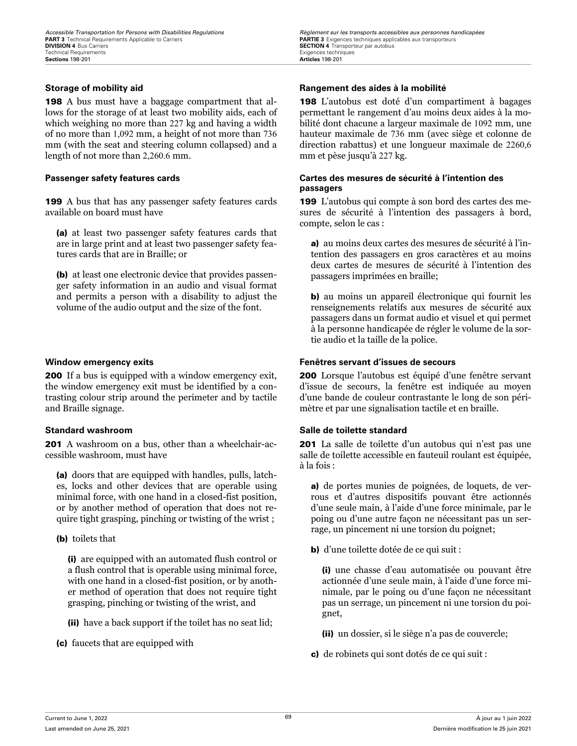198 A bus must have a baggage compartment that allows for the storage of at least two mobility aids, each of which weighing no more than 227 kg and having a width of no more than 1,092 mm, a height of not more than 736 mm (with the seat and steering column collapsed) and a length of not more than 2,260.6 mm.

199 A bus that has any passenger safety features cards available on board must have

(a) at least two passenger safety features cards that are in large print and at least two passenger safety features cards that are in Braille; or

(b) at least one electronic device that provides passenger safety information in an audio and visual format and permits a person with a disability to adjust the volume of the audio output and the size of the font.

**200** If a bus is equipped with a window emergency exit, the window emergency exit must be identified by a contrasting colour strip around the perimeter and by tactile and Braille signage.

201 A washroom on a bus, other than a wheelchair-accessible washroom, must have

(a) doors that are equipped with handles, pulls, latches, locks and other devices that are operable using minimal force, with one hand in a closed-fist position, or by another method of operation that does not require tight grasping, pinching or twisting of the wrist ;

(b) toilets that

(i) are equipped with an automated flush control or a flush control that is operable using minimal force, with one hand in a closed-fist position, or by another method of operation that does not require tight grasping, pinching or twisting of the wrist, and

(ii) have a back support if the toilet has no seat lid;

(c) faucets that are equipped with

*Accessible Transportation for Persons with Disabilities Regulations Regulations Règlement sur les transports accessibles aux personnes handicapées*<br>**PART 3** Technical Requirements Applicable to Carriers **Carriers SECTION 4** Transporteur par autobus<br>Exigences techniques

### **Storage of mobility aid Rangement des aides à la mobilité**

198 L'autobus est doté d'un compartiment à bagages permettant le rangement d'au moins deux aides à la mobilité dont chacune a largeur maximale de 1092 mm, une hauteur maximale de 736 mm (avec siège et colonne de direction rabattus) et une longueur maximale de 2260,6 mm et pèse jusqu'à 227 kg.

### **Passenger safety features cards Cartes des mesures de sécurité à l'intention des passagers**

199 L'autobus qui compte à son bord des cartes des mesures de sécurité à l'intention des passagers à bord, compte, selon le cas :

a) au moins deux cartes des mesures de sécurité à l'intention des passagers en gros caractères et au moins deux cartes de mesures de sécurité à l'intention des passagers imprimées en braille;

b) au moins un appareil électronique qui fournit les renseignements relatifs aux mesures de sécurité aux passagers dans un format audio et visuel et qui permet à la personne handicapée de régler le volume de la sortie audio et la taille de la police.

### **Window emergency exits Fenêtres servant d'issues de secours**

200 Lorsque l'autobus est équipé d'une fenêtre servant d'issue de secours, la fenêtre est indiquée au moyen d'une bande de couleur contrastante le long de son périmètre et par une signalisation tactile et en braille.

### **Standard washroom Salle de toilette standard**

201 La salle de toilette d'un autobus qui n'est pas une salle de toilette accessible en fauteuil roulant est équipée, à la fois :

a) de portes munies de poignées, de loquets, de verrous et d'autres dispositifs pouvant être actionnés d'une seule main, à l'aide d'une force minimale, par le poing ou d'une autre façon ne nécessitant pas un serrage, un pincement ni une torsion du poignet;

b) d'une toilette dotée de ce qui suit :

(i) une chasse d'eau automatisée ou pouvant être actionnée d'une seule main, à l'aide d'une force minimale, par le poing ou d'une façon ne nécessitant pas un serrage, un pincement ni une torsion du poignet,

(ii) un dossier, si le siège n'a pas de couvercle;

c) de robinets qui sont dotés de ce qui suit :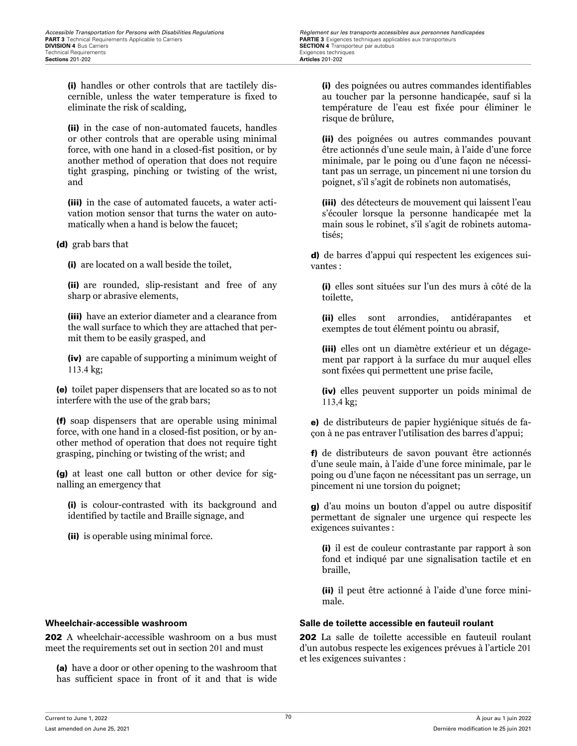(i) handles or other controls that are tactilely discernible, unless the water temperature is fixed to eliminate the risk of scalding,

(ii) in the case of non-automated faucets, handles or other controls that are operable using minimal force, with one hand in a closed-fist position, or by another method of operation that does not require tight grasping, pinching or twisting of the wrist, and

(iii) in the case of automated faucets, a water activation motion sensor that turns the water on automatically when a hand is below the faucet;

(d) grab bars that

(i) are located on a wall beside the toilet,

(ii) are rounded, slip-resistant and free of any sharp or abrasive elements,

(iii) have an exterior diameter and a clearance from the wall surface to which they are attached that permit them to be easily grasped, and

(iv) are capable of supporting a minimum weight of 113.4 kg;

(e) toilet paper dispensers that are located so as to not interfere with the use of the grab bars;

(f) soap dispensers that are operable using minimal force, with one hand in a closed-fist position, or by another method of operation that does not require tight grasping, pinching or twisting of the wrist; and

(g) at least one call button or other device for signalling an emergency that

(i) is colour-contrasted with its background and identified by tactile and Braille signage, and

(ii) is operable using minimal force.

202 A wheelchair-accessible washroom on a bus must meet the requirements set out in section 201 and must

(a) have a door or other opening to the washroom that has sufficient space in front of it and that is wide (i) des poignées ou autres commandes identifiables au toucher par la personne handicapée, sauf si la température de l'eau est fixée pour éliminer le risque de brûlure,

(ii) des poignées ou autres commandes pouvant être actionnés d'une seule main, à l'aide d'une force minimale, par le poing ou d'une façon ne nécessitant pas un serrage, un pincement ni une torsion du poignet, s'il s'agit de robinets non automatisés,

(iii) des détecteurs de mouvement qui laissent l'eau s'écouler lorsque la personne handicapée met la main sous le robinet, s'il s'agit de robinets automatisés;

d) de barres d'appui qui respectent les exigences suivantes :

(i) elles sont situées sur l'un des murs à côté de la toilette,

(ii) elles sont arrondies, antidérapantes et exemptes de tout élément pointu ou abrasif,

(iii) elles ont un diamètre extérieur et un dégagement par rapport à la surface du mur auquel elles sont fixées qui permettent une prise facile,

(iv) elles peuvent supporter un poids minimal de 113,4 kg;

e) de distributeurs de papier hygiénique situés de façon à ne pas entraver l'utilisation des barres d'appui;

f) de distributeurs de savon pouvant être actionnés d'une seule main, à l'aide d'une force minimale, par le poing ou d'une façon ne nécessitant pas un serrage, un pincement ni une torsion du poignet;

g) d'au moins un bouton d'appel ou autre dispositif permettant de signaler une urgence qui respecte les exigences suivantes :

(i) il est de couleur contrastante par rapport à son fond et indiqué par une signalisation tactile et en braille,

(ii) il peut être actionné à l'aide d'une force minimale.

### **Wheelchair-accessible washroom Salle de toilette accessible en fauteuil roulant**

202 La salle de toilette accessible en fauteuil roulant d'un autobus respecte les exigences prévues à l'article 201 et les exigences suivantes :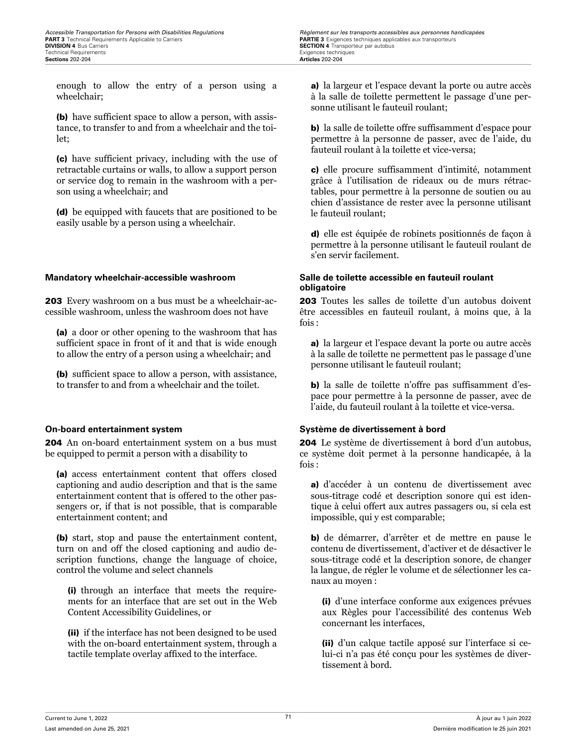*Accessible Transportation for Persons with Disabilities Regulations Regulations Règlement sur les transports accessibles aux personnes handicapées*<br>**PART 3** Technical Requirements Applicable to Carriers **Carriers SECTION 4** Transporteur par autobus<br>Exigences techniques

enough to allow the entry of a person using a wheelchair;

(b) have sufficient space to allow a person, with assistance, to transfer to and from a wheelchair and the toilet;

(c) have sufficient privacy, including with the use of retractable curtains or walls, to allow a support person or service dog to remain in the washroom with a person using a wheelchair; and

(d) be equipped with faucets that are positioned to be easily usable by a person using a wheelchair.

203 Every washroom on a bus must be a wheelchair-accessible washroom, unless the washroom does not have

(a) a door or other opening to the washroom that has sufficient space in front of it and that is wide enough to allow the entry of a person using a wheelchair; and

(b) sufficient space to allow a person, with assistance, to transfer to and from a wheelchair and the toilet.

204 An on-board entertainment system on a bus must be equipped to permit a person with a disability to

(a) access entertainment content that offers closed captioning and audio description and that is the same entertainment content that is offered to the other passengers or, if that is not possible, that is comparable entertainment content; and

(b) start, stop and pause the entertainment content, turn on and off the closed captioning and audio description functions, change the language of choice, control the volume and select channels

(i) through an interface that meets the requirements for an interface that are set out in the Web Content Accessibility Guidelines, or

(ii) if the interface has not been designed to be used with the on-board entertainment system, through a tactile template overlay affixed to the interface.

a) la largeur et l'espace devant la porte ou autre accès à la salle de toilette permettent le passage d'une personne utilisant le fauteuil roulant;

b) la salle de toilette offre suffisamment d'espace pour permettre à la personne de passer, avec de l'aide, du fauteuil roulant à la toilette et vice-versa;

c) elle procure suffisamment d'intimité, notamment grâce à l'utilisation de rideaux ou de murs rétractables, pour permettre à la personne de soutien ou au chien d'assistance de rester avec la personne utilisant le fauteuil roulant;

d) elle est équipée de robinets positionnés de façon à permettre à la personne utilisant le fauteuil roulant de s'en servir facilement.

### **Mandatory wheelchair-accessible washroom Salle de toilette accessible en fauteuil roulant obligatoire**

203 Toutes les salles de toilette d'un autobus doivent être accessibles en fauteuil roulant, à moins que, à la fois :

a) la largeur et l'espace devant la porte ou autre accès à la salle de toilette ne permettent pas le passage d'une personne utilisant le fauteuil roulant;

b) la salle de toilette n'offre pas suffisamment d'espace pour permettre à la personne de passer, avec de l'aide, du fauteuil roulant à la toilette et vice-versa.

### **On-board entertainment system Système de divertissement à bord**

204 Le système de divertissement à bord d'un autobus, ce système doit permet à la personne handicapée, à la  $f$ ois  $\cdot$ 

a) d'accéder à un contenu de divertissement avec sous-titrage codé et description sonore qui est identique à celui offert aux autres passagers ou, si cela est impossible, qui y est comparable;

b) de démarrer, d'arrêter et de mettre en pause le contenu de divertissement, d'activer et de désactiver le sous-titrage codé et la description sonore, de changer la langue, de régler le volume et de sélectionner les canaux au moyen :

(i) d'une interface conforme aux exigences prévues aux Règles pour l'accessibilité des contenus Web concernant les interfaces,

(ii) d'un calque tactile apposé sur l'interface si celui-ci n'a pas été conçu pour les systèmes de divertissement à bord.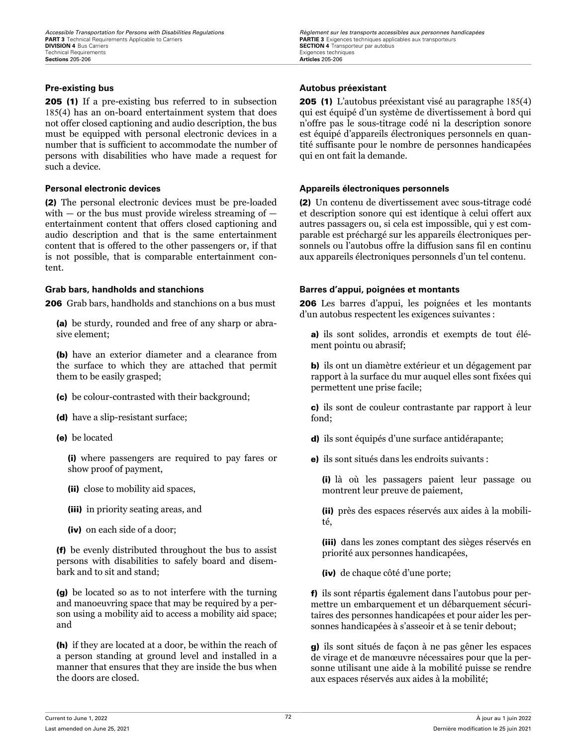205 (1) If a pre-existing bus referred to in subsection 185(4) has an on-board entertainment system that does not offer closed captioning and audio description, the bus must be equipped with personal electronic devices in a number that is sufficient to accommodate the number of persons with disabilities who have made a request for such a device.

(2) The personal electronic devices must be pre-loaded with  $-$  or the bus must provide wireless streaming of  $$ entertainment content that offers closed captioning and audio description and that is the same entertainment content that is offered to the other passengers or, if that is not possible, that is comparable entertainment content.

206 Grab bars, handholds and stanchions on a bus must

(a) be sturdy, rounded and free of any sharp or abrasive element;

(b) have an exterior diameter and a clearance from the surface to which they are attached that permit them to be easily grasped;

- (c) be colour-contrasted with their background;
- (d) have a slip-resistant surface;
- (e) be located

(i) where passengers are required to pay fares or show proof of payment,

- (ii) close to mobility aid spaces,
- (iii) in priority seating areas, and
- (iv) on each side of a door;

(f) be evenly distributed throughout the bus to assist persons with disabilities to safely board and disembark and to sit and stand;

(g) be located so as to not interfere with the turning and manoeuvring space that may be required by a person using a mobility aid to access a mobility aid space; and

(h) if they are located at a door, be within the reach of a person standing at ground level and installed in a manner that ensures that they are inside the bus when the doors are closed.

*Accessible Transportation for Persons with Disabilities Regulations Regulations Règlement sur les transports accessibles aux personnes handicapées*<br>**PART 3** Technical Requirements Applicable to Carriers **Carriers SECTION 4** Transporteur par autobus<br>Exigences techniques

### **Pre-existing bus Autobus préexistant**

205 (1) L'autobus préexistant visé au paragraphe 185(4) qui est équipé d'un système de divertissement à bord qui n'offre pas le sous-titrage codé ni la description sonore est équipé d'appareils électroniques personnels en quantité suffisante pour le nombre de personnes handicapées qui en ont fait la demande.

### **Personal electronic devices Appareils électroniques personnels**

(2) Un contenu de divertissement avec sous-titrage codé et description sonore qui est identique à celui offert aux autres passagers ou, si cela est impossible, qui y est comparable est préchargé sur les appareils électroniques personnels ou l'autobus offre la diffusion sans fil en continu aux appareils électroniques personnels d'un tel contenu.

### **Grab bars, handholds and stanchions Barres d'appui, poignées et montants**

206 Les barres d'appui, les poignées et les montants d'un autobus respectent les exigences suivantes :

a) ils sont solides, arrondis et exempts de tout élément pointu ou abrasif;

b) ils ont un diamètre extérieur et un dégagement par rapport à la surface du mur auquel elles sont fixées qui permettent une prise facile;

c) ils sont de couleur contrastante par rapport à leur fond;

- d) ils sont équipés d'une surface antidérapante;
- e) ils sont situés dans les endroits suivants :

(i) là où les passagers paient leur passage ou montrent leur preuve de paiement,

(ii) près des espaces réservés aux aides à la mobilité,

(iii) dans les zones comptant des sièges réservés en priorité aux personnes handicapées,

(iv) de chaque côté d'une porte;

f) ils sont répartis également dans l'autobus pour permettre un embarquement et un débarquement sécuritaires des personnes handicapées et pour aider les personnes handicapées à s'asseoir et à se tenir debout;

g) ils sont situés de façon à ne pas gêner les espaces de virage et de manœuvre nécessaires pour que la personne utilisant une aide à la mobilité puisse se rendre aux espaces réservés aux aides à la mobilité;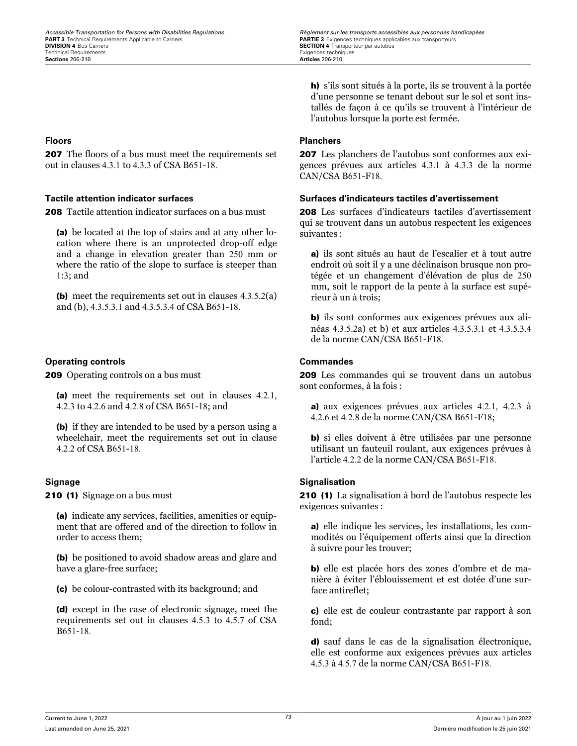**PART 3** Technical Requirements Applicable to Carriers **PARTIE 3** Exigences techniques applicables aux transporteurs **PARTIE 3** Exigences techniques applicables aux transporteurs **PARTIE 3** Exigences techniques applicables Technical Requirements Exigences techniques **Sections 206-210** 

207 The floors of a bus must meet the requirements set out in clauses 4.3.1 to 4.3.3 of CSA B651-18.

208 Tactile attention indicator surfaces on a bus must

(a) be located at the top of stairs and at any other location where there is an unprotected drop-off edge and a change in elevation greater than 250 mm or where the ratio of the slope to surface is steeper than 1:3; and

(b) meet the requirements set out in clauses 4.3.5.2(a) and (b), 4.3.5.3.1 and 4.3.5.3.4 of CSA B651-18.

### **Operating controls Commandes**

**209** Operating controls on a bus must

(a) meet the requirements set out in clauses 4.2.1, 4.2.3 to 4.2.6 and 4.2.8 of CSA B651-18; and

(b) if they are intended to be used by a person using a wheelchair, meet the requirements set out in clause 4.2.2 of CSA B651-18.

210 (1) Signage on a bus must

(a) indicate any services, facilities, amenities or equipment that are offered and of the direction to follow in order to access them;

(b) be positioned to avoid shadow areas and glare and have a glare-free surface;

(c) be colour-contrasted with its background; and

(d) except in the case of electronic signage, meet the requirements set out in clauses 4.5.3 to 4.5.7 of CSA B651-18.

*Accessible Transportation for Persons with Disabilities Regulations Regulations Règlement sur les transports accessibles aux personnes handicapées*<br>**PART 3** Technical Requirements Applicable to Carriers **Carriers SECTION 4** Transporteur par autobus<br>Exigences techniques

> h) s'ils sont situés à la porte, ils se trouvent à la portée d'une personne se tenant debout sur le sol et sont installés de façon à ce qu'ils se trouvent à l'intérieur de l'autobus lorsque la porte est fermée.

### **Floors Planchers**

207 Les planchers de l'autobus sont conformes aux exigences prévues aux articles 4.3.1 à 4.3.3 de la norme CAN/CSA B651-F18.

### **Tactile attention indicator surfaces Surfaces d'indicateurs tactiles d'avertissement**

208 Les surfaces d'indicateurs tactiles d'avertissement qui se trouvent dans un autobus respectent les exigences suivantes :

a) ils sont situés au haut de l'escalier et à tout autre endroit où soit il y a une déclinaison brusque non protégée et un changement d'élévation de plus de 250 mm, soit le rapport de la pente à la surface est supérieur à un à trois;

b) ils sont conformes aux exigences prévues aux alinéas 4.3.5.2a) et b) et aux articles 4.3.5.3.1 et 4.3.5.3.4 de la norme CAN/CSA B651-F18.

209 Les commandes qui se trouvent dans un autobus sont conformes, à la fois :

a) aux exigences prévues aux articles 4.2.1, 4.2.3 à 4.2.6 et 4.2.8 de la norme CAN/CSA B651-F18;

b) si elles doivent à être utilisées par une personne utilisant un fauteuil roulant, aux exigences prévues à l'article 4.2.2 de la norme CAN/CSA B651-F18.

### **Signage Signalisation**

210 (1) La signalisation à bord de l'autobus respecte les exigences suivantes :

a) elle indique les services, les installations, les commodités ou l'équipement offerts ainsi que la direction à suivre pour les trouver;

b) elle est placée hors des zones d'ombre et de manière à éviter l'éblouissement et est dotée d'une surface antireflet;

c) elle est de couleur contrastante par rapport à son fond;

d) sauf dans le cas de la signalisation électronique, elle est conforme aux exigences prévues aux articles 4.5.3 à 4.5.7 de la norme CAN/CSA B651-F18.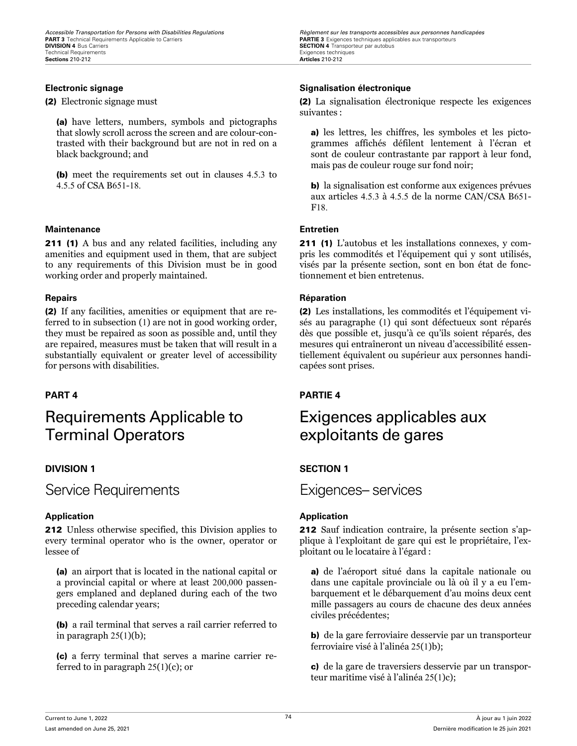(2) Electronic signage must

(a) have letters, numbers, symbols and pictographs that slowly scroll across the screen and are colour-contrasted with their background but are not in red on a black background; and

(b) meet the requirements set out in clauses 4.5.3 to 4.5.5 of CSA B651-18.

### **Maintenance Entretien**

**211 (1)** A bus and any related facilities, including any amenities and equipment used in them, that are subject to any requirements of this Division must be in good working order and properly maintained.

(2) If any facilities, amenities or equipment that are referred to in subsection (1) are not in good working order, they must be repaired as soon as possible and, until they are repaired, measures must be taken that will result in a substantially equivalent or greater level of accessibility for persons with disabilities.

## Requirements Applicable to Terminal Operators

### **DIVISION 1 SECTION 1**

Service Requirements Exigences– services

### **Application Application**

212 Unless otherwise specified, this Division applies to every terminal operator who is the owner, operator or lessee of

(a) an airport that is located in the national capital or a provincial capital or where at least 200,000 passengers emplaned and deplaned during each of the two preceding calendar years;

(b) a rail terminal that serves a rail carrier referred to in paragraph 25(1)(b);

(c) a ferry terminal that serves a marine carrier referred to in paragraph 25(1)(c); or

*Accessible Transportation for Persons with Disabilities Regulations Regulations Règlement sur les transports accessibles aux personnes handicapées*<br>**PART 3** Technical Requirements Applicable to Carriers **Carriers SECTION 4** Transporteur par autobus<br>Exigences techniques

### **Electronic signage Signalisation électronique**

(2) La signalisation électronique respecte les exigences suivantes :

a) les lettres, les chiffres, les symboles et les pictogrammes affichés défilent lentement à l'écran et sont de couleur contrastante par rapport à leur fond, mais pas de couleur rouge sur fond noir;

b) la signalisation est conforme aux exigences prévues aux articles 4.5.3 à 4.5.5 de la norme CAN/CSA B651- F18.

211 (1) L'autobus et les installations connexes, y compris les commodités et l'équipement qui y sont utilisés, visés par la présente section, sont en bon état de fonctionnement et bien entretenus.

### **Repairs Réparation**

(2) Les installations, les commodités et l'équipement visés au paragraphe (1) qui sont défectueux sont réparés dès que possible et, jusqu'à ce qu'ils soient réparés, des mesures qui entraîneront un niveau d'accessibilité essentiellement équivalent ou supérieur aux personnes handicapées sont prises.

### **PART 4 PARTIE 4**

## Exigences applicables aux exploitants de gares

212 Sauf indication contraire, la présente section s'applique à l'exploitant de gare qui est le propriétaire, l'exploitant ou le locataire à l'égard :

a) de l'aéroport situé dans la capitale nationale ou dans une capitale provinciale ou là où il y a eu l'embarquement et le débarquement d'au moins deux cent mille passagers au cours de chacune des deux années civiles précédentes;

b) de la gare ferroviaire desservie par un transporteur ferroviaire visé à l'alinéa 25(1)b);

c) de la gare de traversiers desservie par un transporteur maritime visé à l'alinéa 25(1)c);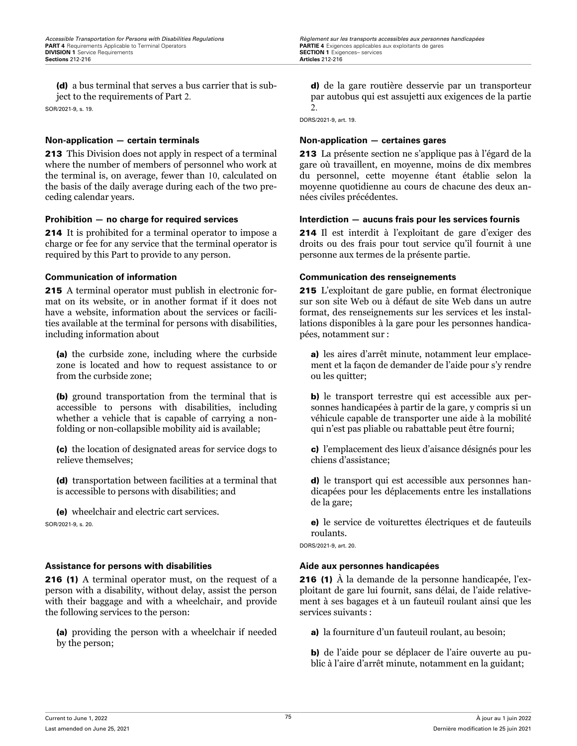(d) a bus terminal that serves a bus carrier that is subject to the requirements of Part 2.

SOR/2021-9, s. 19.

### **Non-application — certain terminals Non-application — certaines gares**

213 This Division does not apply in respect of a terminal where the number of members of personnel who work at the terminal is, on average, fewer than 10, calculated on the basis of the daily average during each of the two preceding calendar years.

214 It is prohibited for a terminal operator to impose a charge or fee for any service that the terminal operator is required by this Part to provide to any person.

215 A terminal operator must publish in electronic format on its website, or in another format if it does not have a website, information about the services or facilities available at the terminal for persons with disabilities, including information about

(a) the curbside zone, including where the curbside zone is located and how to request assistance to or from the curbside zone;

(b) ground transportation from the terminal that is accessible to persons with disabilities, including whether a vehicle that is capable of carrying a nonfolding or non-collapsible mobility aid is available;

(c) the location of designated areas for service dogs to relieve themselves;

(d) transportation between facilities at a terminal that is accessible to persons with disabilities; and

(e) wheelchair and electric cart services. SOR/2021-9, s. 20.

### **Assistance for persons with disabilities Aide aux personnes handicapées**

216 (1) A terminal operator must, on the request of a person with a disability, without delay, assist the person with their baggage and with a wheelchair, and provide the following services to the person:

(a) providing the person with a wheelchair if needed by the person;

d) de la gare routière desservie par un transporteur par autobus qui est assujetti aux exigences de la partie 2.

DORS/2021-9, art. 19.

213 La présente section ne s'applique pas à l'égard de la gare où travaillent, en moyenne, moins de dix membres du personnel, cette moyenne étant établie selon la moyenne quotidienne au cours de chacune des deux années civiles précédentes.

### **Prohibition — no charge for required services Interdiction — aucuns frais pour les services fournis**

214 Il est interdit à l'exploitant de gare d'exiger des droits ou des frais pour tout service qu'il fournit à une personne aux termes de la présente partie.

### **Communication of information Communication des renseignements**

215 L'exploitant de gare publie, en format électronique sur son site Web ou à défaut de site Web dans un autre format, des renseignements sur les services et les installations disponibles à la gare pour les personnes handicapées, notamment sur :

a) les aires d'arrêt minute, notamment leur emplacement et la façon de demander de l'aide pour s'y rendre ou les quitter;

b) le transport terrestre qui est accessible aux personnes handicapées à partir de la gare, y compris si un véhicule capable de transporter une aide à la mobilité qui n'est pas pliable ou rabattable peut être fourni;

c) l'emplacement des lieux d'aisance désignés pour les chiens d'assistance;

d) le transport qui est accessible aux personnes handicapées pour les déplacements entre les installations de la gare;

e) le service de voiturettes électriques et de fauteuils roulants.

DORS/2021-9, art. 20.

216 (1) À la demande de la personne handicapée, l'exploitant de gare lui fournit, sans délai, de l'aide relativement à ses bagages et à un fauteuil roulant ainsi que les services suivants :

a) la fourniture d'un fauteuil roulant, au besoin;

b) de l'aide pour se déplacer de l'aire ouverte au public à l'aire d'arrêt minute, notamment en la guidant;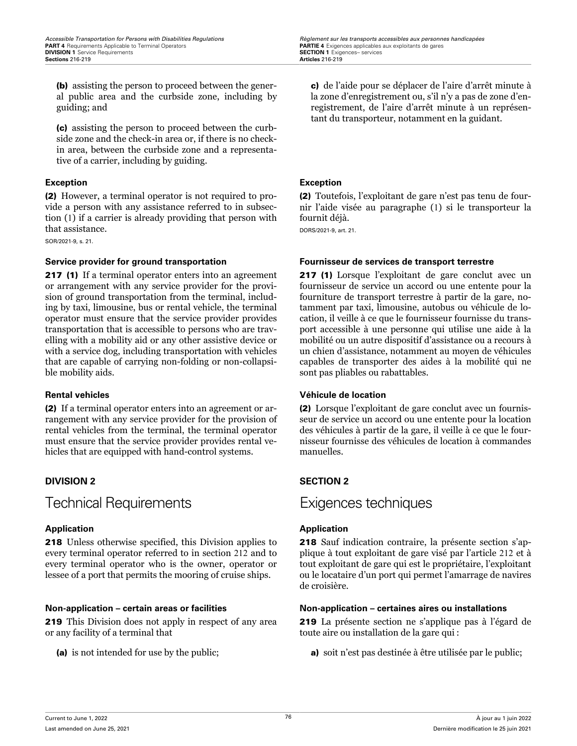(b) assisting the person to proceed between the general public area and the curbside zone, including by guiding; and

(c) assisting the person to proceed between the curbside zone and the check-in area or, if there is no checkin area, between the curbside zone and a representative of a carrier, including by guiding.

### **Exception Exception**

(2) However, a terminal operator is not required to provide a person with any assistance referred to in subsection (1) if a carrier is already providing that person with that assistance.

SOR/2021-9, s. 21.

217 (1) If a terminal operator enters into an agreement or arrangement with any service provider for the provision of ground transportation from the terminal, including by taxi, limousine, bus or rental vehicle, the terminal operator must ensure that the service provider provides transportation that is accessible to persons who are travelling with a mobility aid or any other assistive device or with a service dog, including transportation with vehicles that are capable of carrying non-folding or non-collapsible mobility aids.

(2) If a terminal operator enters into an agreement or arrangement with any service provider for the provision of rental vehicles from the terminal, the terminal operator must ensure that the service provider provides rental vehicles that are equipped with hand-control systems.

Technical Requirements Exigences techniques

218 Unless otherwise specified, this Division applies to every terminal operator referred to in section 212 and to every terminal operator who is the owner, operator or lessee of a port that permits the mooring of cruise ships.

219 This Division does not apply in respect of any area or any facility of a terminal that

(a) is not intended for use by the public;

c) de l'aide pour se déplacer de l'aire d'arrêt minute à la zone d'enregistrement ou, s'il n'y a pas de zone d'enregistrement, de l'aire d'arrêt minute à un représentant du transporteur, notamment en la guidant.

(2) Toutefois, l'exploitant de gare n'est pas tenu de fournir l'aide visée au paragraphe (1) si le transporteur la fournit déjà.

DORS/2021-9, art. 21.

### **Service provider for ground transportation Fournisseur de services de transport terrestre**

217 (1) Lorsque l'exploitant de gare conclut avec un fournisseur de service un accord ou une entente pour la fourniture de transport terrestre à partir de la gare, notamment par taxi, limousine, autobus ou véhicule de location, il veille à ce que le fournisseur fournisse du transport accessible à une personne qui utilise une aide à la mobilité ou un autre dispositif d'assistance ou a recours à un chien d'assistance, notamment au moyen de véhicules capables de transporter des aides à la mobilité qui ne sont pas pliables ou rabattables.

### **Rental vehicles Véhicule de location**

(2) Lorsque l'exploitant de gare conclut avec un fournisseur de service un accord ou une entente pour la location des véhicules à partir de la gare, il veille à ce que le fournisseur fournisse des véhicules de location à commandes manuelles.

### **DIVISION 2 SECTION 2**

### **Application Application**

218 Sauf indication contraire, la présente section s'applique à tout exploitant de gare visé par l'article 212 et à tout exploitant de gare qui est le propriétaire, l'exploitant ou le locataire d'un port qui permet l'amarrage de navires de croisière.

### **Non-application – certain areas or facilities Non-application – certaines aires ou installations**

219 La présente section ne s'applique pas à l'égard de toute aire ou installation de la gare qui :

a) soit n'est pas destinée à être utilisée par le public;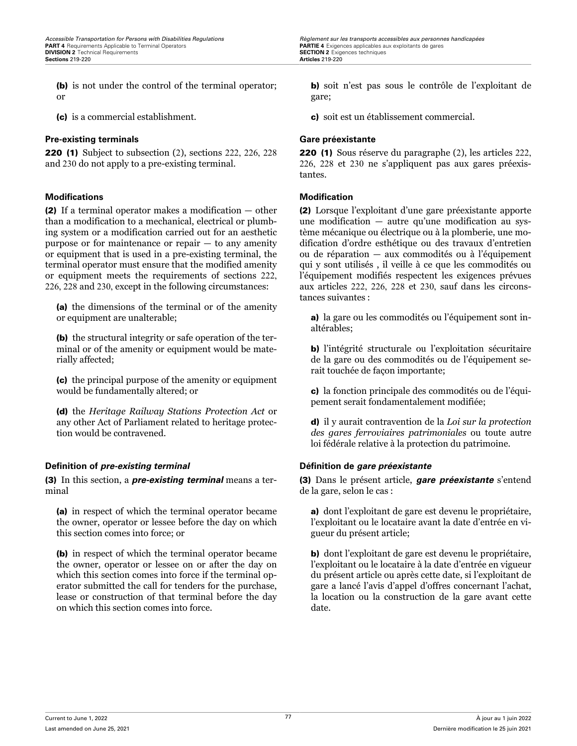(b) is not under the control of the terminal operator; or

(c) is a commercial establishment.

### **Pre-existing terminals Gare préexistante**

220 (1) Subject to subsection (2), sections 222, 226, 228 and 230 do not apply to a pre-existing terminal.

### **Modifications Modification**

(2) If a terminal operator makes a modification — other than a modification to a mechanical, electrical or plumbing system or a modification carried out for an aesthetic purpose or for maintenance or repair  $-$  to any amenity or equipment that is used in a pre-existing terminal, the terminal operator must ensure that the modified amenity or equipment meets the requirements of sections 222, 226, 228 and 230, except in the following circumstances:

(a) the dimensions of the terminal or of the amenity or equipment are unalterable;

(b) the structural integrity or safe operation of the terminal or of the amenity or equipment would be materially affected;

(c) the principal purpose of the amenity or equipment would be fundamentally altered; or

(d) the *Heritage Railway Stations Protection Act* or any other Act of Parliament related to heritage protection would be contravened.

### **Definition of** *pre-existing terminal* **Définition de** *gare préexistante*

(3) In this section, a *pre-existing terminal* means a terminal

(a) in respect of which the terminal operator became the owner, operator or lessee before the day on which this section comes into force; or

(b) in respect of which the terminal operator became the owner, operator or lessee on or after the day on which this section comes into force if the terminal operator submitted the call for tenders for the purchase, lease or construction of that terminal before the day on which this section comes into force.

*Accessible Transportation for Persons with Disabilities Regulations Regulations Règlement sur les transports accessibles aux personnes handicapées*<br> **PART4** Requirements Applicable to Terminal Operators *CONTICAL C* **PARTIE 4** Exigences applicables aux exploitants de gares **SECTION 2** Exigences techniques **Sections** 219-220 **Articles** 219-220

> b) soit n'est pas sous le contrôle de l'exploitant de gare;

c) soit est un établissement commercial.

220 (1) Sous réserve du paragraphe (2), les articles 222, 226, 228 et 230 ne s'appliquent pas aux gares préexistantes.

(2) Lorsque l'exploitant d'une gare préexistante apporte une modification — autre qu'une modification au système mécanique ou électrique ou à la plomberie, une modification d'ordre esthétique ou des travaux d'entretien ou de réparation — aux commodités ou à l'équipement qui y sont utilisés , il veille à ce que les commodités ou l'équipement modifiés respectent les exigences prévues aux articles 222, 226, 228 et 230, sauf dans les circonstances suivantes :

a) la gare ou les commodités ou l'équipement sont inaltérables;

b) l'intégrité structurale ou l'exploitation sécuritaire de la gare ou des commodités ou de l'équipement serait touchée de façon importante;

c) la fonction principale des commodités ou de l'équipement serait fondamentalement modifiée;

d) il y aurait contravention de la *Loi sur la protection des gares ferroviaires patrimoniales* ou toute autre loi fédérale relative à la protection du patrimoine.

(3) Dans le présent article, *gare préexistante* s'entend de la gare, selon le cas :

a) dont l'exploitant de gare est devenu le propriétaire, l'exploitant ou le locataire avant la date d'entrée en vigueur du présent article;

b) dont l'exploitant de gare est devenu le propriétaire, l'exploitant ou le locataire à la date d'entrée en vigueur du présent article ou après cette date, si l'exploitant de gare a lancé l'avis d'appel d'offres concernant l'achat, la location ou la construction de la gare avant cette date.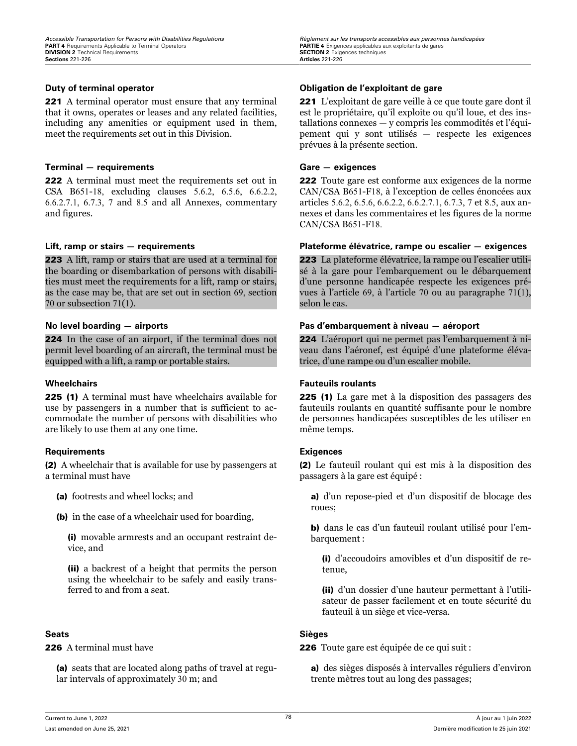221 A terminal operator must ensure that any terminal that it owns, operates or leases and any related facilities, including any amenities or equipment used in them, meet the requirements set out in this Division.

### **Terminal — requirements Gare — exigences**

222 A terminal must meet the requirements set out in CSA B651-18, excluding clauses 5.6.2, 6.5.6, 6.6.2.2, 6.6.2.7.1, 6.7.3, 7 and 8.5 and all Annexes, commentary and figures.

223 A lift, ramp or stairs that are used at a terminal for the boarding or disembarkation of persons with disabilities must meet the requirements for a lift, ramp or stairs, as the case may be, that are set out in section 69, section 70 or subsection 71(1).

224 In the case of an airport, if the terminal does not permit level boarding of an aircraft, the terminal must be equipped with a lift, a ramp or portable stairs.

225 (1) A terminal must have wheelchairs available for use by passengers in a number that is sufficient to accommodate the number of persons with disabilities who are likely to use them at any one time.

### **Requirements Exigences**

(2) A wheelchair that is available for use by passengers at a terminal must have

- (a) footrests and wheel locks; and
- (b) in the case of a wheelchair used for boarding,

(i) movable armrests and an occupant restraint device, and

(ii) a backrest of a height that permits the person using the wheelchair to be safely and easily transferred to and from a seat.

226 A terminal must have

(a) seats that are located along paths of travel at regular intervals of approximately 30 m; and

### **Duty of terminal operator Obligation de l'exploitant de gare**

221 L'exploitant de gare veille à ce que toute gare dont il est le propriétaire, qu'il exploite ou qu'il loue, et des installations connexes — y compris les commodités et l'équipement qui y sont utilisés — respecte les exigences prévues à la présente section.

222 Toute gare est conforme aux exigences de la norme CAN/CSA B651-F18, à l'exception de celles énoncées aux articles 5.6.2, 6.5.6, 6.6.2.2, 6.6.2.7.1, 6.7.3, 7 et 8.5, aux annexes et dans les commentaires et les figures de la norme CAN/CSA B651-F18.

### **Lift, ramp or stairs — requirements Plateforme élévatrice, rampe ou escalier — exigences**

223 La plateforme élévatrice, la rampe ou l'escalier utilisé à la gare pour l'embarquement ou le débarquement d'une personne handicapée respecte les exigences prévues à l'article 69, à l'article 70 ou au paragraphe 71(1), selon le cas.

### **No level boarding — airports Pas d'embarquement à niveau — aéroport**

224 L'aéroport qui ne permet pas l'embarquement à niveau dans l'aéronef, est équipé d'une plateforme élévatrice, d'une rampe ou d'un escalier mobile.

### **Wheelchairs Fauteuils roulants**

225 (1) La gare met à la disposition des passagers des fauteuils roulants en quantité suffisante pour le nombre de personnes handicapées susceptibles de les utiliser en même temps.

(2) Le fauteuil roulant qui est mis à la disposition des passagers à la gare est équipé :

a) d'un repose-pied et d'un dispositif de blocage des roues;

b) dans le cas d'un fauteuil roulant utilisé pour l'embarquement :

(i) d'accoudoirs amovibles et d'un dispositif de retenue,

(ii) d'un dossier d'une hauteur permettant à l'utilisateur de passer facilement et en toute sécurité du fauteuil à un siège et vice-versa.

### **Seats Sièges**

226 Toute gare est équipée de ce qui suit :

a) des sièges disposés à intervalles réguliers d'environ trente mètres tout au long des passages;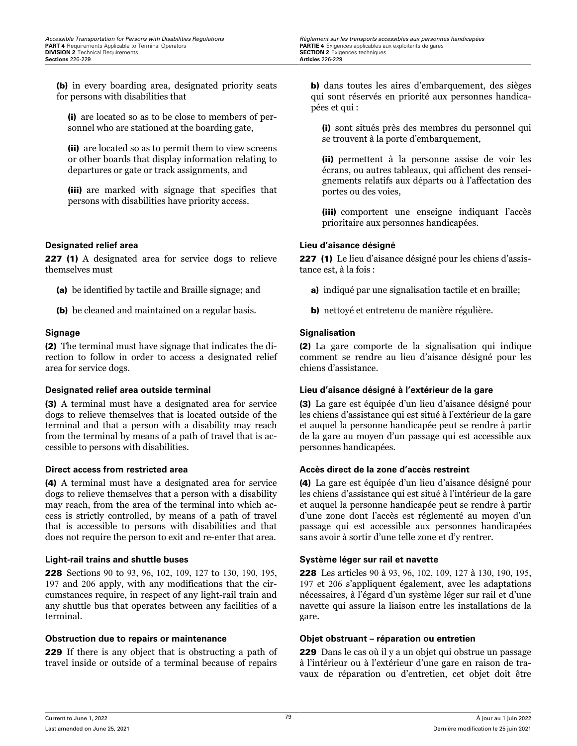(b) in every boarding area, designated priority seats for persons with disabilities that

(i) are located so as to be close to members of personnel who are stationed at the boarding gate,

(ii) are located so as to permit them to view screens or other boards that display information relating to departures or gate or track assignments, and

(iii) are marked with signage that specifies that persons with disabilities have priority access.

### **Designated relief area Lieu d'aisance désigné**

227 (1) A designated area for service dogs to relieve themselves must

- (a) be identified by tactile and Braille signage; and
- (b) be cleaned and maintained on a regular basis.

(2) The terminal must have signage that indicates the direction to follow in order to access a designated relief area for service dogs.

(3) A terminal must have a designated area for service dogs to relieve themselves that is located outside of the terminal and that a person with a disability may reach from the terminal by means of a path of travel that is accessible to persons with disabilities.

(4) A terminal must have a designated area for service dogs to relieve themselves that a person with a disability may reach, from the area of the terminal into which access is strictly controlled, by means of a path of travel that is accessible to persons with disabilities and that does not require the person to exit and re-enter that area.

### **Light-rail trains and shuttle buses Système léger sur rail et navette**

228 Sections 90 to 93, 96, 102, 109, 127 to 130, 190, 195, 197 and 206 apply, with any modifications that the circumstances require, in respect of any light-rail train and any shuttle bus that operates between any facilities of a terminal.

### **Obstruction due to repairs or maintenance Objet obstruant – réparation ou entretien**

229 If there is any object that is obstructing a path of travel inside or outside of a terminal because of repairs

b) dans toutes les aires d'embarquement, des sièges qui sont réservés en priorité aux personnes handicapées et qui :

(i) sont situés près des membres du personnel qui se trouvent à la porte d'embarquement,

(ii) permettent à la personne assise de voir les écrans, ou autres tableaux, qui affichent des renseignements relatifs aux départs ou à l'affectation des portes ou des voies,

(iii) comportent une enseigne indiquant l'accès prioritaire aux personnes handicapées.

227 (1) Le lieu d'aisance désigné pour les chiens d'assistance est, à la fois :

- a) indiqué par une signalisation tactile et en braille;
- b) nettoyé et entretenu de manière régulière.

### **Signage Signalisation**

(2) La gare comporte de la signalisation qui indique comment se rendre au lieu d'aisance désigné pour les chiens d'assistance.

### **Designated relief area outside terminal Lieu d'aisance désigné à l'extérieur de la gare**

(3) La gare est équipée d'un lieu d'aisance désigné pour les chiens d'assistance qui est situé à l'extérieur de la gare et auquel la personne handicapée peut se rendre à partir de la gare au moyen d'un passage qui est accessible aux personnes handicapées.

### **Direct access from restricted area <b>Accès direct de la zone d'accès restreint**

(4) La gare est équipée d'un lieu d'aisance désigné pour les chiens d'assistance qui est situé à l'intérieur de la gare et auquel la personne handicapée peut se rendre à partir d'une zone dont l'accès est réglementé au moyen d'un passage qui est accessible aux personnes handicapées sans avoir à sortir d'une telle zone et d'y rentrer.

228 Les articles 90 à 93, 96, 102, 109, 127 à 130, 190, 195, 197 et 206 s'appliquent également, avec les adaptations nécessaires, à l'égard d'un système léger sur rail et d'une navette qui assure la liaison entre les installations de la gare.

229 Dans le cas où il y a un objet qui obstrue un passage à l'intérieur ou à l'extérieur d'une gare en raison de travaux de réparation ou d'entretien, cet objet doit être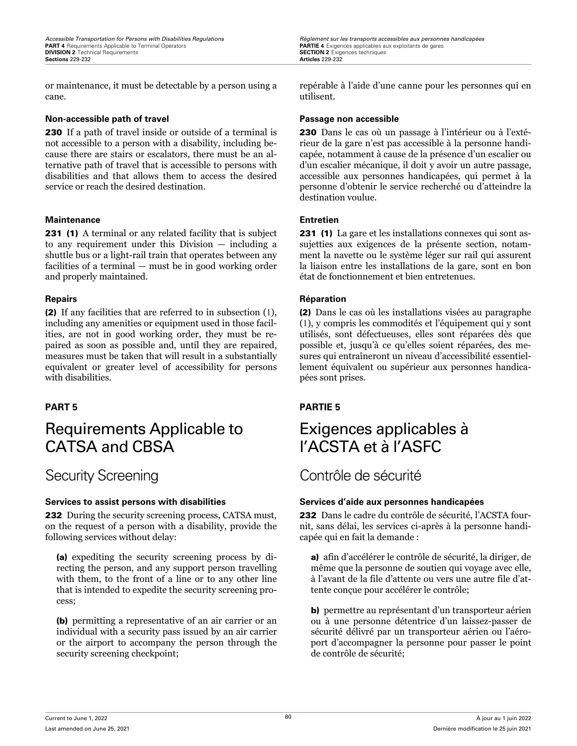or maintenance, it must be detectable by a person using a cane.

### **Non-accessible path of travel Passage non accessible**

230 If a path of travel inside or outside of a terminal is not accessible to a person with a disability, including because there are stairs or escalators, there must be an alternative path of travel that is accessible to persons with disabilities and that allows them to access the desired service or reach the desired destination.

### **Maintenance Entretien**

231 (1) A terminal or any related facility that is subject to any requirement under this Division — including a shuttle bus or a light-rail train that operates between any facilities of a terminal — must be in good working order and properly maintained.

(2) If any facilities that are referred to in subsection (1), including any amenities or equipment used in those facilities, are not in good working order, they must be repaired as soon as possible and, until they are repaired, measures must be taken that will result in a substantially equivalent or greater level of accessibility for persons with disabilities.

## Requirements Applicable to CATSA and CBSA

232 During the security screening process, CATSA must, on the request of a person with a disability, provide the following services without delay:

(a) expediting the security screening process by directing the person, and any support person travelling with them, to the front of a line or to any other line that is intended to expedite the security screening process;

(b) permitting a representative of an air carrier or an individual with a security pass issued by an air carrier or the airport to accompany the person through the security screening checkpoint;

repérable à l'aide d'une canne pour les personnes qui en utilisent.

230 Dans le cas où un passage à l'intérieur ou à l'extérieur de la gare n'est pas accessible à la personne handicapée, notamment à cause de la présence d'un escalier ou d'un escalier mécanique, il doit y avoir un autre passage, accessible aux personnes handicapées, qui permet à la personne d'obtenir le service recherché ou d'atteindre la destination voulue.

231 (1) La gare et les installations connexes qui sont assujetties aux exigences de la présente section, notamment la navette ou le système léger sur rail qui assurent la liaison entre les installations de la gare, sont en bon état de fonctionnement et bien entretenues.

### **Repairs Réparation**

(2) Dans le cas où les installations visées au paragraphe (1), y compris les commodités et l'équipement qui y sont utilisés, sont défectueuses, elles sont réparées dès que possible et, jusqu'à ce qu'elles soient réparées, des mesures qui entraîneront un niveau d'accessibilité essentiellement équivalent ou supérieur aux personnes handicapées sont prises.

### **PART 5 PARTIE 5**

## Exigences applicables à l'ACSTA et à l'ASFC

## Security Screening and Contrôle de sécurité

### **Services to assist persons with disabilities Services d'aide aux personnes handicapées**

232 Dans le cadre du contrôle de sécurité, l'ACSTA fournit, sans délai, les services ci-après à la personne handicapée qui en fait la demande :

a) afin d'accélérer le contrôle de sécurité, la diriger, de même que la personne de soutien qui voyage avec elle, à l'avant de la file d'attente ou vers une autre file d'attente conçue pour accélérer le contrôle;

b) permettre au représentant d'un transporteur aérien ou à une personne détentrice d'un laissez-passer de sécurité délivré par un transporteur aérien ou l'aéroport d'accompagner la personne pour passer le point de contrôle de sécurité;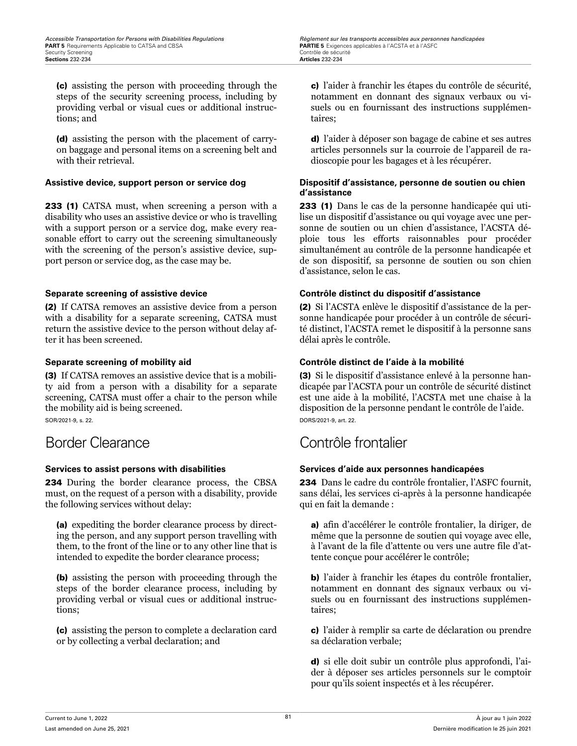(c) assisting the person with proceeding through the steps of the security screening process, including by providing verbal or visual cues or additional instructions; and

(d) assisting the person with the placement of carryon baggage and personal items on a screening belt and with their retrieval.

233 (1) CATSA must, when screening a person with a disability who uses an assistive device or who is travelling with a support person or a service dog, make every reasonable effort to carry out the screening simultaneously with the screening of the person's assistive device, support person or service dog, as the case may be.

(2) If CATSA removes an assistive device from a person with a disability for a separate screening, CATSA must return the assistive device to the person without delay after it has been screened.

(3) If CATSA removes an assistive device that is a mobility aid from a person with a disability for a separate screening, CATSA must offer a chair to the person while the mobility aid is being screened. SOR/2021-9, s. 22.

234 During the border clearance process, the CBSA must, on the request of a person with a disability, provide the following services without delay:

(a) expediting the border clearance process by directing the person, and any support person travelling with them, to the front of the line or to any other line that is intended to expedite the border clearance process;

(b) assisting the person with proceeding through the steps of the border clearance process, including by providing verbal or visual cues or additional instructions;

(c) assisting the person to complete a declaration card or by collecting a verbal declaration; and

c) l'aider à franchir les étapes du contrôle de sécurité, notamment en donnant des signaux verbaux ou visuels ou en fournissant des instructions supplémentaires;

d) l'aider à déposer son bagage de cabine et ses autres articles personnels sur la courroie de l'appareil de radioscopie pour les bagages et à les récupérer.

### **Assistive device, support person or service dog Dispositif d'assistance, personne de soutien ou chien d'assistance**

233 (1) Dans le cas de la personne handicapée qui utilise un dispositif d'assistance ou qui voyage avec une personne de soutien ou un chien d'assistance, l'ACSTA déploie tous les efforts raisonnables pour procéder simultanément au contrôle de la personne handicapée et de son dispositif, sa personne de soutien ou son chien d'assistance, selon le cas.

### **Separate screening of assistive device Contrôle distinct du dispositif d'assistance**

(2) Si l'ACSTA enlève le dispositif d'assistance de la personne handicapée pour procéder à un contrôle de sécurité distinct, l'ACSTA remet le dispositif à la personne sans délai après le contrôle.

### **Separate screening of mobility aid Contrôle distinct de l'aide à la mobilité**

(3) Si le dispositif d'assistance enlevé à la personne handicapée par l'ACSTA pour un contrôle de sécurité distinct est une aide à la mobilité, l'ACSTA met une chaise à la disposition de la personne pendant le contrôle de l'aide. DORS/2021-9, art. 22.

## Border Clearance Contrôle frontalier

### **Services to assist persons with disabilities Services d'aide aux personnes handicapées**

234 Dans le cadre du contrôle frontalier, l'ASFC fournit, sans délai, les services ci-après à la personne handicapée qui en fait la demande :

a) afin d'accélérer le contrôle frontalier, la diriger, de même que la personne de soutien qui voyage avec elle, à l'avant de la file d'attente ou vers une autre file d'attente conçue pour accélérer le contrôle;

b) l'aider à franchir les étapes du contrôle frontalier, notamment en donnant des signaux verbaux ou visuels ou en fournissant des instructions supplémentaires;

c) l'aider à remplir sa carte de déclaration ou prendre sa déclaration verbale;

d) si elle doit subir un contrôle plus approfondi, l'aider à déposer ses articles personnels sur le comptoir pour qu'ils soient inspectés et à les récupérer.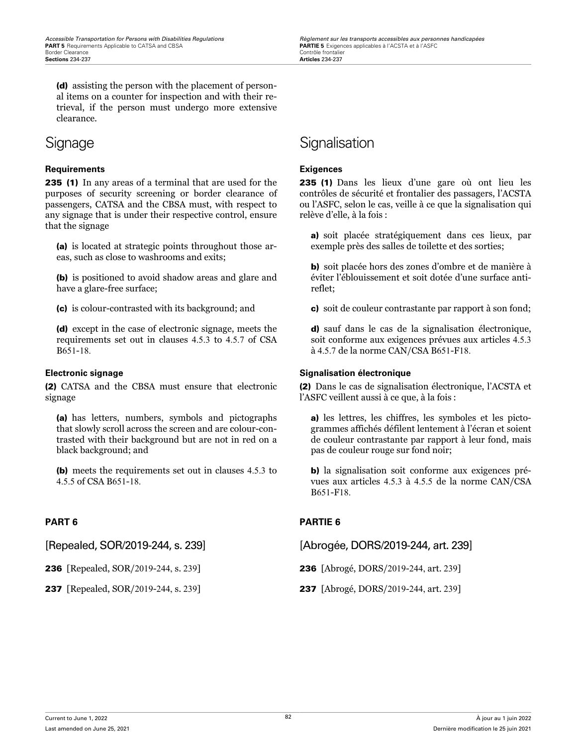(d) assisting the person with the placement of personal items on a counter for inspection and with their retrieval, if the person must undergo more extensive clearance.

### **Requirements Exigences**

235 (1) In any areas of a terminal that are used for the purposes of security screening or border clearance of passengers, CATSA and the CBSA must, with respect to any signage that is under their respective control, ensure that the signage

(a) is located at strategic points throughout those areas, such as close to washrooms and exits;

(b) is positioned to avoid shadow areas and glare and have a glare-free surface;

(c) is colour-contrasted with its background; and

(d) except in the case of electronic signage, meets the requirements set out in clauses 4.5.3 to 4.5.7 of CSA B651-18.

(2) CATSA and the CBSA must ensure that electronic signage

(a) has letters, numbers, symbols and pictographs that slowly scroll across the screen and are colour-contrasted with their background but are not in red on a black background; and

(b) meets the requirements set out in clauses 4.5.3 to 4.5.5 of CSA B651-18.

## Signage Signalisation

235 (1) Dans les lieux d'une gare où ont lieu les contrôles de sécurité et frontalier des passagers, l'ACSTA ou l'ASFC, selon le cas, veille à ce que la signalisation qui relève d'elle, à la fois :

a) soit placée stratégiquement dans ces lieux, par exemple près des salles de toilette et des sorties;

b) soit placée hors des zones d'ombre et de manière à éviter l'éblouissement et soit dotée d'une surface antireflet;

c) soit de couleur contrastante par rapport à son fond;

d) sauf dans le cas de la signalisation électronique, soit conforme aux exigences prévues aux articles 4.5.3 à 4.5.7 de la norme CAN/CSA B651-F18.

### **Electronic signage Signalisation électronique**

(2) Dans le cas de signalisation électronique, l'ACSTA et l'ASFC veillent aussi à ce que, à la fois :

a) les lettres, les chiffres, les symboles et les pictogrammes affichés défilent lentement à l'écran et soient de couleur contrastante par rapport à leur fond, mais pas de couleur rouge sur fond noir;

b) la signalisation soit conforme aux exigences prévues aux articles 4.5.3 à 4.5.5 de la norme CAN/CSA B651-F18.

### **PART 6 PARTIE 6**

[Repealed, SOR/2019-244, s. 239] [Abrogée, DORS/2019-244, art. 239]

236 [Repealed, SOR/2019-244, s. 239] 236 [Abrogé, DORS/2019-244, art. 239]

237 [Repealed, SOR/2019-244, s. 239] 237 [Abrogé, DORS/2019-244, art. 239]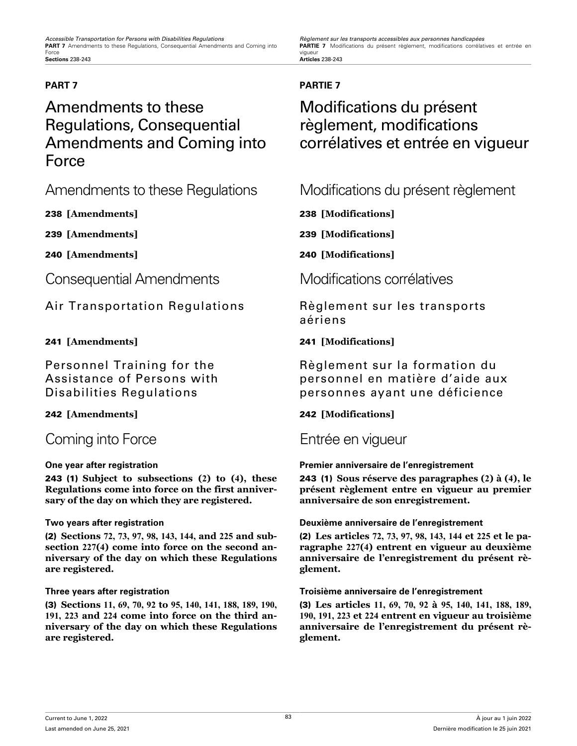PARTIE 7 Modifications du présent règlement, modifications corrélatives et entrée en vigueur<br>**Articles** 238-243

## Amendments to these Regulations, Consequential Amendments and Coming into Force

Consequential Amendments Modifications corrélatives

Air Transportation Regulations Règlement sur les transports

Personnel Training for the Assistance of Persons with Disabilities Regulations

## Coming into Force **Entrée en vigueur**

243 (1) **Subject to subsections (2) to (4), these Regulations come into force on the first anniversary of the day on which they are registered.**

(2) **Sections 72, 73, 97, 98, 143, 144, and 225 and subsection 227(4) come into force on the second anniversary of the day on which these Regulations are registered.**

(3) **Sections 11, 69, 70, 92 to 95, 140, 141, 188, 189, 190, 191, 223 and 224 come into force on the third anniversary of the day on which these Regulations are registered.**

### **PART 7 PARTIE 7**

## Modifications du présent règlement, modifications corrélatives et entrée en vigueur

Amendments to these Regulations Modifications du présent règlement

238 **[Amendments]** 238 **[Modifications]**

239 **[Amendments]** 239 **[Modifications]**

240 **[Amendments]** 240 **[Modifications]**

aériens

### 241 **[Amendments]** 241 **[Modifications]**

Règlement sur la formation du personnel en matière d'aide aux personnes ayant une déficience

### 242 **[Amendments]** 242 **[Modifications]**

### **One year after registration Premier anniversaire de l'enregistrement**

243 (1) **Sous réserve des paragraphes (2) à (4), le présent règlement entre en vigueur au premier anniversaire de son enregistrement.**

### **Two years after registration Deuxième anniversaire de l'enregistrement**

(2) **Les articles 72, 73, 97, 98, 143, 144 et 225 et le paragraphe 227(4) entrent en vigueur au deuxième anniversaire de l'enregistrement du présent règlement.**

### **Three years after registration Troisième anniversaire de l'enregistrement**

(3) **Les articles 11, 69, 70, 92 à 95, 140, 141, 188, 189, 190, 191, 223 et 224 entrent en vigueur au troisième anniversaire de l'enregistrement du présent règlement.**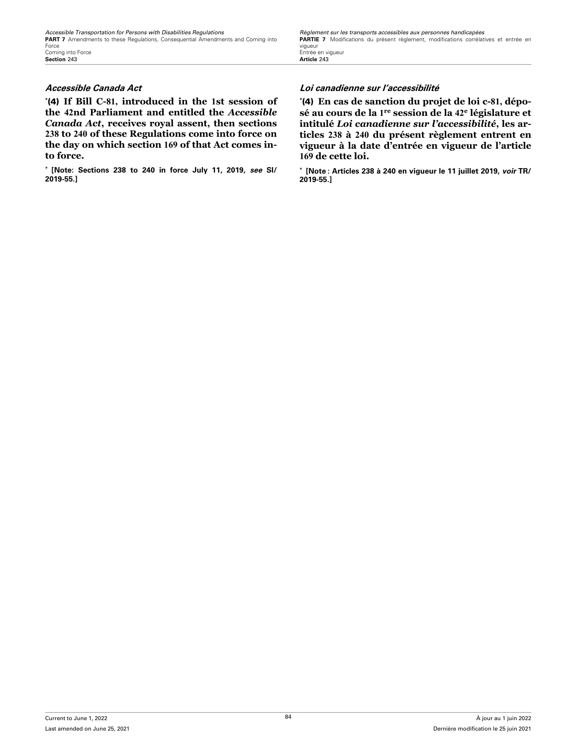\* (4) **If Bill C-81, introduced in the 1st session of the 42nd Parliament and entitled the** *Accessible Canada Act***, receives royal assent, then sections 238 to 240 of these Regulations come into force on the day on which section 169 of that Act comes into force.**

**\* [Note: Sections 238 to 240 in force July 11, 2019,** *see* **SI/ 2019-55.]**

### **Accessible Canada Act Loi canadienne sur l'accessibilité**

\* (4) **En cas de sanction du projet de loi c-81, déposé au cours de la 1 re session de la 42<sup>e</sup> législature et intitulé** *Loi canadienne sur l'accessibilité***, les articles 238 à 240 du présent règlement entrent en vigueur à la date d'entrée en vigueur de l'article 169 de cette loi.**

**\* [Note : Articles 238 à 240 en vigueur le 11 juillet 2019,** *voir* **TR/ 2019-55.]**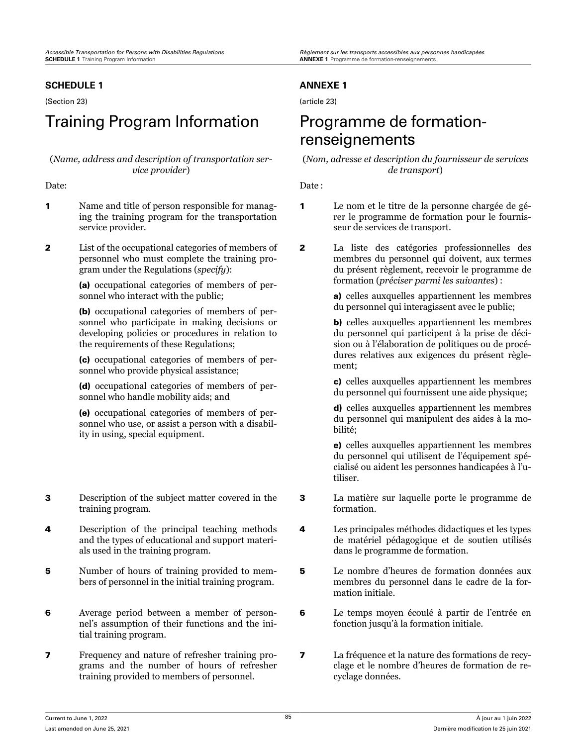### **SCHEDULE 1**

(Section 23)

## Training Program Information Programme de formation-

### (*Name, address and description of transportation service provider*)

- 1 Name and title of person responsible for managing the training program for the transportation service provider.
- 2 List of the occupational categories of members of personnel who must complete the training program under the Regulations (*specify*):

(a) occupational categories of members of personnel who interact with the public;

(b) occupational categories of members of personnel who participate in making decisions or developing policies or procedures in relation to the requirements of these Regulations;

(c) occupational categories of members of personnel who provide physical assistance;

(d) occupational categories of members of personnel who handle mobility aids; and

(e) occupational categories of members of personnel who use, or assist a person with a disability in using, special equipment.

- 3 Description of the subject matter covered in the training program.
- 4 Description of the principal teaching methods and the types of educational and support materials used in the training program.
- 5 Number of hours of training provided to members of personnel in the initial training program.
- 6 Average period between a member of personnel's assumption of their functions and the initial training program.
- 7 Frequency and nature of refresher training programs and the number of hours of refresher training provided to members of personnel.

### **ANNEXE 1**

(article 23)

# renseignements

(*Nom, adresse et description du fournisseur de services de transport*)

Date: Date:

- 1 Le nom et le titre de la personne chargée de gérer le programme de formation pour le fournisseur de services de transport.
- 2 La liste des catégories professionnelles des membres du personnel qui doivent, aux termes du présent règlement, recevoir le programme de formation (*préciser parmi les suivantes*) :

a) celles auxquelles appartiennent les membres du personnel qui interagissent avec le public;

b) celles auxquelles appartiennent les membres du personnel qui participent à la prise de décision ou à l'élaboration de politiques ou de procédures relatives aux exigences du présent règlement;

c) celles auxquelles appartiennent les membres du personnel qui fournissent une aide physique;

d) celles auxquelles appartiennent les membres du personnel qui manipulent des aides à la mobilité;

e) celles auxquelles appartiennent les membres du personnel qui utilisent de l'équipement spécialisé ou aident les personnes handicapées à l'utiliser.

- 3 La matière sur laquelle porte le programme de formation.
- 4 Les principales méthodes didactiques et les types de matériel pédagogique et de soutien utilisés dans le programme de formation.
- 5 Le nombre d'heures de formation données aux membres du personnel dans le cadre de la formation initiale.
- 6 Le temps moyen écoulé à partir de l'entrée en fonction jusqu'à la formation initiale.
- 7 La fréquence et la nature des formations de recyclage et le nombre d'heures de formation de recyclage données.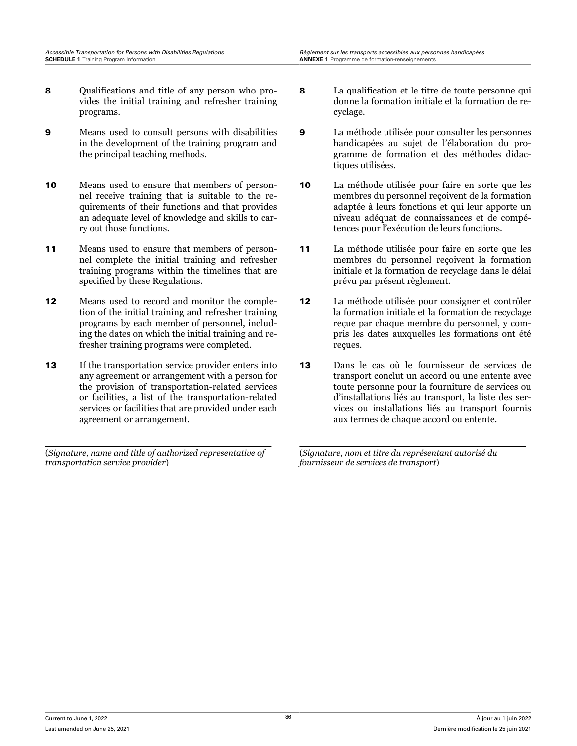- 8 Qualifications and title of any person who provides the initial training and refresher training programs.
- 9 Means used to consult persons with disabilities in the development of the training program and the principal teaching methods.
- 10 Means used to ensure that members of personnel receive training that is suitable to the requirements of their functions and that provides an adequate level of knowledge and skills to carry out those functions.
- 11 Means used to ensure that members of personnel complete the initial training and refresher training programs within the timelines that are specified by these Regulations.
- 12 Means used to record and monitor the completion of the initial training and refresher training programs by each member of personnel, including the dates on which the initial training and refresher training programs were completed.
- 13 If the transportation service provider enters into any agreement or arrangement with a person for the provision of transportation-related services or facilities, a list of the transportation-related services or facilities that are provided under each agreement or arrangement.

(*Signature, name and title of authorized representative of transportation service provider*)

- 8 La qualification et le titre de toute personne qui donne la formation initiale et la formation de recyclage.
- 9 La méthode utilisée pour consulter les personnes handicapées au sujet de l'élaboration du programme de formation et des méthodes didactiques utilisées.
- 10 La méthode utilisée pour faire en sorte que les membres du personnel reçoivent de la formation adaptée à leurs fonctions et qui leur apporte un niveau adéquat de connaissances et de compétences pour l'exécution de leurs fonctions.
- 11 La méthode utilisée pour faire en sorte que les membres du personnel reçoivent la formation initiale et la formation de recyclage dans le délai prévu par présent règlement.
- 12 La méthode utilisée pour consigner et contrôler la formation initiale et la formation de recyclage reçue par chaque membre du personnel, y compris les dates auxquelles les formations ont été reçues.
- 13 Dans le cas où le fournisseur de services de transport conclut un accord ou une entente avec toute personne pour la fourniture de services ou d'installations liés au transport, la liste des services ou installations liés au transport fournis aux termes de chaque accord ou entente.

(*Signature, nom et titre du représentant autorisé du fournisseur de services de transport*)